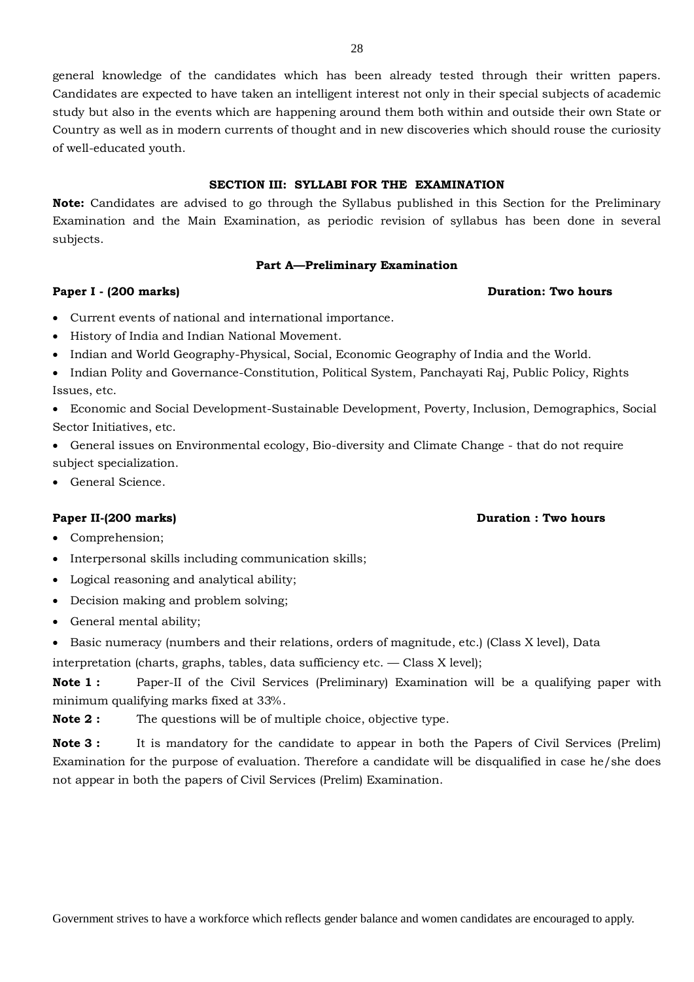general knowledge of the candidates which has been already tested through their written papers. Candidates are expected to have taken an intelligent interest not only in their special subjects of academic study but also in the events which are happening around them both within and outside their own State or Country as well as in modern currents of thought and in new discoveries which should rouse the curiosity of well-educated youth.

## **SECTION III: SYLLABI FOR THE EXAMINATION**

**Note:** Candidates are advised to go through the Syllabus published in this Section for the Preliminary Examination and the Main Examination, as periodic revision of syllabus has been done in several subjects.

#### **Part A—Preliminary Examination**

#### **Paper I -** (200 marks) **Duration: Two hours**

- Current events of national and international importance.
- History of India and Indian National Movement.
- Indian and World Geography-Physical, Social, Economic Geography of India and the World.
- Indian Polity and Governance-Constitution, Political System, Panchayati Raj, Public Policy, Rights Issues, etc.

 Economic and Social Development-Sustainable Development, Poverty, Inclusion, Demographics, Social Sector Initiatives, etc.

- General issues on Environmental ecology, Bio-diversity and Climate Change that do not require subject specialization.
- General Science.

#### **Paper II-(200 marks) Duration : Two hours**

- Comprehension;
- Interpersonal skills including communication skills;
- Logical reasoning and analytical ability;
- Decision making and problem solving;
- General mental ability;
- Basic numeracy (numbers and their relations, orders of magnitude, etc.) (Class X level), Data

interpretation (charts, graphs, tables, data sufficiency etc. — Class X level);

**Note 1 :** Paper-II of the Civil Services (Preliminary) Examination will be a qualifying paper with minimum qualifying marks fixed at 33%.

**Note 2 :** The questions will be of multiple choice, objective type.

**Note 3 :** It is mandatory for the candidate to appear in both the Papers of Civil Services (Prelim) Examination for the purpose of evaluation. Therefore a candidate will be disqualified in case he/she does not appear in both the papers of Civil Services (Prelim) Examination.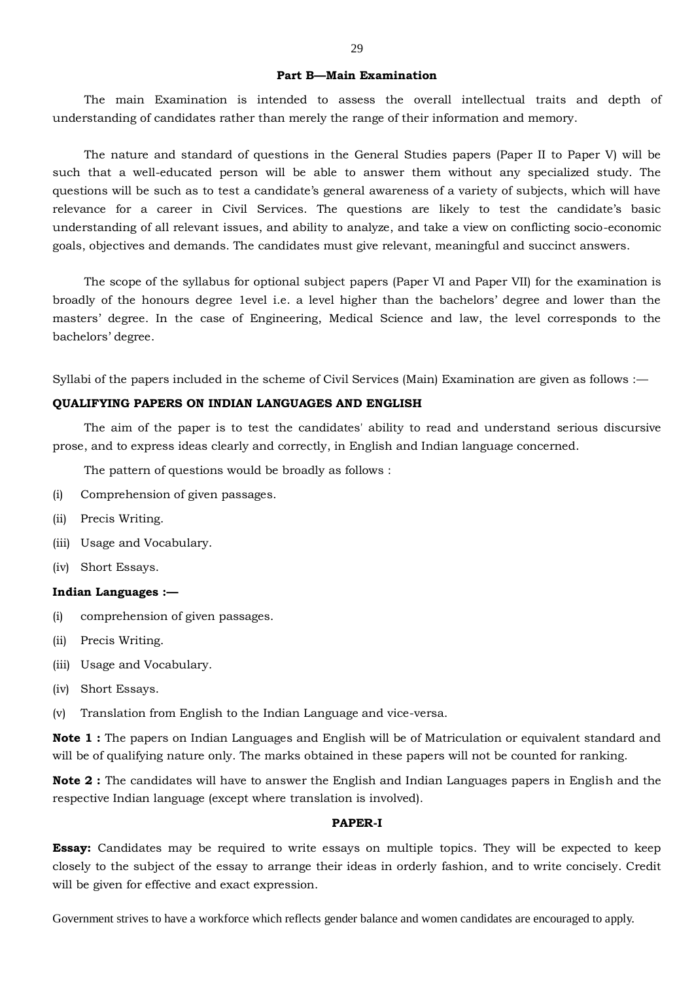#### **Part B—Main Examination**

The main Examination is intended to assess the overall intellectual traits and depth of understanding of candidates rather than merely the range of their information and memory.

The nature and standard of questions in the General Studies papers (Paper II to Paper V) will be such that a well-educated person will be able to answer them without any specialized study. The questions will be such as to test a candidate's general awareness of a variety of subjects, which will have relevance for a career in Civil Services. The questions are likely to test the candidate's basic understanding of all relevant issues, and ability to analyze, and take a view on conflicting socio-economic goals, objectives and demands. The candidates must give relevant, meaningful and succinct answers.

The scope of the syllabus for optional subject papers (Paper VI and Paper VII) for the examination is broadly of the honours degree 1evel i.e. a level higher than the bachelors' degree and lower than the masters' degree. In the case of Engineering, Medical Science and law, the level corresponds to the bachelors' degree.

Syllabi of the papers included in the scheme of Civil Services (Main) Examination are given as follows :—

## **QUALIFYING PAPERS ON INDIAN LANGUAGES AND ENGLISH**

The aim of the paper is to test the candidates' ability to read and understand serious discursive prose, and to express ideas clearly and correctly, in English and Indian language concerned.

The pattern of questions would be broadly as follows :

- (i) Comprehension of given passages.
- (ii) Precis Writing.
- (iii) Usage and Vocabulary.
- (iv) Short Essays.

## **Indian Languages :—**

- (i) comprehension of given passages.
- (ii) Precis Writing.
- (iii) Usage and Vocabulary.
- (iv) Short Essays.
- (v) Translation from English to the Indian Language and vice-versa.

**Note 1 :** The papers on Indian Languages and English will be of Matriculation or equivalent standard and will be of qualifying nature only. The marks obtained in these papers will not be counted for ranking.

**Note 2 :** The candidates will have to answer the English and Indian Languages papers in English and the respective Indian language (except where translation is involved).

## **PAPER-I**

**Essay:** Candidates may be required to write essays on multiple topics. They will be expected to keep closely to the subject of the essay to arrange their ideas in orderly fashion, and to write concisely. Credit will be given for effective and exact expression.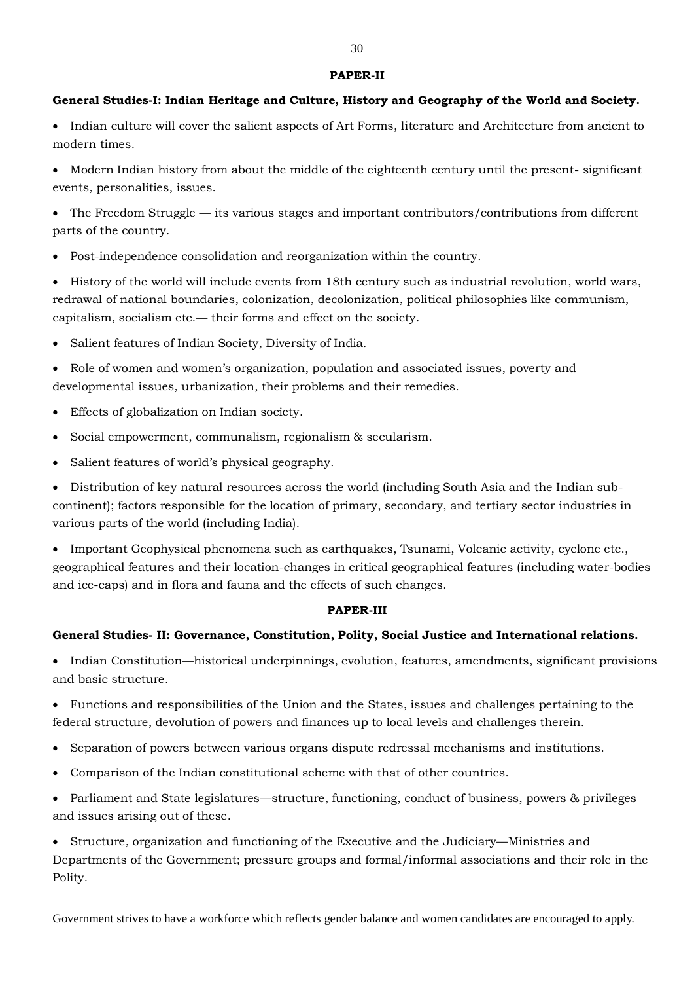#### **PAPER-II**

## **General Studies-I: Indian Heritage and Culture, History and Geography of the World and Society.**

 Indian culture will cover the salient aspects of Art Forms, literature and Architecture from ancient to modern times.

 Modern Indian history from about the middle of the eighteenth century until the present- significant events, personalities, issues.

• The Freedom Struggle — its various stages and important contributors/contributions from different parts of the country.

Post-independence consolidation and reorganization within the country.

 History of the world will include events from 18th century such as industrial revolution, world wars, redrawal of national boundaries, colonization, decolonization, political philosophies like communism, capitalism, socialism etc.— their forms and effect on the society.

Salient features of Indian Society, Diversity of India.

 Role of women and women's organization, population and associated issues, poverty and developmental issues, urbanization, their problems and their remedies.

- Effects of globalization on Indian society.
- Social empowerment, communalism, regionalism & secularism.
- Salient features of world's physical geography.

 Distribution of key natural resources across the world (including South Asia and the Indian subcontinent); factors responsible for the location of primary, secondary, and tertiary sector industries in various parts of the world (including India).

 Important Geophysical phenomena such as earthquakes, Tsunami, Volcanic activity, cyclone etc., geographical features and their location-changes in critical geographical features (including water-bodies and ice-caps) and in flora and fauna and the effects of such changes.

## **PAPER-III**

## **General Studies- II: Governance, Constitution, Polity, Social Justice and International relations.**

• Indian Constitution—historical underpinnings, evolution, features, amendments, significant provisions and basic structure.

 Functions and responsibilities of the Union and the States, issues and challenges pertaining to the federal structure, devolution of powers and finances up to local levels and challenges therein.

- Separation of powers between various organs dispute redressal mechanisms and institutions.
- Comparison of the Indian constitutional scheme with that of other countries.

 Parliament and State legislatures—structure, functioning, conduct of business, powers & privileges and issues arising out of these.

 Structure, organization and functioning of the Executive and the Judiciary—Ministries and Departments of the Government; pressure groups and formal/informal associations and their role in the Polity.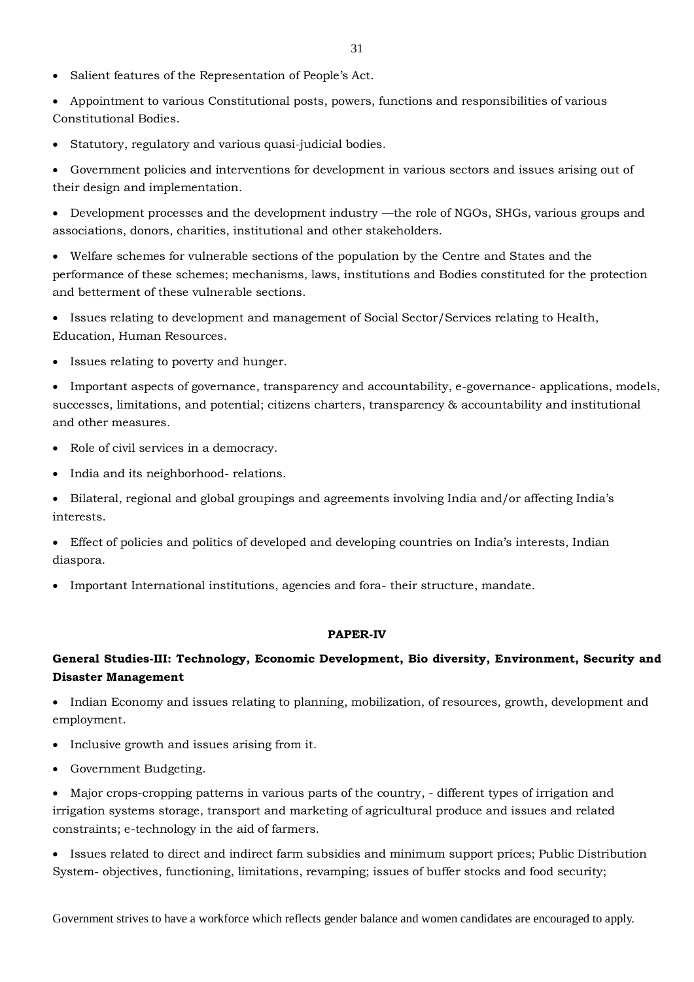- Salient features of the Representation of People's Act.
- Appointment to various Constitutional posts, powers, functions and responsibilities of various Constitutional Bodies.
- Statutory, regulatory and various quasi-judicial bodies.
- Government policies and interventions for development in various sectors and issues arising out of their design and implementation.

 Development processes and the development industry —the role of NGOs, SHGs, various groups and associations, donors, charities, institutional and other stakeholders.

 Welfare schemes for vulnerable sections of the population by the Centre and States and the performance of these schemes; mechanisms, laws, institutions and Bodies constituted for the protection and betterment of these vulnerable sections.

 Issues relating to development and management of Social Sector/Services relating to Health, Education, Human Resources.

• Issues relating to poverty and hunger.

• Important aspects of governance, transparency and accountability, e-governance- applications, models, successes, limitations, and potential; citizens charters, transparency & accountability and institutional and other measures.

- Role of civil services in a democracy.
- India and its neighborhood- relations.
- Bilateral, regional and global groupings and agreements involving India and/or affecting India's interests.

 Effect of policies and politics of developed and developing countries on India's interests, Indian diaspora.

Important International institutions, agencies and fora- their structure, mandate.

## **PAPER-IV**

## **General Studies-III: Technology, Economic Development, Bio diversity, Environment, Security and Disaster Management**

• Indian Economy and issues relating to planning, mobilization, of resources, growth, development and employment.

- Inclusive growth and issues arising from it.
- Government Budgeting.

 Major crops-cropping patterns in various parts of the country, - different types of irrigation and irrigation systems storage, transport and marketing of agricultural produce and issues and related constraints; e-technology in the aid of farmers.

 Issues related to direct and indirect farm subsidies and minimum support prices; Public Distribution System- objectives, functioning, limitations, revamping; issues of buffer stocks and food security;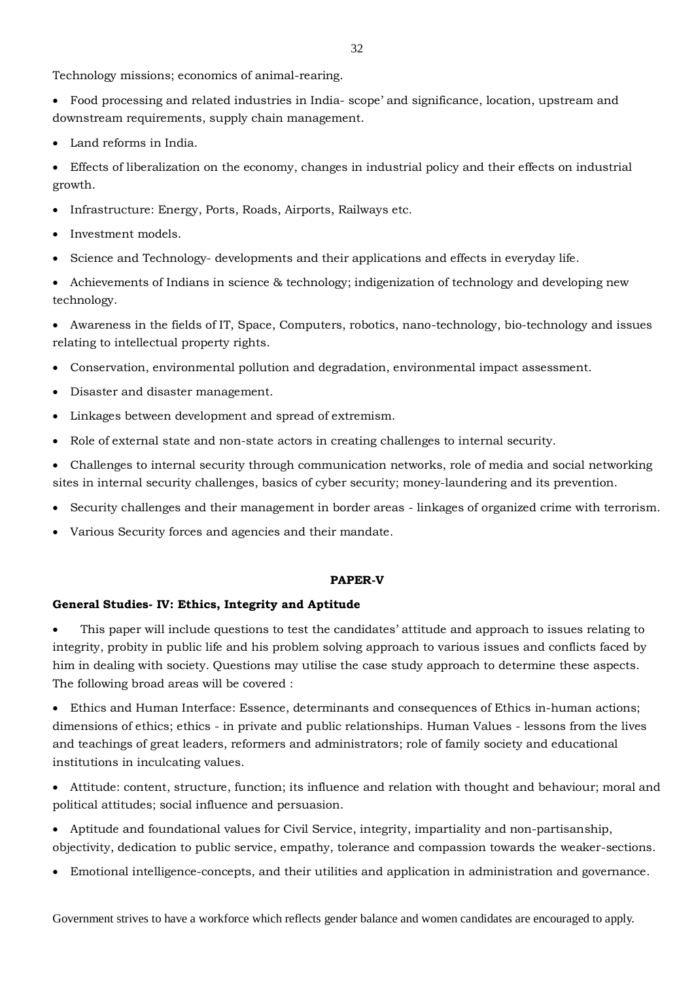Technology missions; economics of animal-rearing.

- Food processing and related industries in India- scope' and significance, location, upstream and downstream requirements, supply chain management.
- Land reforms in India.

 Effects of liberalization on the economy, changes in industrial policy and their effects on industrial growth.

- Infrastructure: Energy, Ports, Roads, Airports, Railways etc.
- Investment models.
- Science and Technology- developments and their applications and effects in everyday life.

 Achievements of Indians in science & technology; indigenization of technology and developing new technology.

 Awareness in the fields of IT, Space, Computers, robotics, nano-technology, bio-technology and issues relating to intellectual property rights.

- Conservation, environmental pollution and degradation, environmental impact assessment.
- Disaster and disaster management.
- Linkages between development and spread of extremism.
- Role of external state and non-state actors in creating challenges to internal security.
- Challenges to internal security through communication networks, role of media and social networking sites in internal security challenges, basics of cyber security; money-laundering and its prevention.
- Security challenges and their management in border areas linkages of organized crime with terrorism.
- Various Security forces and agencies and their mandate.

## **PAPER-V**

#### **General Studies- IV: Ethics, Integrity and Aptitude**

 This paper will include questions to test the candidates' attitude and approach to issues relating to integrity, probity in public life and his problem solving approach to various issues and conflicts faced by him in dealing with society. Questions may utilise the case study approach to determine these aspects. The following broad areas will be covered :

 Ethics and Human Interface: Essence, determinants and consequences of Ethics in-human actions; dimensions of ethics; ethics - in private and public relationships. Human Values - lessons from the lives and teachings of great leaders, reformers and administrators; role of family society and educational institutions in inculcating values.

- Attitude: content, structure, function; its influence and relation with thought and behaviour; moral and political attitudes; social influence and persuasion.
- Aptitude and foundational values for Civil Service, integrity, impartiality and non-partisanship, objectivity, dedication to public service, empathy, tolerance and compassion towards the weaker-sections.
- Emotional intelligence-concepts, and their utilities and application in administration and governance.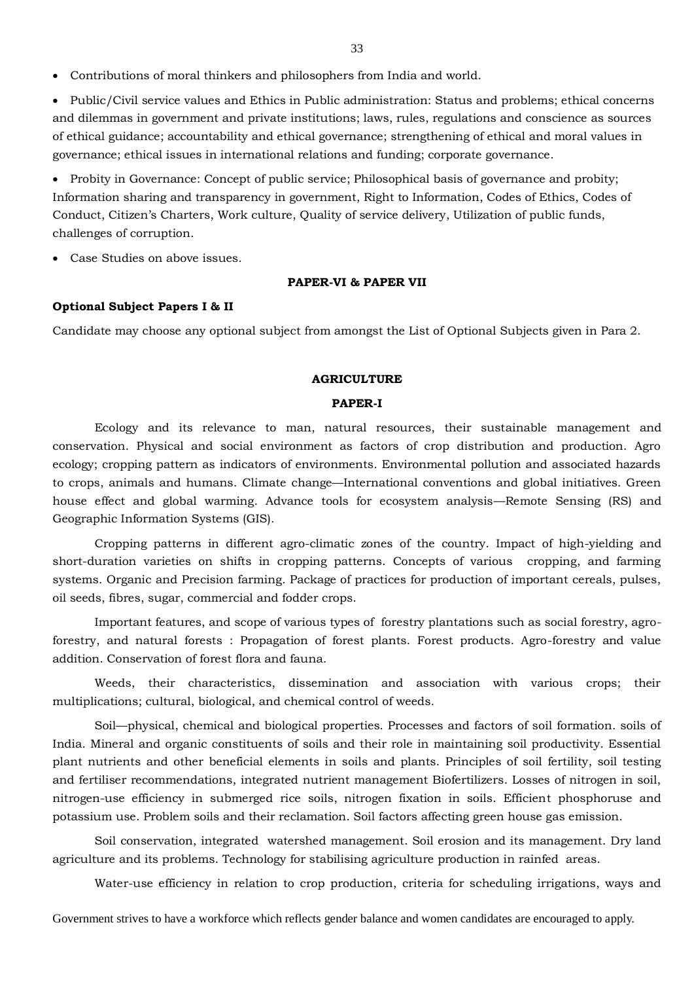Contributions of moral thinkers and philosophers from India and world.

 Public/Civil service values and Ethics in Public administration: Status and problems; ethical concerns and dilemmas in government and private institutions; laws, rules, regulations and conscience as sources of ethical guidance; accountability and ethical governance; strengthening of ethical and moral values in governance; ethical issues in international relations and funding; corporate governance.

• Probity in Governance: Concept of public service; Philosophical basis of governance and probity; Information sharing and transparency in government, Right to Information, Codes of Ethics, Codes of Conduct, Citizen's Charters, Work culture, Quality of service delivery, Utilization of public funds, challenges of corruption.

Case Studies on above issues.

## **PAPER-VI & PAPER VII**

## **Optional Subject Papers I & II**

Candidate may choose any optional subject from amongst the List of Optional Subjects given in Para 2.

## **AGRICULTURE**

#### **PAPER-I**

Ecology and its relevance to man, natural resources, their sustainable management and conservation. Physical and social environment as factors of crop distribution and production. Agro ecology; cropping pattern as indicators of environments. Environmental pollution and associated hazards to crops, animals and humans. Climate change—International conventions and global initiatives. Green house effect and global warming. Advance tools for ecosystem analysis—Remote Sensing (RS) and Geographic Information Systems (GIS).

Cropping patterns in different agro-climatic zones of the country. Impact of high-yielding and short-duration varieties on shifts in cropping patterns. Concepts of various cropping, and farming systems. Organic and Precision farming. Package of practices for production of important cereals, pulses, oil seeds, fibres, sugar, commercial and fodder crops.

Important features, and scope of various types of forestry plantations such as social forestry, agroforestry, and natural forests : Propagation of forest plants. Forest products. Agro-forestry and value addition. Conservation of forest flora and fauna.

Weeds, their characteristics, dissemination and association with various crops; their multiplications; cultural, biological, and chemical control of weeds.

Soil—physical, chemical and biological properties. Processes and factors of soil formation. soils of India. Mineral and organic constituents of soils and their role in maintaining soil productivity. Essential plant nutrients and other beneficial elements in soils and plants. Principles of soil fertility, soil testing and fertiliser recommendations, integrated nutrient management Biofertilizers. Losses of nitrogen in soil, nitrogen-use efficiency in submerged rice soils, nitrogen fixation in soils. Efficient phosphoruse and potassium use. Problem soils and their reclamation. Soil factors affecting green house gas emission.

Soil conservation, integrated watershed management. Soil erosion and its management. Dry land agriculture and its problems. Technology for stabilising agriculture production in rainfed areas.

Water-use efficiency in relation to crop production, criteria for scheduling irrigations, ways and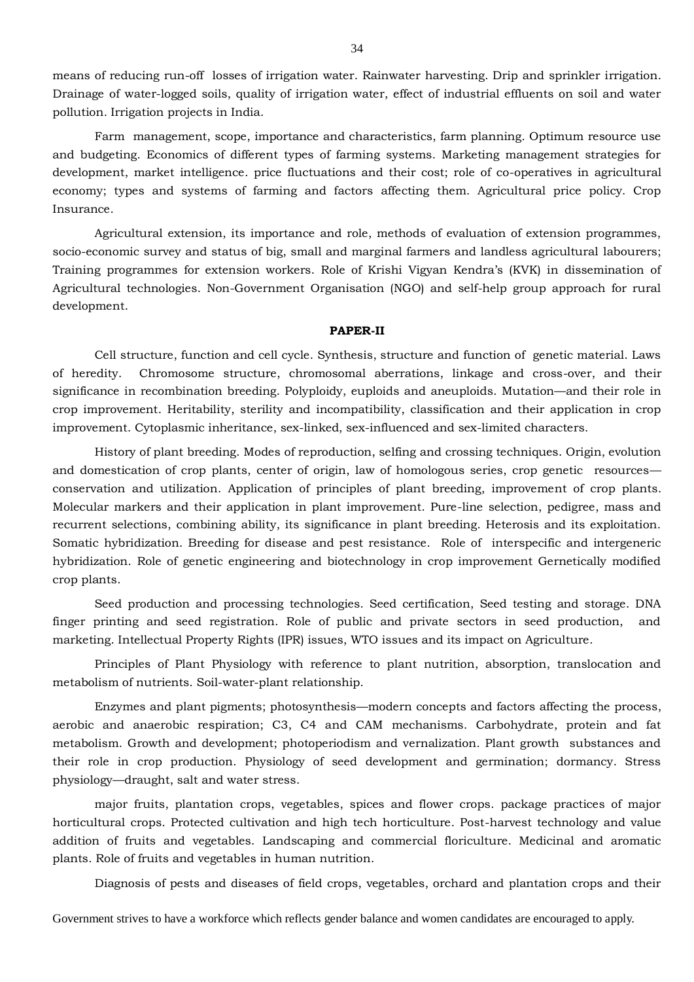means of reducing run-off losses of irrigation water. Rainwater harvesting. Drip and sprinkler irrigation. Drainage of water-logged soils, quality of irrigation water, effect of industrial effluents on soil and water pollution. Irrigation projects in India.

Farm management, scope, importance and characteristics, farm planning. Optimum resource use and budgeting. Economics of different types of farming systems. Marketing management strategies for development, market intelligence. price fluctuations and their cost; role of co-operatives in agricultural economy; types and systems of farming and factors affecting them. Agricultural price policy. Crop Insurance.

Agricultural extension, its importance and role, methods of evaluation of extension programmes, socio-economic survey and status of big, small and marginal farmers and landless agricultural labourers; Training programmes for extension workers. Role of Krishi Vigyan Kendra's (KVK) in dissemination of Agricultural technologies. Non-Government Organisation (NGO) and self-help group approach for rural development.

#### **PAPER-II**

Cell structure, function and cell cycle. Synthesis, structure and function of genetic material. Laws of heredity. Chromosome structure, chromosomal aberrations, linkage and cross-over, and their significance in recombination breeding. Polyploidy, euploids and aneuploids. Mutation—and their role in crop improvement. Heritability, sterility and incompatibility, classification and their application in crop improvement. Cytoplasmic inheritance, sex-linked, sex-influenced and sex-limited characters.

History of plant breeding. Modes of reproduction, selfing and crossing techniques. Origin, evolution and domestication of crop plants, center of origin, law of homologous series, crop genetic resourcesconservation and utilization. Application of principles of plant breeding, improvement of crop plants. Molecular markers and their application in plant improvement. Pure-line selection, pedigree, mass and recurrent selections, combining ability, its significance in plant breeding. Heterosis and its exploitation. Somatic hybridization. Breeding for disease and pest resistance. Role of interspecific and intergeneric hybridization. Role of genetic engineering and biotechnology in crop improvement Gernetically modified crop plants.

Seed production and processing technologies. Seed certification, Seed testing and storage. DNA finger printing and seed registration. Role of public and private sectors in seed production, and marketing. Intellectual Property Rights (IPR) issues, WTO issues and its impact on Agriculture.

Principles of Plant Physiology with reference to plant nutrition, absorption, translocation and metabolism of nutrients. Soil-water-plant relationship.

Enzymes and plant pigments; photosynthesis—modern concepts and factors affecting the process, aerobic and anaerobic respiration; C3, C4 and CAM mechanisms. Carbohydrate, protein and fat metabolism. Growth and development; photoperiodism and vernalization. Plant growth substances and their role in crop production. Physiology of seed development and germination; dormancy. Stress physiology—draught, salt and water stress.

major fruits, plantation crops, vegetables, spices and flower crops. package practices of major horticultural crops. Protected cultivation and high tech horticulture. Post-harvest technology and value addition of fruits and vegetables. Landscaping and commercial floriculture. Medicinal and aromatic plants. Role of fruits and vegetables in human nutrition.

Diagnosis of pests and diseases of field crops, vegetables, orchard and plantation crops and their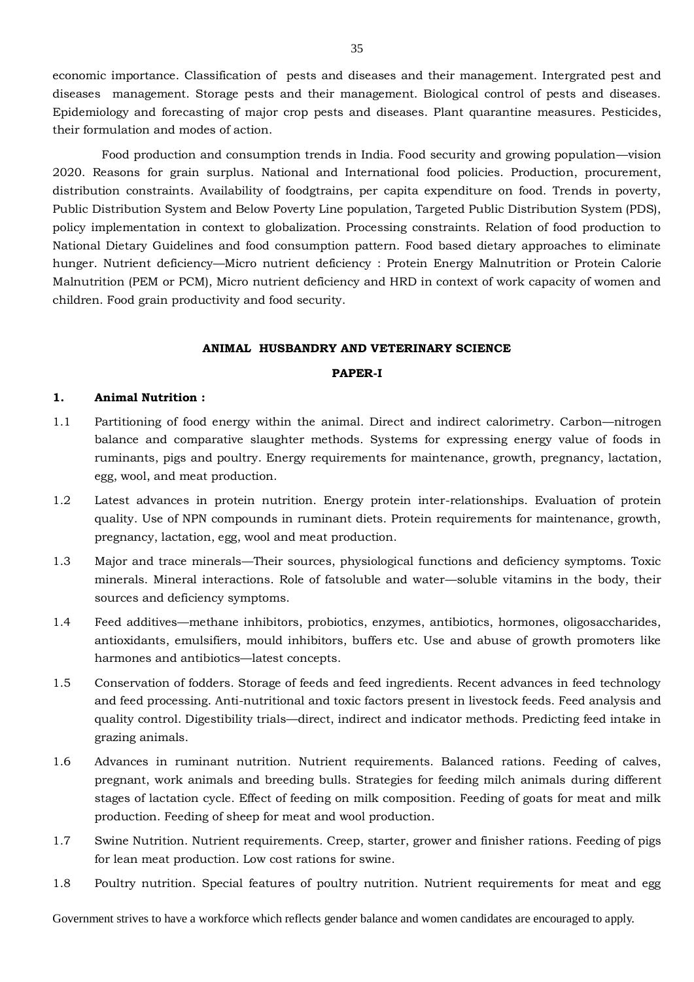economic importance. Classification of pests and diseases and their management. Intergrated pest and diseases management. Storage pests and their management. Biological control of pests and diseases. Epidemiology and forecasting of major crop pests and diseases. Plant quarantine measures. Pesticides, their formulation and modes of action.

Food production and consumption trends in India. Food security and growing population—vision 2020. Reasons for grain surplus. National and International food policies. Production, procurement, distribution constraints. Availability of foodgtrains, per capita expenditure on food. Trends in poverty, Public Distribution System and Below Poverty Line population, Targeted Public Distribution System (PDS), policy implementation in context to globalization. Processing constraints. Relation of food production to National Dietary Guidelines and food consumption pattern. Food based dietary approaches to eliminate hunger. Nutrient deficiency—Micro nutrient deficiency : Protein Energy Malnutrition or Protein Calorie Malnutrition (PEM or PCM), Micro nutrient deficiency and HRD in context of work capacity of women and children. Food grain productivity and food security.

#### **ANIMAL HUSBANDRY AND VETERINARY SCIENCE**

#### **PAPER-I**

#### **1. Animal Nutrition :**

- 1.1 Partitioning of food energy within the animal. Direct and indirect calorimetry. Carbon—nitrogen balance and comparative slaughter methods. Systems for expressing energy value of foods in ruminants, pigs and poultry. Energy requirements for maintenance, growth, pregnancy, lactation, egg, wool, and meat production.
- 1.2 Latest advances in protein nutrition. Energy protein inter-relationships. Evaluation of protein quality. Use of NPN compounds in ruminant diets. Protein requirements for maintenance, growth, pregnancy, lactation, egg, wool and meat production.
- 1.3 Major and trace minerals—Their sources, physiological functions and deficiency symptoms. Toxic minerals. Mineral interactions. Role of fatsoluble and water—soluble vitamins in the body, their sources and deficiency symptoms.
- 1.4 Feed additives—methane inhibitors, probiotics, enzymes, antibiotics, hormones, oligosaccharides, antioxidants, emulsifiers, mould inhibitors, buffers etc. Use and abuse of growth promoters like harmones and antibiotics—latest concepts.
- 1.5 Conservation of fodders. Storage of feeds and feed ingredients. Recent advances in feed technology and feed processing. Anti-nutritional and toxic factors present in livestock feeds. Feed analysis and quality control. Digestibility trials—direct, indirect and indicator methods. Predicting feed intake in grazing animals.
- 1.6 Advances in ruminant nutrition. Nutrient requirements. Balanced rations. Feeding of calves, pregnant, work animals and breeding bulls. Strategies for feeding milch animals during different stages of lactation cycle. Effect of feeding on milk composition. Feeding of goats for meat and milk production. Feeding of sheep for meat and wool production.
- 1.7 Swine Nutrition. Nutrient requirements. Creep, starter, grower and finisher rations. Feeding of pigs for lean meat production. Low cost rations for swine.
- 1.8 Poultry nutrition. Special features of poultry nutrition. Nutrient requirements for meat and egg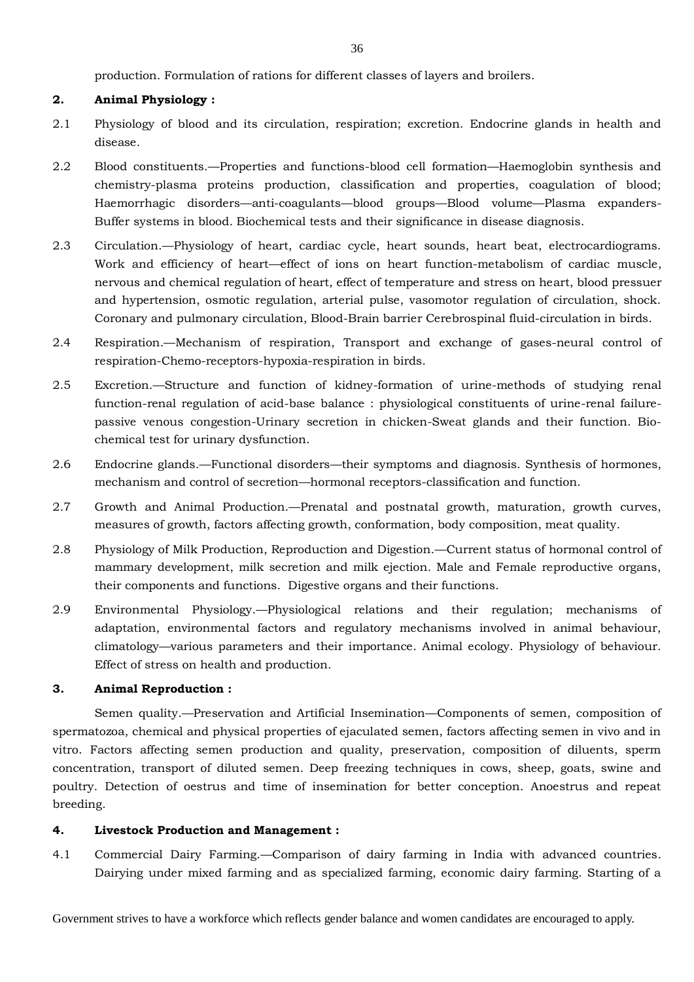production. Formulation of rations for different classes of layers and broilers.

## **2. Animal Physiology :**

- 2.1 Physiology of blood and its circulation, respiration; excretion. Endocrine glands in health and disease.
- 2.2 Blood constituents.—Properties and functions-blood cell formation—Haemoglobin synthesis and chemistry-plasma proteins production, classification and properties, coagulation of blood; Haemorrhagic disorders—anti-coagulants—blood groups—Blood volume—Plasma expanders-Buffer systems in blood. Biochemical tests and their significance in disease diagnosis.
- 2.3 Circulation.—Physiology of heart, cardiac cycle, heart sounds, heart beat, electrocardiograms. Work and efficiency of heart—effect of ions on heart function-metabolism of cardiac muscle, nervous and chemical regulation of heart, effect of temperature and stress on heart, blood pressuer and hypertension, osmotic regulation, arterial pulse, vasomotor regulation of circulation, shock. Coronary and pulmonary circulation, Blood-Brain barrier Cerebrospinal fluid-circulation in birds.
- 2.4 Respiration.—Mechanism of respiration, Transport and exchange of gases-neural control of respiration-Chemo-receptors-hypoxia-respiration in birds.
- 2.5 Excretion.—Structure and function of kidney-formation of urine-methods of studying renal function-renal regulation of acid-base balance : physiological constituents of urine-renal failurepassive venous congestion-Urinary secretion in chicken-Sweat glands and their function. Biochemical test for urinary dysfunction.
- 2.6 Endocrine glands.—Functional disorders—their symptoms and diagnosis. Synthesis of hormones, mechanism and control of secretion—hormonal receptors-classification and function.
- 2.7 Growth and Animal Production.—Prenatal and postnatal growth, maturation, growth curves, measures of growth, factors affecting growth, conformation, body composition, meat quality.
- 2.8 Physiology of Milk Production, Reproduction and Digestion.—Current status of hormonal control of mammary development, milk secretion and milk ejection. Male and Female reproductive organs, their components and functions. Digestive organs and their functions.
- 2.9 Environmental Physiology.—Physiological relations and their regulation; mechanisms of adaptation, environmental factors and regulatory mechanisms involved in animal behaviour, climatology—various parameters and their importance. Animal ecology. Physiology of behaviour. Effect of stress on health and production.

## **3. Animal Reproduction :**

Semen quality.—Preservation and Artificial Insemination—Components of semen, composition of spermatozoa, chemical and physical properties of ejaculated semen, factors affecting semen in vivo and in vitro. Factors affecting semen production and quality, preservation, composition of diluents, sperm concentration, transport of diluted semen. Deep freezing techniques in cows, sheep, goats, swine and poultry. Detection of oestrus and time of insemination for better conception. Anoestrus and repeat breeding.

## **4. Livestock Production and Management :**

4.1 Commercial Dairy Farming.—Comparison of dairy farming in India with advanced countries. Dairying under mixed farming and as specialized farming, economic dairy farming. Starting of a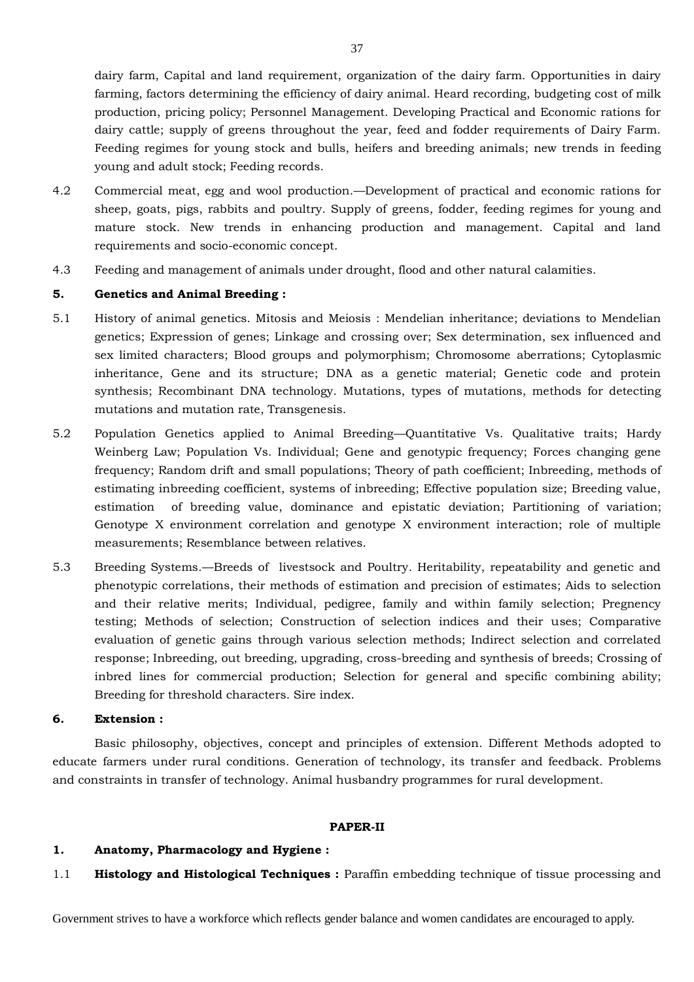dairy farm, Capital and land requirement, organization of the dairy farm. Opportunities in dairy farming, factors determining the efficiency of dairy animal. Heard recording, budgeting cost of milk production, pricing policy; Personnel Management. Developing Practical and Economic rations for dairy cattle; supply of greens throughout the year, feed and fodder requirements of Dairy Farm. Feeding regimes for young stock and bulls, heifers and breeding animals; new trends in feeding young and adult stock; Feeding records.

- 4.2 Commercial meat, egg and wool production.—Development of practical and economic rations for sheep, goats, pigs, rabbits and poultry. Supply of greens, fodder, feeding regimes for young and mature stock. New trends in enhancing production and management. Capital and land requirements and socio-economic concept.
- 4.3 Feeding and management of animals under drought, flood and other natural calamities.

## **5. Genetics and Animal Breeding :**

- 5.1 History of animal genetics. Mitosis and Meiosis : Mendelian inheritance; deviations to Mendelian genetics; Expression of genes; Linkage and crossing over; Sex determination, sex influenced and sex limited characters; Blood groups and polymorphism; Chromosome aberrations; Cytoplasmic inheritance, Gene and its structure; DNA as a genetic material; Genetic code and protein synthesis; Recombinant DNA technology. Mutations, types of mutations, methods for detecting mutations and mutation rate, Transgenesis.
- 5.2 Population Genetics applied to Animal Breeding—Quantitative Vs. Qualitative traits; Hardy Weinberg Law; Population Vs. Individual; Gene and genotypic frequency; Forces changing gene frequency; Random drift and small populations; Theory of path coefficient; Inbreeding, methods of estimating inbreeding coefficient, systems of inbreeding; Effective population size; Breeding value, estimation of breeding value, dominance and epistatic deviation; Partitioning of variation; Genotype X environment correlation and genotype X environment interaction; role of multiple measurements; Resemblance between relatives.
- 5.3 Breeding Systems.—Breeds of livestsock and Poultry. Heritability, repeatability and genetic and phenotypic correlations, their methods of estimation and precision of estimates; Aids to selection and their relative merits; Individual, pedigree, family and within family selection; Pregnency testing; Methods of selection; Construction of selection indices and their uses; Comparative evaluation of genetic gains through various selection methods; Indirect selection and correlated response; Inbreeding, out breeding, upgrading, cross-breeding and synthesis of breeds; Crossing of inbred lines for commercial production; Selection for general and specific combining ability; Breeding for threshold characters. Sire index.

## **6. Extension :**

Basic philosophy, objectives, concept and principles of extension. Different Methods adopted to educate farmers under rural conditions. Generation of technology, its transfer and feedback. Problems and constraints in transfer of technology. Animal husbandry programmes for rural development.

#### **PAPER-II**

## **1. Anatomy, Pharmacology and Hygiene :**

1.1 **Histology and Histological Techniques :** Paraffin embedding technique of tissue processing and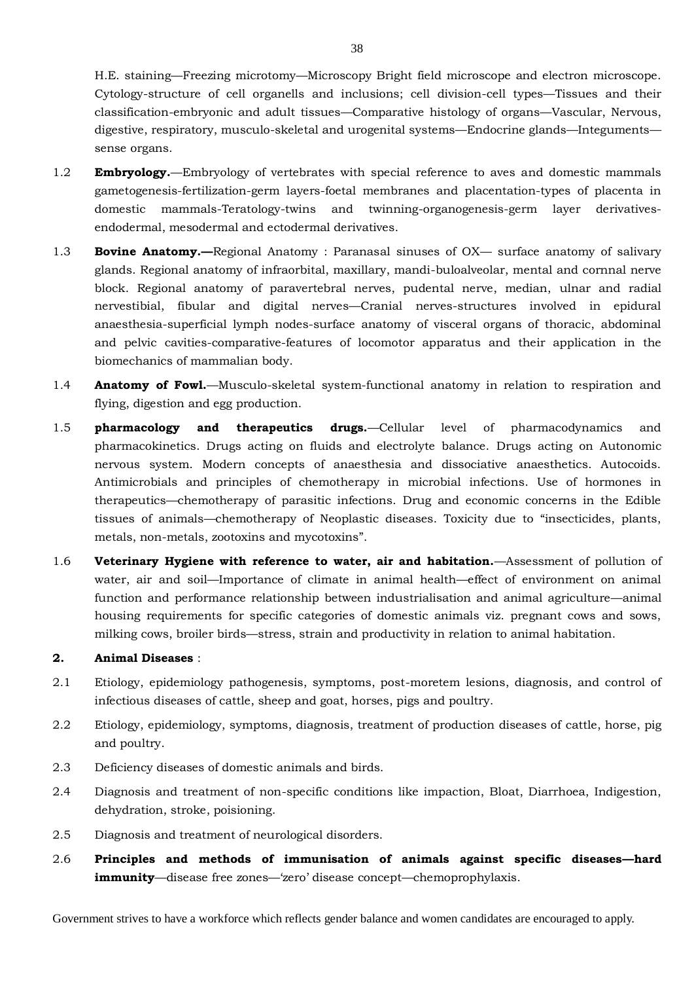H.E. staining—Freezing microtomy—Microscopy Bright field microscope and electron microscope. Cytology-structure of cell organells and inclusions; cell division-cell types—Tissues and their classification-embryonic and adult tissues—Comparative histology of organs—Vascular, Nervous, digestive, respiratory, musculo-skeletal and urogenital systems—Endocrine glands—Integuments sense organs.

- 1.2 **Embryology.**—Embryology of vertebrates with special reference to aves and domestic mammals gametogenesis-fertilization-germ layers-foetal membranes and placentation-types of placenta in domestic mammals-Teratology-twins and twinning-organogenesis-germ layer derivativesendodermal, mesodermal and ectodermal derivatives.
- 1.3 **Bovine Anatomy.—**Regional Anatomy : Paranasal sinuses of OX— surface anatomy of salivary glands. Regional anatomy of infraorbital, maxillary, mandi-buloalveolar, mental and cornnal nerve block. Regional anatomy of paravertebral nerves, pudental nerve, median, ulnar and radial nervestibial, fibular and digital nerves—Cranial nerves-structures involved in epidural anaesthesia-superficial lymph nodes-surface anatomy of visceral organs of thoracic, abdominal and pelvic cavities-comparative-features of locomotor apparatus and their application in the biomechanics of mammalian body.
- 1.4 **Anatomy of Fowl.**—Musculo-skeletal system-functional anatomy in relation to respiration and flying, digestion and egg production.
- 1.5 **pharmacology and therapeutics drugs.**—Cellular level of pharmacodynamics and pharmacokinetics. Drugs acting on fluids and electrolyte balance. Drugs acting on Autonomic nervous system. Modern concepts of anaesthesia and dissociative anaesthetics. Autocoids. Antimicrobials and principles of chemotherapy in microbial infections. Use of hormones in therapeutics—chemotherapy of parasitic infections. Drug and economic concerns in the Edible tissues of animals—chemotherapy of Neoplastic diseases. Toxicity due to "insecticides, plants, metals, non-metals, zootoxins and mycotoxins".
- 1.6 **Veterinary Hygiene with reference to water, air and habitation.**—Assessment of pollution of water, air and soil—Importance of climate in animal health—effect of environment on animal function and performance relationship between industrialisation and animal agriculture—animal housing requirements for specific categories of domestic animals viz. pregnant cows and sows, milking cows, broiler birds—stress, strain and productivity in relation to animal habitation.

## **2. Animal Diseases** :

- 2.1 Etiology, epidemiology pathogenesis, symptoms, post-moretem lesions, diagnosis, and control of infectious diseases of cattle, sheep and goat, horses, pigs and poultry.
- 2.2 Etiology, epidemiology, symptoms, diagnosis, treatment of production diseases of cattle, horse, pig and poultry.
- 2.3 Deficiency diseases of domestic animals and birds.
- 2.4 Diagnosis and treatment of non-specific conditions like impaction, Bloat, Diarrhoea, Indigestion, dehydration, stroke, poisioning.
- 2.5 Diagnosis and treatment of neurological disorders.
- 2.6 **Principles and methods of immunisation of animals against specific diseases—hard immunity**—disease free zones—'zero' disease concept—chemoprophylaxis.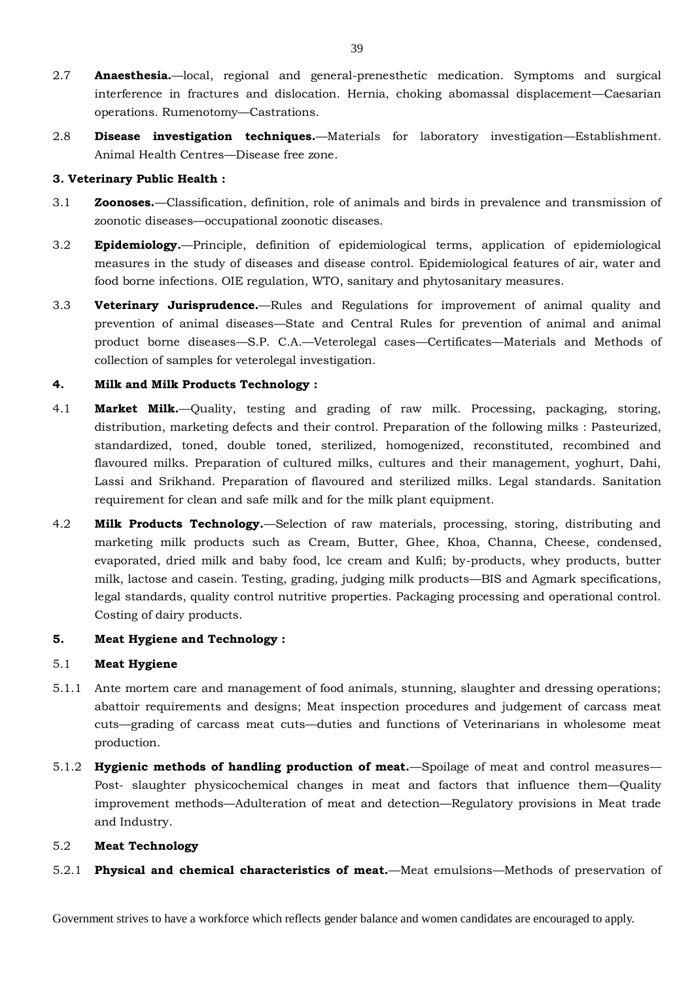- 2.7 **Anaesthesia.**—local, regional and general-prenesthetic medication. Symptoms and surgical interference in fractures and dislocation. Hernia, choking abomassal displacement—Caesarian operations. Rumenotomy—Castrations.
- 2.8 **Disease investigation techniques.**—Materials for laboratory investigation—Establishment. Animal Health Centres—Disease free zone.

## **3. Veterinary Public Health :**

- 3.1 **Zoonoses.**—Classification, definition, role of animals and birds in prevalence and transmission of zoonotic diseases—occupational zoonotic diseases.
- 3.2 **Epidemiology.**—Principle, definition of epidemiological terms, application of epidemiological measures in the study of diseases and disease control. Epidemiological features of air, water and food borne infections. OIE regulation, WTO, sanitary and phytosanitary measures.
- 3.3 **Veterinary Jurisprudence.**—Rules and Regulations for improvement of animal quality and prevention of animal diseases—State and Central Rules for prevention of animal and animal product borne diseases—S.P. C.A.—Veterolegal cases—Certificates—Materials and Methods of collection of samples for veterolegal investigation.

## **4. Milk and Milk Products Technology :**

- 4.1 **Market Milk.**—Quality, testing and grading of raw milk. Processing, packaging, storing, distribution, marketing defects and their control. Preparation of the following milks : Pasteurized, standardized, toned, double toned, sterilized, homogenized, reconstituted, recombined and flavoured milks. Preparation of cultured milks, cultures and their management, yoghurt, Dahi, Lassi and Srikhand. Preparation of flavoured and sterilized milks. Legal standards. Sanitation requirement for clean and safe milk and for the milk plant equipment.
- 4.2 **Milk Products Technology.**—Selection of raw materials, processing, storing, distributing and marketing milk products such as Cream, Butter, Ghee, Khoa, Channa, Cheese, condensed, evaporated, dried milk and baby food, lce cream and Kulfi; by-products, whey products, butter milk, lactose and casein. Testing, grading, judging milk products—BIS and Agmark specifications, legal standards, quality control nutritive properties. Packaging processing and operational control. Costing of dairy products.

## **5. Meat Hygiene and Technology :**

## 5.1 **Meat Hygiene**

- 5.1.1 Ante mortem care and management of food animals, stunning, slaughter and dressing operations; abattoir requirements and designs; Meat inspection procedures and judgement of carcass meat cuts—grading of carcass meat cuts—duties and functions of Veterinarians in wholesome meat production.
- 5.1.2 **Hygienic methods of handling production of meat.**—Spoilage of meat and control measures— Post- slaughter physicochemical changes in meat and factors that influence them—Quality improvement methods—Adulteration of meat and detection—Regulatory provisions in Meat trade and Industry.

## 5.2 **Meat Technology**

5.2.1 **Physical and chemical characteristics of meat.**—Meat emulsions—Methods of preservation of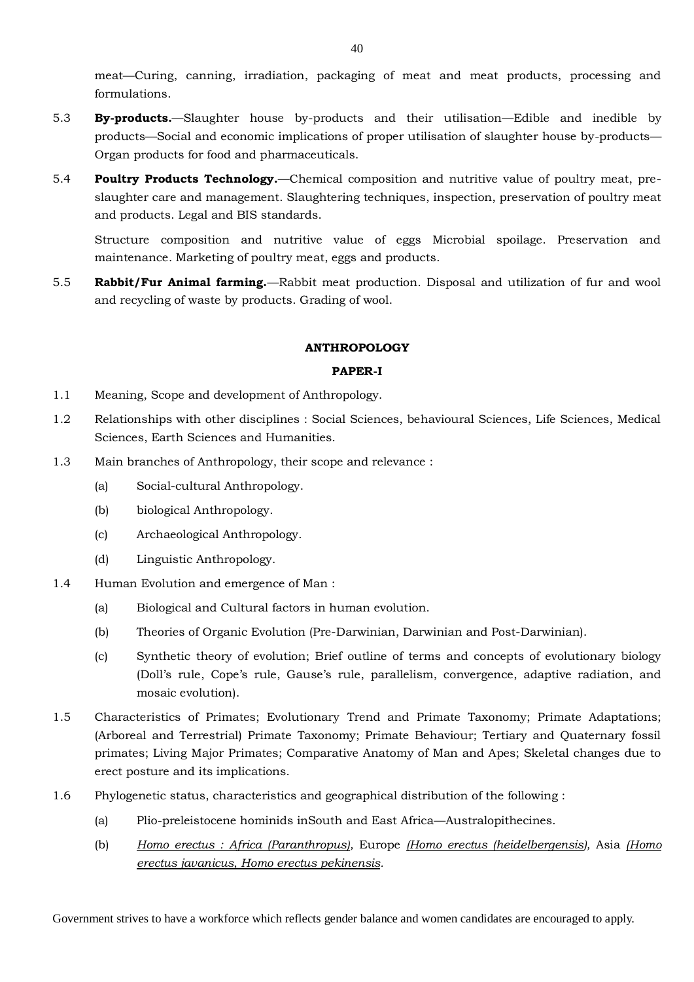meat—Curing, canning, irradiation, packaging of meat and meat products, processing and formulations.

- 5.3 **By-products.**—Slaughter house by-products and their utilisation—Edible and inedible by products—Social and economic implications of proper utilisation of slaughter house by-products— Organ products for food and pharmaceuticals.
- 5.4 **Poultry Products Technology.**—Chemical composition and nutritive value of poultry meat, preslaughter care and management. Slaughtering techniques, inspection, preservation of poultry meat and products. Legal and BIS standards.

Structure composition and nutritive value of eggs Microbial spoilage. Preservation and maintenance. Marketing of poultry meat, eggs and products.

5.5 **Rabbit/Fur Animal farming.**—Rabbit meat production. Disposal and utilization of fur and wool and recycling of waste by products. Grading of wool.

## **ANTHROPOLOGY**

## **PAPER-I**

- 1.1 Meaning, Scope and development of Anthropology.
- 1.2 Relationships with other disciplines : Social Sciences, behavioural Sciences, Life Sciences, Medical Sciences, Earth Sciences and Humanities.
- 1.3 Main branches of Anthropology, their scope and relevance :
	- (a) Social-cultural Anthropology.
	- (b) biological Anthropology.
	- (c) Archaeological Anthropology.
	- (d) Linguistic Anthropology.
- 1.4 Human Evolution and emergence of Man :
	- (a) Biological and Cultural factors in human evolution.
	- (b) Theories of Organic Evolution (Pre-Darwinian, Darwinian and Post-Darwinian).
	- (c) Synthetic theory of evolution; Brief outline of terms and concepts of evolutionary biology (Doll's rule, Cope's rule, Gause's rule, parallelism, convergence, adaptive radiation, and mosaic evolution).
- 1.5 Characteristics of Primates; Evolutionary Trend and Primate Taxonomy; Primate Adaptations; (Arboreal and Terrestrial) Primate Taxonomy; Primate Behaviour; Tertiary and Quaternary fossil primates; Living Major Primates; Comparative Anatomy of Man and Apes; Skeletal changes due to erect posture and its implications.
- 1.6 Phylogenetic status, characteristics and geographical distribution of the following :
	- (a) Plio-preleistocene hominids inSouth and East Africa—Australopithecines.
	- (b) *Homo erectus : Africa (Paranthropus),* Europe *(Homo erectus (heidelbergensis),* Asia *(Homo erectus javanicus, Homo erectus pekinensis.*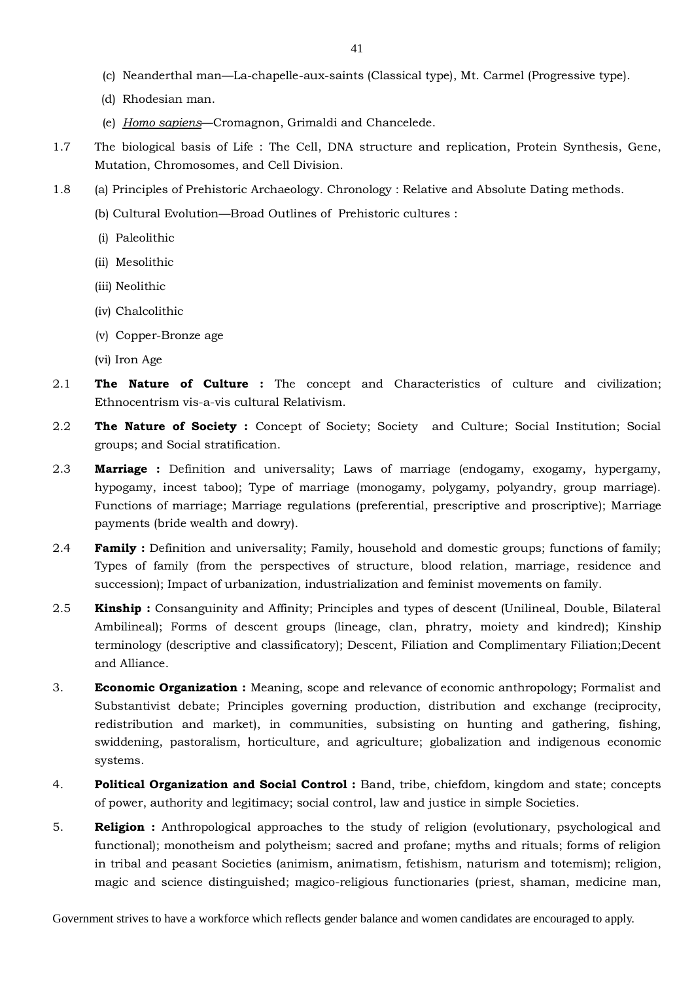- (c) Neanderthal man—La-chapelle-aux-saints (Classical type), Mt. Carmel (Progressive type).
- (d) Rhodesian man.
- (e) *Homo sapiens*—Cromagnon, Grimaldi and Chancelede.
- 1.7 The biological basis of Life : The Cell, DNA structure and replication, Protein Synthesis, Gene, Mutation, Chromosomes, and Cell Division.
- 1.8 (a) Principles of Prehistoric Archaeology. Chronology : Relative and Absolute Dating methods.
	- (b) Cultural Evolution—Broad Outlines of Prehistoric cultures :
	- (i) Paleolithic
	- (ii) Mesolithic
	- (iii) Neolithic
	- (iv) Chalcolithic
	- (v) Copper-Bronze age
	- (vi) Iron Age
- 2.1 **The Nature of Culture :** The concept and Characteristics of culture and civilization; Ethnocentrism vis-a-vis cultural Relativism.
- 2.2 **The Nature of Society :** Concept of Society; Society and Culture; Social Institution; Social groups; and Social stratification.
- 2.3 **Marriage :** Definition and universality; Laws of marriage (endogamy, exogamy, hypergamy, hypogamy, incest taboo); Type of marriage (monogamy, polygamy, polyandry, group marriage). Functions of marriage; Marriage regulations (preferential, prescriptive and proscriptive); Marriage payments (bride wealth and dowry).
- 2.4 **Family :** Definition and universality; Family, household and domestic groups; functions of family; Types of family (from the perspectives of structure, blood relation, marriage, residence and succession); Impact of urbanization, industrialization and feminist movements on family.
- 2.5 **Kinship :** Consanguinity and Affinity; Principles and types of descent (Unilineal, Double, Bilateral Ambilineal); Forms of descent groups (lineage, clan, phratry, moiety and kindred); Kinship terminology (descriptive and classificatory); Descent, Filiation and Complimentary Filiation;Decent and Alliance.
- 3. **Economic Organization :** Meaning, scope and relevance of economic anthropology; Formalist and Substantivist debate; Principles governing production, distribution and exchange (reciprocity, redistribution and market), in communities, subsisting on hunting and gathering, fishing, swiddening, pastoralism, horticulture, and agriculture; globalization and indigenous economic systems.
- 4. **Political Organization and Social Control :** Band, tribe, chiefdom, kingdom and state; concepts of power, authority and legitimacy; social control, law and justice in simple Societies.
- 5. **Religion :** Anthropological approaches to the study of religion (evolutionary, psychological and functional); monotheism and polytheism; sacred and profane; myths and rituals; forms of religion in tribal and peasant Societies (animism, animatism, fetishism, naturism and totemism); religion, magic and science distinguished; magico-religious functionaries (priest, shaman, medicine man,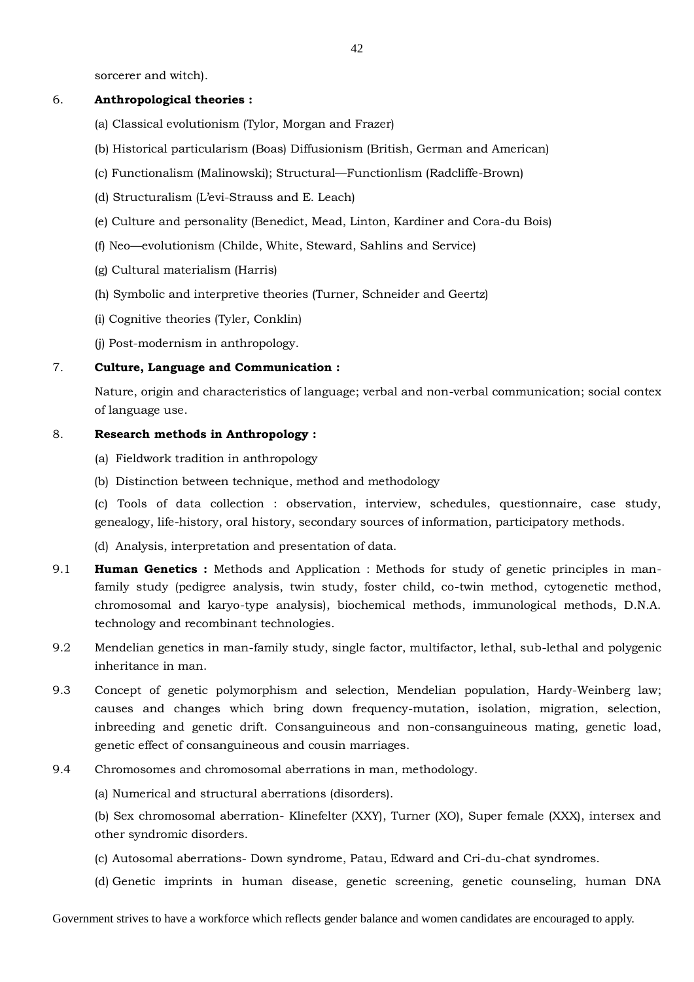sorcerer and witch).

## 6. **Anthropological theories :**

- (a) Classical evolutionism (Tylor, Morgan and Frazer)
- (b) Historical particularism (Boas) Diffusionism (British, German and American)
- (c) Functionalism (Malinowski); Structural—Functionlism (Radcliffe-Brown)
- (d) Structuralism (L'evi-Strauss and E. Leach)
- (e) Culture and personality (Benedict, Mead, Linton, Kardiner and Cora-du Bois)
- (f) Neo—evolutionism (Childe, White, Steward, Sahlins and Service)
- (g) Cultural materialism (Harris)
- (h) Symbolic and interpretive theories (Turner, Schneider and Geertz)
- (i) Cognitive theories (Tyler, Conklin)
- (j) Post-modernism in anthropology.

## 7. **Culture, Language and Communication :**

Nature, origin and characteristics of language; verbal and non-verbal communication; social contex of language use.

## 8. **Research methods in Anthropology :**

- (a) Fieldwork tradition in anthropology
- (b) Distinction between technique, method and methodology

(c) Tools of data collection : observation, interview, schedules, questionnaire, case study, genealogy, life-history, oral history, secondary sources of information, participatory methods.

- (d) Analysis, interpretation and presentation of data.
- 9.1 **Human Genetics :** Methods and Application : Methods for study of genetic principles in manfamily study (pedigree analysis, twin study, foster child, co-twin method, cytogenetic method, chromosomal and karyo-type analysis), biochemical methods, immunological methods, D.N.A. technology and recombinant technologies.
- 9.2 Mendelian genetics in man-family study, single factor, multifactor, lethal, sub-lethal and polygenic inheritance in man.
- 9.3 Concept of genetic polymorphism and selection, Mendelian population, Hardy-Weinberg law; causes and changes which bring down frequency-mutation, isolation, migration, selection, inbreeding and genetic drift. Consanguineous and non-consanguineous mating, genetic load, genetic effect of consanguineous and cousin marriages.
- 9.4 Chromosomes and chromosomal aberrations in man, methodology.

(a) Numerical and structural aberrations (disorders).

(b) Sex chromosomal aberration- Klinefelter (XXY), Turner (XO), Super female (XXX), intersex and other syndromic disorders.

- (c) Autosomal aberrations- Down syndrome, Patau, Edward and Cri-du-chat syndromes.
- (d) Genetic imprints in human disease, genetic screening, genetic counseling, human DNA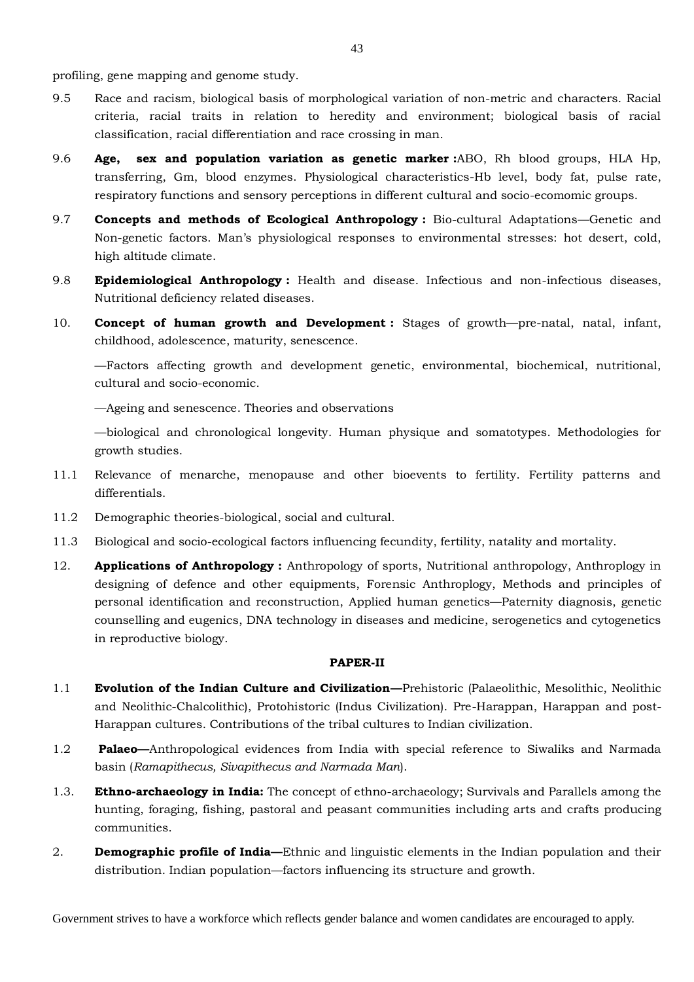profiling, gene mapping and genome study.

- 9.5 Race and racism, biological basis of morphological variation of non-metric and characters. Racial criteria, racial traits in relation to heredity and environment; biological basis of racial classification, racial differentiation and race crossing in man.
- 9.6 **Age, sex and population variation as genetic marker :**ABO, Rh blood groups, HLA Hp, transferring, Gm, blood enzymes. Physiological characteristics-Hb level, body fat, pulse rate, respiratory functions and sensory perceptions in different cultural and socio-ecomomic groups.
- 9.7 **Concepts and methods of Ecological Anthropology :** Bio-cultural Adaptations—Genetic and Non-genetic factors. Man's physiological responses to environmental stresses: hot desert, cold, high altitude climate.
- 9.8 **Epidemiological Anthropology :** Health and disease. Infectious and non-infectious diseases, Nutritional deficiency related diseases.
- 10. **Concept of human growth and Development :** Stages of growth—pre-natal, natal, infant, childhood, adolescence, maturity, senescence.

—Factors affecting growth and development genetic, environmental, biochemical, nutritional, cultural and socio-economic.

—Ageing and senescence. Theories and observations

—biological and chronological longevity. Human physique and somatotypes. Methodologies for growth studies.

- 11.1 Relevance of menarche, menopause and other bioevents to fertility. Fertility patterns and differentials.
- 11.2 Demographic theories-biological, social and cultural.
- 11.3 Biological and socio-ecological factors influencing fecundity, fertility, natality and mortality.
- 12. **Applications of Anthropology :** Anthropology of sports, Nutritional anthropology, Anthroplogy in designing of defence and other equipments, Forensic Anthroplogy, Methods and principles of personal identification and reconstruction, Applied human genetics—Paternity diagnosis, genetic counselling and eugenics, DNA technology in diseases and medicine, serogenetics and cytogenetics in reproductive biology.

## **PAPER-II**

- 1.1 **Evolution of the Indian Culture and Civilization—**Prehistoric (Palaeolithic, Mesolithic, Neolithic and Neolithic-Chalcolithic), Protohistoric (Indus Civilization). Pre-Harappan, Harappan and post-Harappan cultures. Contributions of the tribal cultures to Indian civilization.
- 1.2 **Palaeo—**Anthropological evidences from India with special reference to Siwaliks and Narmada basin (*Ramapithecus, Sivapithecus and Narmada Man*).
- 1.3. **Ethno-archaeology in India:** The concept of ethno-archaeology; Survivals and Parallels among the hunting, foraging, fishing, pastoral and peasant communities including arts and crafts producing communities.
- 2. **Demographic profile of India—**Ethnic and linguistic elements in the Indian population and their distribution. Indian population—factors influencing its structure and growth.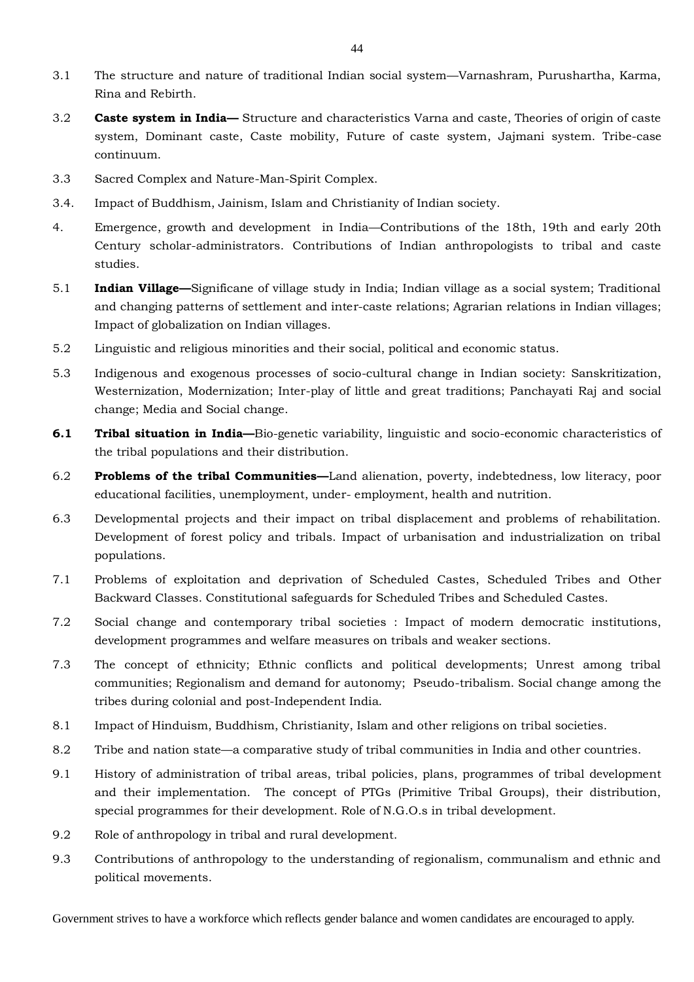- 3.1 The structure and nature of traditional Indian social system—Varnashram, Purushartha, Karma, Rina and Rebirth.
- 3.2 **Caste system in India—** Structure and characteristics Varna and caste, Theories of origin of caste system, Dominant caste, Caste mobility, Future of caste system, Jajmani system. Tribe-case continuum.
- 3.3 Sacred Complex and Nature-Man-Spirit Complex.
- 3.4. Impact of Buddhism, Jainism, Islam and Christianity of Indian society.
- 4. Emergence, growth and development in India—Contributions of the 18th, 19th and early 20th Century scholar-administrators. Contributions of Indian anthropologists to tribal and caste studies.
- 5.1 **Indian Village—**Significane of village study in India; Indian village as a social system; Traditional and changing patterns of settlement and inter-caste relations; Agrarian relations in Indian villages; Impact of globalization on Indian villages.
- 5.2 Linguistic and religious minorities and their social, political and economic status.
- 5.3 Indigenous and exogenous processes of socio-cultural change in Indian society: Sanskritization, Westernization, Modernization; Inter-play of little and great traditions; Panchayati Raj and social change; Media and Social change.
- **6.1 Tribal situation in India—**Bio-genetic variability, linguistic and socio-economic characteristics of the tribal populations and their distribution.
- 6.2 **Problems of the tribal Communities—**Land alienation, poverty, indebtedness, low literacy, poor educational facilities, unemployment, under- employment, health and nutrition.
- 6.3 Developmental projects and their impact on tribal displacement and problems of rehabilitation. Development of forest policy and tribals. Impact of urbanisation and industrialization on tribal populations.
- 7.1 Problems of exploitation and deprivation of Scheduled Castes, Scheduled Tribes and Other Backward Classes. Constitutional safeguards for Scheduled Tribes and Scheduled Castes.
- 7.2 Social change and contemporary tribal societies : Impact of modern democratic institutions, development programmes and welfare measures on tribals and weaker sections.
- 7.3 The concept of ethnicity; Ethnic conflicts and political developments; Unrest among tribal communities; Regionalism and demand for autonomy; Pseudo-tribalism. Social change among the tribes during colonial and post-Independent India.
- 8.1 Impact of Hinduism, Buddhism, Christianity, Islam and other religions on tribal societies.
- 8.2 Tribe and nation state—a comparative study of tribal communities in India and other countries.
- 9.1 History of administration of tribal areas, tribal policies, plans, programmes of tribal development and their implementation. The concept of PTGs (Primitive Tribal Groups), their distribution, special programmes for their development. Role of N.G.O.s in tribal development.
- 9.2 Role of anthropology in tribal and rural development.
- 9.3 Contributions of anthropology to the understanding of regionalism, communalism and ethnic and political movements.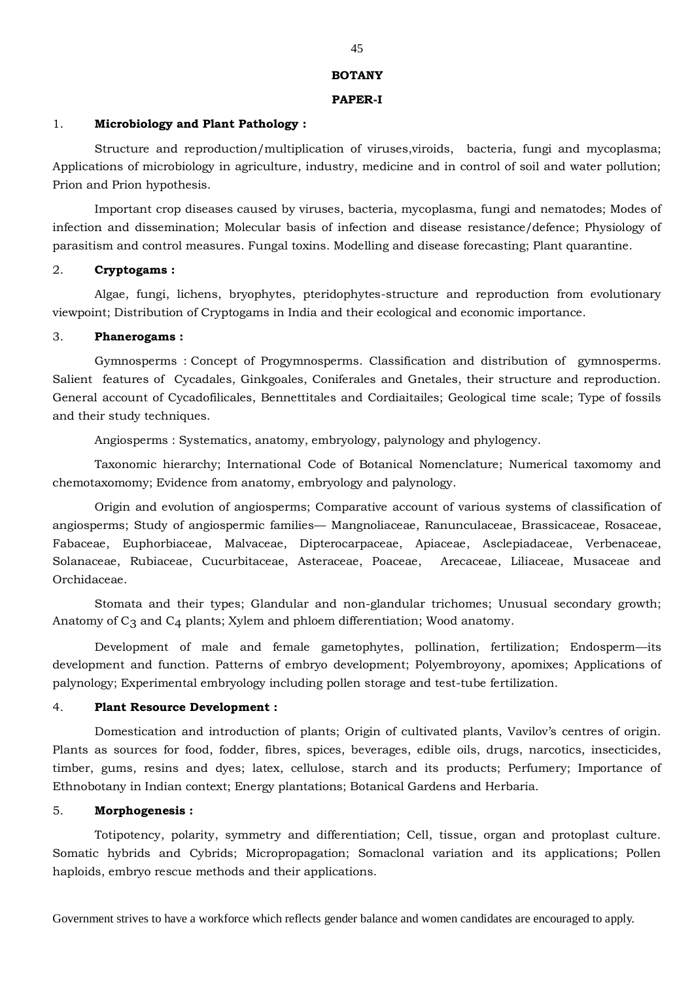#### **BOTANY**

#### **PAPER-I**

#### 1. **Microbiology and Plant Pathology :**

Structure and reproduction/multiplication of viruses,viroids, bacteria, fungi and mycoplasma; Applications of microbiology in agriculture, industry, medicine and in control of soil and water pollution; Prion and Prion hypothesis.

Important crop diseases caused by viruses, bacteria, mycoplasma, fungi and nematodes; Modes of infection and dissemination; Molecular basis of infection and disease resistance/defence; Physiology of parasitism and control measures. Fungal toxins. Modelling and disease forecasting; Plant quarantine.

#### 2. **Cryptogams :**

Algae, fungi, lichens, bryophytes, pteridophytes-structure and reproduction from evolutionary viewpoint; Distribution of Cryptogams in India and their ecological and economic importance.

#### 3. **Phanerogams :**

Gymnosperms : Concept of Progymnosperms. Classification and distribution of gymnosperms. Salient features of Cycadales, Ginkgoales, Coniferales and Gnetales, their structure and reproduction. General account of Cycadofilicales, Bennettitales and Cordiaitailes; Geological time scale; Type of fossils and their study techniques.

Angiosperms : Systematics, anatomy, embryology, palynology and phylogency.

Taxonomic hierarchy; International Code of Botanical Nomenclature; Numerical taxomomy and chemotaxomomy; Evidence from anatomy, embryology and palynology.

Origin and evolution of angiosperms; Comparative account of various systems of classification of angiosperms; Study of angiospermic families— Mangnoliaceae, Ranunculaceae, Brassicaceae, Rosaceae, Fabaceae, Euphorbiaceae, Malvaceae, Dipterocarpaceae, Apiaceae, Asclepiadaceae, Verbenaceae, Solanaceae, Rubiaceae, Cucurbitaceae, Asteraceae, Poaceae, Arecaceae, Liliaceae, Musaceae and Orchidaceae.

Stomata and their types; Glandular and non-glandular trichomes; Unusual secondary growth; Anatomy of  $C_3$  and  $C_4$  plants; Xylem and phloem differentiation; Wood anatomy.

Development of male and female gametophytes, pollination, fertilization; Endosperm—its development and function. Patterns of embryo development; Polyembroyony, apomixes; Applications of palynology; Experimental embryology including pollen storage and test-tube fertilization.

#### 4. **Plant Resource Development :**

Domestication and introduction of plants; Origin of cultivated plants, Vavilov's centres of origin. Plants as sources for food, fodder, fibres, spices, beverages, edible oils, drugs, narcotics, insecticides, timber, gums, resins and dyes; latex, cellulose, starch and its products; Perfumery; Importance of Ethnobotany in Indian context; Energy plantations; Botanical Gardens and Herbaria.

#### 5. **Morphogenesis :**

Totipotency, polarity, symmetry and differentiation; Cell, tissue, organ and protoplast culture. Somatic hybrids and Cybrids; Micropropagation; Somaclonal variation and its applications; Pollen haploids, embryo rescue methods and their applications.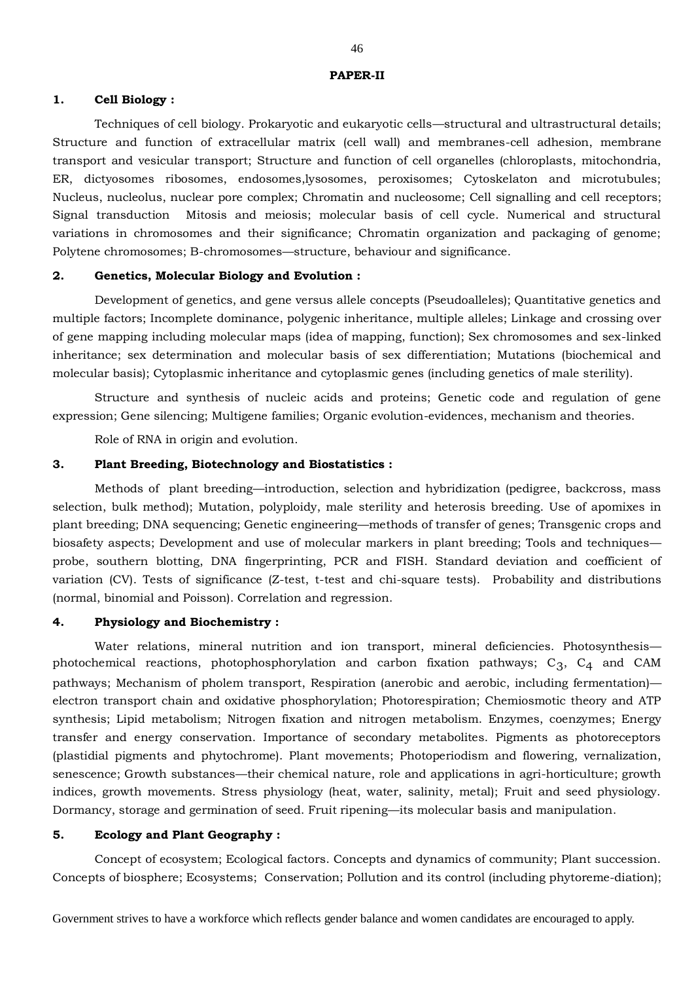#### **1. Cell Biology :**

Techniques of cell biology. Prokaryotic and eukaryotic cells—structural and ultrastructural details; Structure and function of extracellular matrix (cell wall) and membranes-cell adhesion, membrane transport and vesicular transport; Structure and function of cell organelles (chloroplasts, mitochondria, ER, dictyosomes ribosomes, endosomes,lysosomes, peroxisomes; Cytoskelaton and microtubules; Nucleus, nucleolus, nuclear pore complex; Chromatin and nucleosome; Cell signalling and cell receptors; Signal transduction Mitosis and meiosis; molecular basis of cell cycle. Numerical and structural variations in chromosomes and their significance; Chromatin organization and packaging of genome; Polytene chromosomes; B-chromosomes—structure, behaviour and significance.

#### **2. Genetics, Molecular Biology and Evolution :**

Development of genetics, and gene versus allele concepts (Pseudoalleles); Quantitative genetics and multiple factors; Incomplete dominance, polygenic inheritance, multiple alleles; Linkage and crossing over of gene mapping including molecular maps (idea of mapping, function); Sex chromosomes and sex-linked inheritance; sex determination and molecular basis of sex differentiation; Mutations (biochemical and molecular basis); Cytoplasmic inheritance and cytoplasmic genes (including genetics of male sterility).

Structure and synthesis of nucleic acids and proteins; Genetic code and regulation of gene expression; Gene silencing; Multigene families; Organic evolution-evidences, mechanism and theories.

Role of RNA in origin and evolution.

## **3. Plant Breeding, Biotechnology and Biostatistics :**

Methods of plant breeding—introduction, selection and hybridization (pedigree, backcross, mass selection, bulk method); Mutation, polyploidy, male sterility and heterosis breeding. Use of apomixes in plant breeding; DNA sequencing; Genetic engineering—methods of transfer of genes; Transgenic crops and biosafety aspects; Development and use of molecular markers in plant breeding; Tools and techniques probe, southern blotting, DNA fingerprinting, PCR and FISH. Standard deviation and coefficient of variation (CV). Tests of significance (Z-test, t-test and chi-square tests). Probability and distributions (normal, binomial and Poisson). Correlation and regression.

## **4. Physiology and Biochemistry :**

Water relations, mineral nutrition and ion transport, mineral deficiencies. Photosynthesis photochemical reactions, photophosphorylation and carbon fixation pathways;  $C_3$ ,  $C_4$  and CAM pathways; Mechanism of pholem transport, Respiration (anerobic and aerobic, including fermentation) electron transport chain and oxidative phosphorylation; Photorespiration; Chemiosmotic theory and ATP synthesis; Lipid metabolism; Nitrogen fixation and nitrogen metabolism. Enzymes, coenzymes; Energy transfer and energy conservation. Importance of secondary metabolites. Pigments as photoreceptors (plastidial pigments and phytochrome). Plant movements; Photoperiodism and flowering, vernalization, senescence; Growth substances—their chemical nature, role and applications in agri-horticulture; growth indices, growth movements. Stress physiology (heat, water, salinity, metal); Fruit and seed physiology. Dormancy, storage and germination of seed. Fruit ripening—its molecular basis and manipulation.

#### **5. Ecology and Plant Geography :**

Concept of ecosystem; Ecological factors. Concepts and dynamics of community; Plant succession. Concepts of biosphere; Ecosystems; Conservation; Pollution and its control (including phytoreme-diation);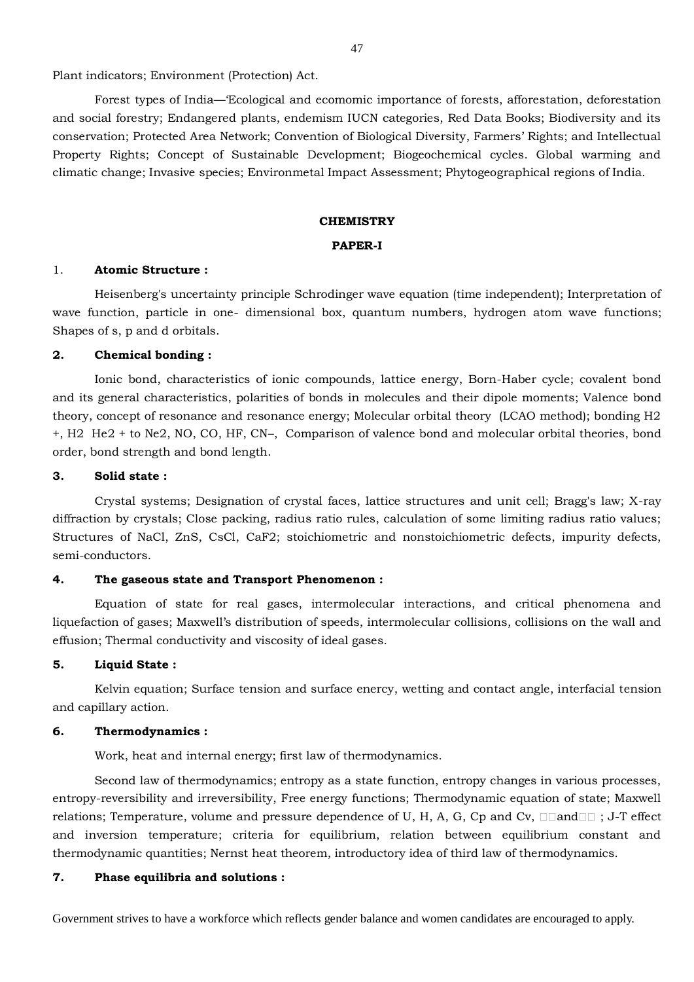Plant indicators; Environment (Protection) Act.

Forest types of India—'Ecological and ecomomic importance of forests, afforestation, deforestation and social forestry; Endangered plants, endemism IUCN categories, Red Data Books; Biodiversity and its conservation; Protected Area Network; Convention of Biological Diversity, Farmers' Rights; and Intellectual Property Rights; Concept of Sustainable Development; Biogeochemical cycles. Global warming and climatic change; Invasive species; Environmetal Impact Assessment; Phytogeographical regions of India.

#### **CHEMISTRY**

#### **PAPER-I**

#### 1. **Atomic Structure :**

Heisenberg's uncertainty principle Schrodinger wave equation (time independent); Interpretation of wave function, particle in one- dimensional box, quantum numbers, hydrogen atom wave functions; Shapes of s, p and d orbitals.

#### **2. Chemical bonding :**

Ionic bond, characteristics of ionic compounds, lattice energy, Born-Haber cycle; covalent bond and its general characteristics, polarities of bonds in molecules and their dipole moments; Valence bond theory, concept of resonance and resonance energy; Molecular orbital theory (LCAO method); bonding H2 +, H2 He2 + to Ne2, NO, CO, HF, CN–, Comparison of valence bond and molecular orbital theories, bond order, bond strength and bond length.

#### **3. Solid state :**

Crystal systems; Designation of crystal faces, lattice structures and unit cell; Bragg's law; X-ray diffraction by crystals; Close packing, radius ratio rules, calculation of some limiting radius ratio values; Structures of NaCl, ZnS, CsCl, CaF2; stoichiometric and nonstoichiometric defects, impurity defects, semi-conductors.

#### **4. The gaseous state and Transport Phenomenon :**

Equation of state for real gases, intermolecular interactions, and critical phenomena and liquefaction of gases; Maxwell's distribution of speeds, intermolecular collisions, collisions on the wall and effusion; Thermal conductivity and viscosity of ideal gases.

#### **5. Liquid State :**

Kelvin equation; Surface tension and surface enercy, wetting and contact angle, interfacial tension and capillary action.

#### **6. Thermodynamics :**

Work, heat and internal energy; first law of thermodynamics.

Second law of thermodynamics; entropy as a state function, entropy changes in various processes, entropy-reversibility and irreversibility, Free energy functions; Thermodynamic equation of state; Maxwell relations; Temperature, volume and pressure dependence of U, H, A, G, Cp and Cv,  $\Box\Box$  and  $\Box$  ; J-T effect and inversion temperature; criteria for equilibrium, relation between equilibrium constant and thermodynamic quantities; Nernst heat theorem, introductory idea of third law of thermodynamics.

## **7. Phase equilibria and solutions :**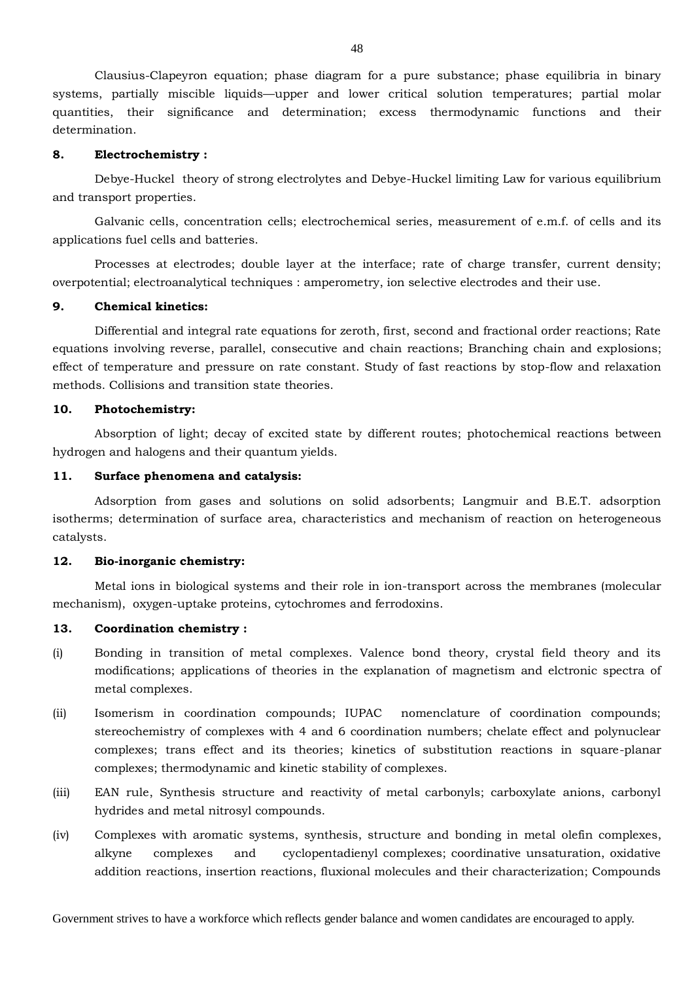Clausius-Clapeyron equation; phase diagram for a pure substance; phase equilibria in binary systems, partially miscible liquids—upper and lower critical solution temperatures; partial molar quantities, their significance and determination; excess thermodynamic functions and their determination.

#### **8. Electrochemistry :**

Debye-Huckel theory of strong electrolytes and Debye-Huckel limiting Law for various equilibrium and transport properties.

Galvanic cells, concentration cells; electrochemical series, measurement of e.m.f. of cells and its applications fuel cells and batteries.

Processes at electrodes; double layer at the interface; rate of charge transfer, current density; overpotential; electroanalytical techniques : amperometry, ion selective electrodes and their use.

#### **9. Chemical kinetics:**

Differential and integral rate equations for zeroth, first, second and fractional order reactions; Rate equations involving reverse, parallel, consecutive and chain reactions; Branching chain and explosions; effect of temperature and pressure on rate constant. Study of fast reactions by stop-flow and relaxation methods. Collisions and transition state theories.

#### **10. Photochemistry:**

Absorption of light; decay of excited state by different routes; photochemical reactions between hydrogen and halogens and their quantum yields.

#### **11. Surface phenomena and catalysis:**

Adsorption from gases and solutions on solid adsorbents; Langmuir and B.E.T. adsorption isotherms; determination of surface area, characteristics and mechanism of reaction on heterogeneous catalysts.

#### **12. Bio-inorganic chemistry:**

Metal ions in biological systems and their role in ion-transport across the membranes (molecular mechanism), oxygen-uptake proteins, cytochromes and ferrodoxins.

## **13. Coordination chemistry :**

- (i) Bonding in transition of metal complexes. Valence bond theory, crystal field theory and its modifications; applications of theories in the explanation of magnetism and elctronic spectra of metal complexes.
- (ii) Isomerism in coordination compounds; IUPAC nomenclature of coordination compounds; stereochemistry of complexes with 4 and 6 coordination numbers; chelate effect and polynuclear complexes; trans effect and its theories; kinetics of substitution reactions in square-planar complexes; thermodynamic and kinetic stability of complexes.
- (iii) EAN rule, Synthesis structure and reactivity of metal carbonyls; carboxylate anions, carbonyl hydrides and metal nitrosyl compounds.
- (iv) Complexes with aromatic systems, synthesis, structure and bonding in metal olefin complexes, alkyne complexes and cyclopentadienyl complexes; coordinative unsaturation, oxidative addition reactions, insertion reactions, fluxional molecules and their characterization; Compounds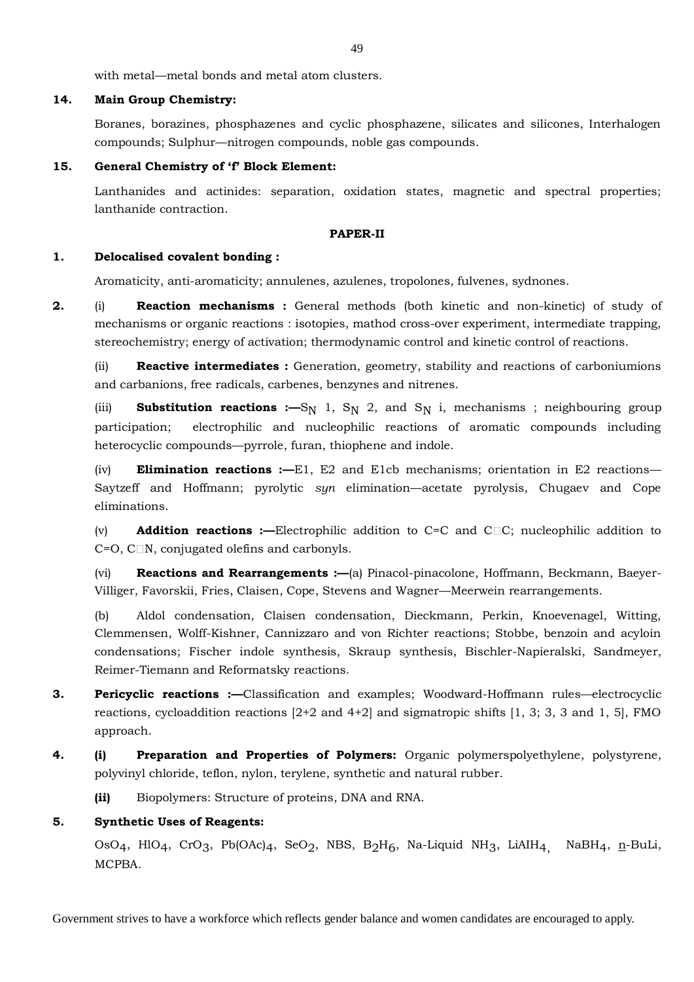with metal—metal bonds and metal atom clusters.

## **14. Main Group Chemistry:**

Boranes, borazines, phosphazenes and cyclic phosphazene, silicates and silicones, Interhalogen compounds; Sulphur—nitrogen compounds, noble gas compounds.

## **15. General Chemistry of 'f' Block Element:**

Lanthanides and actinides: separation, oxidation states, magnetic and spectral properties; lanthanide contraction.

#### **PAPER-II**

#### **1. Delocalised covalent bonding :**

Aromaticity, anti-aromaticity; annulenes, azulenes, tropolones, fulvenes, sydnones.

**2.** (i) **Reaction mechanisms :** General methods (both kinetic and non-kinetic) of study of mechanisms or organic reactions : isotopies, mathod cross-over experiment, intermediate trapping, stereochemistry; energy of activation; thermodynamic control and kinetic control of reactions.

(ii) **Reactive intermediates :** Generation, geometry, stability and reactions of carboniumions and carbanions, free radicals, carbenes, benzynes and nitrenes.

(iii) **Substitution reactions :—**S<sub>N</sub> 1, S<sub>N</sub> 2, and S<sub>N</sub> i, mechanisms ; neighbouring group participation; electrophilic and nucleophilic reactions of aromatic compounds including heterocyclic compounds—pyrrole, furan, thiophene and indole.

(iv) **Elimination reactions :—**E1, E2 and E1cb mechanisms; orientation in E2 reactions— Saytzeff and Hoffmann; pyrolytic *syn* elimination—acetate pyrolysis, Chugaev and Cope eliminations.

(v) **Addition reactions :—**Electrophilic addition to C=C and C C; nucleophilic addition to  $C=O$ ,  $C\Box N$ , conjugated olefins and carbonyls.

(vi) **Reactions and Rearrangements :—**(a) Pinacol-pinacolone, Hoffmann, Beckmann, Baeyer-Villiger, Favorskii, Fries, Claisen, Cope, Stevens and Wagner—Meerwein rearrangements.

(b) Aldol condensation, Claisen condensation, Dieckmann, Perkin, Knoevenagel, Witting, Clemmensen, Wolff-Kishner, Cannizzaro and von Richter reactions; Stobbe, benzoin and acyloin condensations; Fischer indole synthesis, Skraup synthesis, Bischler-Napieralski, Sandmeyer, Reimer-Tiemann and Reformatsky reactions.

- **3. Pericyclic reactions :—**Classification and examples; Woodward-Hoffmann rules—electrocyclic reactions, cycloaddition reactions  $[2+2$  and  $4+2]$  and sigmatropic shifts  $[1, 3; 3, 3$  and 1, 5], FMO approach.
- **4. (i) Preparation and Properties of Polymers:** Organic polymerspolyethylene, polystyrene, polyvinyl chloride, teflon, nylon, terylene, synthetic and natural rubber.

**(ii)** Biopolymers: Structure of proteins, DNA and RNA.

## **5. Synthetic Uses of Reagents:**

OsO<sub>4</sub>, HlO<sub>4</sub>, CrO<sub>3</sub>, Pb(OAc)<sub>4</sub>, SeO<sub>2</sub>, NBS, B<sub>2</sub>H<sub>6</sub>, Na-Liquid NH<sub>3</sub>, LiAIH<sub>4</sub>, NaBH<sub>4</sub>, n-BuLi, MCPBA.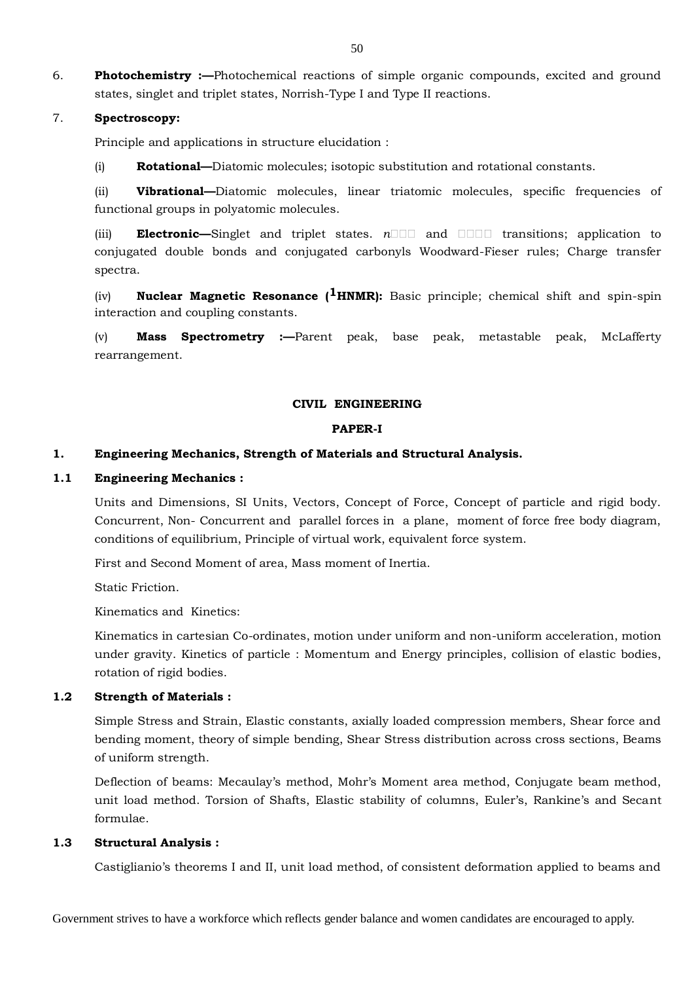6. **Photochemistry :—**Photochemical reactions of simple organic compounds, excited and ground states, singlet and triplet states, Norrish-Type I and Type II reactions.

## 7. **Spectroscopy:**

Principle and applications in structure elucidation :

(i) **Rotational—**Diatomic molecules; isotopic substitution and rotational constants.

(ii) **Vibrational—**Diatomic molecules, linear triatomic molecules, specific frequencies of functional groups in polyatomic molecules.

(iii) **Electronic—**Singlet and triplet states. *n* and transitions; application to conjugated double bonds and conjugated carbonyls Woodward-Fieser rules; Charge transfer spectra.

(iv) **Nuclear Magnetic Resonance (1HNMR):** Basic principle; chemical shift and spin-spin interaction and coupling constants.

(v) **Mass Spectrometry :—**Parent peak, base peak, metastable peak, McLafferty rearrangement.

#### **CIVIL ENGINEERING**

#### **PAPER-I**

#### **1. Engineering Mechanics, Strength of Materials and Structural Analysis.**

#### **1.1 Engineering Mechanics :**

Units and Dimensions, SI Units, Vectors, Concept of Force, Concept of particle and rigid body. Concurrent, Non- Concurrent and parallel forces in a plane, moment of force free body diagram, conditions of equilibrium, Principle of virtual work, equivalent force system.

First and Second Moment of area, Mass moment of Inertia.

Static Friction.

Kinematics and Kinetics:

Kinematics in cartesian Co-ordinates, motion under uniform and non-uniform acceleration, motion under gravity. Kinetics of particle : Momentum and Energy principles, collision of elastic bodies, rotation of rigid bodies.

#### **1.2 Strength of Materials :**

Simple Stress and Strain, Elastic constants, axially loaded compression members, Shear force and bending moment, theory of simple bending, Shear Stress distribution across cross sections, Beams of uniform strength.

Deflection of beams: Mecaulay's method, Mohr's Moment area method, Conjugate beam method, unit load method. Torsion of Shafts, Elastic stability of columns, Euler's, Rankine's and Secant formulae.

#### **1.3 Structural Analysis :**

Castiglianio's theorems I and II, unit load method, of consistent deformation applied to beams and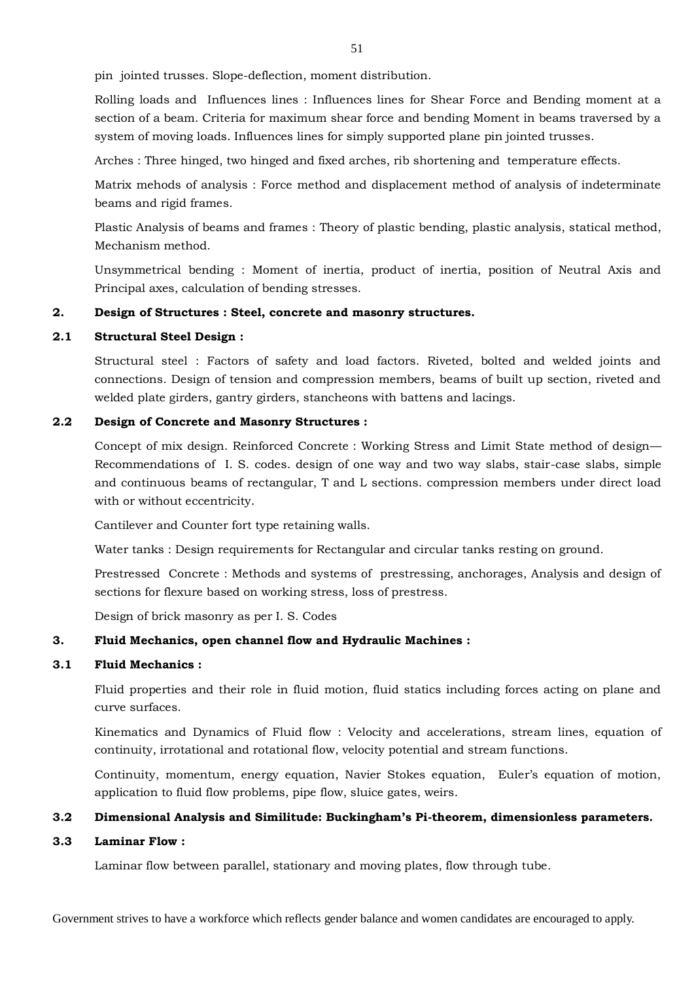pin jointed trusses. Slope-deflection, moment distribution.

Rolling loads and Influences lines : Influences lines for Shear Force and Bending moment at a section of a beam. Criteria for maximum shear force and bending Moment in beams traversed by a system of moving loads. Influences lines for simply supported plane pin jointed trusses.

Arches : Three hinged, two hinged and fixed arches, rib shortening and temperature effects.

Matrix mehods of analysis : Force method and displacement method of analysis of indeterminate beams and rigid frames.

Plastic Analysis of beams and frames : Theory of plastic bending, plastic analysis, statical method, Mechanism method.

Unsymmetrical bending : Moment of inertia, product of inertia, position of Neutral Axis and Principal axes, calculation of bending stresses.

## **2. Design of Structures : Steel, concrete and masonry structures.**

## **2.1 Structural Steel Design :**

Structural steel : Factors of safety and load factors. Riveted, bolted and welded joints and connections. Design of tension and compression members, beams of built up section, riveted and welded plate girders, gantry girders, stancheons with battens and lacings.

## **2.2 Design of Concrete and Masonry Structures :**

Concept of mix design. Reinforced Concrete : Working Stress and Limit State method of design— Recommendations of I. S. codes. design of one way and two way slabs, stair-case slabs, simple and continuous beams of rectangular, T and L sections. compression members under direct load with or without eccentricity.

Cantilever and Counter fort type retaining walls.

Water tanks : Design requirements for Rectangular and circular tanks resting on ground.

Prestressed Concrete : Methods and systems of prestressing, anchorages, Analysis and design of sections for flexure based on working stress, loss of prestress.

Design of brick masonry as per I. S. Codes

## **3. Fluid Mechanics, open channel flow and Hydraulic Machines :**

#### **3.1 Fluid Mechanics :**

Fluid properties and their role in fluid motion, fluid statics including forces acting on plane and curve surfaces.

Kinematics and Dynamics of Fluid flow : Velocity and accelerations, stream lines, equation of continuity, irrotational and rotational flow, velocity potential and stream functions.

Continuity, momentum, energy equation, Navier Stokes equation, Euler's equation of motion, application to fluid flow problems, pipe flow, sluice gates, weirs.

## **3.2 Dimensional Analysis and Similitude: Buckingham's Pi-theorem, dimensionless parameters.**

## **3.3 Laminar Flow :**

Laminar flow between parallel, stationary and moving plates, flow through tube.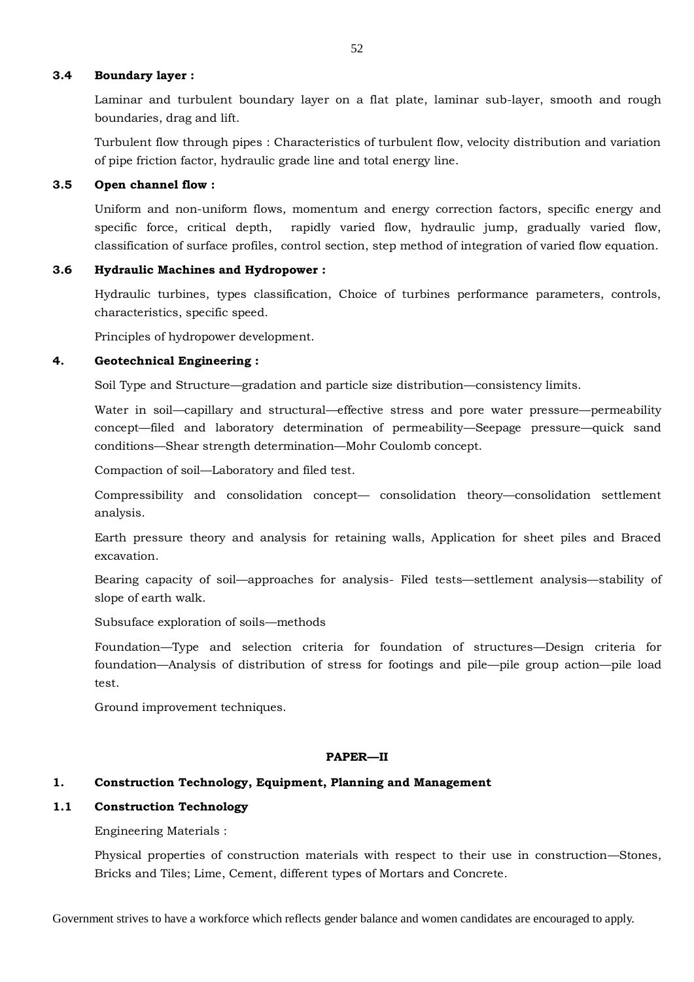#### **3.4 Boundary layer :**

Laminar and turbulent boundary layer on a flat plate, laminar sub-layer, smooth and rough boundaries, drag and lift.

Turbulent flow through pipes : Characteristics of turbulent flow, velocity distribution and variation of pipe friction factor, hydraulic grade line and total energy line.

## **3.5 Open channel flow :**

Uniform and non-uniform flows, momentum and energy correction factors, specific energy and specific force, critical depth, rapidly varied flow, hydraulic jump, gradually varied flow, classification of surface profiles, control section, step method of integration of varied flow equation.

### **3.6 Hydraulic Machines and Hydropower :**

Hydraulic turbines, types classification, Choice of turbines performance parameters, controls, characteristics, specific speed.

Principles of hydropower development.

#### **4. Geotechnical Engineering :**

Soil Type and Structure—gradation and particle size distribution—consistency limits.

Water in soil—capillary and structural—effective stress and pore water pressure—permeability concept—filed and laboratory determination of permeability—Seepage pressure—quick sand conditions—Shear strength determination—Mohr Coulomb concept.

Compaction of soil—Laboratory and filed test.

Compressibility and consolidation concept— consolidation theory—consolidation settlement analysis.

Earth pressure theory and analysis for retaining walls, Application for sheet piles and Braced excavation.

Bearing capacity of soil—approaches for analysis- Filed tests—settlement analysis—stability of slope of earth walk.

Subsuface exploration of soils—methods

Foundation—Type and selection criteria for foundation of structures—Design criteria for foundation—Analysis of distribution of stress for footings and pile—pile group action—pile load test.

Ground improvement techniques.

#### **PAPER—II**

## **1. Construction Technology, Equipment, Planning and Management**

#### **1.1 Construction Technology**

Engineering Materials :

Physical properties of construction materials with respect to their use in construction—Stones, Bricks and Tiles; Lime, Cement, different types of Mortars and Concrete.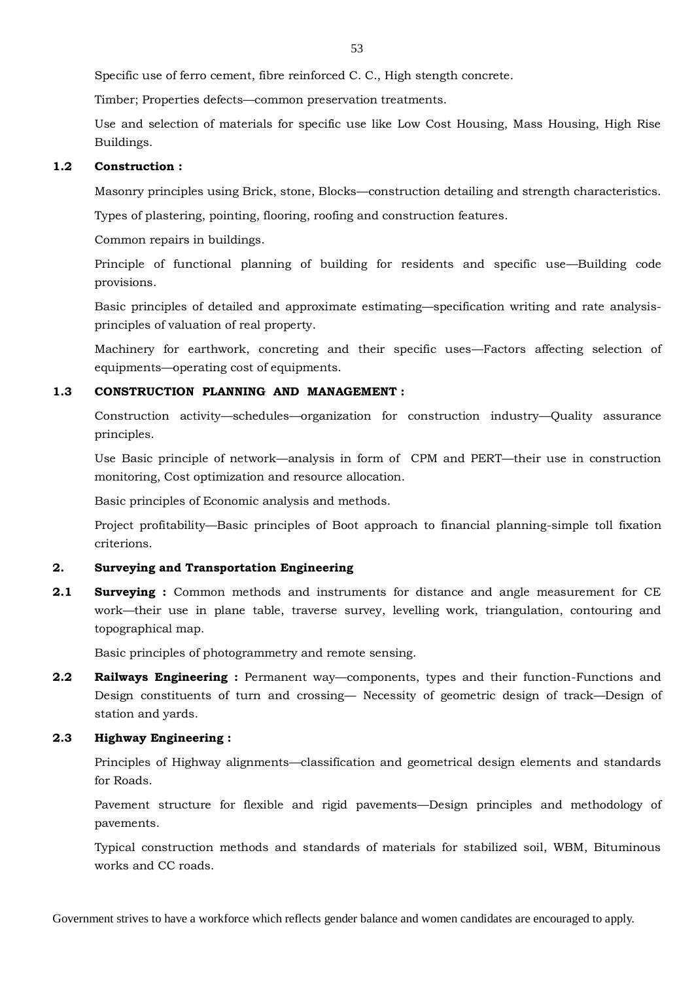Specific use of ferro cement, fibre reinforced C. C., High stength concrete.

Timber; Properties defects—common preservation treatments.

Use and selection of materials for specific use like Low Cost Housing, Mass Housing, High Rise Buildings.

#### **1.2 Construction :**

Masonry principles using Brick, stone, Blocks—construction detailing and strength characteristics.

Types of plastering, pointing, flooring, roofing and construction features.

Common repairs in buildings.

Principle of functional planning of building for residents and specific use—Building code provisions.

Basic principles of detailed and approximate estimating—specification writing and rate analysisprinciples of valuation of real property.

Machinery for earthwork, concreting and their specific uses—Factors affecting selection of equipments—operating cost of equipments.

## **1.3 CONSTRUCTION PLANNING AND MANAGEMENT :**

Construction activity—schedules—organization for construction industry—Quality assurance principles.

Use Basic principle of network—analysis in form of CPM and PERT—their use in construction monitoring, Cost optimization and resource allocation.

Basic principles of Economic analysis and methods.

Project profitability—Basic principles of Boot approach to financial planning-simple toll fixation criterions.

## **2. Surveying and Transportation Engineering**

**2.1 Surveying :** Common methods and instruments for distance and angle measurement for CE work—their use in plane table, traverse survey, levelling work, triangulation, contouring and topographical map.

Basic principles of photogrammetry and remote sensing.

**2.2 Railways Engineering :** Permanent way—components, types and their function-Functions and Design constituents of turn and crossing— Necessity of geometric design of track—Design of station and yards.

## **2.3 Highway Engineering :**

Principles of Highway alignments—classification and geometrical design elements and standards for Roads.

Pavement structure for flexible and rigid pavements—Design principles and methodology of pavements.

Typical construction methods and standards of materials for stabilized soil, WBM, Bituminous works and CC roads.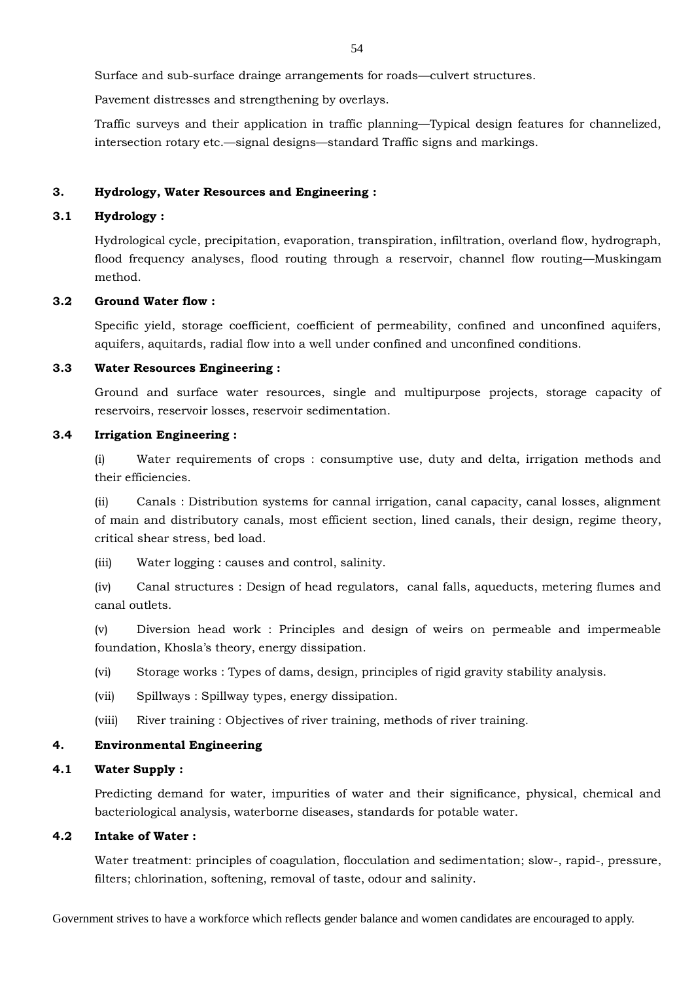Surface and sub-surface drainge arrangements for roads—culvert structures.

Pavement distresses and strengthening by overlays.

Traffic surveys and their application in traffic planning—Typical design features for channelized, intersection rotary etc.—signal designs—standard Traffic signs and markings.

#### **3. Hydrology, Water Resources and Engineering :**

## **3.1 Hydrology :**

Hydrological cycle, precipitation, evaporation, transpiration, infiltration, overland flow, hydrograph, flood frequency analyses, flood routing through a reservoir, channel flow routing—Muskingam method.

## **3.2 Ground Water flow :**

Specific yield, storage coefficient, coefficient of permeability, confined and unconfined aquifers, aquifers, aquitards, radial flow into a well under confined and unconfined conditions.

#### **3.3 Water Resources Engineering :**

Ground and surface water resources, single and multipurpose projects, storage capacity of reservoirs, reservoir losses, reservoir sedimentation.

#### **3.4 Irrigation Engineering :**

(i) Water requirements of crops : consumptive use, duty and delta, irrigation methods and their efficiencies.

(ii) Canals : Distribution systems for cannal irrigation, canal capacity, canal losses, alignment of main and distributory canals, most efficient section, lined canals, their design, regime theory, critical shear stress, bed load.

(iii) Water logging : causes and control, salinity.

(iv) Canal structures : Design of head regulators, canal falls, aqueducts, metering flumes and canal outlets.

(v) Diversion head work : Principles and design of weirs on permeable and impermeable foundation, Khosla's theory, energy dissipation.

(vi) Storage works : Types of dams, design, principles of rigid gravity stability analysis.

- (vii) Spillways : Spillway types, energy dissipation.
- (viii) River training : Objectives of river training, methods of river training.

## **4. Environmental Engineering**

#### **4.1 Water Supply :**

Predicting demand for water, impurities of water and their significance, physical, chemical and bacteriological analysis, waterborne diseases, standards for potable water.

## **4.2 Intake of Water :**

Water treatment: principles of coagulation, flocculation and sedimentation; slow-, rapid-, pressure, filters; chlorination, softening, removal of taste, odour and salinity.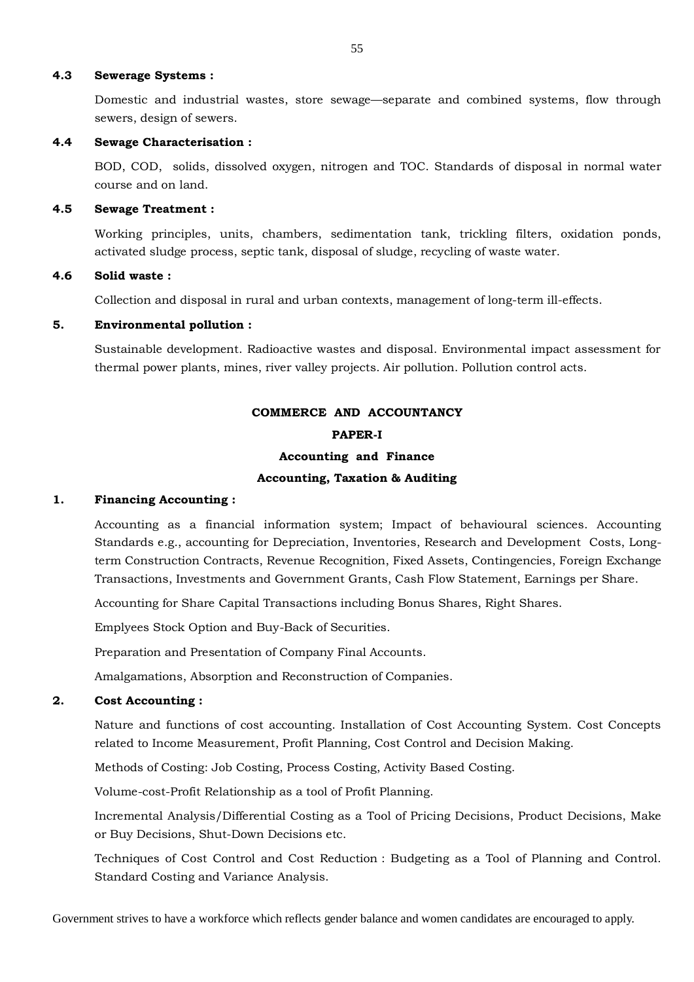#### **4.3 Sewerage Systems :**

Domestic and industrial wastes, store sewage—separate and combined systems, flow through sewers, design of sewers.

#### **4.4 Sewage Characterisation :**

BOD, COD, solids, dissolved oxygen, nitrogen and TOC. Standards of disposal in normal water course and on land.

#### **4.5 Sewage Treatment :**

Working principles, units, chambers, sedimentation tank, trickling filters, oxidation ponds, activated sludge process, septic tank, disposal of sludge, recycling of waste water.

## **4.6 Solid waste :**

Collection and disposal in rural and urban contexts, management of long-term ill-effects.

## **5. Environmental pollution :**

Sustainable development. Radioactive wastes and disposal. Environmental impact assessment for thermal power plants, mines, river valley projects. Air pollution. Pollution control acts.

# **COMMERCE AND ACCOUNTANCY PAPER-I Accounting and Finance Accounting, Taxation & Auditing**

#### **1. Financing Accounting :**

Accounting as a financial information system; Impact of behavioural sciences. Accounting Standards e.g., accounting for Depreciation, Inventories, Research and Development Costs, Longterm Construction Contracts, Revenue Recognition, Fixed Assets, Contingencies, Foreign Exchange Transactions, Investments and Government Grants, Cash Flow Statement, Earnings per Share.

Accounting for Share Capital Transactions including Bonus Shares, Right Shares.

Emplyees Stock Option and Buy-Back of Securities.

Preparation and Presentation of Company Final Accounts.

Amalgamations, Absorption and Reconstruction of Companies.

#### **2. Cost Accounting :**

Nature and functions of cost accounting. Installation of Cost Accounting System. Cost Concepts related to Income Measurement, Profit Planning, Cost Control and Decision Making.

Methods of Costing: Job Costing, Process Costing, Activity Based Costing.

Volume-cost-Profit Relationship as a tool of Profit Planning.

Incremental Analysis/Differential Costing as a Tool of Pricing Decisions, Product Decisions, Make or Buy Decisions, Shut-Down Decisions etc.

Techniques of Cost Control and Cost Reduction : Budgeting as a Tool of Planning and Control. Standard Costing and Variance Analysis.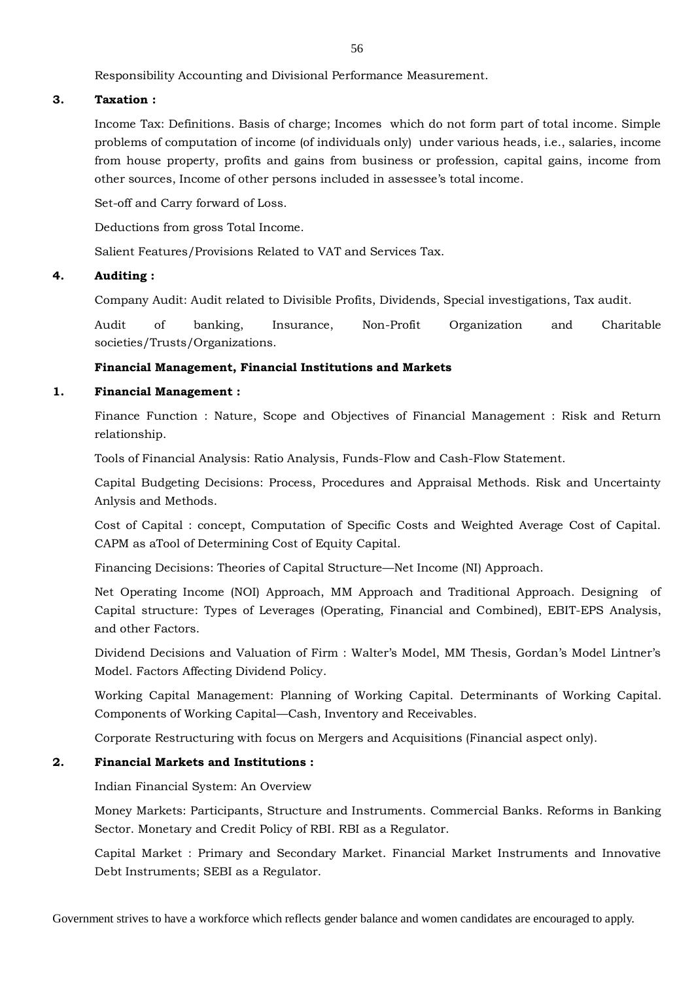56

Responsibility Accounting and Divisional Performance Measurement.

## **3. Taxation :**

Income Tax: Definitions. Basis of charge; Incomes which do not form part of total income. Simple problems of computation of income (of individuals only) under various heads, i.e., salaries, income from house property, profits and gains from business or profession, capital gains, income from other sources, Income of other persons included in assessee's total income.

Set-off and Carry forward of Loss.

Deductions from gross Total Income.

Salient Features/Provisions Related to VAT and Services Tax.

## **4. Auditing :**

Company Audit: Audit related to Divisible Profits, Dividends, Special investigations, Tax audit.

Audit of banking, Insurance, Non-Profit Organization and Charitable societies/Trusts/Organizations.

## **Financial Management, Financial Institutions and Markets**

## **1. Financial Management :**

Finance Function : Nature, Scope and Objectives of Financial Management : Risk and Return relationship.

Tools of Financial Analysis: Ratio Analysis, Funds-Flow and Cash-Flow Statement.

Capital Budgeting Decisions: Process, Procedures and Appraisal Methods. Risk and Uncertainty Anlysis and Methods.

Cost of Capital : concept, Computation of Specific Costs and Weighted Average Cost of Capital. CAPM as aTool of Determining Cost of Equity Capital.

Financing Decisions: Theories of Capital Structure—Net Income (NI) Approach.

Net Operating Income (NOI) Approach, MM Approach and Traditional Approach. Designing of Capital structure: Types of Leverages (Operating, Financial and Combined), EBIT-EPS Analysis, and other Factors.

Dividend Decisions and Valuation of Firm : Walter's Model, MM Thesis, Gordan's Model Lintner's Model. Factors Affecting Dividend Policy.

Working Capital Management: Planning of Working Capital. Determinants of Working Capital. Components of Working Capital—Cash, Inventory and Receivables.

Corporate Restructuring with focus on Mergers and Acquisitions (Financial aspect only).

## **2. Financial Markets and Institutions :**

Indian Financial System: An Overview

Money Markets: Participants, Structure and Instruments. Commercial Banks. Reforms in Banking Sector. Monetary and Credit Policy of RBI. RBI as a Regulator.

Capital Market : Primary and Secondary Market. Financial Market Instruments and Innovative Debt Instruments; SEBI as a Regulator.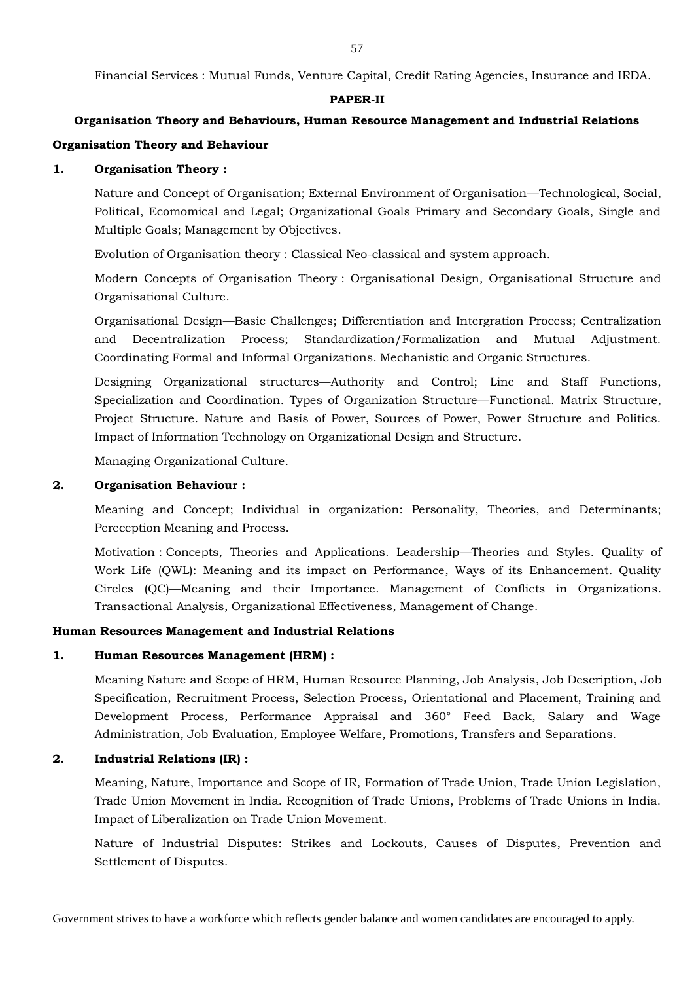Financial Services : Mutual Funds, Venture Capital, Credit Rating Agencies, Insurance and IRDA.

#### **PAPER-II**

# **Organisation Theory and Behaviours, Human Resource Management and Industrial Relations Organisation Theory and Behaviour**

## **1. Organisation Theory :**

Nature and Concept of Organisation; External Environment of Organisation—Technological, Social, Political, Ecomomical and Legal; Organizational Goals Primary and Secondary Goals, Single and Multiple Goals; Management by Objectives.

Evolution of Organisation theory : Classical Neo-classical and system approach.

Modern Concepts of Organisation Theory : Organisational Design, Organisational Structure and Organisational Culture.

Organisational Design—Basic Challenges; Differentiation and Intergration Process; Centralization and Decentralization Process; Standardization/Formalization and Mutual Adjustment. Coordinating Formal and Informal Organizations. Mechanistic and Organic Structures.

Designing Organizational structures—Authority and Control; Line and Staff Functions, Specialization and Coordination. Types of Organization Structure—Functional. Matrix Structure, Project Structure. Nature and Basis of Power, Sources of Power, Power Structure and Politics. Impact of Information Technology on Organizational Design and Structure.

Managing Organizational Culture.

#### **2. Organisation Behaviour :**

Meaning and Concept; Individual in organization: Personality, Theories, and Determinants; Pereception Meaning and Process.

Motivation : Concepts, Theories and Applications. Leadership—Theories and Styles. Quality of Work Life (QWL): Meaning and its impact on Performance, Ways of its Enhancement. Quality Circles (QC)—Meaning and their Importance. Management of Conflicts in Organizations. Transactional Analysis, Organizational Effectiveness, Management of Change.

#### **Human Resources Management and Industrial Relations**

#### **1. Human Resources Management (HRM) :**

Meaning Nature and Scope of HRM, Human Resource Planning, Job Analysis, Job Description, Job Specification, Recruitment Process, Selection Process, Orientational and Placement, Training and Development Process, Performance Appraisal and 360° Feed Back, Salary and Wage Administration, Job Evaluation, Employee Welfare, Promotions, Transfers and Separations.

## **2. Industrial Relations (IR) :**

Meaning, Nature, Importance and Scope of IR, Formation of Trade Union, Trade Union Legislation, Trade Union Movement in India. Recognition of Trade Unions, Problems of Trade Unions in India. Impact of Liberalization on Trade Union Movement.

Nature of Industrial Disputes: Strikes and Lockouts, Causes of Disputes, Prevention and Settlement of Disputes.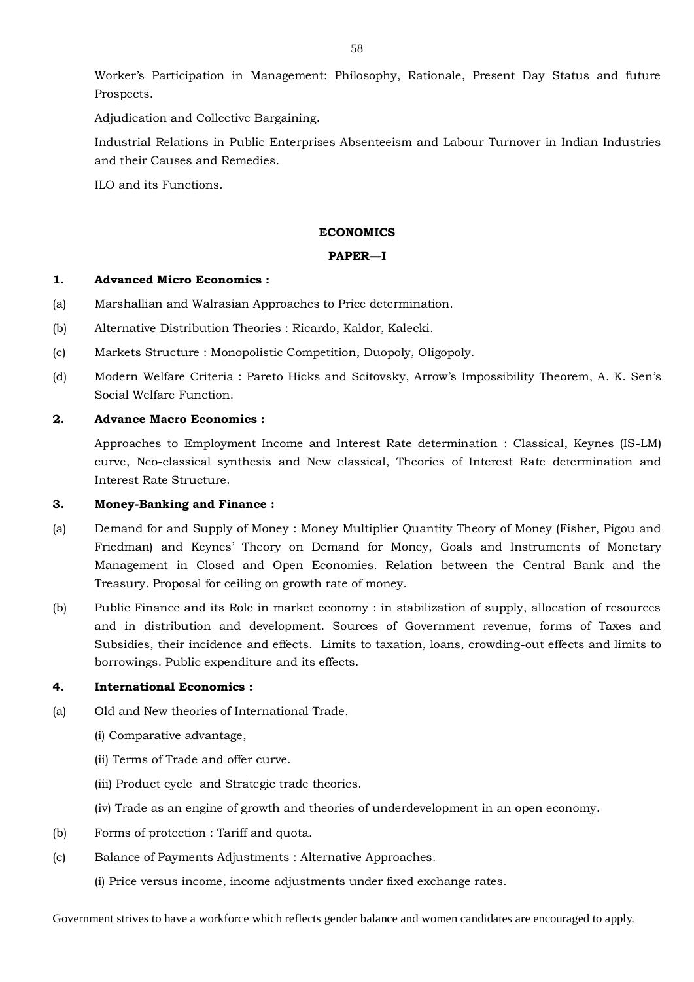Worker's Participation in Management: Philosophy, Rationale, Present Day Status and future Prospects.

Adjudication and Collective Bargaining.

Industrial Relations in Public Enterprises Absenteeism and Labour Turnover in Indian Industries and their Causes and Remedies.

ILO and its Functions.

#### **ECONOMICS**

#### **PAPER—I**

#### **1. Advanced Micro Economics :**

- (a) Marshallian and Walrasian Approaches to Price determination.
- (b) Alternative Distribution Theories : Ricardo, Kaldor, Kalecki.
- (c) Markets Structure : Monopolistic Competition, Duopoly, Oligopoly.
- (d) Modern Welfare Criteria : Pareto Hicks and Scitovsky, Arrow's Impossibility Theorem, A. K. Sen's Social Welfare Function.

#### **2. Advance Macro Economics :**

Approaches to Employment Income and Interest Rate determination : Classical, Keynes (IS-LM) curve, Neo-classical synthesis and New classical, Theories of Interest Rate determination and Interest Rate Structure.

## **3. Money-Banking and Finance :**

- (a) Demand for and Supply of Money : Money Multiplier Quantity Theory of Money (Fisher, Pigou and Friedman) and Keynes' Theory on Demand for Money, Goals and Instruments of Monetary Management in Closed and Open Economies. Relation between the Central Bank and the Treasury. Proposal for ceiling on growth rate of money.
- (b) Public Finance and its Role in market economy : in stabilization of supply, allocation of resources and in distribution and development. Sources of Government revenue, forms of Taxes and Subsidies, their incidence and effects. Limits to taxation, loans, crowding-out effects and limits to borrowings. Public expenditure and its effects.

## **4. International Economics :**

- (a) Old and New theories of International Trade.
	- (i) Comparative advantage,
	- (ii) Terms of Trade and offer curve.
	- (iii) Product cycle and Strategic trade theories.
	- (iv) Trade as an engine of growth and theories of underdevelopment in an open economy.
- (b) Forms of protection : Tariff and quota.
- (c) Balance of Payments Adjustments : Alternative Approaches.
	- (i) Price versus income, income adjustments under fixed exchange rates.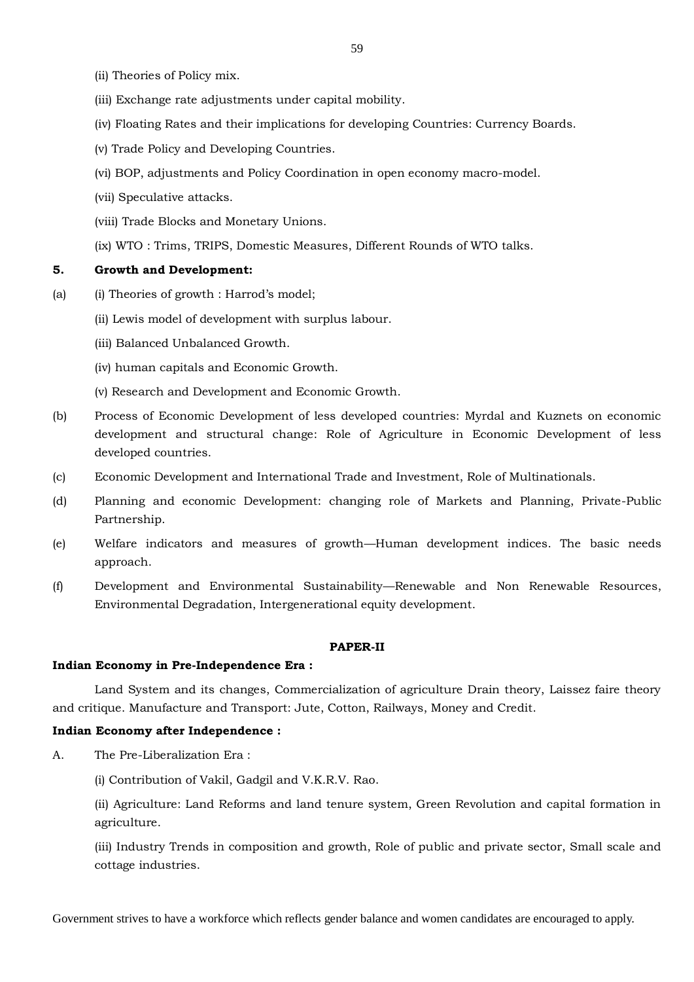- (ii) Theories of Policy mix.
- (iii) Exchange rate adjustments under capital mobility.
- (iv) Floating Rates and their implications for developing Countries: Currency Boards.
- (v) Trade Policy and Developing Countries.
- (vi) BOP, adjustments and Policy Coordination in open economy macro-model.
- (vii) Speculative attacks.
- (viii) Trade Blocks and Monetary Unions.
- (ix) WTO : Trims, TRIPS, Domestic Measures, Different Rounds of WTO talks.

#### **5. Growth and Development:**

- (a) (i) Theories of growth : Harrod's model;
	- (ii) Lewis model of development with surplus labour.
	- (iii) Balanced Unbalanced Growth.
	- (iv) human capitals and Economic Growth.
	- (v) Research and Development and Economic Growth.
- (b) Process of Economic Development of less developed countries: Myrdal and Kuznets on economic development and structural change: Role of Agriculture in Economic Development of less developed countries.
- (c) Economic Development and International Trade and Investment, Role of Multinationals.
- (d) Planning and economic Development: changing role of Markets and Planning, Private-Public Partnership.
- (e) Welfare indicators and measures of growth—Human development indices. The basic needs approach.
- (f) Development and Environmental Sustainability—Renewable and Non Renewable Resources, Environmental Degradation, Intergenerational equity development.

#### **PAPER-II**

#### **Indian Economy in Pre-Independence Era :**

Land System and its changes, Commercialization of agriculture Drain theory, Laissez faire theory and critique. Manufacture and Transport: Jute, Cotton, Railways, Money and Credit.

#### **Indian Economy after Independence :**

- A. The Pre-Liberalization Era :
	- (i) Contribution of Vakil, Gadgil and V.K.R.V. Rao.
	- (ii) Agriculture: Land Reforms and land tenure system, Green Revolution and capital formation in agriculture.
	- (iii) Industry Trends in composition and growth, Role of public and private sector, Small scale and cottage industries.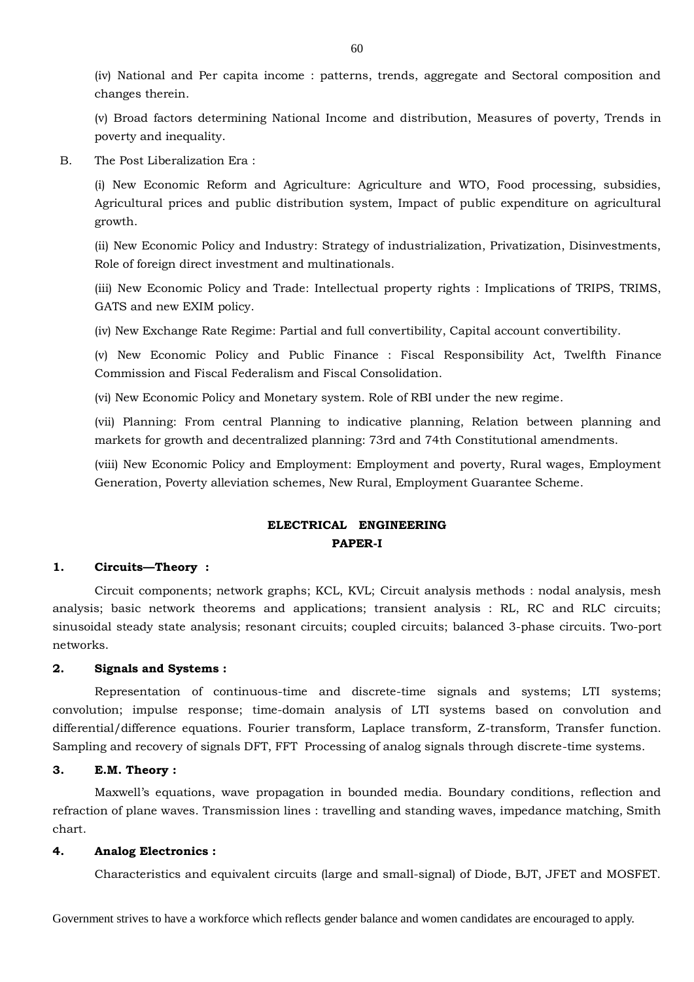(iv) National and Per capita income : patterns, trends, aggregate and Sectoral composition and changes therein.

(v) Broad factors determining National Income and distribution, Measures of poverty, Trends in poverty and inequality.

B. The Post Liberalization Era :

(i) New Economic Reform and Agriculture: Agriculture and WTO, Food processing, subsidies, Agricultural prices and public distribution system, Impact of public expenditure on agricultural growth.

(ii) New Economic Policy and Industry: Strategy of industrialization, Privatization, Disinvestments, Role of foreign direct investment and multinationals.

(iii) New Economic Policy and Trade: Intellectual property rights : Implications of TRIPS, TRIMS, GATS and new EXIM policy.

(iv) New Exchange Rate Regime: Partial and full convertibility, Capital account convertibility.

(v) New Economic Policy and Public Finance : Fiscal Responsibility Act, Twelfth Finance Commission and Fiscal Federalism and Fiscal Consolidation.

(vi) New Economic Policy and Monetary system. Role of RBI under the new regime.

(vii) Planning: From central Planning to indicative planning, Relation between planning and markets for growth and decentralized planning: 73rd and 74th Constitutional amendments.

(viii) New Economic Policy and Employment: Employment and poverty, Rural wages, Employment Generation, Poverty alleviation schemes, New Rural, Employment Guarantee Scheme.

## **ELECTRICAL ENGINEERING PAPER-I**

#### **1. Circuits—Theory :**

Circuit components; network graphs; KCL, KVL; Circuit analysis methods : nodal analysis, mesh analysis; basic network theorems and applications; transient analysis : RL, RC and RLC circuits; sinusoidal steady state analysis; resonant circuits; coupled circuits; balanced 3-phase circuits. Two-port networks.

#### **2. Signals and Systems :**

Representation of continuous-time and discrete-time signals and systems; LTI systems; convolution; impulse response; time-domain analysis of LTI systems based on convolution and differential/difference equations. Fourier transform, Laplace transform, Z-transform, Transfer function. Sampling and recovery of signals DFT, FFT Processing of analog signals through discrete-time systems.

#### **3. E.M. Theory :**

Maxwell's equations, wave propagation in bounded media. Boundary conditions, reflection and refraction of plane waves. Transmission lines : travelling and standing waves, impedance matching, Smith chart.

#### **4. Analog Electronics :**

Characteristics and equivalent circuits (large and small-signal) of Diode, BJT, JFET and MOSFET.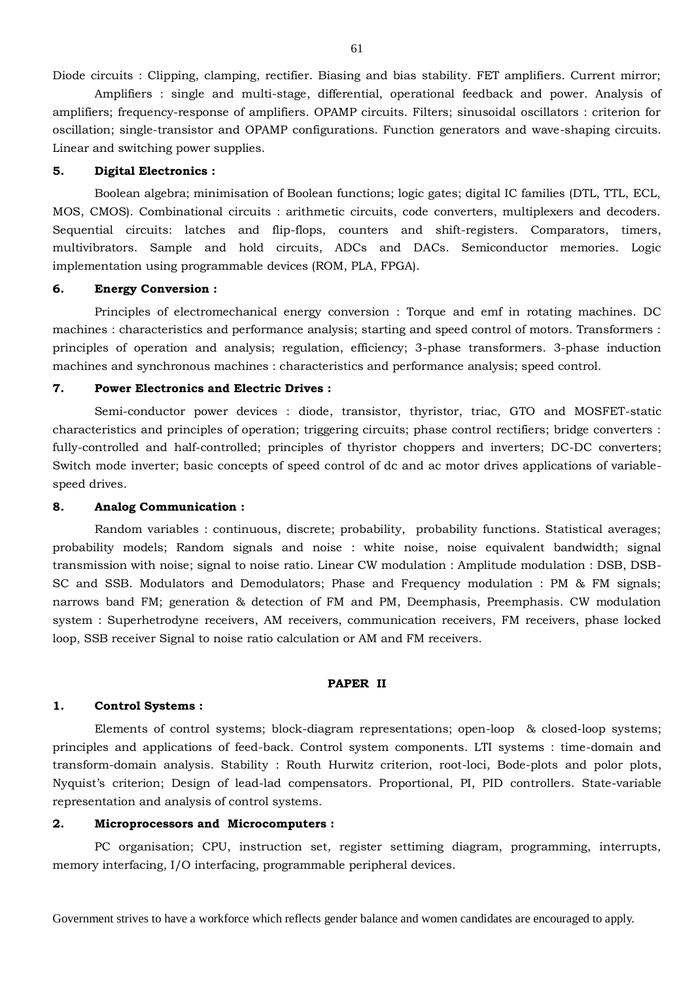Diode circuits : Clipping, clamping, rectifier. Biasing and bias stability. FET amplifiers. Current mirror;

Amplifiers : single and multi-stage, differential, operational feedback and power. Analysis of amplifiers; frequency-response of amplifiers. OPAMP circuits. Filters; sinusoidal oscillators : criterion for oscillation; single-transistor and OPAMP configurations. Function generators and wave-shaping circuits. Linear and switching power supplies.

#### **5. Digital Electronics :**

Boolean algebra; minimisation of Boolean functions; logic gates; digital IC families (DTL, TTL, ECL, MOS, CMOS). Combinational circuits : arithmetic circuits, code converters, multiplexers and decoders. Sequential circuits: latches and flip-flops, counters and shift-registers. Comparators, timers, multivibrators. Sample and hold circuits, ADCs and DACs. Semiconductor memories. Logic implementation using programmable devices (ROM, PLA, FPGA).

#### **6. Energy Conversion :**

Principles of electromechanical energy conversion : Torque and emf in rotating machines. DC machines : characteristics and performance analysis; starting and speed control of motors. Transformers : principles of operation and analysis; regulation, efficiency; 3-phase transformers. 3-phase induction machines and synchronous machines : characteristics and performance analysis; speed control.

#### **7. Power Electronics and Electric Drives :**

Semi-conductor power devices : diode, transistor, thyristor, triac, GTO and MOSFET-static characteristics and principles of operation; triggering circuits; phase control rectifiers; bridge converters : fully-controlled and half-controlled; principles of thyristor choppers and inverters; DC-DC converters; Switch mode inverter; basic concepts of speed control of dc and ac motor drives applications of variablespeed drives.

#### **8. Analog Communication :**

Random variables : continuous, discrete; probability, probability functions. Statistical averages; probability models; Random signals and noise : white noise, noise equivalent bandwidth; signal transmission with noise; signal to noise ratio. Linear CW modulation : Amplitude modulation : DSB, DSB-SC and SSB. Modulators and Demodulators; Phase and Frequency modulation : PM & FM signals; narrows band FM; generation & detection of FM and PM, Deemphasis, Preemphasis. CW modulation system : Superhetrodyne receivers, AM receivers, communication receivers, FM receivers, phase locked loop, SSB receiver Signal to noise ratio calculation or AM and FM receivers.

#### **PAPER II**

#### **1. Control Systems :**

Elements of control systems; block-diagram representations; open-loop & closed-loop systems; principles and applications of feed-back. Control system components. LTI systems : time-domain and transform-domain analysis. Stability : Routh Hurwitz criterion, root-loci, Bode-plots and polor plots, Nyquist's criterion; Design of lead-lad compensators. Proportional, PI, PID controllers. State-variable representation and analysis of control systems.

## **2. Microprocessors and Microcomputers :**

PC organisation; CPU, instruction set, register settiming diagram, programming, interrupts, memory interfacing, I/O interfacing, programmable peripheral devices.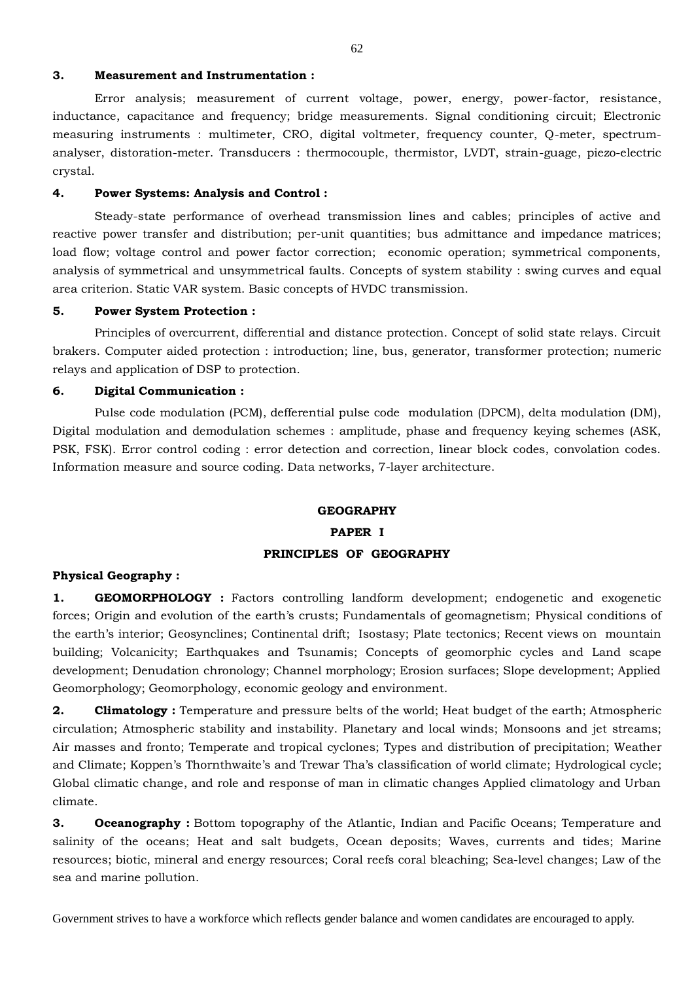#### **3. Measurement and Instrumentation :**

Error analysis; measurement of current voltage, power, energy, power-factor, resistance, inductance, capacitance and frequency; bridge measurements. Signal conditioning circuit; Electronic measuring instruments : multimeter, CRO, digital voltmeter, frequency counter, Q-meter, spectrumanalyser, distoration-meter. Transducers : thermocouple, thermistor, LVDT, strain-guage, piezo-electric crystal.

#### **4. Power Systems: Analysis and Control :**

Steady-state performance of overhead transmission lines and cables; principles of active and reactive power transfer and distribution; per-unit quantities; bus admittance and impedance matrices; load flow; voltage control and power factor correction; economic operation; symmetrical components, analysis of symmetrical and unsymmetrical faults. Concepts of system stability : swing curves and equal area criterion. Static VAR system. Basic concepts of HVDC transmission.

### **5. Power System Protection :**

Principles of overcurrent, differential and distance protection. Concept of solid state relays. Circuit brakers. Computer aided protection : introduction; line, bus, generator, transformer protection; numeric relays and application of DSP to protection.

#### **6. Digital Communication :**

Pulse code modulation (PCM), defferential pulse code modulation (DPCM), delta modulation (DM), Digital modulation and demodulation schemes : amplitude, phase and frequency keying schemes (ASK, PSK, FSK). Error control coding : error detection and correction, linear block codes, convolation codes. Information measure and source coding. Data networks, 7-layer architecture.

# **GEOGRAPHY PAPER I PRINCIPLES OF GEOGRAPHY**

#### **Physical Geography :**

**1. GEOMORPHOLOGY :** Factors controlling landform development; endogenetic and exogenetic forces; Origin and evolution of the earth's crusts; Fundamentals of geomagnetism; Physical conditions of the earth's interior; Geosynclines; Continental drift; Isostasy; Plate tectonics; Recent views on mountain building; Volcanicity; Earthquakes and Tsunamis; Concepts of geomorphic cycles and Land scape development; Denudation chronology; Channel morphology; Erosion surfaces; Slope development; Applied Geomorphology; Geomorphology, economic geology and environment.

**2. Climatology :** Temperature and pressure belts of the world; Heat budget of the earth; Atmospheric circulation; Atmospheric stability and instability. Planetary and local winds; Monsoons and jet streams; Air masses and fronto; Temperate and tropical cyclones; Types and distribution of precipitation; Weather and Climate; Koppen's Thornthwaite's and Trewar Tha's classification of world climate; Hydrological cycle; Global climatic change, and role and response of man in climatic changes Applied climatology and Urban climate.

**3. Oceanography**: Bottom topography of the Atlantic, Indian and Pacific Oceans; Temperature and salinity of the oceans; Heat and salt budgets, Ocean deposits; Waves, currents and tides; Marine resources; biotic, mineral and energy resources; Coral reefs coral bleaching; Sea-level changes; Law of the sea and marine pollution.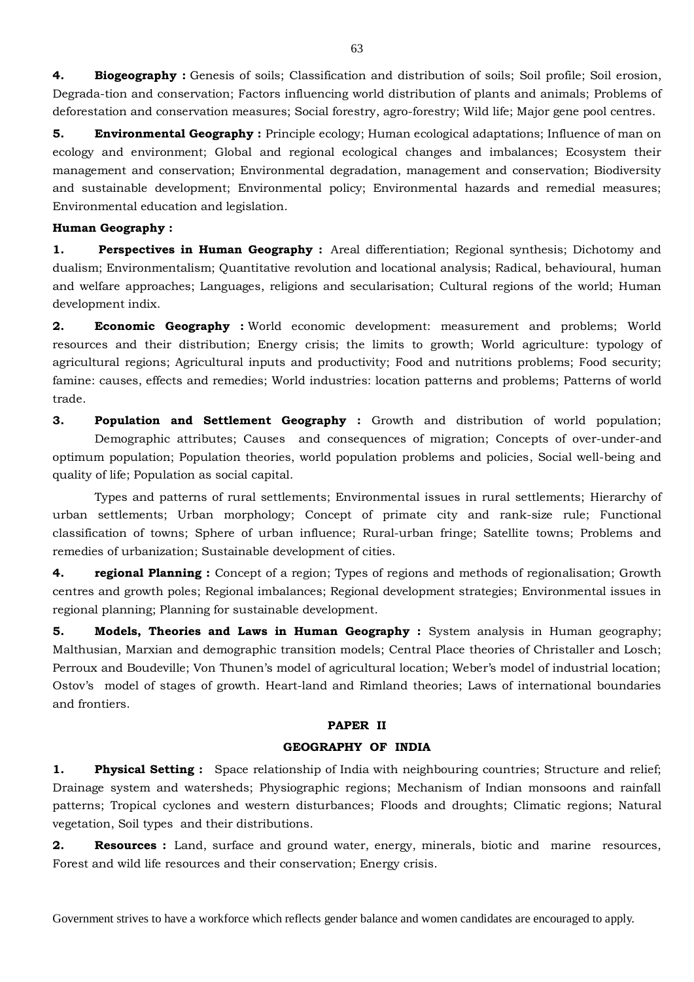**4. Biogeography :** Genesis of soils; Classification and distribution of soils; Soil profile; Soil erosion, Degrada-tion and conservation; Factors influencing world distribution of plants and animals; Problems of deforestation and conservation measures; Social forestry, agro-forestry; Wild life; Major gene pool centres.

**5. Environmental Geography**: Principle ecology; Human ecological adaptations; Influence of man on ecology and environment; Global and regional ecological changes and imbalances; Ecosystem their management and conservation; Environmental degradation, management and conservation; Biodiversity and sustainable development; Environmental policy; Environmental hazards and remedial measures; Environmental education and legislation.

#### **Human Geography :**

**1. Perspectives in Human Geography :** Areal differentiation; Regional synthesis; Dichotomy and dualism; Environmentalism; Quantitative revolution and locational analysis; Radical, behavioural, human and welfare approaches; Languages, religions and secularisation; Cultural regions of the world; Human development indix.

**2. Economic Geography :** World economic development: measurement and problems; World resources and their distribution; Energy crisis; the limits to growth; World agriculture: typology of agricultural regions; Agricultural inputs and productivity; Food and nutritions problems; Food security; famine: causes, effects and remedies; World industries: location patterns and problems; Patterns of world trade.

**3. Population and Settlement Geography :** Growth and distribution of world population; Demographic attributes; Causes and consequences of migration; Concepts of over-under-and optimum population; Population theories, world population problems and policies, Social well-being and quality of life; Population as social capital.

 Types and patterns of rural settlements; Environmental issues in rural settlements; Hierarchy of urban settlements; Urban morphology; Concept of primate city and rank-size rule; Functional classification of towns; Sphere of urban influence; Rural-urban fringe; Satellite towns; Problems and remedies of urbanization; Sustainable development of cities.

**4. regional Planning :** Concept of a region; Types of regions and methods of regionalisation; Growth centres and growth poles; Regional imbalances; Regional development strategies; Environmental issues in regional planning; Planning for sustainable development.

**5. Models, Theories and Laws in Human Geography**: System analysis in Human geography; Malthusian, Marxian and demographic transition models; Central Place theories of Christaller and Losch; Perroux and Boudeville; Von Thunen's model of agricultural location; Weber's model of industrial location; Ostov's model of stages of growth. Heart-land and Rimland theories; Laws of international boundaries and frontiers.

## **PAPER II**

#### **GEOGRAPHY OF INDIA**

**1. Physical Setting :** Space relationship of India with neighbouring countries; Structure and relief; Drainage system and watersheds; Physiographic regions; Mechanism of Indian monsoons and rainfall patterns; Tropical cyclones and western disturbances; Floods and droughts; Climatic regions; Natural vegetation, Soil types and their distributions.

**2. Resources :** Land, surface and ground water, energy, minerals, biotic and marine resources, Forest and wild life resources and their conservation; Energy crisis.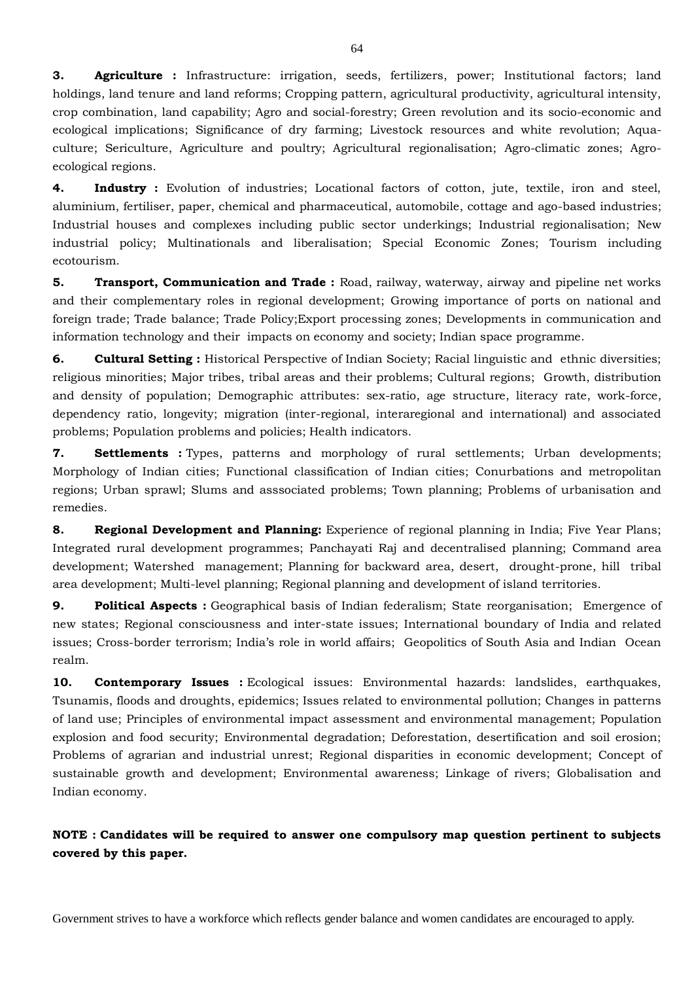**3. Agriculture :** Infrastructure: irrigation, seeds, fertilizers, power; Institutional factors; land holdings, land tenure and land reforms; Cropping pattern, agricultural productivity, agricultural intensity, crop combination, land capability; Agro and social-forestry; Green revolution and its socio-economic and ecological implications; Significance of dry farming; Livestock resources and white revolution; Aquaculture; Sericulture, Agriculture and poultry; Agricultural regionalisation; Agro-climatic zones; Agroecological regions.

**4. Industry**: Evolution of industries; Locational factors of cotton, jute, textile, iron and steel, aluminium, fertiliser, paper, chemical and pharmaceutical, automobile, cottage and ago-based industries; Industrial houses and complexes including public sector underkings; Industrial regionalisation; New industrial policy; Multinationals and liberalisation; Special Economic Zones; Tourism including ecotourism.

**5. Transport, Communication and Trade :** Road, railway, waterway, airway and pipeline net works and their complementary roles in regional development; Growing importance of ports on national and foreign trade; Trade balance; Trade Policy;Export processing zones; Developments in communication and information technology and their impacts on economy and society; Indian space programme.

**6. Cultural Setting :** Historical Perspective of Indian Society; Racial linguistic and ethnic diversities; religious minorities; Major tribes, tribal areas and their problems; Cultural regions; Growth, distribution and density of population; Demographic attributes: sex-ratio, age structure, literacy rate, work-force, dependency ratio, longevity; migration (inter-regional, interaregional and international) and associated problems; Population problems and policies; Health indicators.

**7. Settlements :** Types, patterns and morphology of rural settlements; Urban developments; Morphology of Indian cities; Functional classification of Indian cities; Conurbations and metropolitan regions; Urban sprawl; Slums and asssociated problems; Town planning; Problems of urbanisation and remedies.

**8. Regional Development and Planning:** Experience of regional planning in India; Five Year Plans; Integrated rural development programmes; Panchayati Raj and decentralised planning; Command area development; Watershed management; Planning for backward area, desert, drought-prone, hill tribal area development; Multi-level planning; Regional planning and development of island territories.

**9. Political Aspects :** Geographical basis of Indian federalism; State reorganisation; Emergence of new states; Regional consciousness and inter-state issues; International boundary of India and related issues; Cross-border terrorism; India's role in world affairs; Geopolitics of South Asia and Indian Ocean realm.

**10. Contemporary Issues :** Ecological issues: Environmental hazards: landslides, earthquakes, Tsunamis, floods and droughts, epidemics; Issues related to environmental pollution; Changes in patterns of land use; Principles of environmental impact assessment and environmental management; Population explosion and food security; Environmental degradation; Deforestation, desertification and soil erosion; Problems of agrarian and industrial unrest; Regional disparities in economic development; Concept of sustainable growth and development; Environmental awareness; Linkage of rivers; Globalisation and Indian economy.

**NOTE : Candidates will be required to answer one compulsory map question pertinent to subjects covered by this paper.**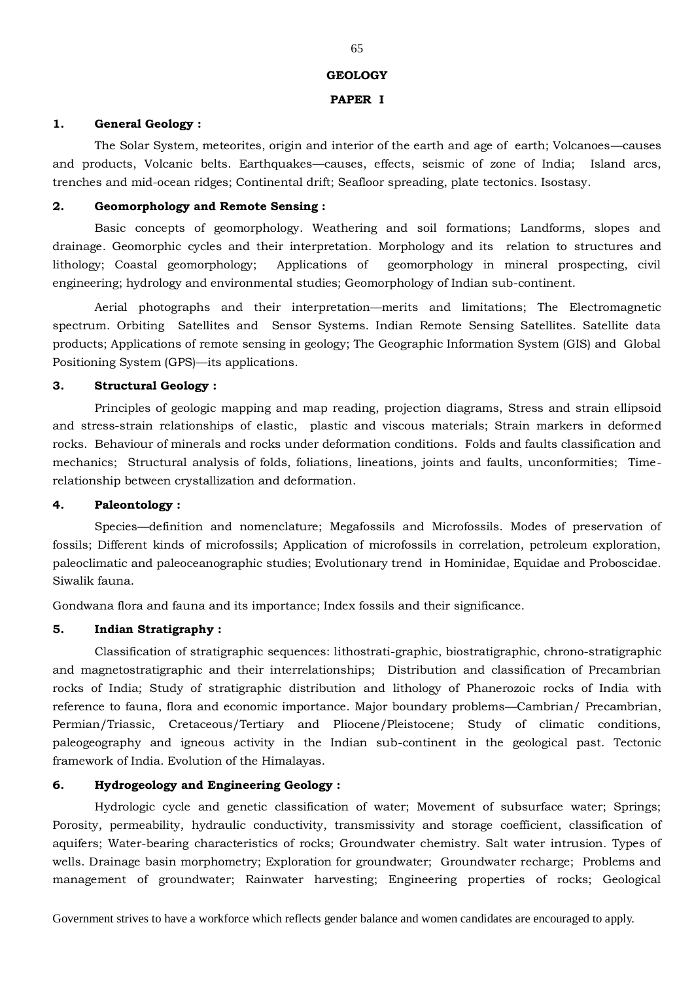#### **GEOLOGY**

#### **PAPER I**

#### **1. General Geology :**

The Solar System, meteorites, origin and interior of the earth and age of earth; Volcanoes—causes and products, Volcanic belts. Earthquakes—causes, effects, seismic of zone of India; Island arcs, trenches and mid-ocean ridges; Continental drift; Seafloor spreading, plate tectonics. Isostasy.

#### **2. Geomorphology and Remote Sensing :**

Basic concepts of geomorphology. Weathering and soil formations; Landforms, slopes and drainage. Geomorphic cycles and their interpretation. Morphology and its relation to structures and lithology; Coastal geomorphology; Applications of geomorphology in mineral prospecting, civil engineering; hydrology and environmental studies; Geomorphology of Indian sub-continent.

Aerial photographs and their interpretation—merits and limitations; The Electromagnetic spectrum. Orbiting Satellites and Sensor Systems. Indian Remote Sensing Satellites. Satellite data products; Applications of remote sensing in geology; The Geographic Information System (GIS) and Global Positioning System (GPS)—its applications.

#### **3. Structural Geology :**

Principles of geologic mapping and map reading, projection diagrams, Stress and strain ellipsoid and stress-strain relationships of elastic, plastic and viscous materials; Strain markers in deformed rocks. Behaviour of minerals and rocks under deformation conditions. Folds and faults classification and mechanics; Structural analysis of folds, foliations, lineations, joints and faults, unconformities; Timerelationship between crystallization and deformation.

## **4. Paleontology :**

Species—definition and nomenclature; Megafossils and Microfossils. Modes of preservation of fossils; Different kinds of microfossils; Application of microfossils in correlation, petroleum exploration, paleoclimatic and paleoceanographic studies; Evolutionary trend in Hominidae, Equidae and Proboscidae. Siwalik fauna.

Gondwana flora and fauna and its importance; Index fossils and their significance.

## **5. Indian Stratigraphy :**

Classification of stratigraphic sequences: lithostrati-graphic, biostratigraphic, chrono-stratigraphic and magnetostratigraphic and their interrelationships; Distribution and classification of Precambrian rocks of India; Study of stratigraphic distribution and lithology of Phanerozoic rocks of India with reference to fauna, flora and economic importance. Major boundary problems—Cambrian/ Precambrian, Permian/Triassic, Cretaceous/Tertiary and Pliocene/Pleistocene; Study of climatic conditions, paleogeography and igneous activity in the Indian sub-continent in the geological past. Tectonic framework of India. Evolution of the Himalayas.

# **6. Hydrogeology and Engineering Geology :**

Hydrologic cycle and genetic classification of water; Movement of subsurface water; Springs; Porosity, permeability, hydraulic conductivity, transmissivity and storage coefficient, classification of aquifers; Water-bearing characteristics of rocks; Groundwater chemistry. Salt water intrusion. Types of wells. Drainage basin morphometry; Exploration for groundwater; Groundwater recharge; Problems and management of groundwater; Rainwater harvesting; Engineering properties of rocks; Geological

Government strives to have a workforce which reflects gender balance and women candidates are encouraged to apply.

#### 65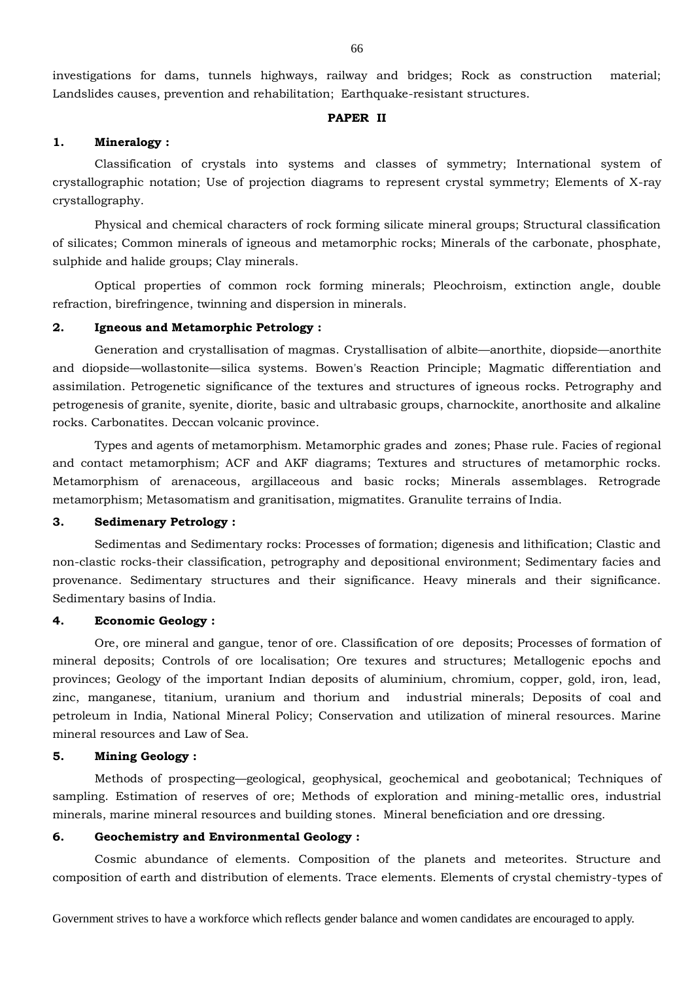investigations for dams, tunnels highways, railway and bridges; Rock as construction material; Landslides causes, prevention and rehabilitation; Earthquake-resistant structures.

#### **PAPER II**

## **1. Mineralogy :**

Classification of crystals into systems and classes of symmetry; International system of crystallographic notation; Use of projection diagrams to represent crystal symmetry; Elements of X-ray crystallography.

Physical and chemical characters of rock forming silicate mineral groups; Structural classification of silicates; Common minerals of igneous and metamorphic rocks; Minerals of the carbonate, phosphate, sulphide and halide groups; Clay minerals.

Optical properties of common rock forming minerals; Pleochroism, extinction angle, double refraction, birefringence, twinning and dispersion in minerals.

#### **2. Igneous and Metamorphic Petrology :**

Generation and crystallisation of magmas. Crystallisation of albite—anorthite, diopside—anorthite and diopside—wollastonite—silica systems. Bowen's Reaction Principle; Magmatic differentiation and assimilation. Petrogenetic significance of the textures and structures of igneous rocks. Petrography and petrogenesis of granite, syenite, diorite, basic and ultrabasic groups, charnockite, anorthosite and alkaline rocks. Carbonatites. Deccan volcanic province.

Types and agents of metamorphism. Metamorphic grades and zones; Phase rule. Facies of regional and contact metamorphism; ACF and AKF diagrams; Textures and structures of metamorphic rocks. Metamorphism of arenaceous, argillaceous and basic rocks; Minerals assemblages. Retrograde metamorphism; Metasomatism and granitisation, migmatites. Granulite terrains of India.

#### **3. Sedimenary Petrology :**

Sedimentas and Sedimentary rocks: Processes of formation; digenesis and lithification; Clastic and non-clastic rocks-their classification, petrography and depositional environment; Sedimentary facies and provenance. Sedimentary structures and their significance. Heavy minerals and their significance. Sedimentary basins of India.

#### **4. Economic Geology :**

Ore, ore mineral and gangue, tenor of ore. Classification of ore deposits; Processes of formation of mineral deposits; Controls of ore localisation; Ore texures and structures; Metallogenic epochs and provinces; Geology of the important Indian deposits of aluminium, chromium, copper, gold, iron, lead, zinc, manganese, titanium, uranium and thorium and industrial minerals; Deposits of coal and petroleum in India, National Mineral Policy; Conservation and utilization of mineral resources. Marine mineral resources and Law of Sea.

### **5. Mining Geology :**

Methods of prospecting—geological, geophysical, geochemical and geobotanical; Techniques of sampling. Estimation of reserves of ore; Methods of exploration and mining-metallic ores, industrial minerals, marine mineral resources and building stones. Mineral beneficiation and ore dressing.

## **6. Geochemistry and Environmental Geology :**

Cosmic abundance of elements. Composition of the planets and meteorites. Structure and composition of earth and distribution of elements. Trace elements. Elements of crystal chemistry-types of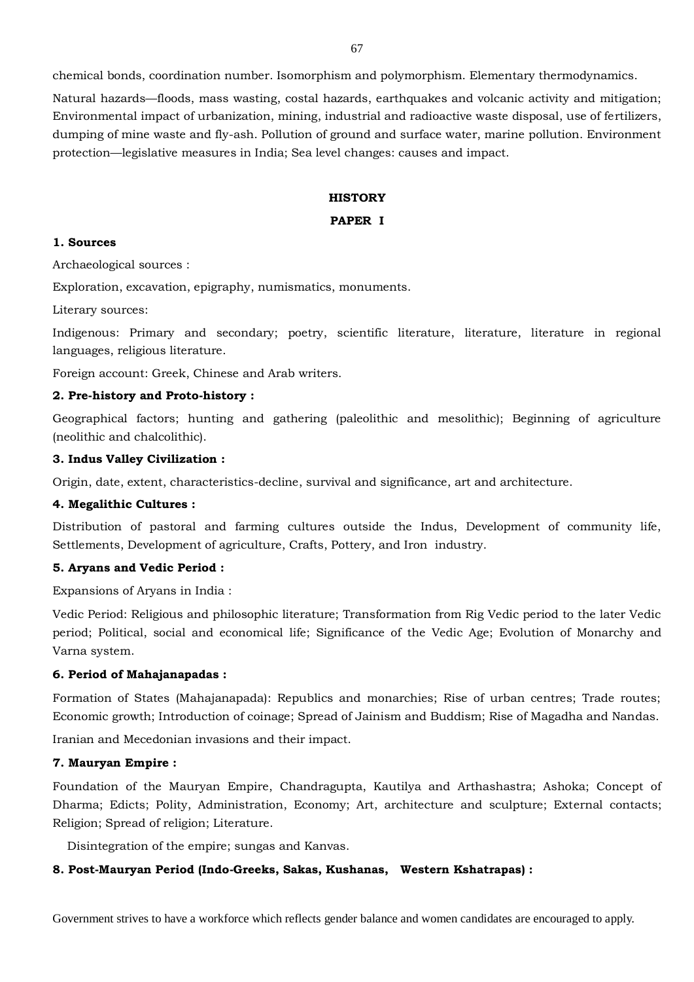chemical bonds, coordination number. Isomorphism and polymorphism. Elementary thermodynamics.

Natural hazards—floods, mass wasting, costal hazards, earthquakes and volcanic activity and mitigation; Environmental impact of urbanization, mining, industrial and radioactive waste disposal, use of fertilizers, dumping of mine waste and fly-ash. Pollution of ground and surface water, marine pollution. Environment protection—legislative measures in India; Sea level changes: causes and impact.

## **HISTORY**

## **PAPER I**

### **1. Sources**

Archaeological sources :

Exploration, excavation, epigraphy, numismatics, monuments.

Literary sources:

Indigenous: Primary and secondary; poetry, scientific literature, literature, literature in regional languages, religious literature.

Foreign account: Greek, Chinese and Arab writers.

## **2. Pre-history and Proto-history :**

Geographical factors; hunting and gathering (paleolithic and mesolithic); Beginning of agriculture (neolithic and chalcolithic).

## **3. Indus Valley Civilization :**

Origin, date, extent, characteristics-decline, survival and significance, art and architecture.

#### **4. Megalithic Cultures :**

Distribution of pastoral and farming cultures outside the Indus, Development of community life, Settlements, Development of agriculture, Crafts, Pottery, and Iron industry.

#### **5. Aryans and Vedic Period :**

Expansions of Aryans in India :

Vedic Period: Religious and philosophic literature; Transformation from Rig Vedic period to the later Vedic period; Political, social and economical life; Significance of the Vedic Age; Evolution of Monarchy and Varna system.

## **6. Period of Mahajanapadas :**

Formation of States (Mahajanapada): Republics and monarchies; Rise of urban centres; Trade routes; Economic growth; Introduction of coinage; Spread of Jainism and Buddism; Rise of Magadha and Nandas.

Iranian and Mecedonian invasions and their impact.

### **7. Mauryan Empire :**

Foundation of the Mauryan Empire, Chandragupta, Kautilya and Arthashastra; Ashoka; Concept of Dharma; Edicts; Polity, Administration, Economy; Art, architecture and sculpture; External contacts; Religion; Spread of religion; Literature.

Disintegration of the empire; sungas and Kanvas.

#### **8. Post-Mauryan Period (Indo-Greeks, Sakas, Kushanas, Western Kshatrapas) :**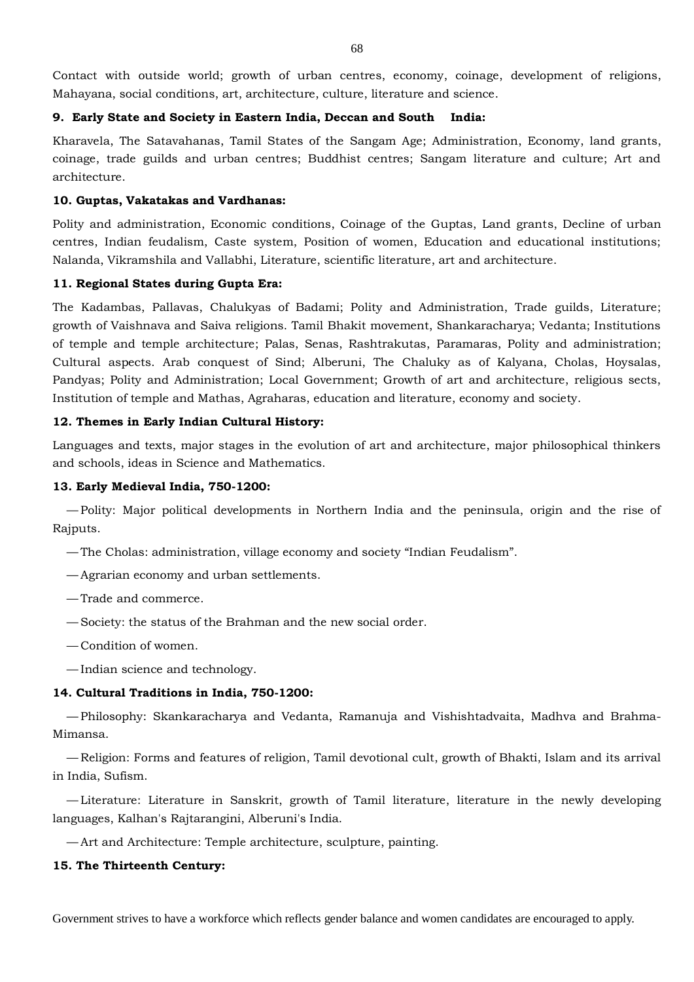Contact with outside world; growth of urban centres, economy, coinage, development of religions, Mahayana, social conditions, art, architecture, culture, literature and science.

## **9. Early State and Society in Eastern India, Deccan and South**

Kharavela, The Satavahanas, Tamil States of the Sangam Age; Administration, Economy, land grants, coinage, trade guilds and urban centres; Buddhist centres; Sangam literature and culture; Art and architecture.

## **10. Guptas, Vakatakas and Vardhanas:**

Polity and administration, Economic conditions, Coinage of the Guptas, Land grants, Decline of urban centres, Indian feudalism, Caste system, Position of women, Education and educational institutions; Nalanda, Vikramshila and Vallabhi, Literature, scientific literature, art and architecture.

## **11. Regional States during Gupta Era:**

The Kadambas, Pallavas, Chalukyas of Badami; Polity and Administration, Trade guilds, Literature; growth of Vaishnava and Saiva religions. Tamil Bhakit movement, Shankaracharya; Vedanta; Institutions of temple and temple architecture; Palas, Senas, Rashtrakutas, Paramaras, Polity and administration; Cultural aspects. Arab conquest of Sind; Alberuni, The Chaluky as of Kalyana, Cholas, Hoysalas, Pandyas; Polity and Administration; Local Government; Growth of art and architecture, religious sects, Institution of temple and Mathas, Agraharas, education and literature, economy and society.

## **12. Themes in Early Indian Cultural History:**

Languages and texts, major stages in the evolution of art and architecture, major philosophical thinkers and schools, ideas in Science and Mathematics.

## **13. Early Medieval India, 750-1200:**

— Polity: Major political developments in Northern India and the peninsula, origin and the rise of Rajputs.

- The Cholas: administration, village economy and society "Indian Feudalism".
- Agrarian economy and urban settlements.
- Trade and commerce.
- Society: the status of the Brahman and the new social order.
- Condition of women.
- Indian science and technology.

#### **14. Cultural Traditions in India, 750-1200:**

— Philosophy: Skankaracharya and Vedanta, Ramanuja and Vishishtadvaita, Madhva and Brahma-Mimansa.

— Religion: Forms and features of religion, Tamil devotional cult, growth of Bhakti, Islam and its arrival in India, Sufism.

— Literature: Literature in Sanskrit, growth of Tamil literature, literature in the newly developing languages, Kalhan's Rajtarangini, Alberuni's India.

— Art and Architecture: Temple architecture, sculpture, painting.

## **15. The Thirteenth Century:**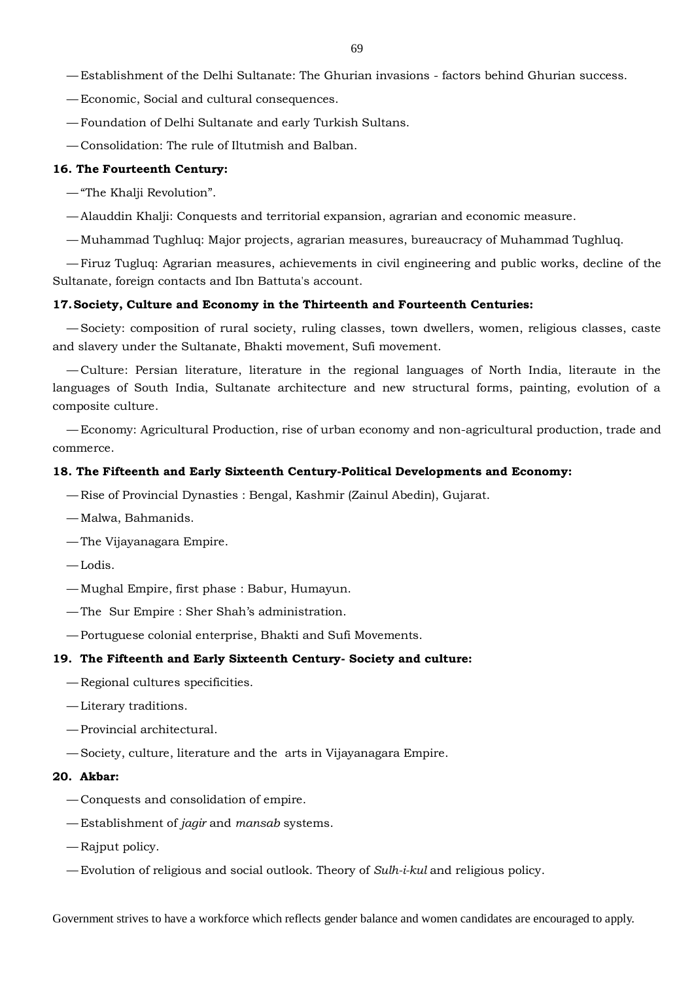— Establishment of the Delhi Sultanate: The Ghurian invasions - factors behind Ghurian success.

— Economic, Social and cultural consequences.

— Foundation of Delhi Sultanate and early Turkish Sultans.

— Consolidation: The rule of Iltutmish and Balban.

#### **16. The Fourteenth Century:**

— "The Khalji Revolution".

— Alauddin Khalji: Conquests and territorial expansion, agrarian and economic measure.

— Muhammad Tughluq: Major projects, agrarian measures, bureaucracy of Muhammad Tughluq.

— Firuz Tugluq: Agrarian measures, achievements in civil engineering and public works, decline of the Sultanate, foreign contacts and Ibn Battuta's account.

#### **17.Society, Culture and Economy in the Thirteenth and Fourteenth Centuries:**

— Society: composition of rural society, ruling classes, town dwellers, women, religious classes, caste and slavery under the Sultanate, Bhakti movement, Sufi movement.

— Culture: Persian literature, literature in the regional languages of North India, literaute in the languages of South India, Sultanate architecture and new structural forms, painting, evolution of a composite culture.

— Economy: Agricultural Production, rise of urban economy and non-agricultural production, trade and commerce.

#### **18. The Fifteenth and Early Sixteenth Century-Political Developments and Economy:**

- Rise of Provincial Dynasties : Bengal, Kashmir (Zainul Abedin), Gujarat.
- Malwa, Bahmanids.
- The Vijayanagara Empire.
- Lodis.
- Mughal Empire, first phase : Babur, Humayun.
- The Sur Empire : Sher Shah's administration.
- Portuguese colonial enterprise, Bhakti and Sufi Movements.

#### **19. The Fifteenth and Early Sixteenth Century- Society and culture:**

- Regional cultures specificities.
- Literary traditions.
- Provincial architectural.
- Society, culture, literature and the arts in Vijayanagara Empire.

### **20. Akbar:**

- Conquests and consolidation of empire.
- Establishment of *jagir* and *mansab* systems.
- Rajput policy.
- Evolution of religious and social outlook. Theory of *Sulh-i-kul* and religious policy.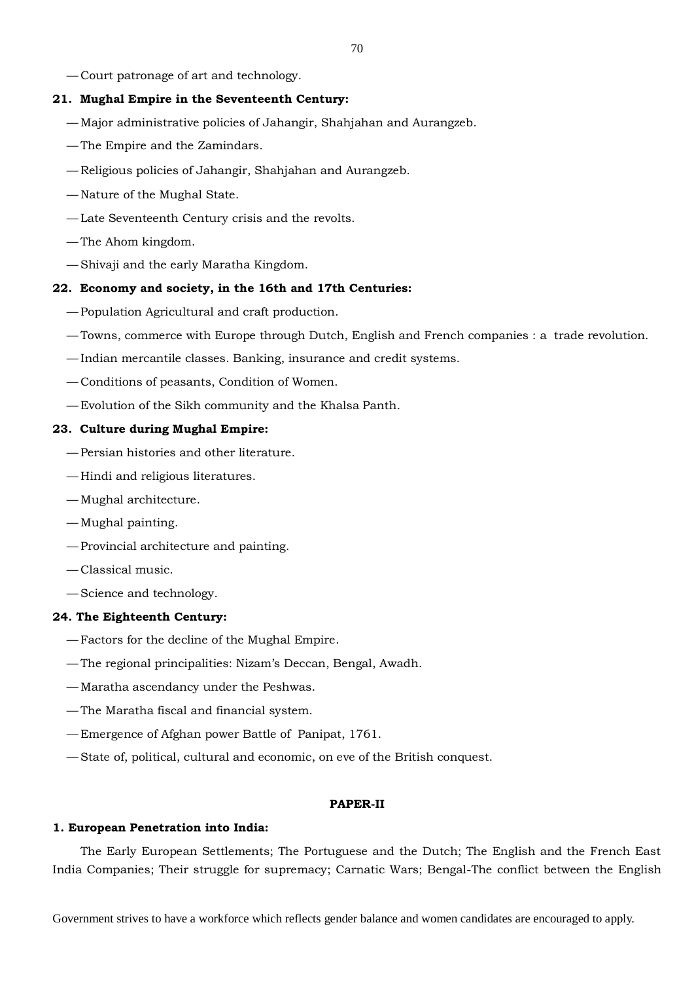— Court patronage of art and technology.

# **21. Mughal Empire in the Seventeenth Century:**

- Major administrative policies of Jahangir, Shahjahan and Aurangzeb.
- The Empire and the Zamindars.
- Religious policies of Jahangir, Shahjahan and Aurangzeb.
- Nature of the Mughal State.
- Late Seventeenth Century crisis and the revolts.
- The Ahom kingdom.
- Shivaji and the early Maratha Kingdom.

## **22. Economy and society, in the 16th and 17th Centuries:**

- Population Agricultural and craft production.
- Towns, commerce with Europe through Dutch, English and French companies : a trade revolution.
- Indian mercantile classes. Banking, insurance and credit systems.
- Conditions of peasants, Condition of Women.
- Evolution of the Sikh community and the Khalsa Panth.

# **23. Culture during Mughal Empire:**

- Persian histories and other literature.
- Hindi and religious literatures.
- Mughal architecture.
- Mughal painting.
- Provincial architecture and painting.
- Classical music.
- Science and technology.

# **24. The Eighteenth Century:**

- Factors for the decline of the Mughal Empire.
- The regional principalities: Nizam's Deccan, Bengal, Awadh.
- Maratha ascendancy under the Peshwas.
- The Maratha fiscal and financial system.
- Emergence of Afghan power Battle of Panipat, 1761.
- State of, political, cultural and economic, on eve of the British conquest.

# **PAPER-II**

## **1. European Penetration into India:**

The Early European Settlements; The Portuguese and the Dutch; The English and the French East India Companies; Their struggle for supremacy; Carnatic Wars; Bengal-The conflict between the English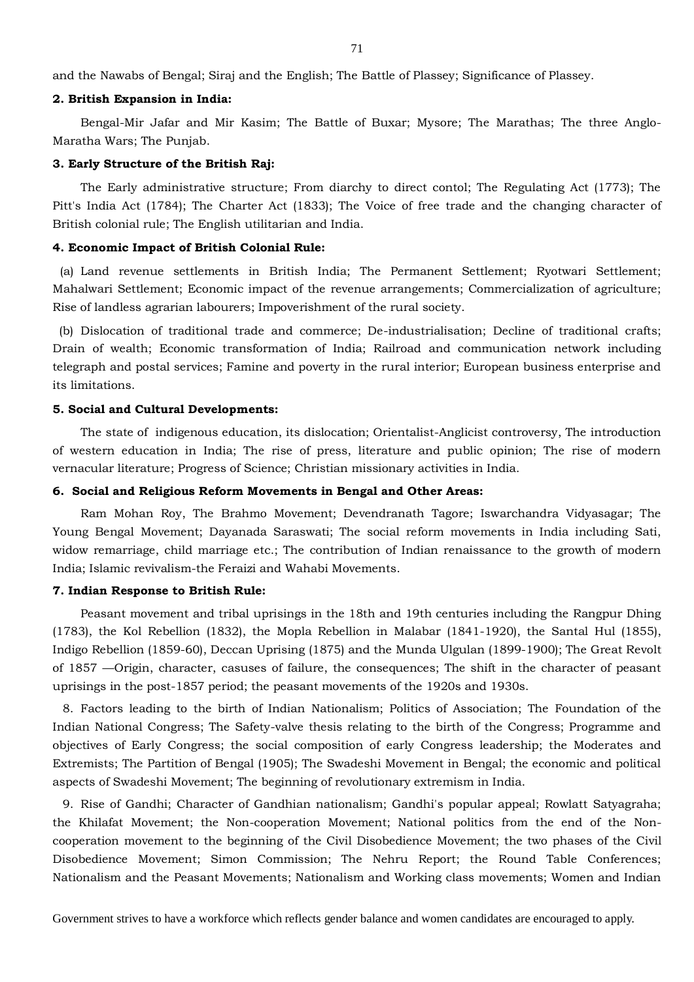and the Nawabs of Bengal; Siraj and the English; The Battle of Plassey; Significance of Plassey.

#### **2. British Expansion in India:**

Bengal-Mir Jafar and Mir Kasim; The Battle of Buxar; Mysore; The Marathas; The three Anglo-Maratha Wars; The Punjab.

#### **3. Early Structure of the British Raj:**

The Early administrative structure; From diarchy to direct contol; The Regulating Act (1773); The Pitt's India Act (1784); The Charter Act (1833); The Voice of free trade and the changing character of British colonial rule; The English utilitarian and India.

#### **4. Economic Impact of British Colonial Rule:**

(a) Land revenue settlements in British India; The Permanent Settlement; Ryotwari Settlement; Mahalwari Settlement; Economic impact of the revenue arrangements; Commercialization of agriculture; Rise of landless agrarian labourers; Impoverishment of the rural society.

(b) Dislocation of traditional trade and commerce; De-industrialisation; Decline of traditional crafts; Drain of wealth; Economic transformation of India; Railroad and communication network including telegraph and postal services; Famine and poverty in the rural interior; European business enterprise and its limitations.

#### **5. Social and Cultural Developments:**

The state of indigenous education, its dislocation; Orientalist-Anglicist controversy, The introduction of western education in India; The rise of press, literature and public opinion; The rise of modern vernacular literature; Progress of Science; Christian missionary activities in India.

## **6. Social and Religious Reform Movements in Bengal and Other Areas:**

Ram Mohan Roy, The Brahmo Movement; Devendranath Tagore; Iswarchandra Vidyasagar; The Young Bengal Movement; Dayanada Saraswati; The social reform movements in India including Sati, widow remarriage, child marriage etc.; The contribution of Indian renaissance to the growth of modern India; Islamic revivalism-the Feraizi and Wahabi Movements.

#### **7. Indian Response to British Rule:**

Peasant movement and tribal uprisings in the 18th and 19th centuries including the Rangpur Dhing (1783), the Kol Rebellion (1832), the Mopla Rebellion in Malabar (1841-1920), the Santal Hul (1855), Indigo Rebellion (1859-60), Deccan Uprising (1875) and the Munda Ulgulan (1899-1900); The Great Revolt of 1857 —Origin, character, casuses of failure, the consequences; The shift in the character of peasant uprisings in the post-1857 period; the peasant movements of the 1920s and 1930s.

8. Factors leading to the birth of Indian Nationalism; Politics of Association; The Foundation of the Indian National Congress; The Safety-valve thesis relating to the birth of the Congress; Programme and objectives of Early Congress; the social composition of early Congress leadership; the Moderates and Extremists; The Partition of Bengal (1905); The Swadeshi Movement in Bengal; the economic and political aspects of Swadeshi Movement; The beginning of revolutionary extremism in India.

9. Rise of Gandhi; Character of Gandhian nationalism; Gandhi's popular appeal; Rowlatt Satyagraha; the Khilafat Movement; the Non-cooperation Movement; National politics from the end of the Noncooperation movement to the beginning of the Civil Disobedience Movement; the two phases of the Civil Disobedience Movement; Simon Commission; The Nehru Report; the Round Table Conferences; Nationalism and the Peasant Movements; Nationalism and Working class movements; Women and Indian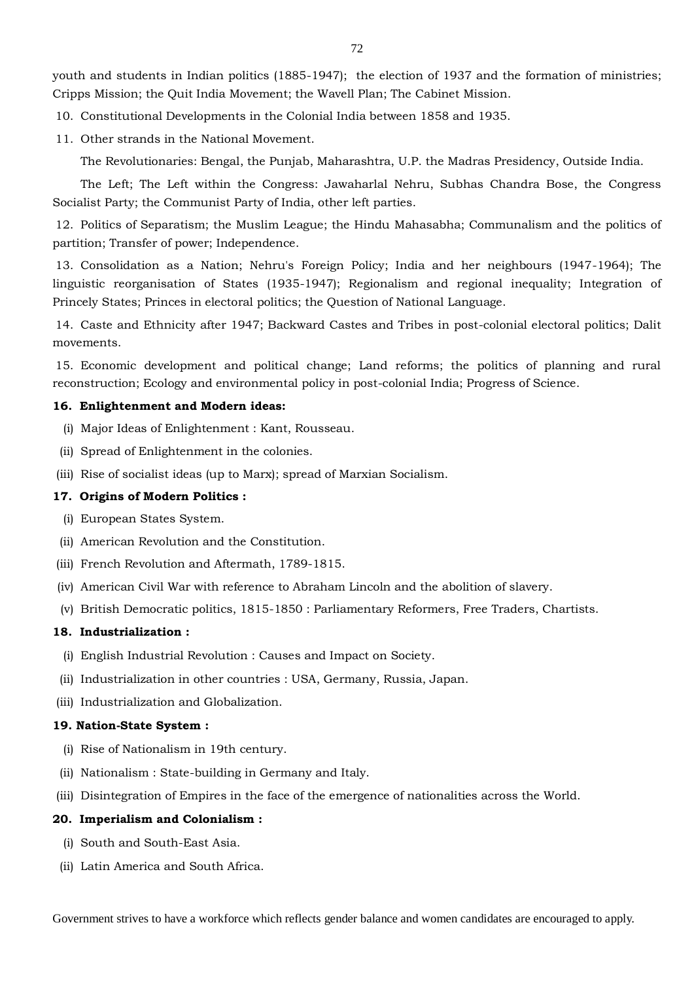youth and students in Indian politics (1885-1947); the election of 1937 and the formation of ministries; Cripps Mission; the Quit India Movement; the Wavell Plan; The Cabinet Mission.

10. Constitutional Developments in the Colonial India between 1858 and 1935.

11. Other strands in the National Movement.

The Revolutionaries: Bengal, the Punjab, Maharashtra, U.P. the Madras Presidency, Outside India.

The Left; The Left within the Congress: Jawaharlal Nehru, Subhas Chandra Bose, the Congress Socialist Party; the Communist Party of India, other left parties.

12. Politics of Separatism; the Muslim League; the Hindu Mahasabha; Communalism and the politics of partition; Transfer of power; Independence.

13. Consolidation as a Nation; Nehru's Foreign Policy; India and her neighbours (1947-1964); The linguistic reorganisation of States (1935-1947); Regionalism and regional inequality; Integration of Princely States; Princes in electoral politics; the Question of National Language.

14. Caste and Ethnicity after 1947; Backward Castes and Tribes in post-colonial electoral politics; Dalit movements.

15. Economic development and political change; Land reforms; the politics of planning and rural reconstruction; Ecology and environmental policy in post-colonial India; Progress of Science.

## **16. Enlightenment and Modern ideas:**

- (i) Major Ideas of Enlightenment : Kant, Rousseau.
- (ii) Spread of Enlightenment in the colonies.
- (iii) Rise of socialist ideas (up to Marx); spread of Marxian Socialism.

#### **17. Origins of Modern Politics :**

- (i) European States System.
- (ii) American Revolution and the Constitution.
- (iii) French Revolution and Aftermath, 1789-1815.
- (iv) American Civil War with reference to Abraham Lincoln and the abolition of slavery.
- (v) British Democratic politics, 1815-1850 : Parliamentary Reformers, Free Traders, Chartists.

## **18. Industrialization :**

- (i) English Industrial Revolution : Causes and Impact on Society.
- (ii) Industrialization in other countries : USA, Germany, Russia, Japan.
- (iii) Industrialization and Globalization.

## **19. Nation-State System :**

- (i) Rise of Nationalism in 19th century.
- (ii) Nationalism : State-building in Germany and Italy.
- (iii) Disintegration of Empires in the face of the emergence of nationalities across the World.

### **20. Imperialism and Colonialism :**

- (i) South and South-East Asia.
- (ii) Latin America and South Africa.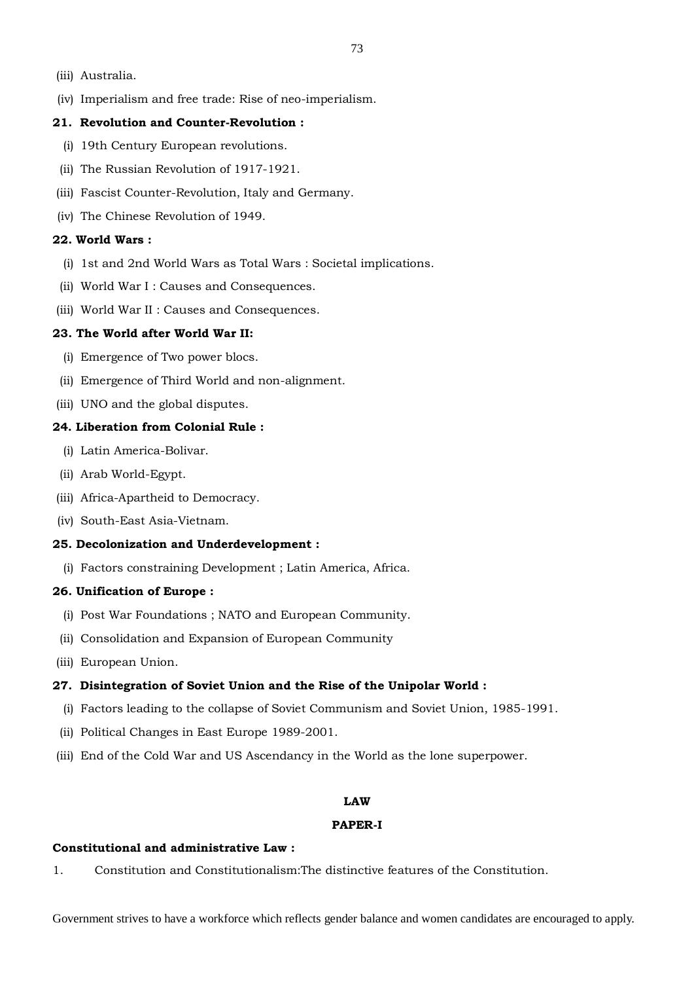- (iii) Australia.
- (iv) Imperialism and free trade: Rise of neo-imperialism.

## **21. Revolution and Counter-Revolution :**

- (i) 19th Century European revolutions.
- (ii) The Russian Revolution of 1917-1921.
- (iii) Fascist Counter-Revolution, Italy and Germany.
- (iv) The Chinese Revolution of 1949.

## **22. World Wars :**

- (i) 1st and 2nd World Wars as Total Wars : Societal implications.
- (ii) World War I : Causes and Consequences.
- (iii) World War II : Causes and Consequences.

## **23. The World after World War II:**

- (i) Emergence of Two power blocs.
- (ii) Emergence of Third World and non-alignment.
- (iii) UNO and the global disputes.

## **24. Liberation from Colonial Rule :**

- (i) Latin America-Bolivar.
- (ii) Arab World-Egypt.
- (iii) Africa-Apartheid to Democracy.
- (iv) South-East Asia-Vietnam.

## **25. Decolonization and Underdevelopment :**

(i) Factors constraining Development ; Latin America, Africa.

#### **26. Unification of Europe :**

- (i) Post War Foundations ; NATO and European Community.
- (ii) Consolidation and Expansion of European Community
- (iii) European Union.

## **27. Disintegration of Soviet Union and the Rise of the Unipolar World :**

- (i) Factors leading to the collapse of Soviet Communism and Soviet Union, 1985-1991.
- (ii) Political Changes in East Europe 1989-2001.
- (iii) End of the Cold War and US Ascendancy in the World as the lone superpower.

#### **LAW**

#### **PAPER-I**

### **Constitutional and administrative Law :**

1. Constitution and Constitutionalism:The distinctive features of the Constitution.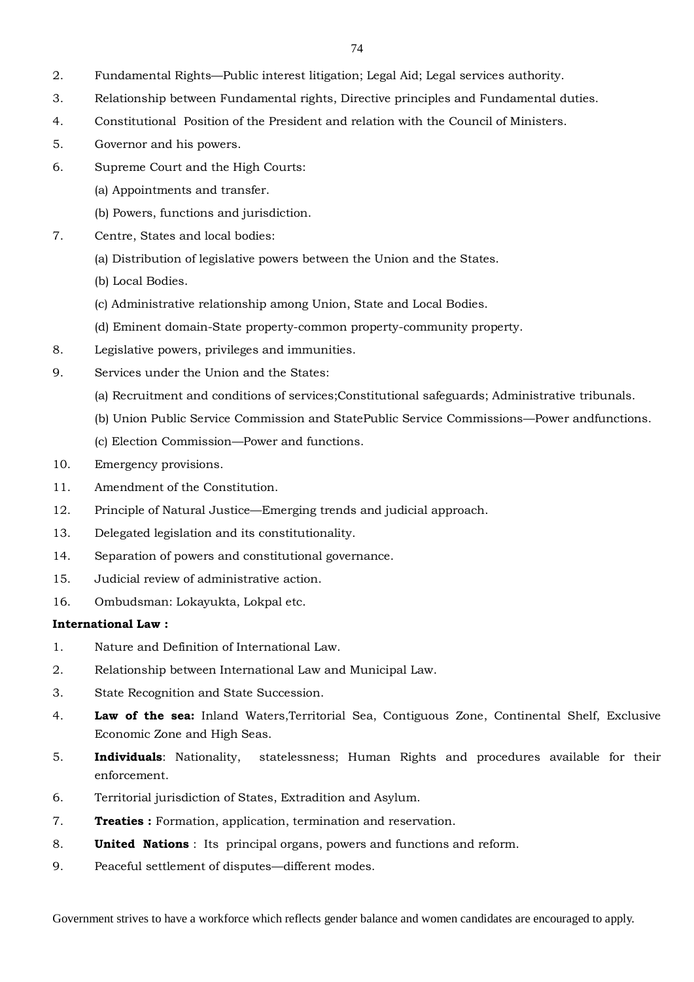- 2. Fundamental Rights—Public interest litigation; Legal Aid; Legal services authority.
- 3. Relationship between Fundamental rights, Directive principles and Fundamental duties.
- 4. Constitutional Position of the President and relation with the Council of Ministers.
- 5. Governor and his powers.
- 6. Supreme Court and the High Courts:
	- (a) Appointments and transfer.
	- (b) Powers, functions and jurisdiction.
- 7. Centre, States and local bodies:
	- (a) Distribution of legislative powers between the Union and the States.
	- (b) Local Bodies.
	- (c) Administrative relationship among Union, State and Local Bodies.
	- (d) Eminent domain-State property-common property-community property.
- 8. Legislative powers, privileges and immunities.
- 9. Services under the Union and the States:
	- (a) Recruitment and conditions of services;Constitutional safeguards; Administrative tribunals.
	- (b) Union Public Service Commission and StatePublic Service Commissions—Power andfunctions.
	- (c) Election Commission—Power and functions.
- 10. Emergency provisions.
- 11. Amendment of the Constitution.
- 12. Principle of Natural Justice—Emerging trends and judicial approach.
- 13. Delegated legislation and its constitutionality.
- 14. Separation of powers and constitutional governance.
- 15. Judicial review of administrative action.
- 16. Ombudsman: Lokayukta, Lokpal etc.

## **International Law :**

- 1. Nature and Definition of International Law.
- 2. Relationship between International Law and Municipal Law.
- 3. State Recognition and State Succession.
- 4. **Law of the sea:** Inland Waters,Territorial Sea, Contiguous Zone, Continental Shelf, Exclusive Economic Zone and High Seas.
- 5. **Individuals**: Nationality, statelessness; Human Rights and procedures available for their enforcement.
- 6. Territorial jurisdiction of States, Extradition and Asylum.
- 7. **Treaties :** Formation, application, termination and reservation.
- 8. **United Nations** : Its principal organs, powers and functions and reform.
- 9. Peaceful settlement of disputes—different modes.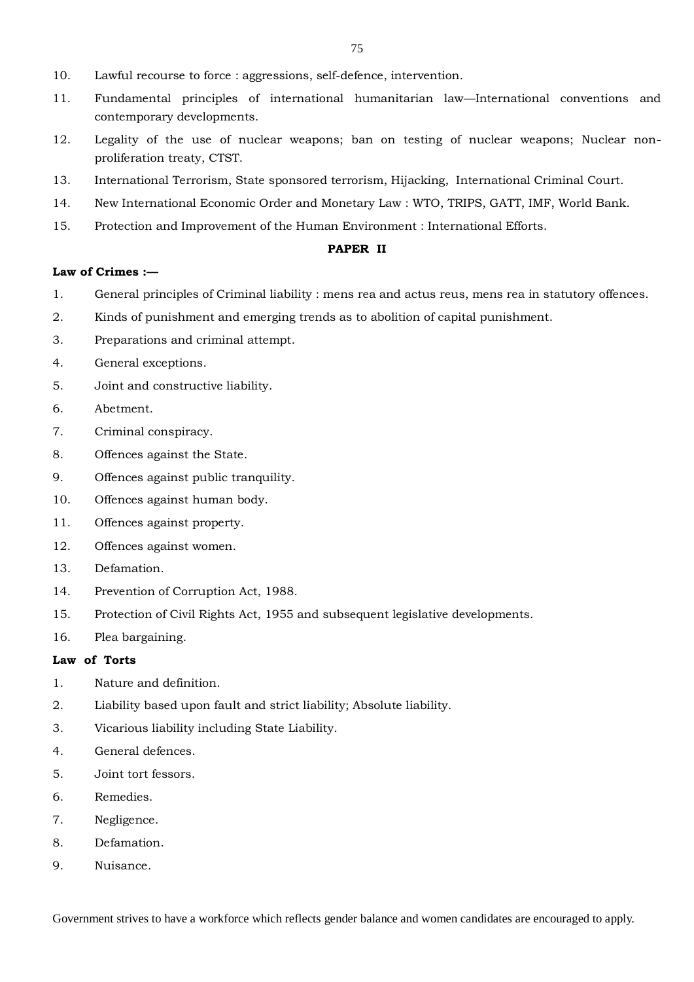- 10. Lawful recourse to force : aggressions, self-defence, intervention.
- 11. Fundamental principles of international humanitarian law—International conventions and contemporary developments.
- 12. Legality of the use of nuclear weapons; ban on testing of nuclear weapons; Nuclear nonproliferation treaty, CTST.
- 13. International Terrorism, State sponsored terrorism, Hijacking, International Criminal Court.
- 14. New International Economic Order and Monetary Law : WTO, TRIPS, GATT, IMF, World Bank.
- 15. Protection and Improvement of the Human Environment : International Efforts.

## **PAPER II**

## **Law of Crimes :—**

- 1. General principles of Criminal liability : mens rea and actus reus, mens rea in statutory offences.
- 2. Kinds of punishment and emerging trends as to abolition of capital punishment.
- 3. Preparations and criminal attempt.
- 4. General exceptions.
- 5. Joint and constructive liability.
- 6. Abetment.
- 7. Criminal conspiracy.
- 8. Offences against the State.
- 9. Offences against public tranquility.
- 10. Offences against human body.
- 11. Offences against property.
- 12. Offences against women.
- 13. Defamation.
- 14. Prevention of Corruption Act, 1988.
- 15. Protection of Civil Rights Act, 1955 and subsequent legislative developments.
- 16. Plea bargaining.

# **Law of Torts**

- 1. Nature and definition.
- 2. Liability based upon fault and strict liability; Absolute liability.
- 3. Vicarious liability including State Liability.
- 4. General defences.
- 5. Joint tort fessors.
- 6. Remedies.
- 7. Negligence.
- 8. Defamation.
- 9. Nuisance.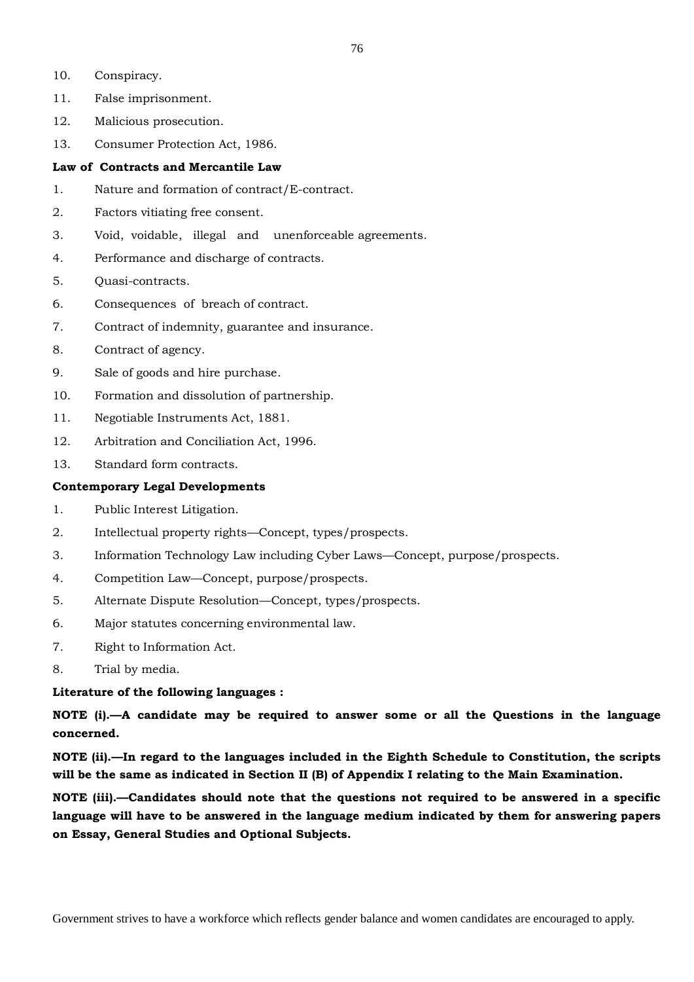- 10. Conspiracy.
- 11. False imprisonment.
- 12. Malicious prosecution.
- 13. Consumer Protection Act, 1986.

## **Law of Contracts and Mercantile Law**

- 1. Nature and formation of contract/E-contract.
- 2. Factors vitiating free consent.
- 3. Void, voidable, illegal and unenforceable agreements.
- 4. Performance and discharge of contracts.
- 5. Quasi-contracts.
- 6. Consequences of breach of contract.
- 7. Contract of indemnity, guarantee and insurance.
- 8. Contract of agency.
- 9. Sale of goods and hire purchase.
- 10. Formation and dissolution of partnership.
- 11. Negotiable Instruments Act, 1881.
- 12. Arbitration and Conciliation Act, 1996.
- 13. Standard form contracts.

## **Contemporary Legal Developments**

- 1. Public Interest Litigation.
- 2. Intellectual property rights—Concept, types/prospects.
- 3. Information Technology Law including Cyber Laws—Concept, purpose/prospects.
- 4. Competition Law—Concept, purpose/prospects.
- 5. Alternate Dispute Resolution—Concept, types/prospects.
- 6. Major statutes concerning environmental law.
- 7. Right to Information Act.
- 8. Trial by media.

## **Literature of the following languages :**

**NOTE (i).—A candidate may be required to answer some or all the Questions in the language concerned.**

**NOTE (ii).—In regard to the languages included in the Eighth Schedule to Constitution, the scripts will be the same as indicated in Section II (B) of Appendix I relating to the Main Examination.**

**NOTE (iii).—Candidates should note that the questions not required to be answered in a specific language will have to be answered in the language medium indicated by them for answering papers on Essay, General Studies and Optional Subjects.**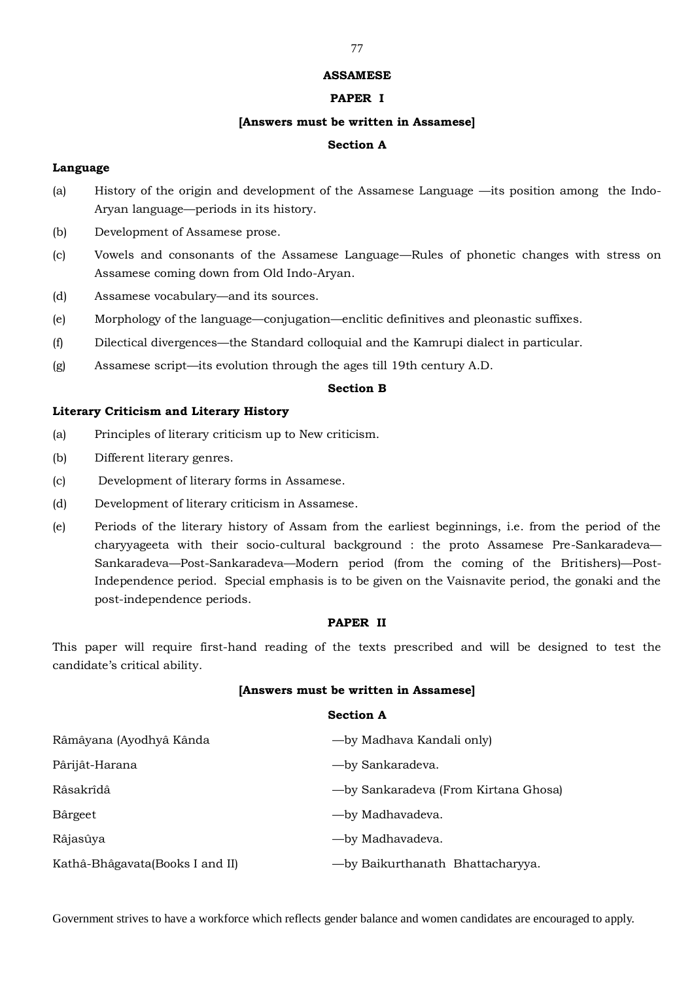### **ASSAMESE**

## **PAPER I**

## **[Answers must be written in Assamese]**

## **Section A**

## **Language**

- (a) History of the origin and development of the Assamese Language —its position among the Indo-Aryan language—periods in its history.
- (b) Development of Assamese prose.
- (c) Vowels and consonants of the Assamese Language—Rules of phonetic changes with stress on Assamese coming down from Old Indo-Aryan.
- (d) Assamese vocabulary—and its sources.
- (e) Morphology of the language—conjugation—enclitic definitives and pleonastic suffixes.
- (f) Dilectical divergences—the Standard colloquial and the Kamrupi dialect in particular.
- (g) Assamese script—its evolution through the ages till 19th century A.D.

# **Section B**

## **Literary Criticism and Literary History**

- (a) Principles of literary criticism up to New criticism.
- (b) Different literary genres.
- (c) Development of literary forms in Assamese.
- (d) Development of literary criticism in Assamese.
- (e) Periods of the literary history of Assam from the earliest beginnings, i.e. from the period of the charyyageeta with their socio-cultural background : the proto Assamese Pre-Sankaradeva— Sankaradeva—Post-Sankaradeva—Modern period (from the coming of the Britishers)—Post-Independence period. Special emphasis is to be given on the Vaisnavite period, the gonaki and the post-independence periods.

## **PAPER II**

This paper will require first-hand reading of the texts prescribed and will be designed to test the candidate's critical ability.

#### **[Answers must be written in Assamese]**

## **Section A**

| Râmâyana (Ayodhyâ Kânda         | — by Madhava Kandali only             |
|---------------------------------|---------------------------------------|
| Pârijât-Harana                  | -by Sankaradeva.                      |
| Râsakrîdâ                       | - by Sankaradeva (From Kirtana Ghosa) |
| Bârgeet                         | -by Madhavadeva.                      |
| Râjasûya                        | -by Madhavadeva.                      |
| Kathâ-Bhâgavata(Books I and II) | -by Baikurthanath Bhattacharyya.      |

Government strives to have a workforce which reflects gender balance and women candidates are encouraged to apply.

#### 77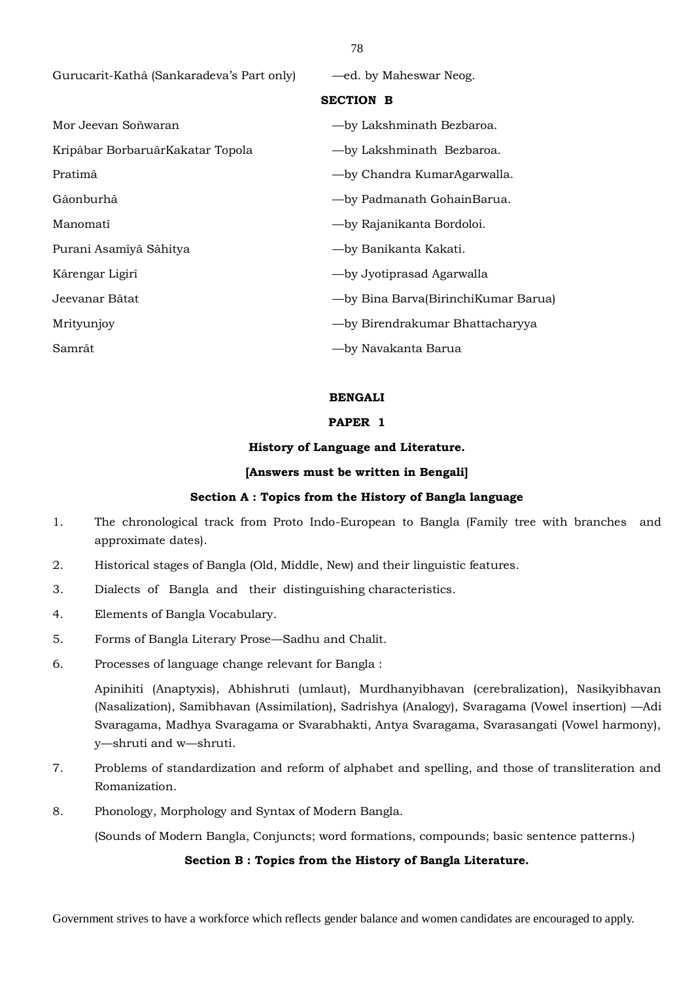Gurucarit-Kathâ (Sankaradeva's Part only) — ed. by Maheswar Neog.

## **SECTION B**

| Mor Jeevan Soñwaran              | -by Lakshminath Bezbaroa.           |
|----------------------------------|-------------------------------------|
| Kripâbar BorbaruârKakatar Topola | -by Lakshminath Bezbaroa.           |
| Pratimâ                          | -by Chandra KumarAgarwalla.         |
| Gâonburhâ                        | -by Padmanath GohainBarua.          |
| Manomatî                         | -by Rajanikanta Bordoloi.           |
| Purani Asamîyâ Sâhitya           | -by Banikanta Kakati.               |
| Kârengar Ligirî                  | -by Jyotiprasad Agarwalla           |
| Jeevanar Bâtat                   | -by Bina Barva(BirinchiKumar Barua) |
| Mrityunjoy                       | - by Birendrakumar Bhattacharyya    |
| Samrât                           | —by Navakanta Barua                 |

#### **BENGALI**

### **PAPER 1**

#### **History of Language and Literature.**

#### **[Answers must be written in Bengali]**

#### **Section A : Topics from the History of Bangla language**

- 1. The chronological track from Proto Indo-European to Bangla (Family tree with branches and approximate dates).
- 2. Historical stages of Bangla (Old, Middle, New) and their linguistic features.
- 3. Dialects of Bangla and their distinguishing characteristics.
- 4. Elements of Bangla Vocabulary.
- 5. Forms of Bangla Literary Prose—Sadhu and Chalit.
- 6. Processes of language change relevant for Bangla :

Apinihiti (Anaptyxis), Abhishruti (umlaut), Murdhanyibhavan (cerebralization), Nasikyibhavan (Nasalization), Samibhavan (Assimilation), Sadrishya (Analogy), Svaragama (Vowel insertion) —Adi Svaragama, Madhya Svaragama or Svarabhakti, Antya Svaragama, Svarasangati (Vowel harmony), y—shruti and w—shruti.

- 7. Problems of standardization and reform of alphabet and spelling, and those of transliteration and Romanization.
- 8. Phonology, Morphology and Syntax of Modern Bangla.

(Sounds of Modern Bangla, Conjuncts; word formations, compounds; basic sentence patterns.)

## **Section B : Topics from the History of Bangla Literature.**

Government strives to have a workforce which reflects gender balance and women candidates are encouraged to apply.

# 78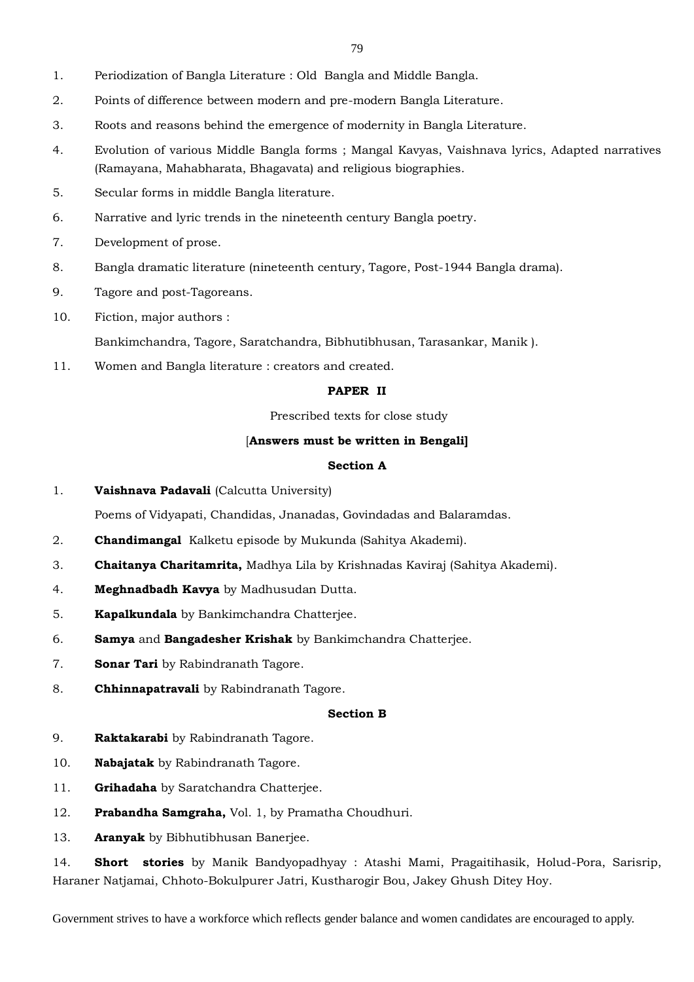- 1. Periodization of Bangla Literature : Old Bangla and Middle Bangla.
- 2. Points of difference between modern and pre-modern Bangla Literature.
- 3. Roots and reasons behind the emergence of modernity in Bangla Literature.
- 4. Evolution of various Middle Bangla forms ; Mangal Kavyas, Vaishnava lyrics, Adapted narratives (Ramayana, Mahabharata, Bhagavata) and religious biographies.
- 5. Secular forms in middle Bangla literature.
- 6. Narrative and lyric trends in the nineteenth century Bangla poetry.
- 7. Development of prose.
- 8. Bangla dramatic literature (nineteenth century, Tagore, Post-1944 Bangla drama).
- 9. Tagore and post-Tagoreans.
- 10. Fiction, major authors :

Bankimchandra, Tagore, Saratchandra, Bibhutibhusan, Tarasankar, Manik ).

11. Women and Bangla literature : creators and created.

# **PAPER II**

Prescribed texts for close study

### [**Answers must be written in Bengali]**

### **Section A**

1. **Vaishnava Padavali** (Calcutta University)

Poems of Vidyapati, Chandidas, Jnanadas, Govindadas and Balaramdas.

- 2. **Chandimangal** Kalketu episode by Mukunda (Sahitya Akademi).
- 3. **Chaitanya Charitamrita,** Madhya Lila by Krishnadas Kaviraj (Sahitya Akademi).
- 4. **Meghnadbadh Kavya** by Madhusudan Dutta.
- 5. **Kapalkundala** by Bankimchandra Chatterjee.
- 6. **Samya** and **Bangadesher Krishak** by Bankimchandra Chatterjee.
- 7. **Sonar Tari** by Rabindranath Tagore.
- 8. **Chhinnapatravali** by Rabindranath Tagore.

#### **Section B**

- 9. **Raktakarabi** by Rabindranath Tagore.
- 10. **Nabajatak** by Rabindranath Tagore.
- 11. **Grihadaha** by Saratchandra Chatterjee.
- 12. **Prabandha Samgraha,** Vol. 1, by Pramatha Choudhuri.
- 13. **Aranyak** by Bibhutibhusan Banerjee.

14. **Short stories** by Manik Bandyopadhyay : Atashi Mami, Pragaitihasik, Holud-Pora, Sarisrip, Haraner Natjamai, Chhoto-Bokulpurer Jatri, Kustharogir Bou, Jakey Ghush Ditey Hoy.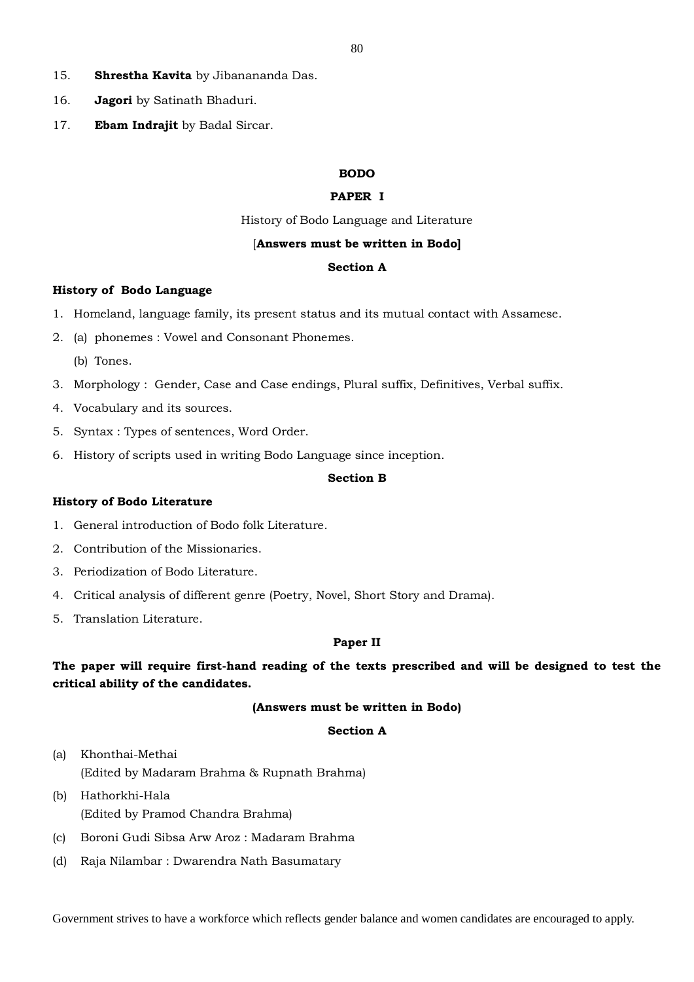- 15. **Shrestha Kavita** by Jibanananda Das.
- 16. **Jagori** by Satinath Bhaduri.
- 17. **Ebam Indrajit** by Badal Sircar.

## **BODO**

## **PAPER I**

History of Bodo Language and Literature

#### [**Answers must be written in Bodo]**

#### **Section A**

#### **History of Bodo Language**

- 1. Homeland, language family, its present status and its mutual contact with Assamese.
- 2. (a) phonemes : Vowel and Consonant Phonemes.
	- (b) Tones.
- 3. Morphology : Gender, Case and Case endings, Plural suffix, Definitives, Verbal suffix.
- 4. Vocabulary and its sources.
- 5. Syntax : Types of sentences, Word Order.
- 6. History of scripts used in writing Bodo Language since inception.

#### **Section B**

#### **History of Bodo Literature**

- 1. General introduction of Bodo folk Literature.
- 2. Contribution of the Missionaries.
- 3. Periodization of Bodo Literature.
- 4. Critical analysis of different genre (Poetry, Novel, Short Story and Drama).
- 5. Translation Literature.

#### **Paper II**

# **The paper will require first-hand reading of the texts prescribed and will be designed to test the critical ability of the candidates.**

### **(Answers must be written in Bodo)**

### **Section A**

- (a) Khonthai-Methai (Edited by Madaram Brahma & Rupnath Brahma)
- (b) Hathorkhi-Hala (Edited by Pramod Chandra Brahma)
- (c) Boroni Gudi Sibsa Arw Aroz : Madaram Brahma
- (d) Raja Nilambar : Dwarendra Nath Basumatary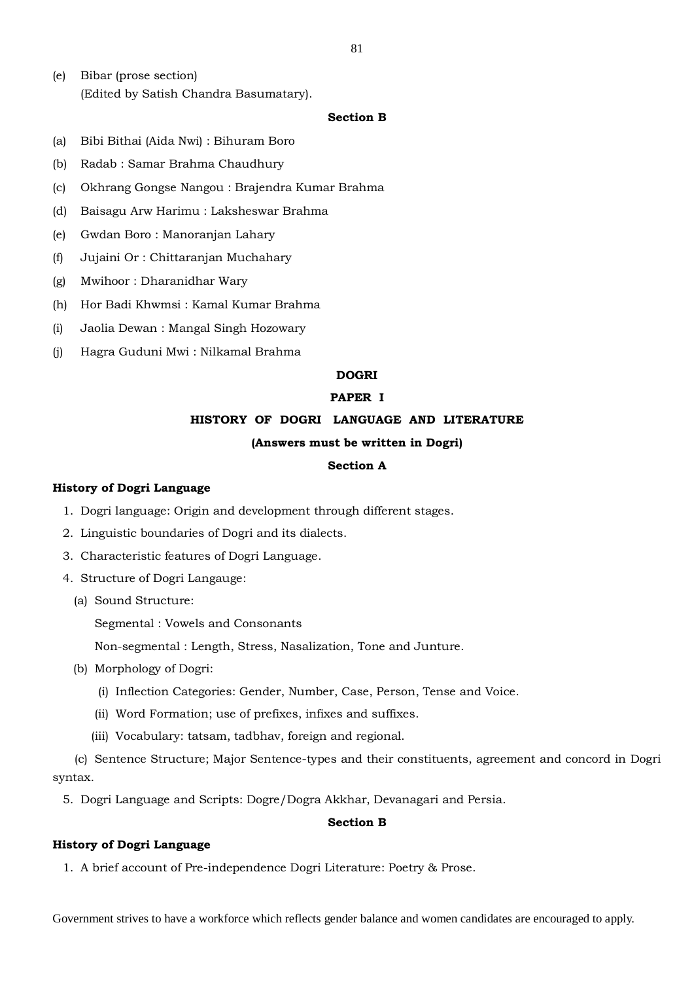(e) Bibar (prose section) (Edited by Satish Chandra Basumatary).

### **Section B**

- (a) Bibi Bithai (Aida Nwi) : Bihuram Boro
- (b) Radab : Samar Brahma Chaudhury
- (c) Okhrang Gongse Nangou : Brajendra Kumar Brahma
- (d) Baisagu Arw Harimu : Laksheswar Brahma
- (e) Gwdan Boro : Manoranjan Lahary
- (f) Jujaini Or : Chittaranjan Muchahary
- (g) Mwihoor : Dharanidhar Wary
- (h) Hor Badi Khwmsi : Kamal Kumar Brahma
- (i) Jaolia Dewan : Mangal Singh Hozowary
- (j) Hagra Guduni Mwi : Nilkamal Brahma

## **DOGRI**

### **PAPER I**

## **HISTORY OF DOGRI LANGUAGE AND LITERATURE**

## **(Answers must be written in Dogri)**

## **Section A**

#### **History of Dogri Language**

- 1. Dogri language: Origin and development through different stages.
- 2. Linguistic boundaries of Dogri and its dialects.
- 3. Characteristic features of Dogri Language.
- 4. Structure of Dogri Langauge:
	- (a) Sound Structure:

Segmental : Vowels and Consonants

Non-segmental : Length, Stress, Nasalization, Tone and Junture.

- (b) Morphology of Dogri:
	- (i) Inflection Categories: Gender, Number, Case, Person, Tense and Voice.
	- (ii) Word Formation; use of prefixes, infixes and suffixes.
	- (iii) Vocabulary: tatsam, tadbhav, foreign and regional.

(c) Sentence Structure; Major Sentence-types and their constituents, agreement and concord in Dogri syntax.

5. Dogri Language and Scripts: Dogre/Dogra Akkhar, Devanagari and Persia.

# **Section B**

### **History of Dogri Language**

1. A brief account of Pre-independence Dogri Literature: Poetry & Prose.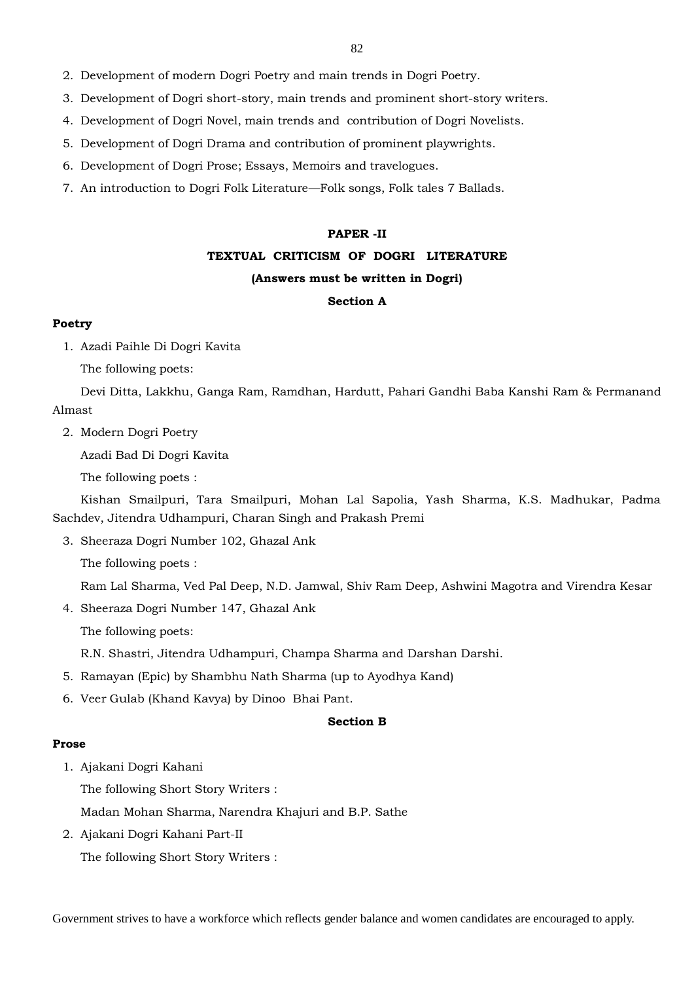- 2. Development of modern Dogri Poetry and main trends in Dogri Poetry.
- 3. Development of Dogri short-story, main trends and prominent short-story writers.
- 4. Development of Dogri Novel, main trends and contribution of Dogri Novelists.
- 5. Development of Dogri Drama and contribution of prominent playwrights.
- 6. Development of Dogri Prose; Essays, Memoirs and travelogues.
- 7. An introduction to Dogri Folk Literature—Folk songs, Folk tales 7 Ballads.

#### **PAPER -II**

#### **TEXTUAL CRITICISM OF DOGRI LITERATURE**

### **(Answers must be written in Dogri)**

## **Section A**

## **Poetry**

1. Azadi Paihle Di Dogri Kavita

The following poets:

Devi Ditta, Lakkhu, Ganga Ram, Ramdhan, Hardutt, Pahari Gandhi Baba Kanshi Ram & Permanand Almast

2. Modern Dogri Poetry

Azadi Bad Di Dogri Kavita

The following poets :

Kishan Smailpuri, Tara Smailpuri, Mohan Lal Sapolia, Yash Sharma, K.S. Madhukar, Padma Sachdev, Jitendra Udhampuri, Charan Singh and Prakash Premi

3. Sheeraza Dogri Number 102, Ghazal Ank

The following poets :

Ram Lal Sharma, Ved Pal Deep, N.D. Jamwal, Shiv Ram Deep, Ashwini Magotra and Virendra Kesar

4. Sheeraza Dogri Number 147, Ghazal Ank

The following poets:

R.N. Shastri, Jitendra Udhampuri, Champa Sharma and Darshan Darshi.

- 5. Ramayan (Epic) by Shambhu Nath Sharma (up to Ayodhya Kand)
- 6. Veer Gulab (Khand Kavya) by Dinoo Bhai Pant.

#### **Section B**

#### **Prose**

1. Ajakani Dogri Kahani

The following Short Story Writers :

Madan Mohan Sharma, Narendra Khajuri and B.P. Sathe

2. Ajakani Dogri Kahani Part-II

The following Short Story Writers :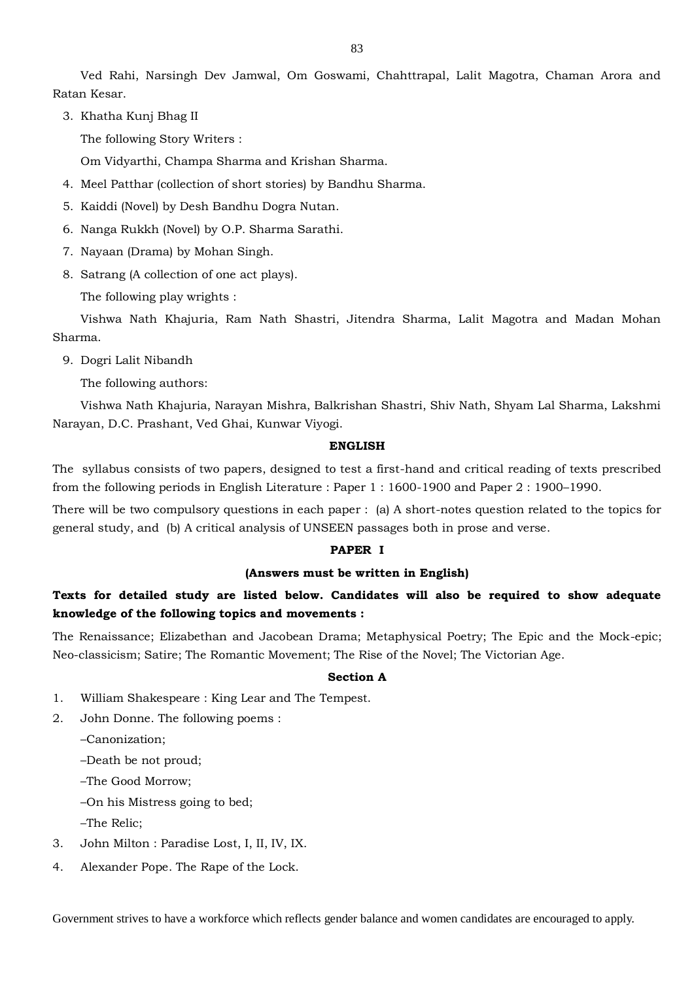Ved Rahi, Narsingh Dev Jamwal, Om Goswami, Chahttrapal, Lalit Magotra, Chaman Arora and Ratan Kesar.

3. Khatha Kunj Bhag II

The following Story Writers :

Om Vidyarthi, Champa Sharma and Krishan Sharma.

- 4. Meel Patthar (collection of short stories) by Bandhu Sharma.
- 5. Kaiddi (Novel) by Desh Bandhu Dogra Nutan.
- 6. Nanga Rukkh (Novel) by O.P. Sharma Sarathi.
- 7. Nayaan (Drama) by Mohan Singh.
- 8. Satrang (A collection of one act plays).

The following play wrights :

Vishwa Nath Khajuria, Ram Nath Shastri, Jitendra Sharma, Lalit Magotra and Madan Mohan Sharma.

9. Dogri Lalit Nibandh

The following authors:

Vishwa Nath Khajuria, Narayan Mishra, Balkrishan Shastri, Shiv Nath, Shyam Lal Sharma, Lakshmi Narayan, D.C. Prashant, Ved Ghai, Kunwar Viyogi.

#### **ENGLISH**

The syllabus consists of two papers, designed to test a first-hand and critical reading of texts prescribed from the following periods in English Literature : Paper 1 : 1600-1900 and Paper 2 : 1900–1990.

There will be two compulsory questions in each paper : (a) A short-notes question related to the topics for general study, and (b) A critical analysis of UNSEEN passages both in prose and verse.

#### **PAPER I**

# **(Answers must be written in English)**

# **Texts for detailed study are listed below. Candidates will also be required to show adequate knowledge of the following topics and movements :**

The Renaissance; Elizabethan and Jacobean Drama; Metaphysical Poetry; The Epic and the Mock-epic; Neo-classicism; Satire; The Romantic Movement; The Rise of the Novel; The Victorian Age.

#### **Section A**

- 1. William Shakespeare : King Lear and The Tempest.
- 2. John Donne. The following poems :

–Canonization;

–Death be not proud;

–The Good Morrow;

–On his Mistress going to bed;

–The Relic;

- 3. John Milton : Paradise Lost, I, II, IV, IX.
- 4. Alexander Pope. The Rape of the Lock.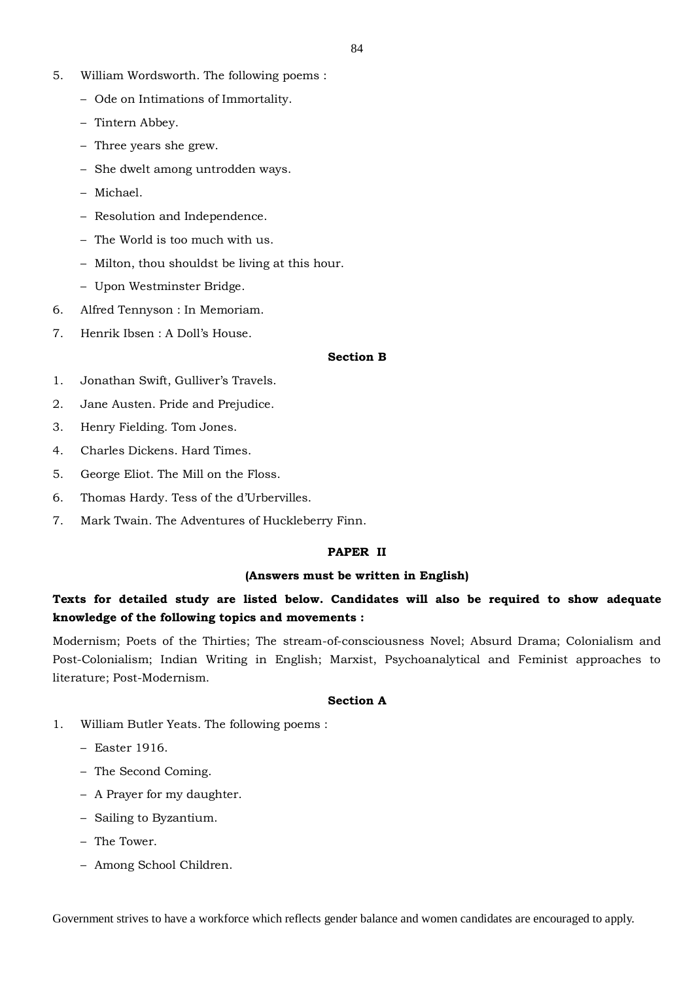- 5. William Wordsworth. The following poems :
	- Ode on Intimations of Immortality.
	- Tintern Abbey.
	- Three years she grew.
	- She dwelt among untrodden ways.
	- Michael.
	- Resolution and Independence.
	- The World is too much with us.
	- Milton, thou shouldst be living at this hour.
	- Upon Westminster Bridge.
- 6. Alfred Tennyson : In Memoriam.
- 7. Henrik Ibsen : A Doll's House.

#### **Section B**

- 1. Jonathan Swift, Gulliver's Travels.
- 2. Jane Austen. Pride and Prejudice.
- 3. Henry Fielding. Tom Jones.
- 4. Charles Dickens. Hard Times.
- 5. George Eliot. The Mill on the Floss.
- 6. Thomas Hardy. Tess of the d'Urbervilles.
- 7. Mark Twain. The Adventures of Huckleberry Finn.

#### **PAPER II**

#### **(Answers must be written in English)**

# **Texts for detailed study are listed below. Candidates will also be required to show adequate knowledge of the following topics and movements :**

Modernism; Poets of the Thirties; The stream-of-consciousness Novel; Absurd Drama; Colonialism and Post-Colonialism; Indian Writing in English; Marxist, Psychoanalytical and Feminist approaches to literature; Post-Modernism.

#### **Section A**

- 1. William Butler Yeats. The following poems :
	- Easter 1916.
	- The Second Coming.
	- A Prayer for my daughter.
	- Sailing to Byzantium.
	- The Tower.
	- Among School Children.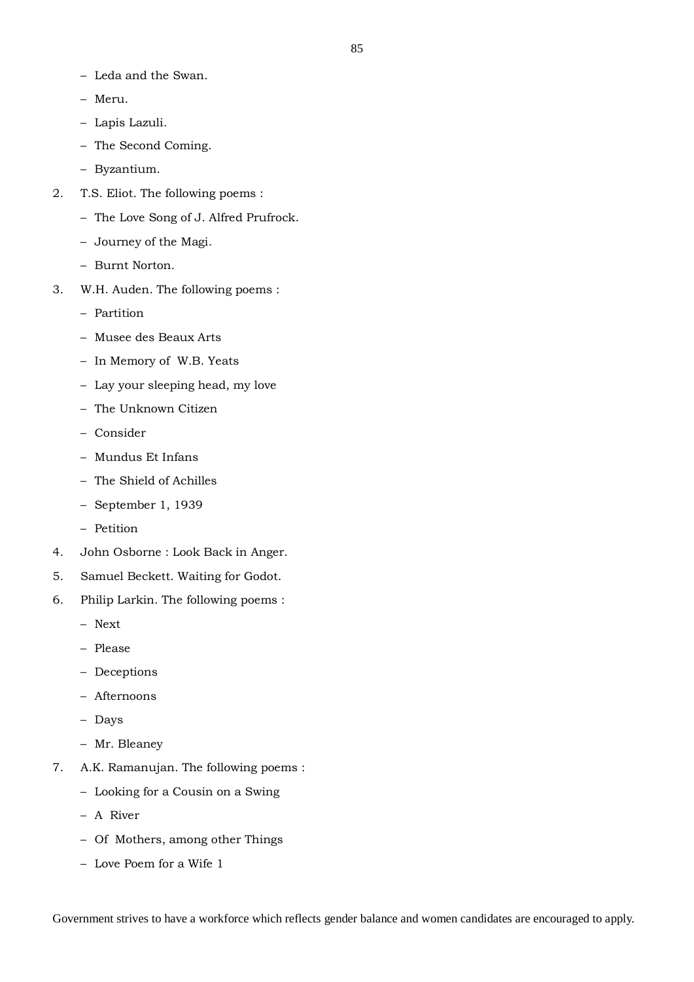- Leda and the Swan.
- Meru.
- Lapis Lazuli.
- The Second Coming.
- Byzantium.
- 2. T.S. Eliot. The following poems :
	- The Love Song of J. Alfred Prufrock.
	- Journey of the Magi.
	- Burnt Norton.
- 3. W.H. Auden. The following poems :
	- Partition
	- Musee des Beaux Arts
	- In Memory of W.B. Yeats
	- Lay your sleeping head, my love
	- The Unknown Citizen
	- Consider
	- Mundus Et Infans
	- The Shield of Achilles
	- September 1, 1939
	- Petition
- 4. John Osborne : Look Back in Anger.
- 5. Samuel Beckett. Waiting for Godot.
- 6. Philip Larkin. The following poems :
	- Next
	- Please
	- Deceptions
	- Afternoons
	- Days
	- Mr. Bleaney
- 7. A.K. Ramanujan. The following poems :
	- Looking for a Cousin on a Swing
	- A River
	- Of Mothers, among other Things
	- Love Poem for a Wife 1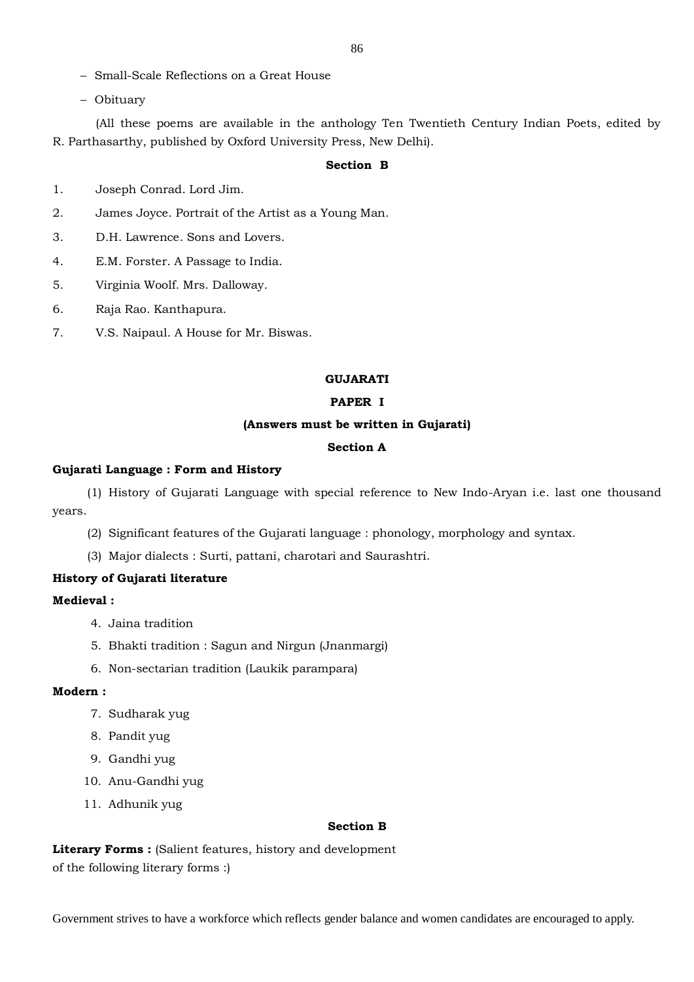- Small-Scale Reflections on a Great House
- Obituary

(All these poems are available in the anthology Ten Twentieth Century Indian Poets, edited by R. Parthasarthy, published by Oxford University Press, New Delhi).

## **Section B**

- 1. Joseph Conrad. Lord Jim.
- 2. James Joyce. Portrait of the Artist as a Young Man.
- 3. D.H. Lawrence. Sons and Lovers.
- 4. E.M. Forster. A Passage to India.
- 5. Virginia Woolf. Mrs. Dalloway.
- 6. Raja Rao. Kanthapura.
- 7. V.S. Naipaul. A House for Mr. Biswas.

# **GUJARATI**

# **PAPER I**

#### **(Answers must be written in Gujarati)**

## **Section A**

#### **Gujarati Language : Form and History**

(1) History of Gujarati Language with special reference to New Indo-Aryan i.e. last one thousand years.

- (2) Significant features of the Gujarati language : phonology, morphology and syntax.
- (3) Major dialects : Surti, pattani, charotari and Saurashtri.

#### **History of Gujarati literature**

## **Medieval :**

- 4. Jaina tradition
- 5. Bhakti tradition : Sagun and Nirgun (Jnanmargi)
- 6. Non-sectarian tradition (Laukik parampara)

#### **Modern :**

- 7. Sudharak yug
- 8. Pandit yug
- 9. Gandhi yug
- 10. Anu-Gandhi yug
- 11. Adhunik yug

#### **Section B**

Literary Forms : (Salient features, history and development of the following literary forms :)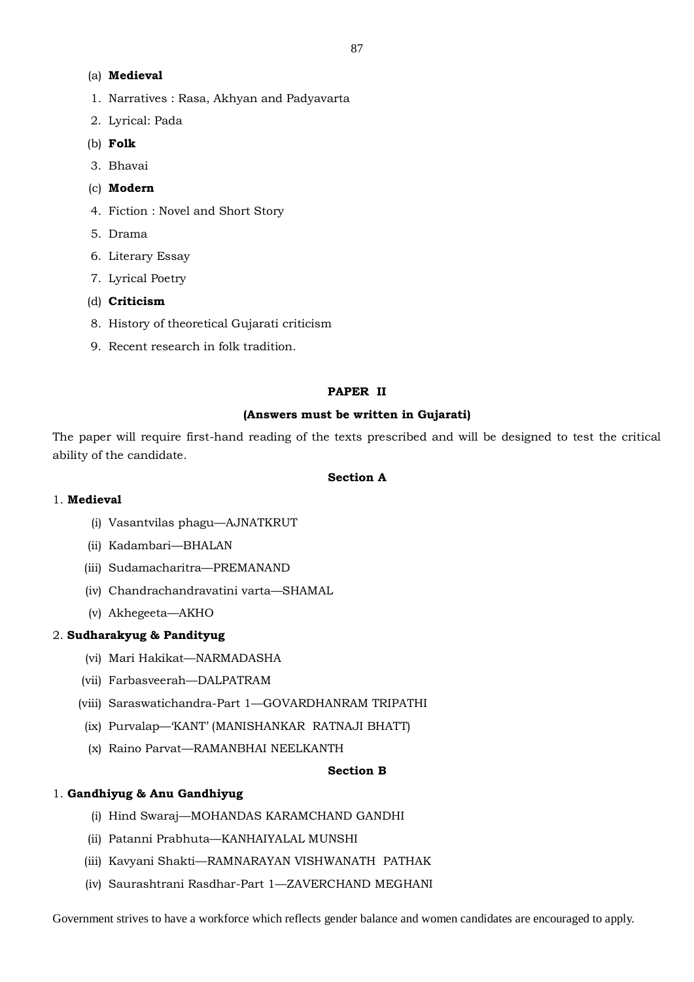# (a) **Medieval**

- 1. Narratives : Rasa, Akhyan and Padyavarta
- 2. Lyrical: Pada
- (b) **Folk**
- 3. Bhavai
- (c) **Modern**
- 4. Fiction : Novel and Short Story
- 5. Drama
- 6. Literary Essay
- 7. Lyrical Poetry
- (d) **Criticism**
- 8. History of theoretical Gujarati criticism
- 9. Recent research in folk tradition.

## **PAPER II**

# **(Answers must be written in Gujarati)**

The paper will require first-hand reading of the texts prescribed and will be designed to test the critical ability of the candidate.

# **Section A**

# 1. **Medieval**

- (i) Vasantvilas phagu—AJNATKRUT
- (ii) Kadambari—BHALAN
- (iii) Sudamacharitra—PREMANAND
- (iv) Chandrachandravatini varta—SHAMAL
- (v) Akhegeeta—AKHO

# 2. **Sudharakyug & Pandityug**

- (vi) Mari Hakikat—NARMADASHA
- (vii) Farbasveerah—DALPATRAM
- (viii) Saraswatichandra-Part 1—GOVARDHANRAM TRIPATHI
- (ix) Purvalap—'KANT' (MANISHANKAR RATNAJI BHATT)
- (x) Raino Parvat—RAMANBHAI NEELKANTH

## **Section B**

# 1. **Gandhiyug & Anu Gandhiyug**

- (i) Hind Swaraj—MOHANDAS KARAMCHAND GANDHI
- (ii) Patanni Prabhuta—KANHAIYALAL MUNSHI
- (iii) Kavyani Shakti—RAMNARAYAN VISHWANATH PATHAK
- (iv) Saurashtrani Rasdhar-Part 1—ZAVERCHAND MEGHANI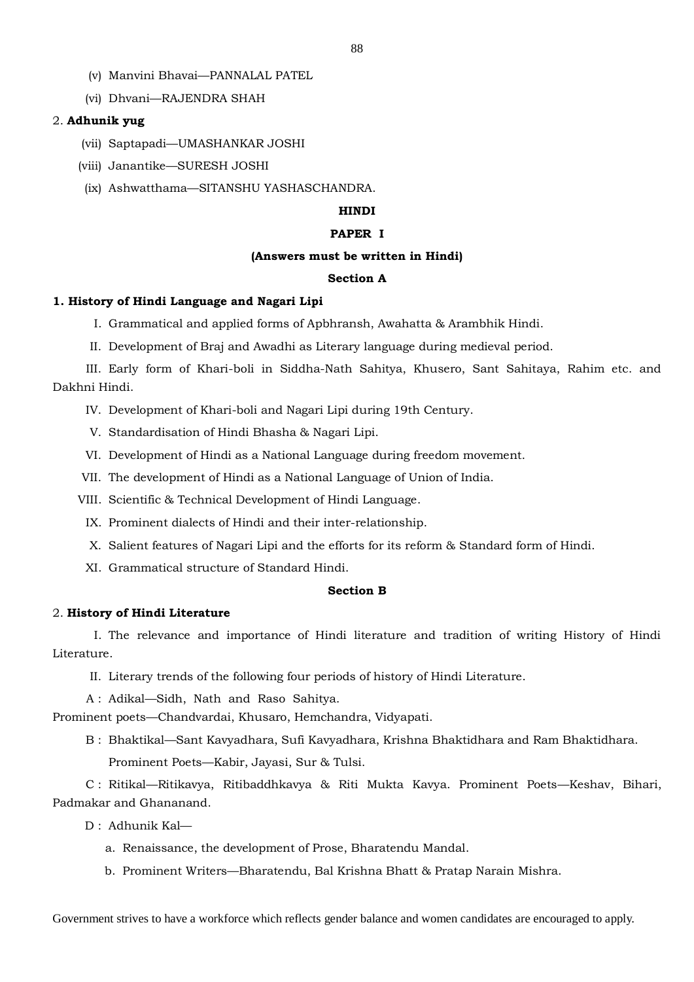- (v) Manvini Bhavai—PANNALAL PATEL
- (vi) Dhvani—RAJENDRA SHAH

## 2. **Adhunik yug**

- (vii) Saptapadi—UMASHANKAR JOSHI
- (viii) Janantike—SURESH JOSHI
- (ix) Ashwatthama—SITANSHU YASHASCHANDRA.

## **HINDI**

#### **PAPER I**

#### **(Answers must be written in Hindi)**

#### **Section A**

### **1. History of Hindi Language and Nagari Lipi**

- I. Grammatical and applied forms of Apbhransh, Awahatta & Arambhik Hindi.
- II. Development of Braj and Awadhi as Literary language during medieval period.

III. Early form of Khari-boli in Siddha-Nath Sahitya, Khusero, Sant Sahitaya, Rahim etc. and Dakhni Hindi.

- IV. Development of Khari-boli and Nagari Lipi during 19th Century.
- V. Standardisation of Hindi Bhasha & Nagari Lipi.
- VI. Development of Hindi as a National Language during freedom movement.
- VII. The development of Hindi as a National Language of Union of India.
- VIII. Scientific & Technical Development of Hindi Language.
	- IX. Prominent dialects of Hindi and their inter-relationship.
	- X. Salient features of Nagari Lipi and the efforts for its reform & Standard form of Hindi.
	- XI. Grammatical structure of Standard Hindi.

#### **Section B**

### 2. **History of Hindi Literature**

I. The relevance and importance of Hindi literature and tradition of writing History of Hindi Literature.

II. Literary trends of the following four periods of history of Hindi Literature.

A : Adikal—Sidh, Nath and Raso Sahitya.

Prominent poets—Chandvardai, Khusaro, Hemchandra, Vidyapati.

B : Bhaktikal—Sant Kavyadhara, Sufi Kavyadhara, Krishna Bhaktidhara and Ram Bhaktidhara. Prominent Poets—Kabir, Jayasi, Sur & Tulsi.

C : Ritikal—Ritikavya, Ritibaddhkavya & Riti Mukta Kavya. Prominent Poets—Keshav, Bihari, Padmakar and Ghananand.

- D : Adhunik Kal
	- a. Renaissance, the development of Prose, Bharatendu Mandal.
	- b. Prominent Writers—Bharatendu, Bal Krishna Bhatt & Pratap Narain Mishra.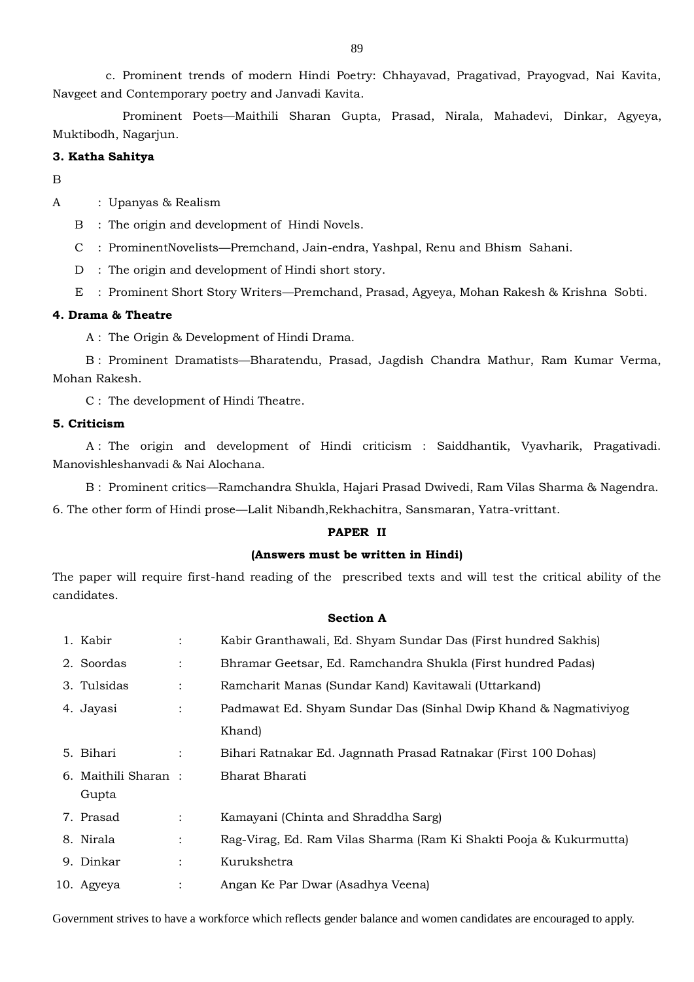c. Prominent trends of modern Hindi Poetry: Chhayavad, Pragativad, Prayogvad, Nai Kavita, Navgeet and Contemporary poetry and Janvadi Kavita.

Prominent Poets—Maithili Sharan Gupta, Prasad, Nirala, Mahadevi, Dinkar, Agyeya, Muktibodh, Nagarjun.

### **3. Katha Sahitya**

B

## A : Upanyas & Realism

- B : The origin and development of Hindi Novels.
- C : ProminentNovelists—Premchand, Jain-endra, Yashpal, Renu and Bhism Sahani.
- D : The origin and development of Hindi short story.
- E : Prominent Short Story Writers—Premchand, Prasad, Agyeya, Mohan Rakesh & Krishna Sobti.

### **4. Drama & Theatre**

A : The Origin & Development of Hindi Drama.

B : Prominent Dramatists—Bharatendu, Prasad, Jagdish Chandra Mathur, Ram Kumar Verma, Mohan Rakesh.

C : The development of Hindi Theatre.

#### **5. Criticism**

A : The origin and development of Hindi criticism : Saiddhantik, Vyavharik, Pragativadi. Manovishleshanvadi & Nai Alochana.

B : Prominent critics—Ramchandra Shukla, Hajari Prasad Dwivedi, Ram Vilas Sharma & Nagendra.

6. The other form of Hindi prose—Lalit Nibandh,Rekhachitra, Sansmaran, Yatra-vrittant.

## **PAPER II**

## **(Answers must be written in Hindi)**

The paper will require first-hand reading of the prescribed texts and will test the critical ability of the candidates.

### **Section A**

| 1. Kabir             |                | Kabir Granthawali, Ed. Shyam Sundar Das (First hundred Sakhis)     |
|----------------------|----------------|--------------------------------------------------------------------|
| 2. Soordas           | $\ddot{\cdot}$ | Bhramar Geetsar, Ed. Ramchandra Shukla (First hundred Padas)       |
| 3. Tulsidas          | $\ddot{\cdot}$ | Ramcharit Manas (Sundar Kand) Kavitawali (Uttarkand)               |
| 4. Jayasi            | $\ddot{\cdot}$ | Padmawat Ed. Shyam Sundar Das (Sinhal Dwip Khand & Nagmativiyog    |
|                      |                | Khand)                                                             |
| 5. Bihari            | $\ddot{\cdot}$ | Bihari Ratnakar Ed. Jagnnath Prasad Ratnakar (First 100 Dohas)     |
| 6. Maithili Sharan : |                | Bharat Bharati                                                     |
| Gupta                |                |                                                                    |
| 7. Prasad            | $\ddot{\cdot}$ | Kamayani (Chinta and Shraddha Sarg)                                |
| 8. Nirala            |                | Rag-Virag, Ed. Ram Vilas Sharma (Ram Ki Shakti Pooja & Kukurmutta) |
| 9. Dinkar            | $\ddot{\cdot}$ | Kurukshetra                                                        |
| 10. Agyeya           |                | Angan Ke Par Dwar (Asadhya Veena)                                  |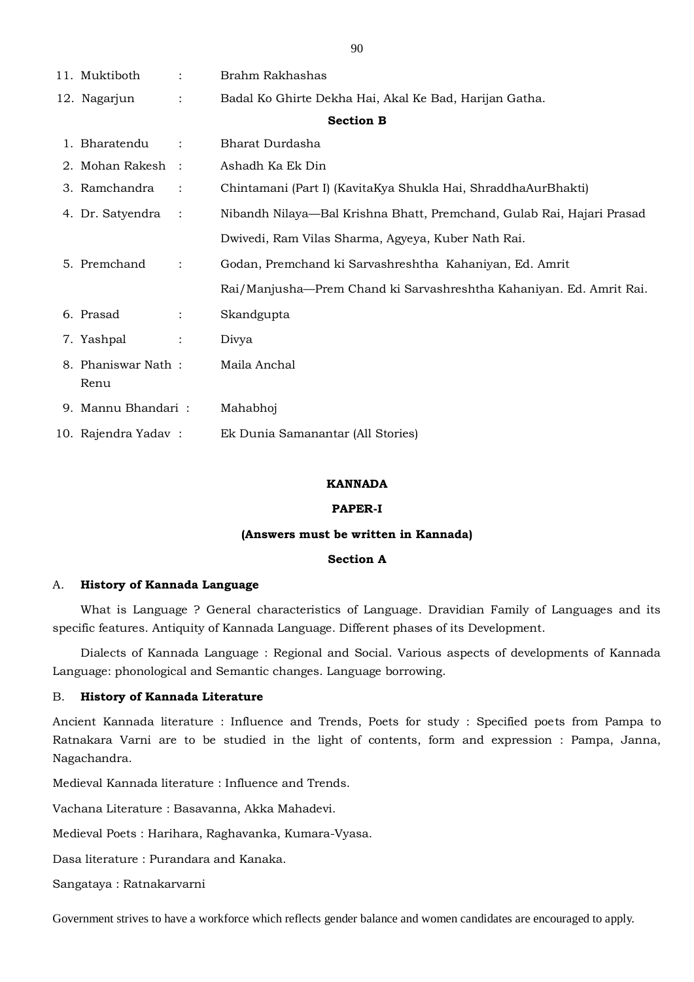| 11. Muktiboth       | $\ddot{\cdot}$       | Brahm Rakhashas                                                       |  |  |
|---------------------|----------------------|-----------------------------------------------------------------------|--|--|
| 12. Nagarjun        | $\ddot{\cdot}$       | Badal Ko Ghirte Dekha Hai, Akal Ke Bad, Harijan Gatha.                |  |  |
| <b>Section B</b>    |                      |                                                                       |  |  |
| 1. Bharatendu       |                      | Bharat Durdasha                                                       |  |  |
| 2. Mohan Rakesh     | $\mathbf{r}$         | Ashadh Ka Ek Din                                                      |  |  |
| 3. Ramchandra       | $\ddot{\cdot}$       | Chintamani (Part I) (KavitaKya Shukla Hai, ShraddhaAurBhakti)         |  |  |
| 4. Dr. Satyendra    | $\ddot{\phantom{a}}$ | Nibandh Nilaya—Bal Krishna Bhatt, Premchand, Gulab Rai, Hajari Prasad |  |  |
|                     |                      | Dwivedi, Ram Vilas Sharma, Agyeya, Kuber Nath Rai.                    |  |  |
| 5. Premchand        |                      | Godan, Premchand ki Sarvashreshtha Kahaniyan, Ed. Amrit               |  |  |
|                     |                      | Rai/Manjusha-Prem Chand ki Sarvashreshtha Kahaniyan. Ed. Amrit Rai.   |  |  |
| 6. Prasad           | $\ddot{\cdot}$       | Skandgupta                                                            |  |  |
| 7. Yashpal          | $\ddot{\cdot}$       | Divya                                                                 |  |  |
| 8. Phaniswar Nath:  |                      | Maila Anchal                                                          |  |  |
| Renu                |                      |                                                                       |  |  |
| 9. Mannu Bhandari:  |                      | Mahabhoj                                                              |  |  |
| 10. Rajendra Yadav: |                      | Ek Dunia Samanantar (All Stories)                                     |  |  |

### **KANNADA**

#### **PAPER-I**

#### **(Answers must be written in Kannada)**

## **Section A**

#### A. **History of Kannada Language**

 What is Language ? General characteristics of Language. Dravidian Family of Languages and its specific features. Antiquity of Kannada Language. Different phases of its Development.

 Dialects of Kannada Language : Regional and Social. Various aspects of developments of Kannada Language: phonological and Semantic changes. Language borrowing.

### B. **History of Kannada Literature**

Ancient Kannada literature : Influence and Trends, Poets for study : Specified poets from Pampa to Ratnakara Varni are to be studied in the light of contents, form and expression : Pampa, Janna, Nagachandra.

Medieval Kannada literature : Influence and Trends.

Vachana Literature : Basavanna, Akka Mahadevi.

Medieval Poets : Harihara, Raghavanka, Kumara-Vyasa.

Dasa literature : Purandara and Kanaka.

Sangataya : Ratnakarvarni

Government strives to have a workforce which reflects gender balance and women candidates are encouraged to apply.

90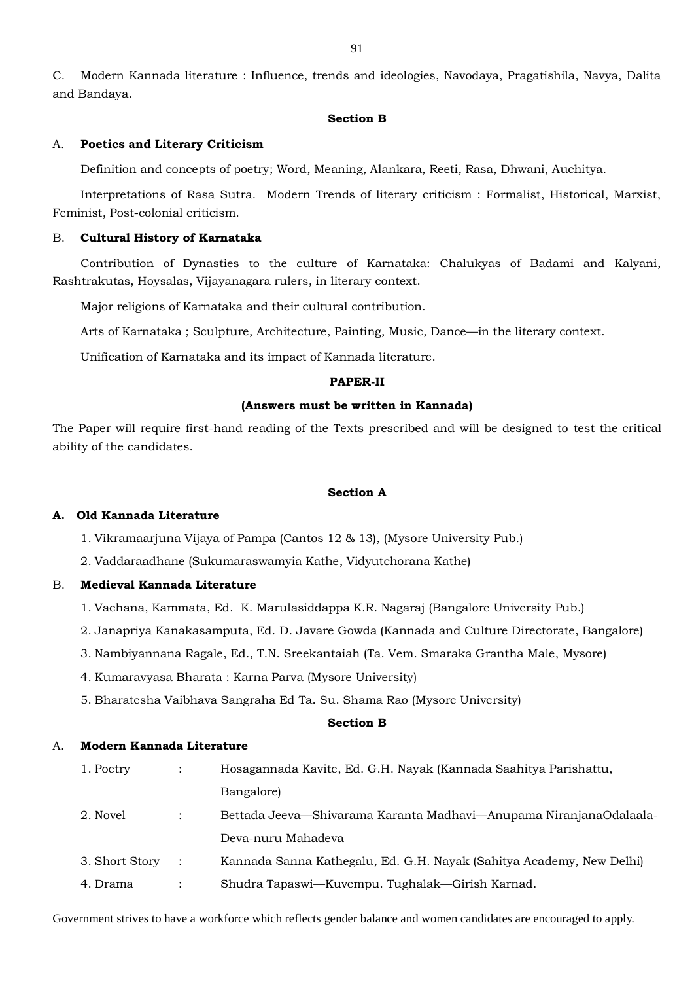C. Modern Kannada literature : Influence, trends and ideologies, Navodaya, Pragatishila, Navya, Dalita and Bandaya.

#### **Section B**

## A. **Poetics and Literary Criticism**

Definition and concepts of poetry; Word, Meaning, Alankara, Reeti, Rasa, Dhwani, Auchitya.

Interpretations of Rasa Sutra. Modern Trends of literary criticism : Formalist, Historical, Marxist, Feminist, Post-colonial criticism.

## B. **Cultural History of Karnataka**

Contribution of Dynasties to the culture of Karnataka: Chalukyas of Badami and Kalyani, Rashtrakutas, Hoysalas, Vijayanagara rulers, in literary context.

Major religions of Karnataka and their cultural contribution.

Arts of Karnataka ; Sculpture, Architecture, Painting, Music, Dance—in the literary context.

Unification of Karnataka and its impact of Kannada literature.

#### **PAPER-II**

#### **(Answers must be written in Kannada)**

The Paper will require first-hand reading of the Texts prescribed and will be designed to test the critical ability of the candidates.

## **Section A**

#### **A. Old Kannada Literature**

1. Vikramaarjuna Vijaya of Pampa (Cantos 12 & 13), (Mysore University Pub.)

2. Vaddaraadhane (Sukumaraswamyia Kathe, Vidyutchorana Kathe)

## B. **Medieval Kannada Literature**

- 1. Vachana, Kammata, Ed. K. Marulasiddappa K.R. Nagaraj (Bangalore University Pub.)
- 2. Janapriya Kanakasamputa, Ed. D. Javare Gowda (Kannada and Culture Directorate, Bangalore)
- 3. Nambiyannana Ragale, Ed., T.N. Sreekantaiah (Ta. Vem. Smaraka Grantha Male, Mysore)
- 4. Kumaravyasa Bharata : Karna Parva (Mysore University)
- 5. Bharatesha Vaibhava Sangraha Ed Ta. Su. Shama Rao (Mysore University)

#### **Section B**

## A. **Modern Kannada Literature**

| 1. Poetry      | Hosagannada Kavite, Ed. G.H. Nayak (Kannada Saahitya Parishattu,     |
|----------------|----------------------------------------------------------------------|
|                | Bangalore)                                                           |
| 2. Novel       | Bettada Jeeva—Shivarama Karanta Madhavi—Anupama NiranjanaOdalaala-   |
|                | Deva-nuru Mahadeva                                                   |
| 3. Short Story | Kannada Sanna Kathegalu, Ed. G.H. Nayak (Sahitya Academy, New Delhi) |
| 4. Drama       | Shudra Tapaswi—Kuvempu. Tughalak—Girish Karnad.                      |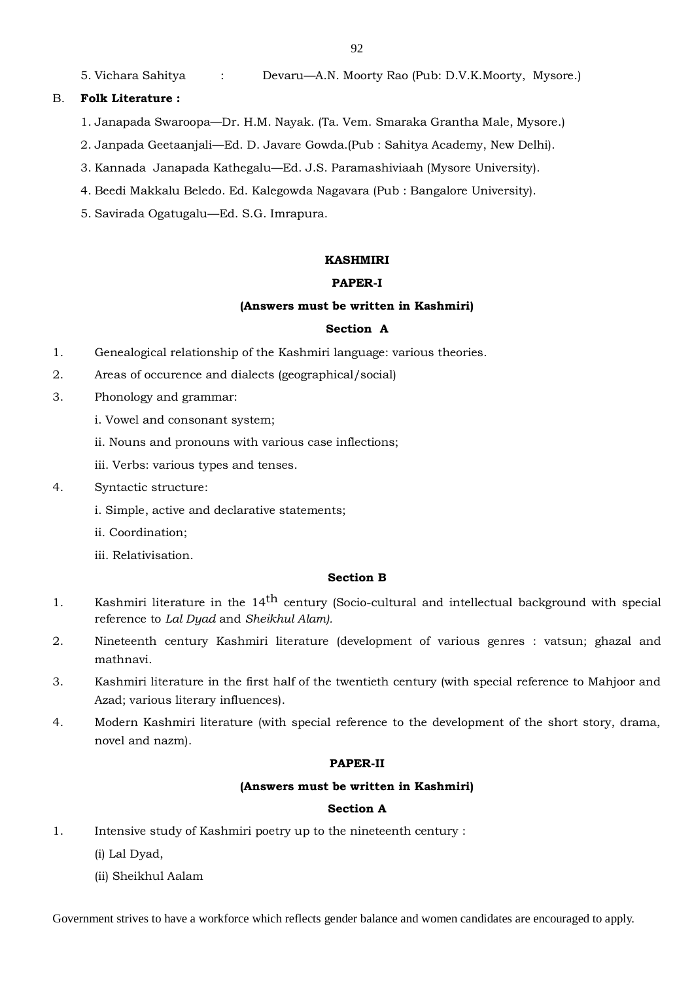5. Vichara Sahitya : Devaru—A.N. Moorty Rao (Pub: D.V.K.Moorty, Mysore.)

## B. **Folk Literature :**

- 1. Janapada Swaroopa—Dr. H.M. Nayak. (Ta. Vem. Smaraka Grantha Male, Mysore.)
- 2. Janpada Geetaanjali—Ed. D. Javare Gowda.(Pub : Sahitya Academy, New Delhi).
- 3. Kannada Janapada Kathegalu—Ed. J.S. Paramashiviaah (Mysore University).
- 4. Beedi Makkalu Beledo. Ed. Kalegowda Nagavara (Pub : Bangalore University).
- 5. Savirada Ogatugalu—Ed. S.G. Imrapura.

#### **KASHMIRI**

#### **PAPER-I**

#### **(Answers must be written in Kashmiri)**

## **Section A**

- 1. Genealogical relationship of the Kashmiri language: various theories.
- 2. Areas of occurence and dialects (geographical/social)
- 3. Phonology and grammar:
	- i. Vowel and consonant system;
	- ii. Nouns and pronouns with various case inflections;
	- iii. Verbs: various types and tenses.
- 4. Syntactic structure:
	- i. Simple, active and declarative statements;
	- ii. Coordination;
	- iii. Relativisation.

### **Section B**

- 1. Kashmiri literature in the 14<sup>th</sup> century (Socio-cultural and intellectual background with special reference to *Lal Dyad* and *Sheikhul Alam).*
- 2. Nineteenth century Kashmiri literature (development of various genres : vatsun; ghazal and mathnavi.
- 3. Kashmiri literature in the first half of the twentieth century (with special reference to Mahjoor and Azad; various literary influences).
- 4. Modern Kashmiri literature (with special reference to the development of the short story, drama, novel and nazm).

## **PAPER-II**

### **(Answers must be written in Kashmiri)**

#### **Section A**

- 1. Intensive study of Kashmiri poetry up to the nineteenth century :
	- (i) Lal Dyad,
	- (ii) Sheikhul Aalam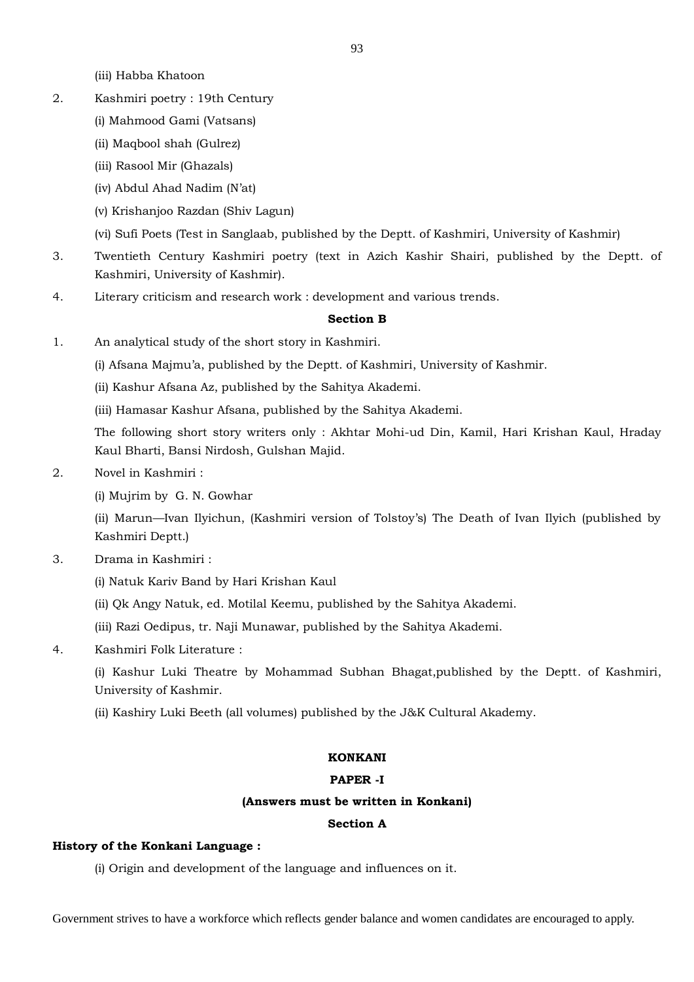(iii) Habba Khatoon

- 2. Kashmiri poetry : 19th Century
	- (i) Mahmood Gami (Vatsans)
	- (ii) Maqbool shah (Gulrez)
	- (iii) Rasool Mir (Ghazals)
	- (iv) Abdul Ahad Nadim (N'at)
	- (v) Krishanjoo Razdan (Shiv Lagun)
	- (vi) Sufi Poets (Test in Sanglaab, published by the Deptt. of Kashmiri, University of Kashmir)
- 3. Twentieth Century Kashmiri poetry (text in Azich Kashir Shairi, published by the Deptt. of Kashmiri, University of Kashmir).
- 4. Literary criticism and research work : development and various trends.

## **Section B**

- 1. An analytical study of the short story in Kashmiri.
	- (i) Afsana Majmu'a, published by the Deptt. of Kashmiri, University of Kashmir.
	- (ii) Kashur Afsana Az, published by the Sahitya Akademi.
	- (iii) Hamasar Kashur Afsana, published by the Sahitya Akademi.

The following short story writers only : Akhtar Mohi-ud Din, Kamil, Hari Krishan Kaul, Hraday Kaul Bharti, Bansi Nirdosh, Gulshan Majid.

- 2. Novel in Kashmiri :
	- (i) Mujrim by G. N. Gowhar

(ii) Marun—Ivan Ilyichun, (Kashmiri version of Tolstoy's) The Death of Ivan Ilyich (published by Kashmiri Deptt.)

- 3. Drama in Kashmiri :
	- (i) Natuk Kariv Band by Hari Krishan Kaul
	- (ii) Qk Angy Natuk, ed. Motilal Keemu, published by the Sahitya Akademi.
	- (iii) Razi Oedipus, tr. Naji Munawar, published by the Sahitya Akademi.
- 4. Kashmiri Folk Literature :

(i) Kashur Luki Theatre by Mohammad Subhan Bhagat,published by the Deptt. of Kashmiri, University of Kashmir.

(ii) Kashiry Luki Beeth (all volumes) published by the J&K Cultural Akademy.

# **KONKANI**

## **PAPER -I**

## **(Answers must be written in Konkani)**

## **Section A**

## **History of the Konkani Language :**

(i) Origin and development of the language and influences on it.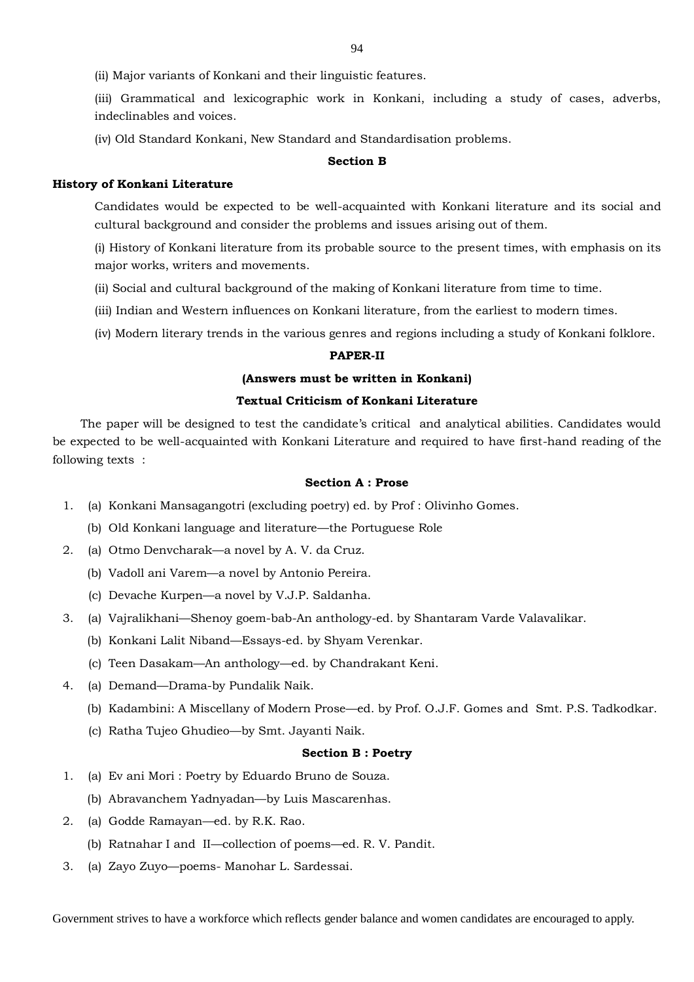(iii) Grammatical and lexicographic work in Konkani, including a study of cases, adverbs, indeclinables and voices.

(iv) Old Standard Konkani, New Standard and Standardisation problems.

#### **Section B**

### **History of Konkani Literature**

 Candidates would be expected to be well-acquainted with Konkani literature and its social and cultural background and consider the problems and issues arising out of them.

(i) History of Konkani literature from its probable source to the present times, with emphasis on its major works, writers and movements.

(ii) Social and cultural background of the making of Konkani literature from time to time.

(iii) Indian and Western influences on Konkani literature, from the earliest to modern times.

(iv) Modern literary trends in the various genres and regions including a study of Konkani folklore.

#### **PAPER-II**

## **(Answers must be written in Konkani)**

#### **Textual Criticism of Konkani Literature**

The paper will be designed to test the candidate's critical and analytical abilities. Candidates would be expected to be well-acquainted with Konkani Literature and required to have first-hand reading of the following texts :

## **Section A : Prose**

- 1. (a) Konkani Mansagangotri (excluding poetry) ed. by Prof : Olivinho Gomes.
	- (b) Old Konkani language and literature—the Portuguese Role
- 2. (a) Otmo Denvcharak—a novel by A. V. da Cruz.
	- (b) Vadoll ani Varem—a novel by Antonio Pereira.
	- (c) Devache Kurpen—a novel by V.J.P. Saldanha.
- 3. (a) Vajralikhani—Shenoy goem-bab-An anthology-ed. by Shantaram Varde Valavalikar.
	- (b) Konkani Lalit Niband—Essays-ed. by Shyam Verenkar.
	- (c) Teen Dasakam—An anthology—ed. by Chandrakant Keni.
- 4. (a) Demand—Drama-by Pundalik Naik.
	- (b) Kadambini: A Miscellany of Modern Prose—ed. by Prof. O.J.F. Gomes and Smt. P.S. Tadkodkar.
	- (c) Ratha Tujeo Ghudieo—by Smt. Jayanti Naik.

#### **Section B : Poetry**

- 1. (a) Ev ani Mori : Poetry by Eduardo Bruno de Souza.
	- (b) Abravanchem Yadnyadan—by Luis Mascarenhas.
- 2. (a) Godde Ramayan—ed. by R.K. Rao.
	- (b) Ratnahar I and II—collection of poems—ed. R. V. Pandit.
- 3. (a) Zayo Zuyo—poems- Manohar L. Sardessai.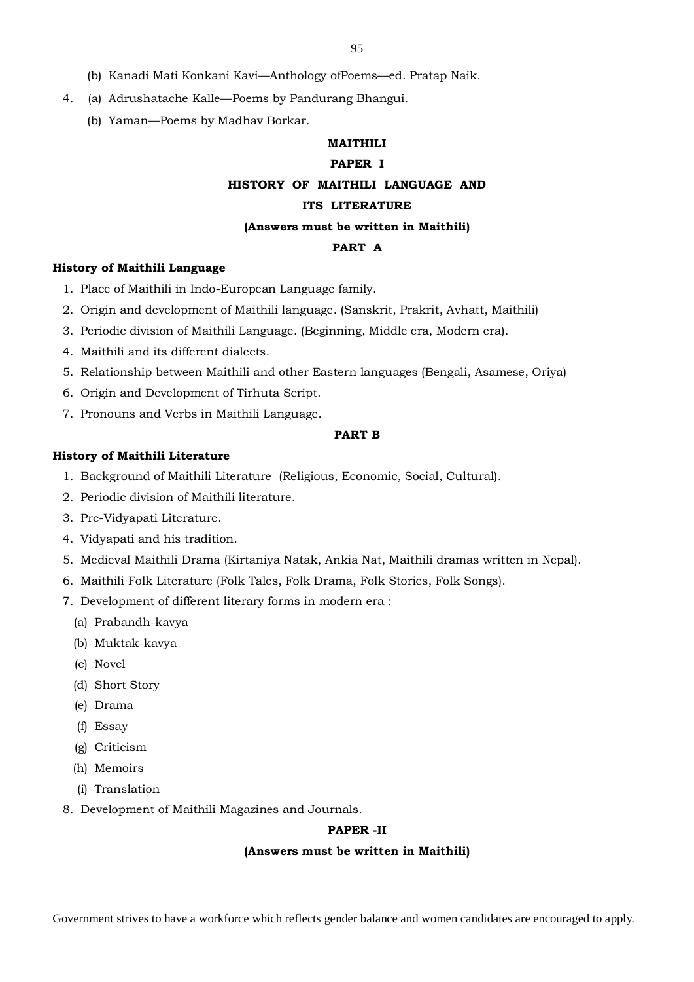- (b) Kanadi Mati Konkani Kavi—Anthology ofPoems—ed. Pratap Naik.
- 4. (a) Adrushatache Kalle—Poems by Pandurang Bhangui.
	- (b) Yaman—Poems by Madhav Borkar.

# **MAITHILI**

## **PAPER I**

# **HISTORY OF MAITHILI LANGUAGE AND**

## **ITS LITERATURE**

## **(Answers must be written in Maithili)**

#### **PART A**

## **History of Maithili Language**

- 1. Place of Maithili in Indo-European Language family.
- 2. Origin and development of Maithili language. (Sanskrit, Prakrit, Avhatt, Maithili)
- 3. Periodic division of Maithili Language. (Beginning, Middle era, Modern era).
- 4. Maithili and its different dialects.
- 5. Relationship between Maithili and other Eastern languages (Bengali, Asamese, Oriya)
- 6. Origin and Development of Tirhuta Script.
- 7. Pronouns and Verbs in Maithili Language.

#### **PART B**

## **History of Maithili Literature**

- 1. Background of Maithili Literature (Religious, Economic, Social, Cultural).
- 2. Periodic division of Maithili literature.
- 3. Pre-Vidyapati Literature.
- 4. Vidyapati and his tradition.
- 5. Medieval Maithili Drama (Kirtaniya Natak, Ankia Nat, Maithili dramas written in Nepal).
- 6. Maithili Folk Literature (Folk Tales, Folk Drama, Folk Stories, Folk Songs).
- 7. Development of different literary forms in modern era :
	- (a) Prabandh-kavya
	- (b) Muktak-kavya
	- (c) Novel
	- (d) Short Story
	- (e) Drama
	- (f) Essay
	- (g) Criticism
	- (h) Memoirs
	- (i) Translation
- 8. Development of Maithili Magazines and Journals.

#### **PAPER -II**

### **(Answers must be written in Maithili)**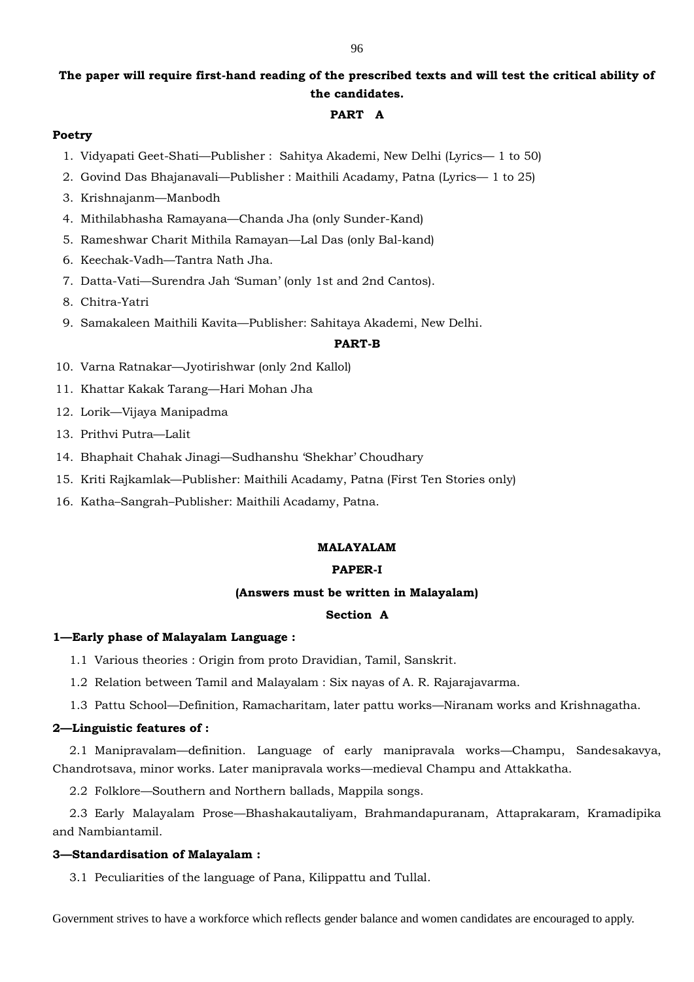# **The paper will require first-hand reading of the prescribed texts and will test the critical ability of the candidates.**

## **PART A**

## **Poetry**

- 1. Vidyapati Geet-Shati—Publisher : Sahitya Akademi, New Delhi (Lyrics— 1 to 50)
- 2. Govind Das Bhajanavali—Publisher : Maithili Acadamy, Patna (Lyrics— 1 to 25)
- 3. Krishnajanm—Manbodh
- 4. Mithilabhasha Ramayana—Chanda Jha (only Sunder-Kand)
- 5. Rameshwar Charit Mithila Ramayan—Lal Das (only Bal-kand)
- 6. Keechak-Vadh—Tantra Nath Jha.
- 7. Datta-Vati—Surendra Jah 'Suman' (only 1st and 2nd Cantos).
- 8. Chitra-Yatri
- 9. Samakaleen Maithili Kavita—Publisher: Sahitaya Akademi, New Delhi.

## **PART-B**

- 10. Varna Ratnakar—Jyotirishwar (only 2nd Kallol)
- 11. Khattar Kakak Tarang—Hari Mohan Jha
- 12. Lorik—Vijaya Manipadma
- 13. Prithvi Putra—Lalit
- 14. Bhaphait Chahak Jinagi—Sudhanshu 'Shekhar' Choudhary
- 15. Kriti Rajkamlak—Publisher: Maithili Acadamy, Patna (First Ten Stories only)
- 16. Katha–Sangrah–Publisher: Maithili Acadamy, Patna.

## **MALAYALAM**

## **PAPER-I**

## **(Answers must be written in Malayalam)**

## **Section A**

## **1—Early phase of Malayalam Language :**

1.1 Various theories : Origin from proto Dravidian, Tamil, Sanskrit.

- 1.2 Relation between Tamil and Malayalam : Six nayas of A. R. Rajarajavarma.
- 1.3 Pattu School—Definition, Ramacharitam, later pattu works—Niranam works and Krishnagatha.

## **2—Linguistic features of :**

2.1 Manipravalam—definition. Language of early manipravala works—Champu, Sandesakavya, Chandrotsava, minor works. Later manipravala works—medieval Champu and Attakkatha.

2.2 Folklore—Southern and Northern ballads, Mappila songs.

2.3 Early Malayalam Prose—Bhashakautaliyam, Brahmandapuranam, Attaprakaram, Kramadipika and Nambiantamil.

## **3—Standardisation of Malayalam :**

3.1 Peculiarities of the language of Pana, Kilippattu and Tullal.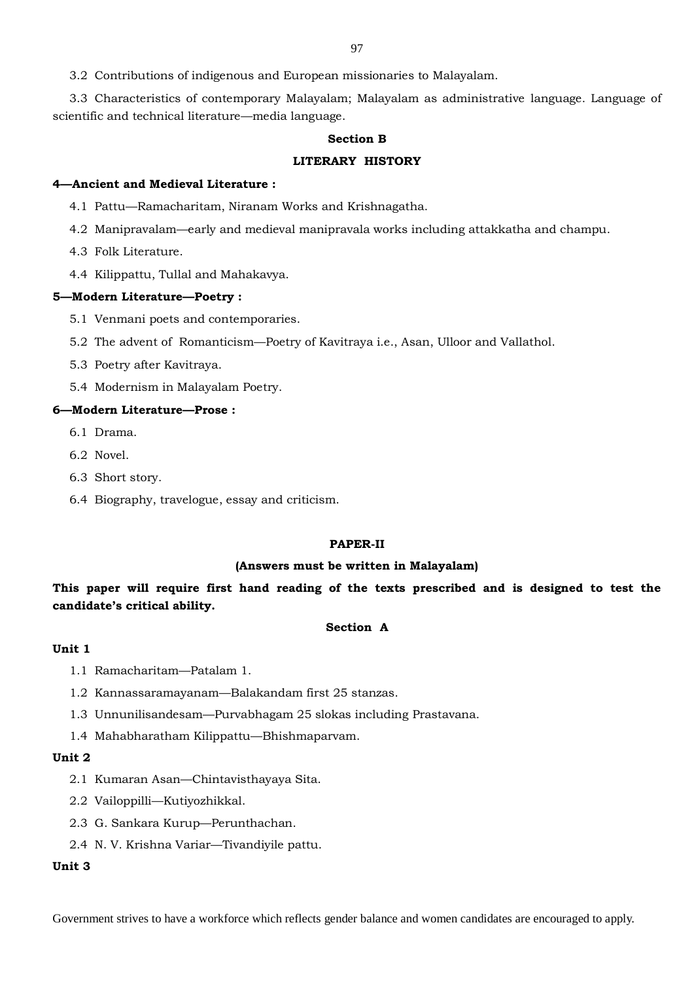3.2 Contributions of indigenous and European missionaries to Malayalam.

3.3 Characteristics of contemporary Malayalam; Malayalam as administrative language. Language of scientific and technical literature—media language.

### **Section B**

#### **LITERARY HISTORY**

### **4—Ancient and Medieval Literature :**

4.1 Pattu—Ramacharitam, Niranam Works and Krishnagatha.

- 4.2 Manipravalam—early and medieval manipravala works including attakkatha and champu.
- 4.3 Folk Literature.
- 4.4 Kilippattu, Tullal and Mahakavya.

#### **5—Modern Literature—Poetry :**

- 5.1 Venmani poets and contemporaries.
- 5.2 The advent of Romanticism—Poetry of Kavitraya i.e., Asan, Ulloor and Vallathol.
- 5.3 Poetry after Kavitraya.
- 5.4 Modernism in Malayalam Poetry.

## **6—Modern Literature—Prose :**

- 6.1 Drama.
- 6.2 Novel.
- 6.3 Short story.
- 6.4 Biography, travelogue, essay and criticism.

## **PAPER-II**

#### **(Answers must be written in Malayalam)**

**This paper will require first hand reading of the texts prescribed and is designed to test the candidate's critical ability.**

#### **Section A**

## **Unit 1**

- 1.1 Ramacharitam—Patalam 1.
- 1.2 Kannassaramayanam—Balakandam first 25 stanzas.
- 1.3 Unnunilisandesam—Purvabhagam 25 slokas including Prastavana.
- 1.4 Mahabharatham Kilippattu—Bhishmaparvam.

#### **Unit 2**

- 2.1 Kumaran Asan—Chintavisthayaya Sita.
- 2.2 Vailoppilli—Kutiyozhikkal.
- 2.3 G. Sankara Kurup—Perunthachan.
- 2.4 N. V. Krishna Variar—Tivandiyile pattu.

# **Unit 3**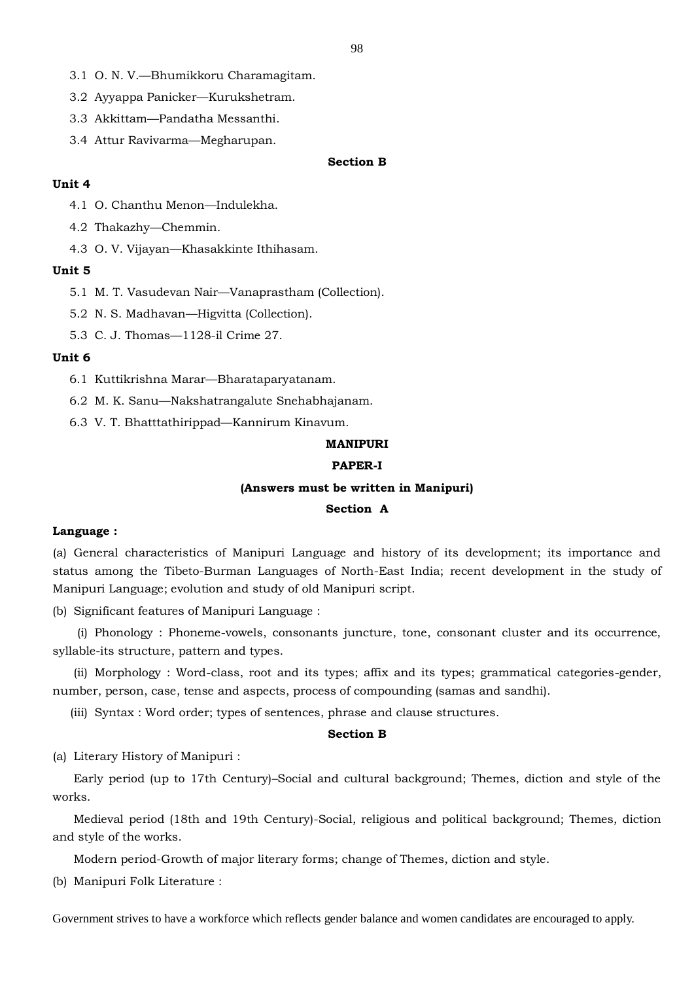- 3.1 O. N. V.—Bhumikkoru Charamagitam.
- 3.2 Ayyappa Panicker—Kurukshetram.
- 3.3 Akkittam—Pandatha Messanthi.
- 3.4 Attur Ravivarma—Megharupan.

# **Section B**

#### **Unit 4**

- 4.1 O. Chanthu Menon—Indulekha.
- 4.2 Thakazhy—Chemmin.
- 4.3 O. V. Vijayan—Khasakkinte Ithihasam.

#### **Unit 5**

- 5.1 M. T. Vasudevan Nair—Vanaprastham (Collection).
- 5.2 N. S. Madhavan—Higvitta (Collection).
- 5.3 C. J. Thomas—1128-il Crime 27.

#### **Unit 6**

- 6.1 Kuttikrishna Marar—Bharataparyatanam.
- 6.2 M. K. Sanu—Nakshatrangalute Snehabhajanam.
- 6.3 V. T. Bhatttathirippad—Kannirum Kinavum.

## **MANIPURI**

## **PAPER-I**

#### **(Answers must be written in Manipuri)**

#### **Section A**

## **Language :**

(a) General characteristics of Manipuri Language and history of its development; its importance and status among the Tibeto-Burman Languages of North-East India; recent development in the study of Manipuri Language; evolution and study of old Manipuri script.

(b) Significant features of Manipuri Language :

(i) Phonology : Phoneme-vowels, consonants juncture, tone, consonant cluster and its occurrence, syllable-its structure, pattern and types.

(ii) Morphology : Word-class, root and its types; affix and its types; grammatical categories-gender, number, person, case, tense and aspects, process of compounding (samas and sandhi).

(iii) Syntax : Word order; types of sentences, phrase and clause structures.

## **Section B**

(a) Literary History of Manipuri :

Early period (up to 17th Century)–Social and cultural background; Themes, diction and style of the works.

Medieval period (18th and 19th Century)-Social, religious and political background; Themes, diction and style of the works.

Modern period-Growth of major literary forms; change of Themes, diction and style.

(b) Manipuri Folk Literature :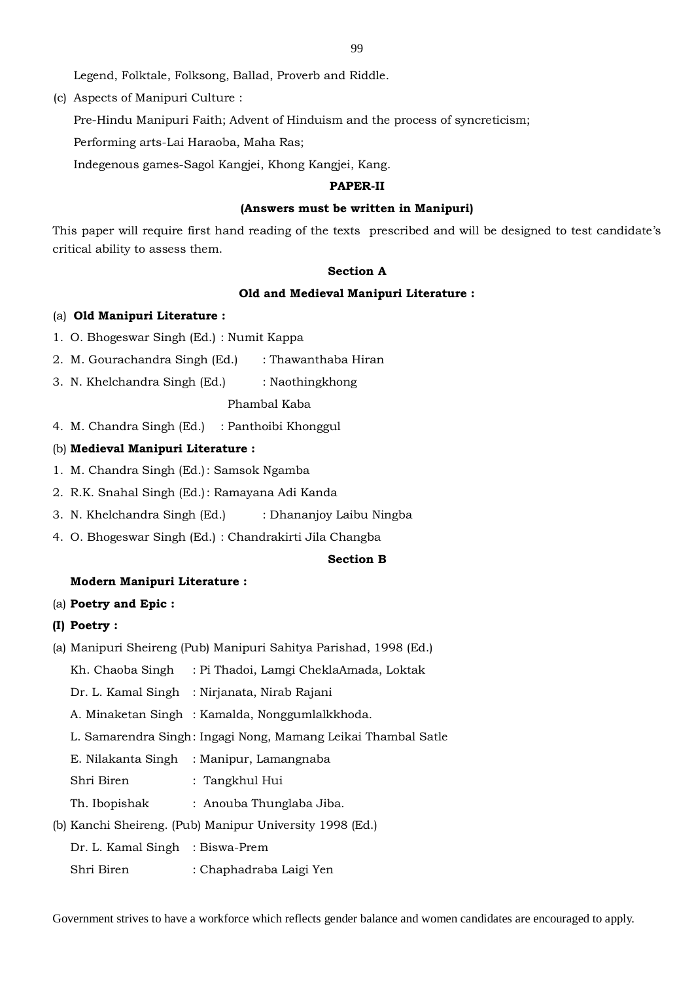Legend, Folktale, Folksong, Ballad, Proverb and Riddle.

(c) Aspects of Manipuri Culture :

Pre-Hindu Manipuri Faith; Advent of Hinduism and the process of syncreticism;

Performing arts-Lai Haraoba, Maha Ras;

Indegenous games-Sagol Kangjei, Khong Kangjei, Kang.

### **PAPER-II**

#### **(Answers must be written in Manipuri)**

This paper will require first hand reading of the texts prescribed and will be designed to test candidate's critical ability to assess them.

#### **Section A**

#### **Old and Medieval Manipuri Literature :**

#### (a) **Old Manipuri Literature :**

- 1. O. Bhogeswar Singh (Ed.) : Numit Kappa
- 2. M. Gourachandra Singh (Ed.) : Thawanthaba Hiran
- 3. N. Khelchandra Singh (Ed.) : Naothingkhong

## Phambal Kaba

4. M. Chandra Singh (Ed.) : Panthoibi Khonggul

### (b) **Medieval Manipuri Literature :**

- 1. M. Chandra Singh (Ed.): Samsok Ngamba
- 2. R.K. Snahal Singh (Ed.): Ramayana Adi Kanda
- 3. N. Khelchandra Singh (Ed.) : Dhananjoy Laibu Ningba
- 4. O. Bhogeswar Singh (Ed.) : Chandrakirti Jila Changba

#### **Section B**

#### **Modern Manipuri Literature :**

#### (a) **Poetry and Epic :**

#### **(I) Poetry :**

- (a) Manipuri Sheireng (Pub) Manipuri Sahitya Parishad, 1998 (Ed.)
	- Kh. Chaoba Singh : Pi Thadoi, Lamgi CheklaAmada, Loktak
	- Dr. L. Kamal Singh : Nirjanata, Nirab Rajani
	- A. Minaketan Singh : Kamalda, Nonggumlalkkhoda.
	- L. Samarendra Singh: Ingagi Nong, Mamang Leikai Thambal Satle
	- E. Nilakanta Singh : Manipur, Lamangnaba
	- Shri Biren : Tangkhul Hui
	- Th. Ibopishak : Anouba Thunglaba Jiba.

## (b) Kanchi Sheireng. (Pub) Manipur University 1998 (Ed.)

- Dr. L. Kamal Singh : Biswa-Prem
- Shri Biren : Chaphadraba Laigi Yen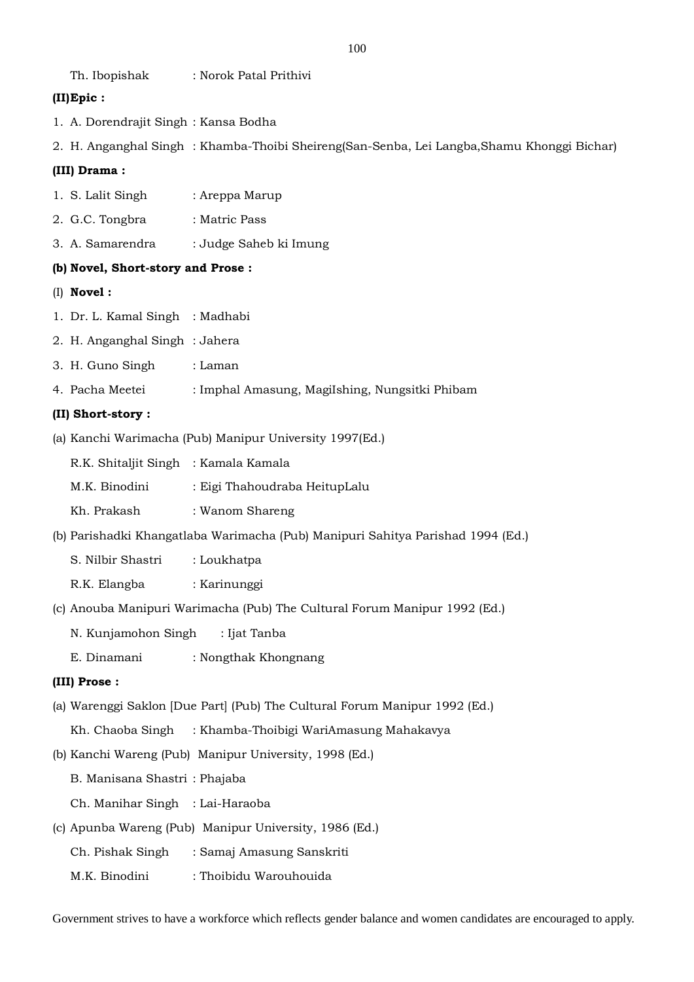Th. Ibopishak : Norok Patal Prithivi

# **(II)Epic :**

- 1. A. Dorendrajit Singh : Kansa Bodha
- 2. H. Anganghal Singh : Khamba-Thoibi Sheireng(San-Senba, Lei Langba,Shamu Khonggi Bichar)

# **(III) Drama :**

- 1. S. Lalit Singh : Areppa Marup
- 2. G.C. Tongbra : Matric Pass
- 3. A. Samarendra : Judge Saheb ki Imung

# **(b) Novel, Short-story and Prose :**

- (I) **Novel :**
- 1. Dr. L. Kamal Singh : Madhabi
- 2. H. Anganghal Singh : Jahera
- 3. H. Guno Singh : Laman
- 4. Pacha Meetei : Imphal Amasung, MagiIshing, Nungsitki Phibam

# **(II) Short-story :**

(a) Kanchi Warimacha (Pub) Manipur University 1997(Ed.)

| R.K. Shitaljit Singh   : Kamala Kamala |  |
|----------------------------------------|--|
|                                        |  |

- M.K. Binodini : Eigi Thahoudraba HeitupLalu
- Kh. Prakash : Wanom Shareng
- (b) Parishadki Khangatlaba Warimacha (Pub) Manipuri Sahitya Parishad 1994 (Ed.)
	- S. Nilbir Shastri : Loukhatpa
	- R.K. Elangba : Karinunggi
- (c) Anouba Manipuri Warimacha (Pub) The Cultural Forum Manipur 1992 (Ed.)
	- N. Kunjamohon Singh : Ijat Tanba
	- E. Dinamani : Nongthak Khongnang

# **(III) Prose :**

(a) Warenggi Saklon [Due Part] (Pub) The Cultural Forum Manipur 1992 (Ed.)

Kh. Chaoba Singh : Khamba-Thoibigi WariAmasung Mahakavya

(b) Kanchi Wareng (Pub) Manipur University, 1998 (Ed.)

B. Manisana Shastri : Phajaba

Ch. Manihar Singh : Lai-Haraoba

- (c) Apunba Wareng (Pub) Manipur University, 1986 (Ed.)
	- Ch. Pishak Singh : Samaj Amasung Sanskriti
	- M.K. Binodini : Thoibidu Warouhouida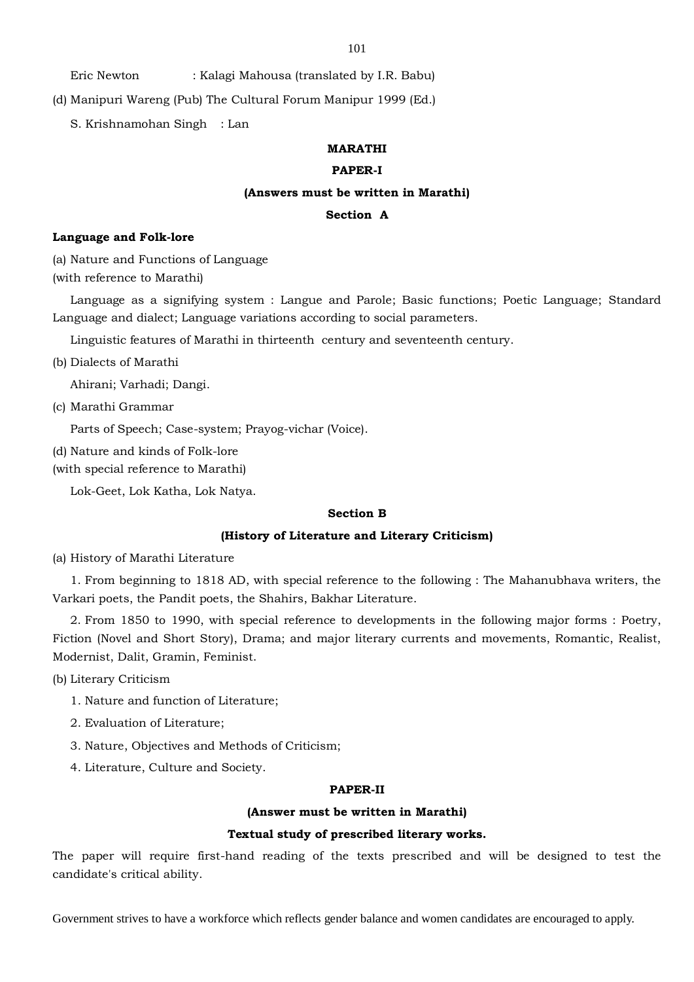101

Eric Newton : Kalagi Mahousa (translated by I.R. Babu)

(d) Manipuri Wareng (Pub) The Cultural Forum Manipur 1999 (Ed.)

S. Krishnamohan Singh : Lan

# **MARATHI**

# **PAPER-I**

#### **(Answers must be written in Marathi)**

# **Section A**

### **Language and Folk-lore**

(a) Nature and Functions of Language (with reference to Marathi)

Language as a signifying system : Langue and Parole; Basic functions; Poetic Language; Standard Language and dialect; Language variations according to social parameters.

Linguistic features of Marathi in thirteenth century and seventeenth century.

(b) Dialects of Marathi

Ahirani; Varhadi; Dangi.

(c) Marathi Grammar

Parts of Speech; Case-system; Prayog-vichar (Voice).

(d) Nature and kinds of Folk-lore

(with special reference to Marathi)

Lok-Geet, Lok Katha, Lok Natya.

#### **Section B**

# **(History of Literature and Literary Criticism)**

(a) History of Marathi Literature

1. From beginning to 1818 AD, with special reference to the following : The Mahanubhava writers, the Varkari poets, the Pandit poets, the Shahirs, Bakhar Literature.

2. From 1850 to 1990, with special reference to developments in the following major forms : Poetry, Fiction (Novel and Short Story), Drama; and major literary currents and movements, Romantic, Realist, Modernist, Dalit, Gramin, Feminist.

(b) Literary Criticism

- 1. Nature and function of Literature;
- 2. Evaluation of Literature;
- 3. Nature, Objectives and Methods of Criticism;
- 4. Literature, Culture and Society.

#### **PAPER-II**

#### **(Answer must be written in Marathi)**

#### **Textual study of prescribed literary works.**

The paper will require first-hand reading of the texts prescribed and will be designed to test the candidate's critical ability.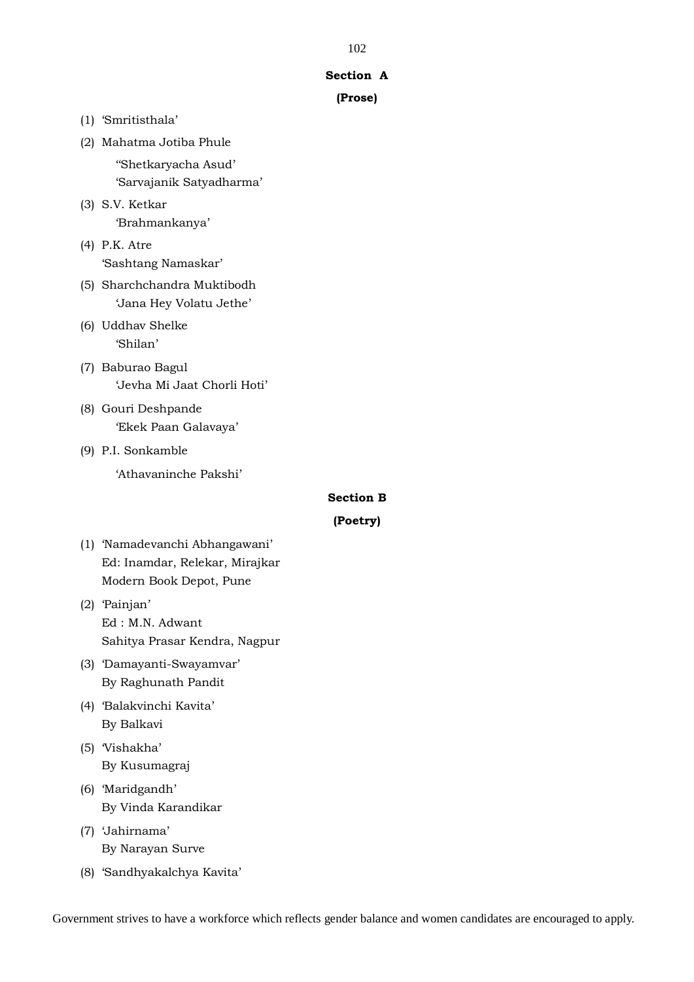### **Section A**

# **(Prose)**

**Section B**

**(Poetry)**

| (1) 'Smritisthala'             |
|--------------------------------|
| (2) Mahatma Jotiba Phule       |
| "Shetkaryacha Asud'            |
| 'Sarvajanik Satyadharma'       |
| (3) S.V. Ketkar                |
| 'Brahmankanya'                 |
| (4) P.K. Atre                  |
| 'Sashtang Namaskar'            |
| (5) Sharchchandra Muktibodh    |
| 'Jana Hey Volatu Jethe'        |
| (6) Uddhav Shelke              |
| 'Shilan'                       |
| (7) Baburao Bagul              |
| 'Jevha Mi Jaat Chorli Hoti'    |
| (8) Gouri Deshpande            |
| 'Ekek Paan Galavaya'           |
| (9) P.I. Sonkamble             |
| 'Athavaninche Pakshi'          |
|                                |
|                                |
| (1) Namadevanchi Abhangawani'  |
| Ed: Inamdar, Relekar, Mirajkar |
| Modern Book Depot, Pune        |

- (2) 'Painjan' Ed : M.N. Adwant Sahitya Prasar Kendra, Nagpur
- (3) 'Damayanti-Swayamvar' By Raghunath Pandit
- (4) 'Balakvinchi Kavita' By Balkavi
- (5) 'Vishakha' By Kusumagraj
- (6) 'Maridgandh' By Vinda Karandikar
- (7) 'Jahirnama' By Narayan Surve
- (8) 'Sandhyakalchya Kavita'

Government strives to have a workforce which reflects gender balance and women candidates are encouraged to apply.

## 102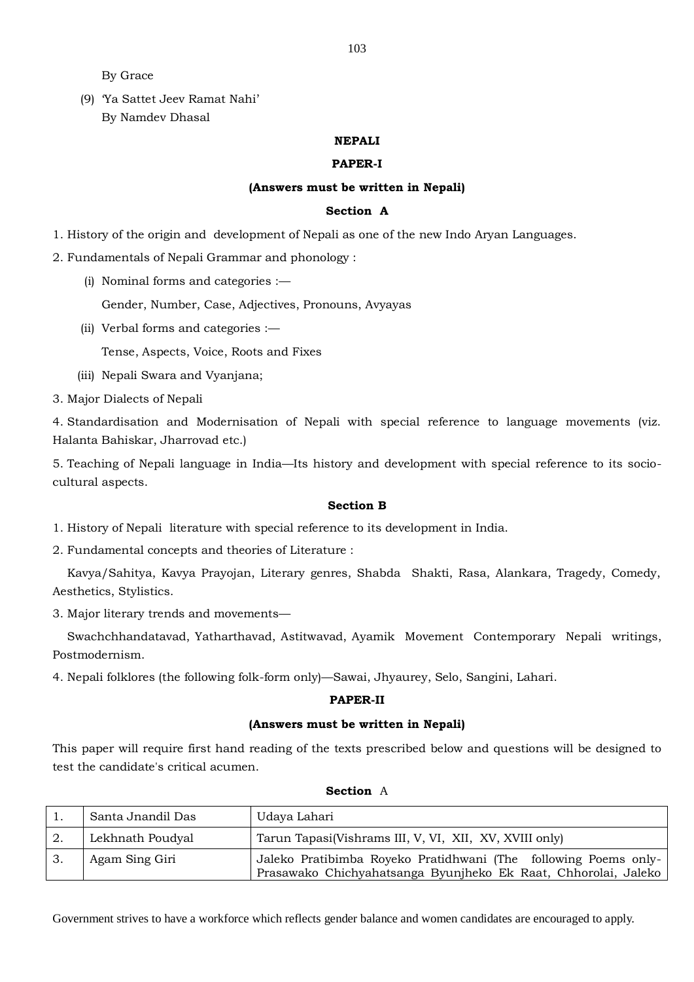By Grace

(9) 'Ya Sattet Jeev Ramat Nahi' By Namdev Dhasal

## **NEPALI**

### **PAPER-I**

# **(Answers must be written in Nepali)**

# **Section A**

1. History of the origin and development of Nepali as one of the new Indo Aryan Languages.

2. Fundamentals of Nepali Grammar and phonology :

(i) Nominal forms and categories :—

Gender, Number, Case, Adjectives, Pronouns, Avyayas

(ii) Verbal forms and categories :—

Tense, Aspects, Voice, Roots and Fixes

(iii) Nepali Swara and Vyanjana;

3. Major Dialects of Nepali

4. Standardisation and Modernisation of Nepali with special reference to language movements (viz. Halanta Bahiskar, Jharrovad etc.)

5. Teaching of Nepali language in India—Its history and development with special reference to its sociocultural aspects.

# **Section B**

1. History of Nepali literature with special reference to its development in India.

2. Fundamental concepts and theories of Literature :

 Kavya/Sahitya, Kavya Prayojan, Literary genres, Shabda Shakti, Rasa, Alankara, Tragedy, Comedy, Aesthetics, Stylistics.

3. Major literary trends and movements—

 Swachchhandatavad, Yatharthavad, Astitwavad, Ayamik Movement Contemporary Nepali writings, Postmodernism.

4. Nepali folklores (the following folk-form only)—Sawai, Jhyaurey, Selo, Sangini, Lahari.

## **PAPER-II**

# **(Answers must be written in Nepali)**

This paper will require first hand reading of the texts prescribed below and questions will be designed to test the candidate's critical acumen.

| Santa Jnandil Das | Udaya Lahari                                                                                                                      |
|-------------------|-----------------------------------------------------------------------------------------------------------------------------------|
| Lekhnath Poudyal  | Tarun Tapasi(Vishrams III, V, VI, XII, XV, XVIII only)                                                                            |
| Agam Sing Giri    | Jaleko Pratibimba Royeko Pratidhwani (The following Poems only-<br>Prasawako Chichyahatsanga Byunjheko Ek Raat, Chhorolai, Jaleko |

# **Section** A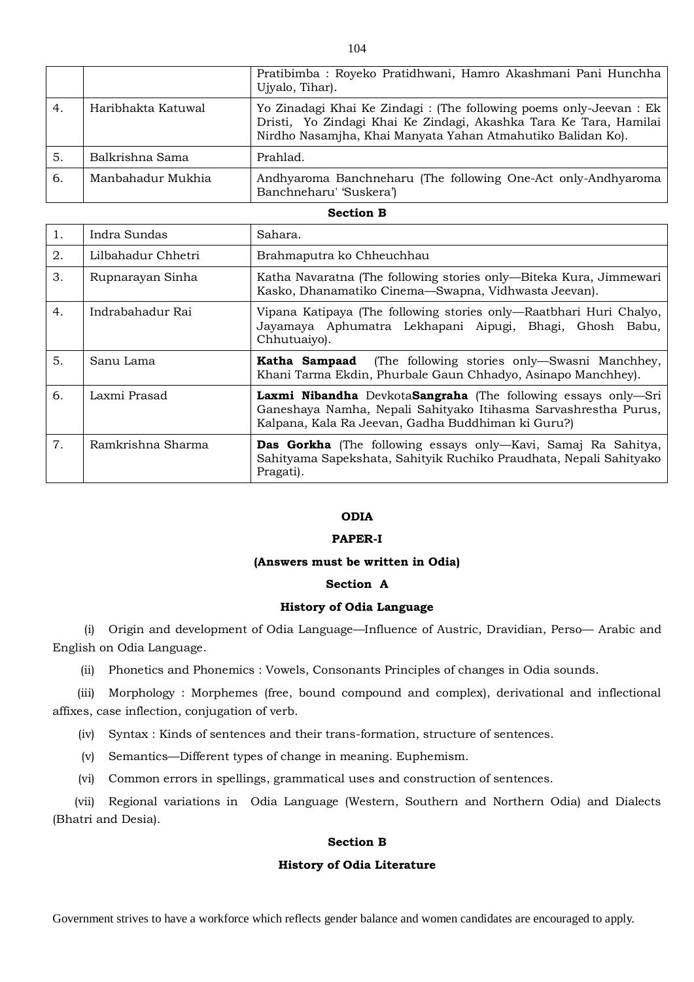|    |                    | Pratibimba: Royeko Pratidhwani, Hamro Akashmani Pani Hunchha<br>Ujyalo, Tihar).                                                                                                                         |
|----|--------------------|---------------------------------------------------------------------------------------------------------------------------------------------------------------------------------------------------------|
| 4. | Haribhakta Katuwal | Yo Zinadagi Khai Ke Zindagi : (The following poems only-Jeevan : Ek<br>Dristi, Yo Zindagi Khai Ke Zindagi, Akashka Tara Ke Tara, Hamilai<br>Nirdho Nasamjha, Khai Manyata Yahan Atmahutiko Balidan Ko). |
| 5. | Balkrishna Sama    | Prahlad.                                                                                                                                                                                                |
| 6. | Manbahadur Mukhia  | Andhyaroma Banchneharu (The following One-Act only-Andhyaroma<br>Banchneharu' 'Suskera')                                                                                                                |

#### **Section B**

| 1. | Indra Sundas       | Sahara.                                                                                                                                                                                |
|----|--------------------|----------------------------------------------------------------------------------------------------------------------------------------------------------------------------------------|
| 2. | Lilbahadur Chhetri | Brahmaputra ko Chheuchhau                                                                                                                                                              |
| 3. | Rupnarayan Sinha   | Katha Navaratna (The following stories only—Biteka Kura, Jimmewari<br>Kasko, Dhanamatiko Cinema-Swapna, Vidhwasta Jeevan).                                                             |
| 4. | Indrabahadur Rai   | Vipana Katipaya (The following stories only-Raatbhari Huri Chalyo,<br>Jayamaya Aphumatra Lekhapani Aipugi, Bhagi, Ghosh Babu,<br>Chhutuaiyo).                                          |
| 5. | Sanu Lama          | <b>Katha Sampaad</b> (The following stories only—Swasni Manchhey,<br>Khani Tarma Ekdin, Phurbale Gaun Chhadyo, Asinapo Manchhey).                                                      |
| 6. | Laxmi Prasad       | Laxmi Nibandha DevkotaSangraha (The following essays only-Sri<br>Ganeshaya Namha, Nepali Sahityako Itihasma Sarvashrestha Purus,<br>Kalpana, Kala Ra Jeevan, Gadha Buddhiman ki Guru?) |
| 7. | Ramkrishna Sharma  | <b>Das Gorkha</b> (The following essays only—Kavi, Samaj Ra Sahitya,<br>Sahityama Sapekshata, Sahityik Ruchiko Praudhata, Nepali Sahityako<br>Pragati).                                |

# **ODIA**

# **PAPER-I**

#### **(Answers must be written in Odia)**

# **Section A**

# **History of Odia Language**

(i) Origin and development of Odia Language—Influence of Austric, Dravidian, Perso— Arabic and English on Odia Language.

(ii) Phonetics and Phonemics : Vowels, Consonants Principles of changes in Odia sounds.

(iii) Morphology : Morphemes (free, bound compound and complex), derivational and inflectional affixes, case inflection, conjugation of verb.

(iv) Syntax : Kinds of sentences and their trans-formation, structure of sentences.

(v) Semantics—Different types of change in meaning. Euphemism.

(vi) Common errors in spellings, grammatical uses and construction of sentences.

(vii) Regional variations in Odia Language (Western, Southern and Northern Odia) and Dialects (Bhatri and Desia).

# **Section B**

## **History of Odia Literature**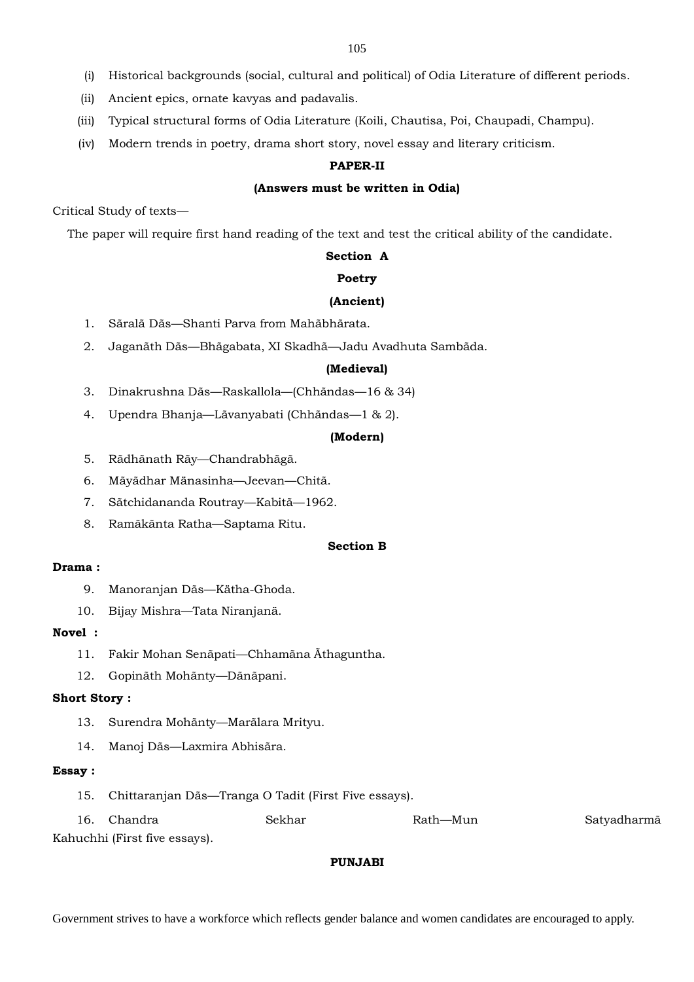- (i) Historical backgrounds (social, cultural and political) of Odia Literature of different periods.
- (ii) Ancient epics, ornate kavyas and padavalis.
- (iii) Typical structural forms of Odia Literature (Koili, Chautisa, Poi, Chaupadi, Champu).
- (iv) Modern trends in poetry, drama short story, novel essay and literary criticism.

# **PAPER-II**

## **(Answers must be written in Odia)**

Critical Study of texts—

The paper will require first hand reading of the text and test the critical ability of the candidate.

# **Section A**

#### **Poetry**

#### **(Ancient)**

- 1. Sãralã Dãs—Shanti Parva from Mahãbhãrata.
- 2. Jaganãth Dãs—Bhãgabata, XI Skadhã—Jadu Avadhuta Sambãda.

#### **(Medieval)**

- 3. Dinakrushna Dãs—Raskallola—(Chhãndas—16 & 34)
- 4. Upendra Bhanja—Lãvanyabati (Chhãndas—1 & 2).

## **(Modern)**

- 5. Rãdhãnath Rãy—Chandrabhãgã.
- 6. Mãyãdhar Mänasinha—Jeevan—Chitã.
- 7. Sãtchidananda Routray—Kabitã—1962.
- 8. Ramãkãnta Ratha—Saptama Ritu.

# **Section B**

# **Drama :**

- 9. Manoranjan Dãs—Kätha-Ghoda.
- 10. Bijay Mishra—Tata Niranjanä.

# **Novel :**

- 11. Fakir Mohan Senãpati—Chhamãna Ãthaguntha.
- 12. Gopinãth Mohãnty—Dãnãpani.

# **Short Story :**

- 13. Surendra Mohãnty—Marãlara Mrityu.
- 14. Manoj Dãs—Laxmira Abhisãra.

#### **Essay :**

15. Chittaranjan Dãs—Tranga O Tadit (First Five essays).

| 16. Chandra                          | Sekhar | Rath—Mun | Satyadharmã |
|--------------------------------------|--------|----------|-------------|
| $\zeta_0$ buchhi (First fiya assova) |        |          |             |

Kahuchhi (First five essays).

# **PUNJABI**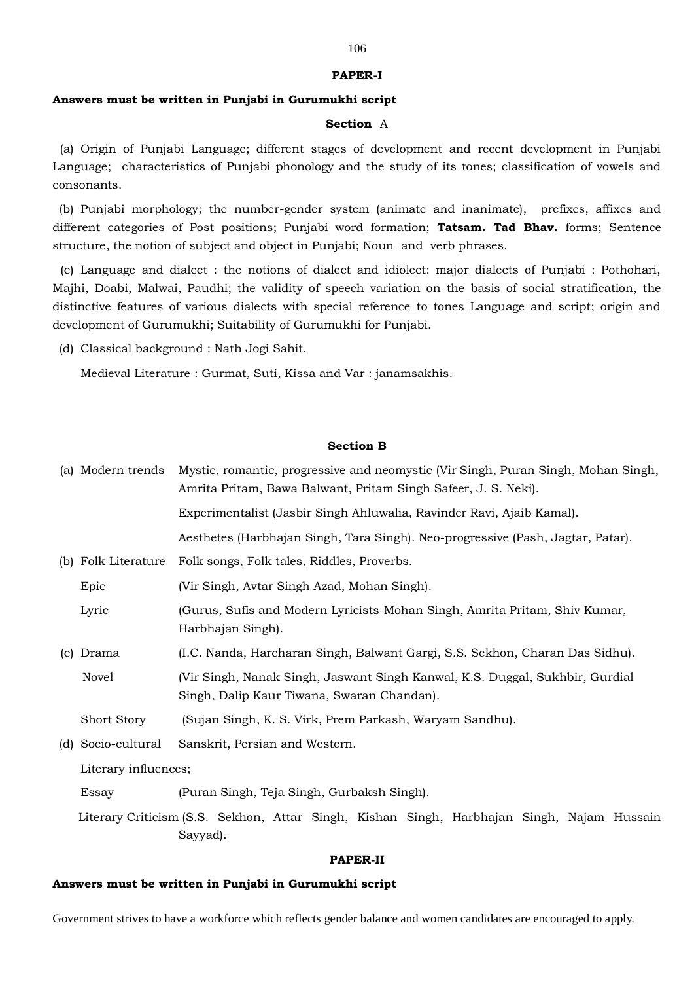#### **PAPER-I**

### **Answers must be written in Punjabi in Gurumukhi script**

#### **Section** A

(a) Origin of Punjabi Language; different stages of development and recent development in Punjabi Language; characteristics of Punjabi phonology and the study of its tones; classification of vowels and consonants.

(b) Punjabi morphology; the number-gender system (animate and inanimate), prefixes, affixes and different categories of Post positions; Punjabi word formation; **Tatsam. Tad Bhav.** forms; Sentence structure, the notion of subject and object in Punjabi; Noun and verb phrases.

(c) Language and dialect : the notions of dialect and idiolect: major dialects of Punjabi : Pothohari, Majhi, Doabi, Malwai, Paudhi; the validity of speech variation on the basis of social stratification, the distinctive features of various dialects with special reference to tones Language and script; origin and development of Gurumukhi; Suitability of Gurumukhi for Punjabi.

(d) Classical background : Nath Jogi Sahit.

Medieval Literature : Gurmat, Suti, Kissa and Var : janamsakhis.

#### **Section B**

|                           | (a) Modern trends      | Mystic, romantic, progressive and neomystic (Vir Singh, Puran Singh, Mohan Singh,<br>Amrita Pritam, Bawa Balwant, Pritam Singh Safeer, J. S. Neki). |
|---------------------------|------------------------|-----------------------------------------------------------------------------------------------------------------------------------------------------|
|                           |                        | Experimentalist (Jasbir Singh Ahluwalia, Ravinder Ravi, Ajaib Kamal).                                                                               |
|                           |                        | Aesthetes (Harbhajan Singh, Tara Singh). Neo-progressive (Pash, Jagtar, Patar).                                                                     |
| (b)                       | Folk Literature        | Folk songs, Folk tales, Riddles, Proverbs.                                                                                                          |
|                           | Epic                   | (Vir Singh, Avtar Singh Azad, Mohan Singh).                                                                                                         |
|                           | Lyric                  | (Gurus, Sufis and Modern Lyricists-Mohan Singh, Amrita Pritam, Shiv Kumar,<br>Harbhajan Singh).                                                     |
| $\left( \text{c} \right)$ | Drama                  | (I.C. Nanda, Harcharan Singh, Balwant Gargi, S.S. Sekhon, Charan Das Sidhu).                                                                        |
|                           | Novel                  | (Vir Singh, Nanak Singh, Jaswant Singh Kanwal, K.S. Duggal, Sukhbir, Gurdial<br>Singh, Dalip Kaur Tiwana, Swaran Chandan).                          |
|                           | <b>Short Story</b>     | (Sujan Singh, K. S. Virk, Prem Parkash, Waryam Sandhu).                                                                                             |
| (d)                       | Socio-cultural         | Sanskrit, Persian and Western.                                                                                                                      |
|                           | $I$ iterate influences |                                                                                                                                                     |

Literary influences;

Essay (Puran Singh, Teja Singh, Gurbaksh Singh).

 Literary Criticism (S.S. Sekhon, Attar Singh, Kishan Singh, Harbhajan Singh, Najam Hussain Sayyad).

#### **PAPER-II**

#### **Answers must be written in Punjabi in Gurumukhi script**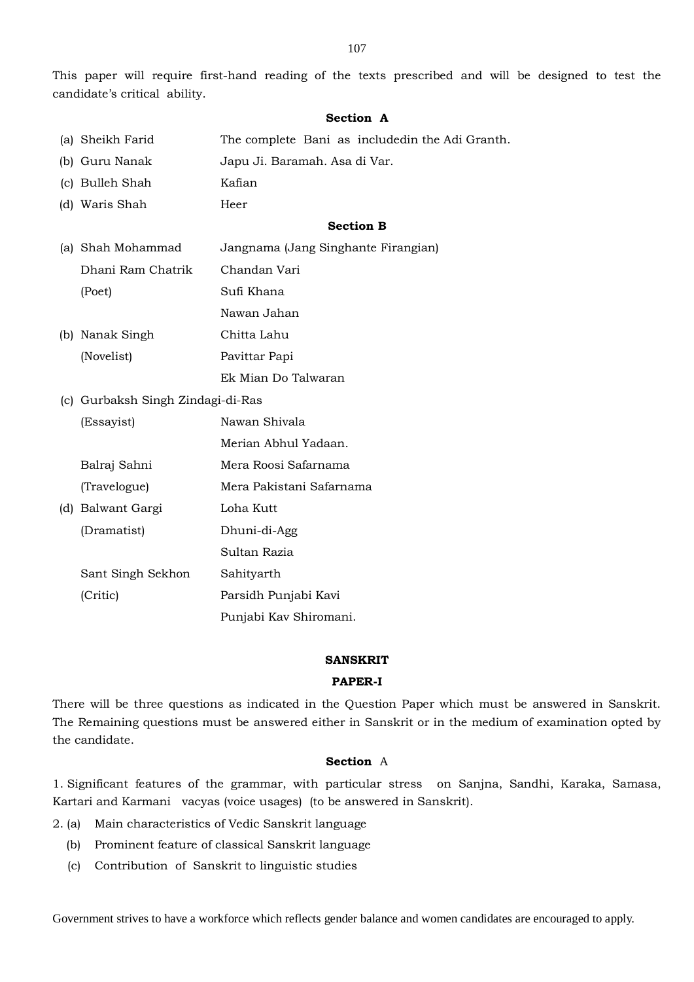This paper will require first-hand reading of the texts prescribed and will be designed to test the candidate's critical ability.

## **Section A**

- (a) Sheikh Farid The complete Bani as includedin the Adi Granth.
- (b) Guru Nanak Japu Ji. Baramah. Asa di Var.
- (c) Bulleh Shah Kafian
- (d) Waris Shah Heer

# **Section B**

- (a) Shah Mohammad Jangnama (Jang Singhante Firangian) Dhani Ram Chatrik Chandan Vari (Poet) Sufi Khana Nawan Jahan
- (b) Nanak Singh Chitta Lahu (Novelist) Pavittar Papi Ek Mian Do Talwaran
- (c) Gurbaksh Singh Zindagi-di-Ras
- (Essayist) Nawan Shivala Merian Abhul Yadaan. Balraj Sahni Mera Roosi Safarnama (Travelogue) Mera Pakistani Safarnama (d) Balwant Gargi Loha Kutt (Dramatist) Dhuni-di-Agg

|                   | Sultan Razia           |
|-------------------|------------------------|
| Sant Singh Sekhon | Sahityarth             |
| (Critic)          | Parsidh Punjabi Kavi   |
|                   | Punjabi Kav Shiromani. |

#### **SANSKRIT**

# **PAPER-I**

There will be three questions as indicated in the Question Paper which must be answered in Sanskrit. The Remaining questions must be answered either in Sanskrit or in the medium of examination opted by the candidate.

# **Section** A

1. Significant features of the grammar, with particular stress on Sanjna, Sandhi, Karaka, Samasa, Kartari and Karmani vacyas (voice usages) (to be answered in Sanskrit).

- 2. (a) Main characteristics of Vedic Sanskrit language
	- (b) Prominent feature of classical Sanskrit language
	- (c) Contribution of Sanskrit to linguistic studies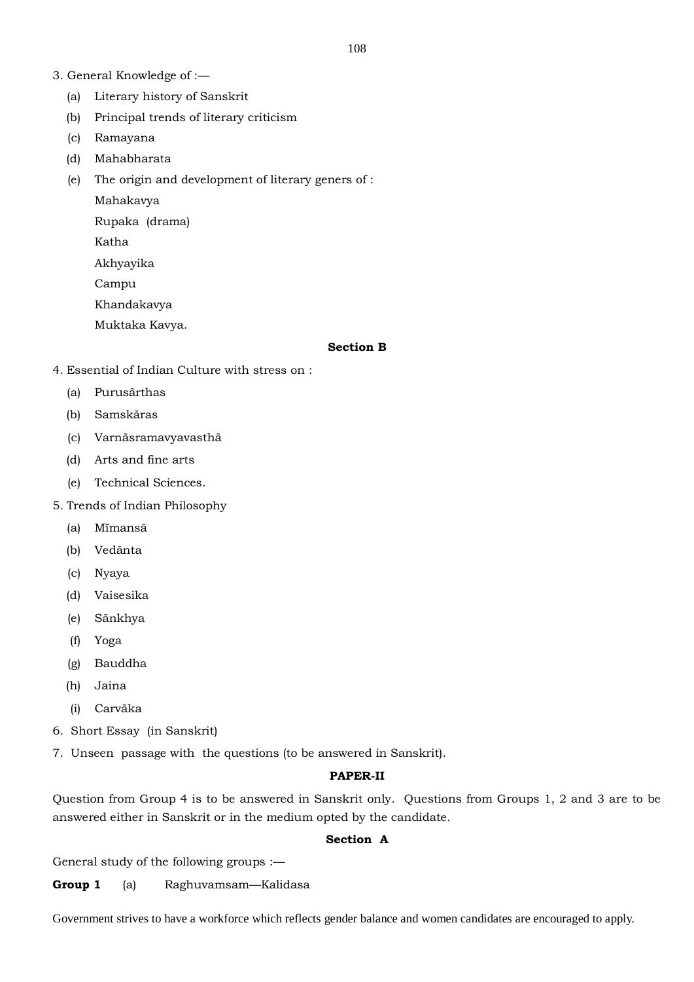- 3. General Knowledge of :—
	- (a) Literary history of Sanskrit
	- (b) Principal trends of literary criticism
	- (c) Ramayana
	- (d) Mahabharata
	- (e) The origin and development of literary geners of :

Mahakavya

Rupaka (drama)

Katha

Akhyayika

Campu

Khandakavya

Muktaka Kavya.

#### **Section B**

- 4. Essential of Indian Culture with stress on :
	- (a) Purusãrthas
	- (b) Samskãras
	- (c) Varnãsramavyavasthã
	- (d) Arts and fine arts
	- (e) Technical Sciences.
- 5. Trends of Indian Philosophy
	- (a) Mïmansã
	- (b) Vedãnta
	- (c) Nyaya
	- (d) Vaisesika
	- (e) Sãnkhya
	- (f) Yoga
	- (g) Bauddha
	- (h) Jaina
	- (i) Carvãka
- 6. Short Essay (in Sanskrit)
- 7. Unseen passage with the questions (to be answered in Sanskrit).

# **PAPER-II**

Question from Group 4 is to be answered in Sanskrit only. Questions from Groups 1, 2 and 3 are to be answered either in Sanskrit or in the medium opted by the candidate.

# **Section A**

General study of the following groups :—

**Group 1** (a) Raghuvamsam—Kalidasa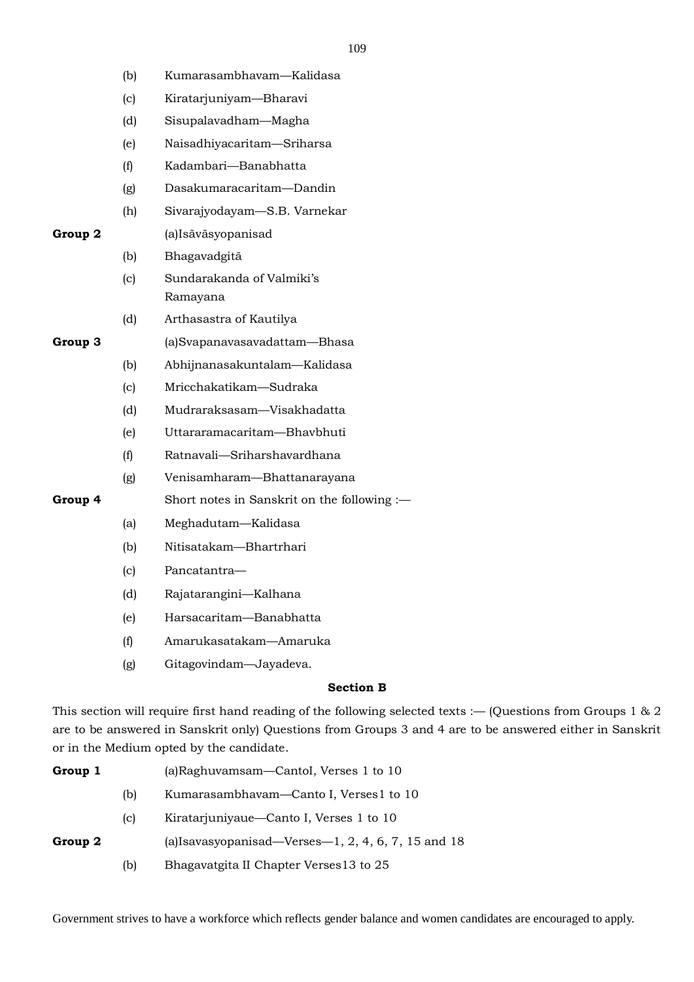- (b) Kumarasambhavam—Kalidasa
- (c) Kiratarjuniyam—Bharavi
- (d) Sisupalavadham—Magha
- (e) Naisadhiyacaritam—Sriharsa
- (f) Kadambari—Banabhatta
- (g) Dasakumaracaritam—Dandin
- (h) Sivarajyodayam—S.B. Varnekar

# **Group 2** (a)Isãvãsyopanisad

- (b) Bhagavadgitã
- (c) Sundarakanda of Valmiki's Ramayana
- (d) Arthasastra of Kautilya

# **Group 3** (a)Svapanavasavadattam—Bhasa

- (b) Abhijnanasakuntalam—Kalidasa
- (c) Mricchakatikam—Sudraka
- (d) Mudraraksasam—Visakhadatta
- (e) Uttararamacaritam—Bhavbhuti
- (f) Ratnavali—Sriharshavardhana
- (g) Venisamharam—Bhattanarayana
- **Group 4** Short notes in Sanskrit on the following :—
	- (a) Meghadutam—Kalidasa
	- (b) Nitisatakam—Bhartrhari
	- (c) Pancatantra—
	- (d) Rajatarangini—Kalhana
	- (e) Harsacaritam—Banabhatta
	- (f) Amarukasatakam—Amaruka
	- (g) Gitagovindam—Jayadeva.

# **Section B**

This section will require first hand reading of the following selected texts :— (Questions from Groups 1 & 2 are to be answered in Sanskrit only) Questions from Groups 3 and 4 are to be answered either in Sanskrit or in the Medium opted by the candidate.

| Group 1 |     | (a)Raghuvamsam—Cantol, Verses 1 to 10                 |
|---------|-----|-------------------------------------------------------|
|         | (b) | Kumarasambhavam—Canto I, Verses1 to 10                |
|         | C   | Kiratarjuniyaue—Canto I, Verses 1 to 10               |
| Group 2 |     | (a) Isavasyopanisad—Verses—1, $2, 4, 6, 7, 15$ and 18 |
|         | (b) | Bhagavatgita II Chapter Verses 13 to 25               |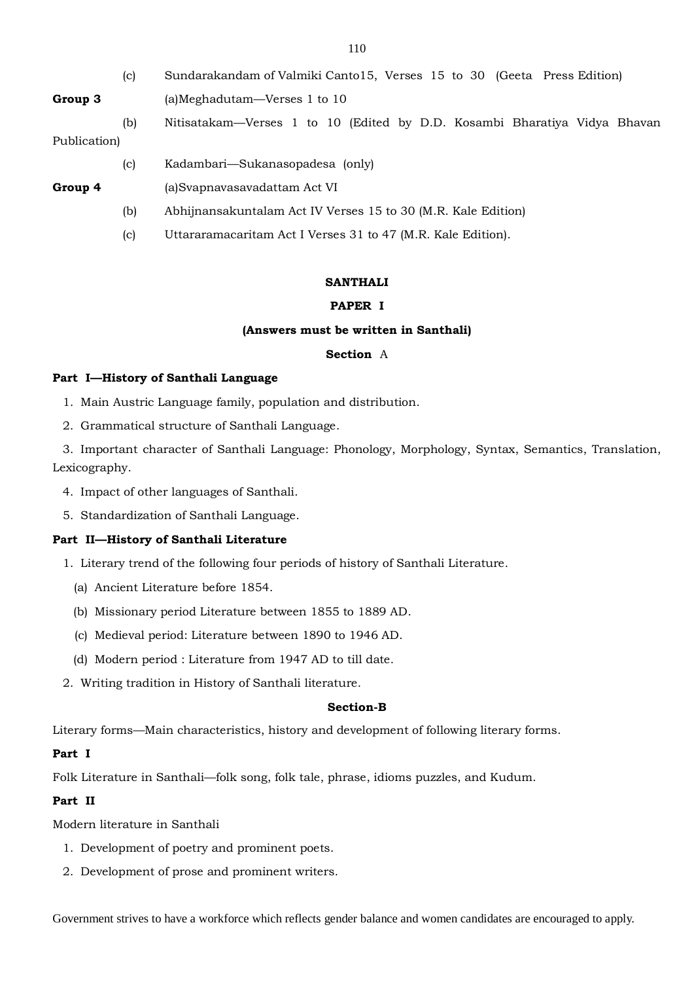|              | (c) | Sundarakandam of Valmiki Canto15, Verses 15 to 30 (Geeta Press Edition)   |  |  |
|--------------|-----|---------------------------------------------------------------------------|--|--|
| Group 3      |     | (a)Meghadutam—Verses 1 to 10                                              |  |  |
|              | (b) | Nitisatakam—Verses 1 to 10 (Edited by D.D. Kosambi Bharatiya Vidya Bhavan |  |  |
| Publication) |     |                                                                           |  |  |
|              | (c) | Kadambari—Sukanasopadesa (only)                                           |  |  |
| Group 4      |     | (a)Svapnavasavadattam Act VI                                              |  |  |
|              | (b) | Abhijnansakuntalam Act IV Verses 15 to 30 (M.R. Kale Edition)             |  |  |
|              | (c) | Uttararamacaritam Act I Verses 31 to 47 (M.R. Kale Edition).              |  |  |
|              |     |                                                                           |  |  |

## **SANTHALI**

# **PAPER I**

# **(Answers must be written in Santhali)**

# **Section** A

# **Part I—History of Santhali Language**

- 1. Main Austric Language family, population and distribution.
- 2. Grammatical structure of Santhali Language.

3. Important character of Santhali Language: Phonology, Morphology, Syntax, Semantics, Translation, Lexicography.

- 4. Impact of other languages of Santhali.
- 5. Standardization of Santhali Language.

# **Part II—History of Santhali Literature**

- 1. Literary trend of the following four periods of history of Santhali Literature.
	- (a) Ancient Literature before 1854.
	- (b) Missionary period Literature between 1855 to 1889 AD.
	- (c) Medieval period: Literature between 1890 to 1946 AD.
	- (d) Modern period : Literature from 1947 AD to till date.
- 2. Writing tradition in History of Santhali literature.

## **Section-B**

Literary forms—Main characteristics, history and development of following literary forms.

## **Part I**

Folk Literature in Santhali—folk song, folk tale, phrase, idioms puzzles, and Kudum.

# **Part II**

Modern literature in Santhali

- 1. Development of poetry and prominent poets.
- 2. Development of prose and prominent writers.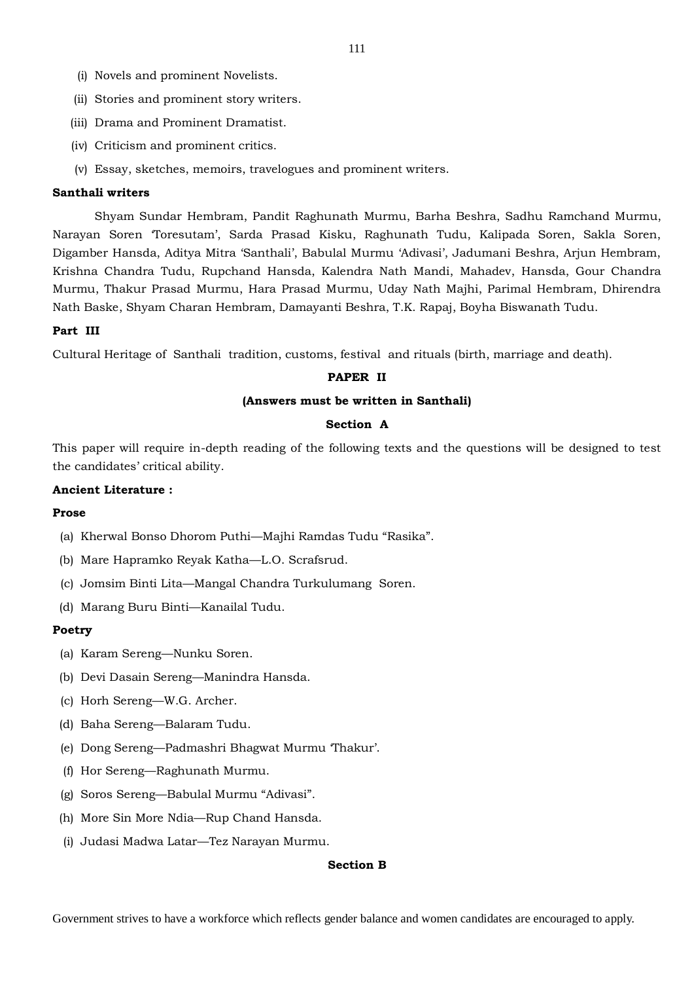- (i) Novels and prominent Novelists.
- (ii) Stories and prominent story writers.
- (iii) Drama and Prominent Dramatist.
- (iv) Criticism and prominent critics.
- (v) Essay, sketches, memoirs, travelogues and prominent writers.

#### **Santhali writers**

Shyam Sundar Hembram, Pandit Raghunath Murmu, Barha Beshra, Sadhu Ramchand Murmu, Narayan Soren 'Toresutam', Sarda Prasad Kisku, Raghunath Tudu, Kalipada Soren, Sakla Soren, Digamber Hansda, Aditya Mitra 'Santhali', Babulal Murmu 'Adivasi', Jadumani Beshra, Arjun Hembram, Krishna Chandra Tudu, Rupchand Hansda, Kalendra Nath Mandi, Mahadev, Hansda, Gour Chandra Murmu, Thakur Prasad Murmu, Hara Prasad Murmu, Uday Nath Majhi, Parimal Hembram, Dhirendra Nath Baske, Shyam Charan Hembram, Damayanti Beshra, T.K. Rapaj, Boyha Biswanath Tudu.

## **Part III**

Cultural Heritage of Santhali tradition, customs, festival and rituals (birth, marriage and death).

# **PAPER II**

### **(Answers must be written in Santhali)**

#### **Section A**

This paper will require in-depth reading of the following texts and the questions will be designed to test the candidates' critical ability.

# **Ancient Literature :**

#### **Prose**

- (a) Kherwal Bonso Dhorom Puthi—Majhi Ramdas Tudu "Rasika".
- (b) Mare Hapramko Reyak Katha—L.O. Scrafsrud.
- (c) Jomsim Binti Lita—Mangal Chandra Turkulumang Soren.
- (d) Marang Buru Binti—Kanailal Tudu.

#### **Poetry**

- (a) Karam Sereng—Nunku Soren.
- (b) Devi Dasain Sereng—Manindra Hansda.
- (c) Horh Sereng—W.G. Archer.
- (d) Baha Sereng—Balaram Tudu.
- (e) Dong Sereng—Padmashri Bhagwat Murmu 'Thakur'.
- (f) Hor Sereng—Raghunath Murmu.
- (g) Soros Sereng—Babulal Murmu "Adivasi".
- (h) More Sin More Ndia—Rup Chand Hansda.
- (i) Judasi Madwa Latar—Tez Narayan Murmu.

# **Section B**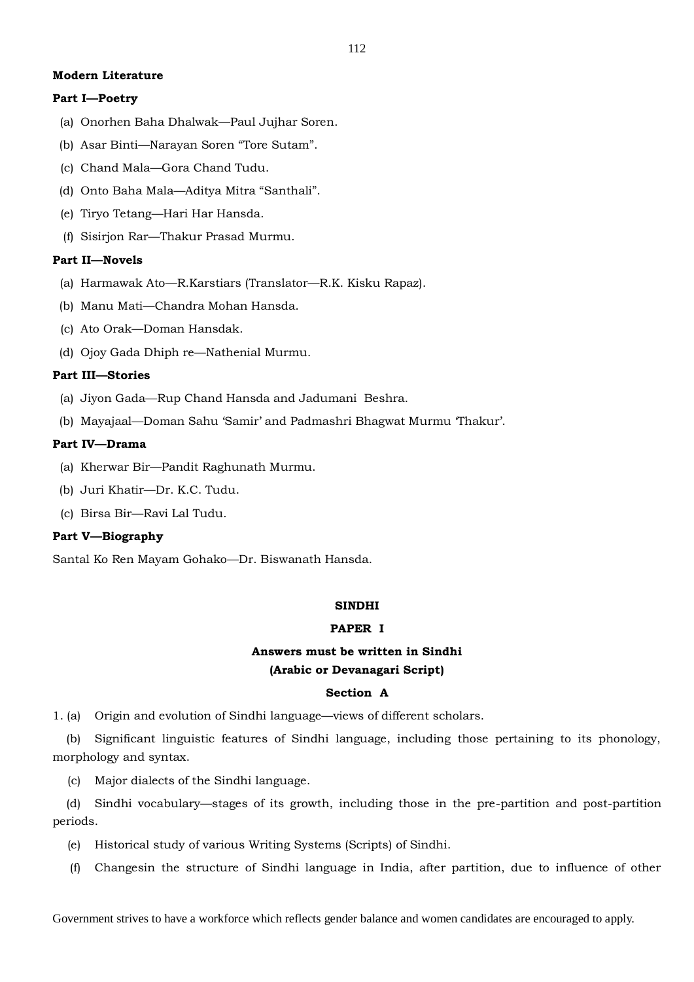# **Modern Literature**

# **Part I—Poetry**

- (a) Onorhen Baha Dhalwak—Paul Jujhar Soren.
- (b) Asar Binti—Narayan Soren "Tore Sutam".
- (c) Chand Mala—Gora Chand Tudu.
- (d) Onto Baha Mala—Aditya Mitra "Santhali".
- (e) Tiryo Tetang—Hari Har Hansda.
- (f) Sisirjon Rar—Thakur Prasad Murmu.

# **Part II—Novels**

- (a) Harmawak Ato—R.Karstiars (Translator—R.K. Kisku Rapaz).
- (b) Manu Mati—Chandra Mohan Hansda.
- (c) Ato Orak—Doman Hansdak.
- (d) Ojoy Gada Dhiph re—Nathenial Murmu.

# **Part III—Stories**

- (a) Jiyon Gada—Rup Chand Hansda and Jadumani Beshra.
- (b) Mayajaal—Doman Sahu 'Samir' and Padmashri Bhagwat Murmu 'Thakur'.

# **Part IV—Drama**

- (a) Kherwar Bir—Pandit Raghunath Murmu.
- (b) Juri Khatir—Dr. K.C. Tudu.
- (c) Birsa Bir—Ravi Lal Tudu.

# **Part V—Biography**

Santal Ko Ren Mayam Gohako—Dr. Biswanath Hansda.

# **SINDHI**

# **PAPER I**

# **Answers must be written in Sindhi (Arabic or Devanagari Script)**

# **Section A**

1. (a) Origin and evolution of Sindhi language—views of different scholars.

(b) Significant linguistic features of Sindhi language, including those pertaining to its phonology, morphology and syntax.

(c) Major dialects of the Sindhi language.

(d) Sindhi vocabulary—stages of its growth, including those in the pre-partition and post-partition periods.

- (e) Historical study of various Writing Systems (Scripts) of Sindhi.
- (f) Changesin the structure of Sindhi language in India, after partition, due to influence of other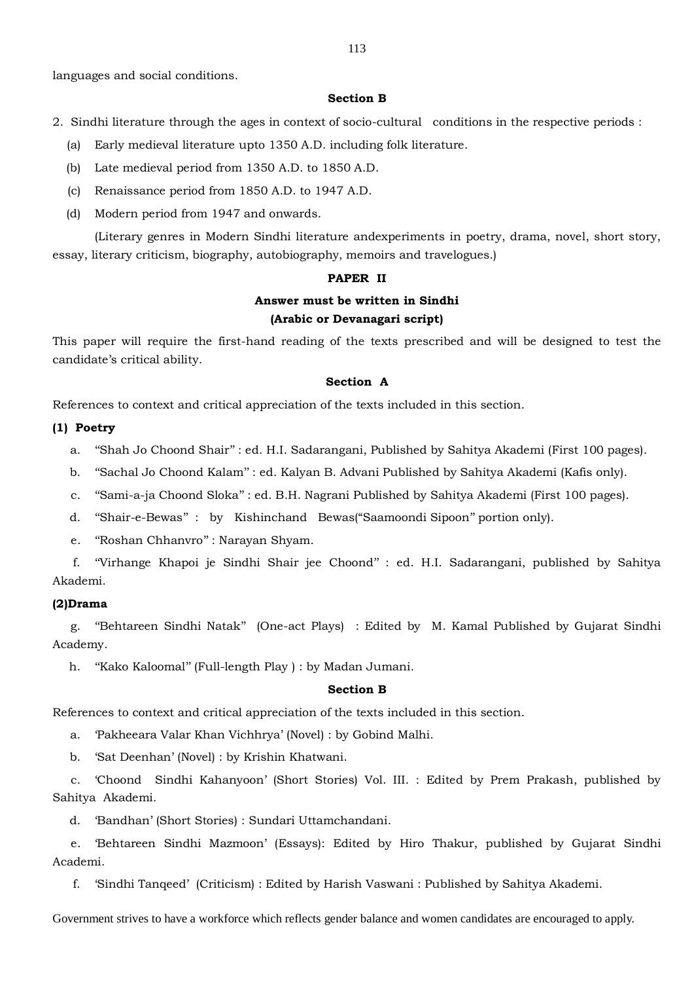languages and social conditions.

# **Section B**

- 2. Sindhi literature through the ages in context of socio-cultural conditions in the respective periods :
	- (a) Early medieval literature upto 1350 A.D. including folk literature.
	- (b) Late medieval period from 1350 A.D. to 1850 A.D.
	- (c) Renaissance period from 1850 A.D. to 1947 A.D.
	- (d) Modern period from 1947 and onwards.

(Literary genres in Modern Sindhi literature andexperiments in poetry, drama, novel, short story, essay, literary criticism, biography, autobiography, memoirs and travelogues.)

#### **PAPER II**

# **Answer must be written in Sindhi (Arabic or Devanagari script)**

This paper will require the first-hand reading of the texts prescribed and will be designed to test the candidate's critical ability.

#### **Section A**

References to context and critical appreciation of the texts included in this section.

### **(1) Poetry**

- a. ''Shah Jo Choond Shair'' : ed. H.I. Sadarangani, Published by Sahitya Akademi (First 100 pages).
- b. ''Sachal Jo Choond Kalam'' : ed. Kalyan B. Advani Published by Sahitya Akademi (Kafis only).
- c. ''Sami-a-ja Choond Sloka'' : ed. B.H. Nagrani Published by Sahitya Akademi (First 100 pages).
- d. ''Shair-e-Bewas'' : by Kishinchand Bewas("Saamoondi Sipoon'' portion only).
- e. ''Roshan Chhanvro'' : Narayan Shyam.

f. ''Virhange Khapoi je Sindhi Shair jee Choond'' : ed. H.I. Sadarangani, published by Sahitya Akademi.

#### **(2)Drama**

g. ''Behtareen Sindhi Natak'' (One-act Plays) : Edited by M. Kamal Published by Gujarat Sindhi Academy.

h. ''Kako Kaloomal'' (Full-length Play ) : by Madan Jumani.

## **Section B**

References to context and critical appreciation of the texts included in this section.

a. 'Pakheeara Valar Khan Vichhrya' (Novel) : by Gobind Malhi.

b. 'Sat Deenhan' (Novel) : by Krishin Khatwani.

c. 'Choond Sindhi Kahanyoon' (Short Stories) Vol. III. : Edited by Prem Prakash, published by Sahitya Akademi.

d. 'Bandhan' (Short Stories) : Sundari Uttamchandani.

e. 'Behtareen Sindhi Mazmoon' (Essays): Edited by Hiro Thakur, published by Gujarat Sindhi Academi.

f. 'Sindhi Tanqeed' (Criticism) : Edited by Harish Vaswani : Published by Sahitya Akademi.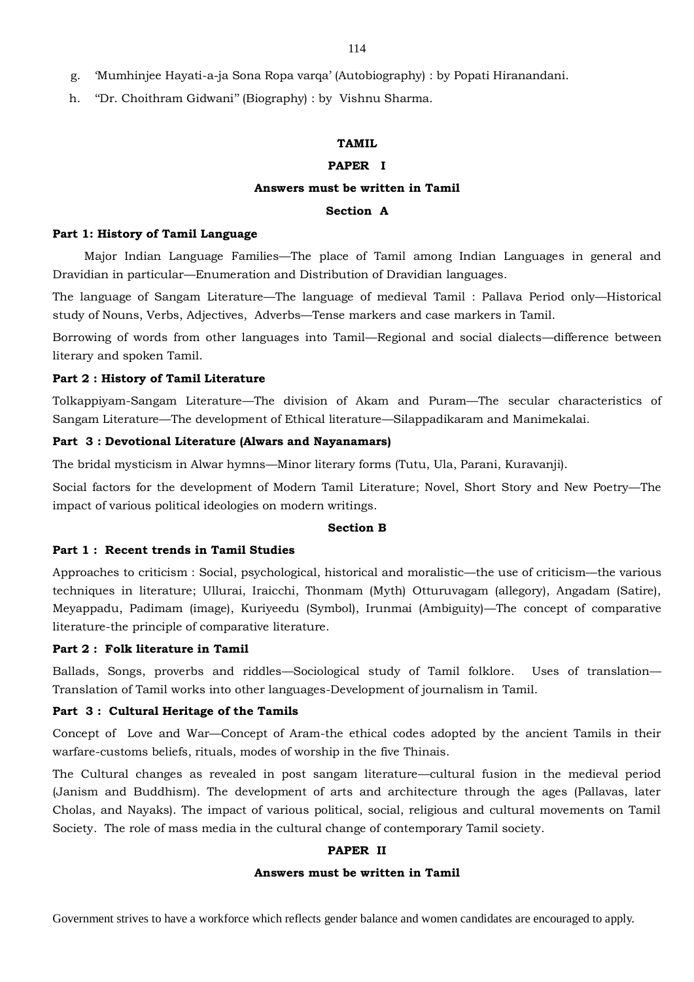- g. 'Mumhinjee Hayati-a-ja Sona Ropa varqa' (Autobiography) : by Popati Hiranandani.
- h. ''Dr. Choithram Gidwani'' (Biography) : by Vishnu Sharma.

# **TAMIL**

# **PAPER I**

## **Answers must be written in Tamil**

# **Section A**

#### **Part 1: History of Tamil Language**

Major Indian Language Families—The place of Tamil among Indian Languages in general and Dravidian in particular—Enumeration and Distribution of Dravidian languages.

The language of Sangam Literature—The language of medieval Tamil : Pallava Period only—Historical study of Nouns, Verbs, Adjectives, Adverbs—Tense markers and case markers in Tamil.

Borrowing of words from other languages into Tamil—Regional and social dialects—difference between literary and spoken Tamil.

## **Part 2 : History of Tamil Literature**

Tolkappiyam-Sangam Literature—The division of Akam and Puram—The secular characteristics of Sangam Literature—The development of Ethical literature—Silappadikaram and Manimekalai.

# **Part 3 : Devotional Literature (Alwars and Nayanamars)**

The bridal mysticism in Alwar hymns—Minor literary forms (Tutu, Ula, Parani, Kuravanji).

Social factors for the development of Modern Tamil Literature; Novel, Short Story and New Poetry—The impact of various political ideologies on modern writings.

#### **Section B**

#### **Part 1 : Recent trends in Tamil Studies**

Approaches to criticism : Social, psychological, historical and moralistic—the use of criticism—the various techniques in literature; Ullurai, Iraicchi, Thonmam (Myth) Otturuvagam (allegory), Angadam (Satire), Meyappadu, Padimam (image), Kuriyeedu (Symbol), Irunmai (Ambiguity)—The concept of comparative literature-the principle of comparative literature.

### **Part 2 : Folk literature in Tamil**

Ballads, Songs, proverbs and riddles—Sociological study of Tamil folklore. Uses of translation— Translation of Tamil works into other languages-Development of journalism in Tamil.

#### **Part 3 : Cultural Heritage of the Tamils**

Concept of Love and War—Concept of Aram-the ethical codes adopted by the ancient Tamils in their warfare-customs beliefs, rituals, modes of worship in the five Thinais.

The Cultural changes as revealed in post sangam literature—cultural fusion in the medieval period (Janism and Buddhism). The development of arts and architecture through the ages (Pallavas, later Cholas, and Nayaks). The impact of various political, social, religious and cultural movements on Tamil Society. The role of mass media in the cultural change of contemporary Tamil society.

#### **PAPER II**

### **Answers must be written in Tamil**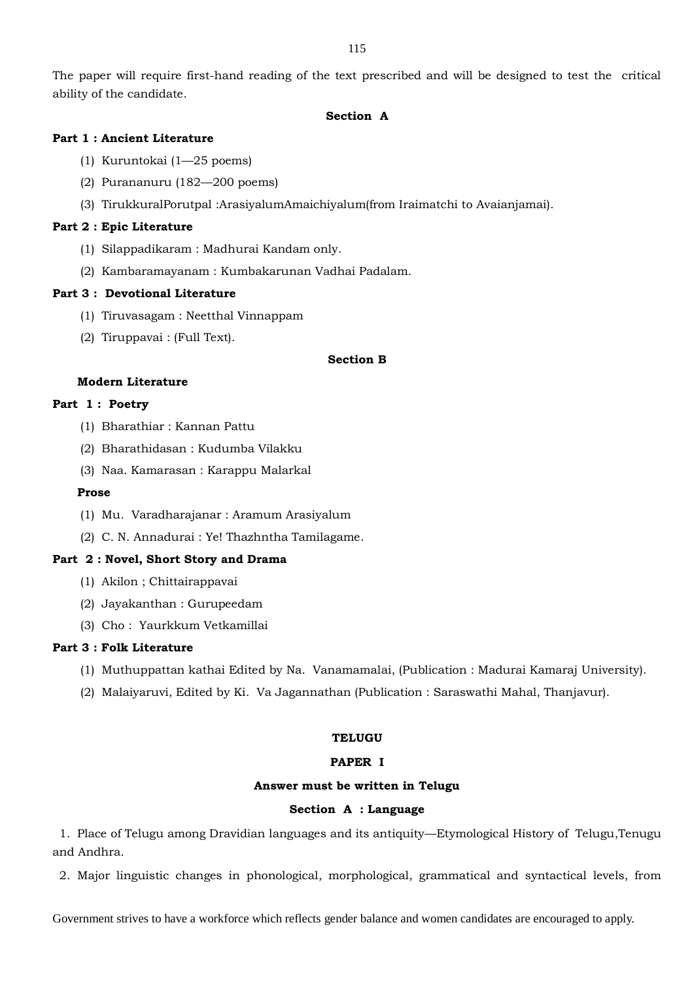The paper will require first-hand reading of the text prescribed and will be designed to test the critical ability of the candidate.

# **Section A**

# **Part 1 : Ancient Literature**

- (1) Kuruntokai (1—25 poems)
- (2) Purananuru (182—200 poems)
- (3) TirukkuralPorutpal :ArasiyalumAmaichiyalum(from Iraimatchi to Avaianjamai).

# **Part 2 : Epic Literature**

- (1) Silappadikaram : Madhurai Kandam only.
- (2) Kambaramayanam : Kumbakarunan Vadhai Padalam.

# **Part 3 : Devotional Literature**

- (1) Tiruvasagam : Neetthal Vinnappam
- (2) Tiruppavai : (Full Text).

## **Section B**

# **Modern Literature**

# **Part 1 : Poetry**

- (1) Bharathiar : Kannan Pattu
- (2) Bharathidasan : Kudumba Vilakku
- (3) Naa. Kamarasan : Karappu Malarkal

### **Prose**

- (1) Mu. Varadharajanar : Aramum Arasiyalum
- (2) C. N. Annadurai : Ye! Thazhntha Tamilagame.

# **Part 2 : Novel, Short Story and Drama**

- (1) Akilon ; Chittairappavai
- (2) Jayakanthan : Gurupeedam
- (3) Cho : Yaurkkum Vetkamillai

# **Part 3 : Folk Literature**

- (1) Muthuppattan kathai Edited by Na. Vanamamalai, (Publication : Madurai Kamaraj University).
- (2) Malaiyaruvi, Edited by Ki. Va Jagannathan (Publication : Saraswathi Mahal, Thanjavur).

# **TELUGU**

## **PAPER I**

# **Answer must be written in Telugu**

# **Section A : Language**

1. Place of Telugu among Dravidian languages and its antiquity—Etymological History of Telugu,Tenugu and Andhra.

2. Major linguistic changes in phonological, morphological, grammatical and syntactical levels, from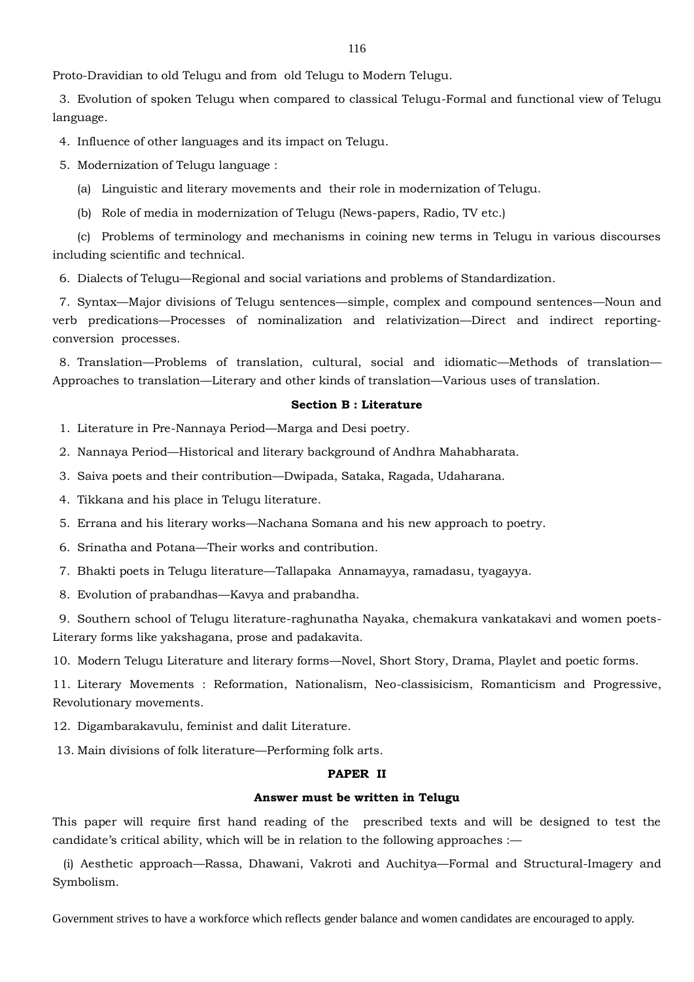Proto-Dravidian to old Telugu and from old Telugu to Modern Telugu.

3. Evolution of spoken Telugu when compared to classical Telugu-Formal and functional view of Telugu language.

4. Influence of other languages and its impact on Telugu.

5. Modernization of Telugu language :

- (a) Linguistic and literary movements and their role in modernization of Telugu.
- (b) Role of media in modernization of Telugu (News-papers, Radio, TV etc.)

(c) Problems of terminology and mechanisms in coining new terms in Telugu in various discourses including scientific and technical.

6. Dialects of Telugu—Regional and social variations and problems of Standardization.

7. Syntax—Major divisions of Telugu sentences—simple, complex and compound sentences—Noun and verb predications—Processes of nominalization and relativization—Direct and indirect reportingconversion processes.

8. Translation—Problems of translation, cultural, social and idiomatic—Methods of translation— Approaches to translation—Literary and other kinds of translation—Various uses of translation.

#### **Section B : Literature**

- 1. Literature in Pre-Nannaya Period—Marga and Desi poetry.
- 2. Nannaya Period—Historical and literary background of Andhra Mahabharata.
- 3. Saiva poets and their contribution—Dwipada, Sataka, Ragada, Udaharana.
- 4. Tikkana and his place in Telugu literature.
- 5. Errana and his literary works—Nachana Somana and his new approach to poetry.
- 6. Srinatha and Potana—Their works and contribution.
- 7. Bhakti poets in Telugu literature—Tallapaka Annamayya, ramadasu, tyagayya.
- 8. Evolution of prabandhas—Kavya and prabandha.

9. Southern school of Telugu literature-raghunatha Nayaka, chemakura vankatakavi and women poets-Literary forms like yakshagana, prose and padakavita.

10. Modern Telugu Literature and literary forms—Novel, Short Story, Drama, Playlet and poetic forms.

11. Literary Movements : Reformation, Nationalism, Neo-classisicism, Romanticism and Progressive, Revolutionary movements.

12. Digambarakavulu, feminist and dalit Literature.

13. Main divisions of folk literature—Performing folk arts.

# **PAPER II**

# **Answer must be written in Telugu**

This paper will require first hand reading of the prescribed texts and will be designed to test the candidate's critical ability, which will be in relation to the following approaches :—

(i) Aesthetic approach—Rassa, Dhawani, Vakroti and Auchitya—Formal and Structural-Imagery and Symbolism.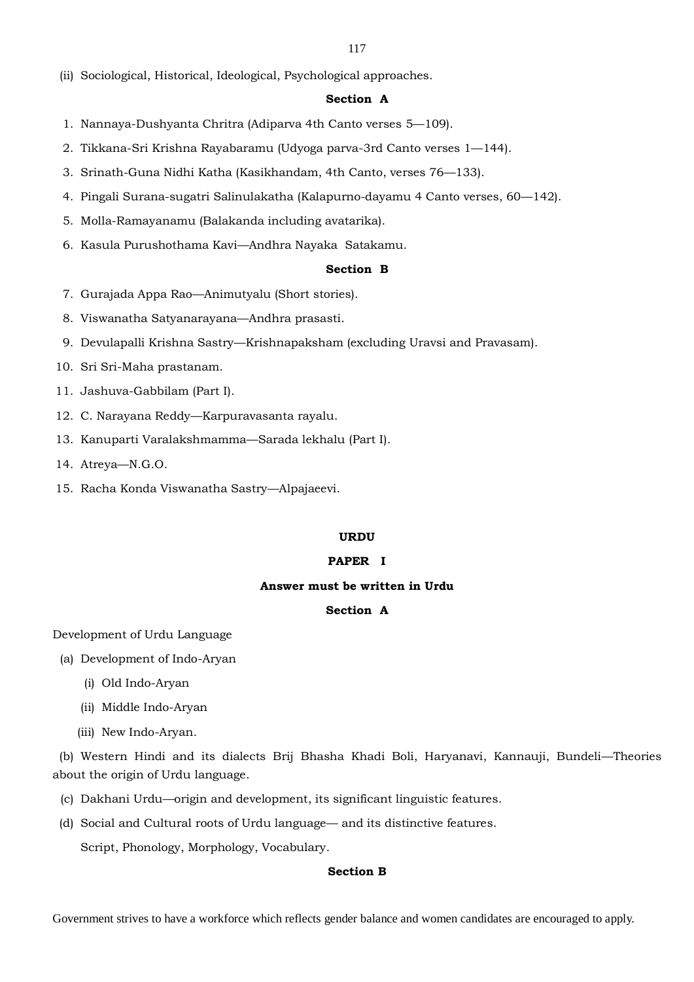(ii) Sociological, Historical, Ideological, Psychological approaches.

# **Section A**

- 1. Nannaya-Dushyanta Chritra (Adiparva 4th Canto verses 5—109).
- 2. Tikkana-Sri Krishna Rayabaramu (Udyoga parva-3rd Canto verses 1—144).
- 3. Srinath-Guna Nidhi Katha (Kasikhandam, 4th Canto, verses 76—133).
- 4. Pingali Surana-sugatri Salinulakatha (Kalapurno-dayamu 4 Canto verses, 60—142).
- 5. Molla-Ramayanamu (Balakanda including avatarika).
- 6. Kasula Purushothama Kavi—Andhra Nayaka Satakamu.

# **Section B**

- 7. Gurajada Appa Rao—Animutyalu (Short stories).
- 8. Viswanatha Satyanarayana—Andhra prasasti.
- 9. Devulapalli Krishna Sastry—Krishnapaksham (excluding Uravsi and Pravasam).
- 10. Sri Sri-Maha prastanam.
- 11. Jashuva-Gabbilam (Part I).
- 12. C. Narayana Reddy—Karpuravasanta rayalu.
- 13. Kanuparti Varalakshmamma—Sarada lekhalu (Part I).
- 14. Atreya—N.G.O.
- 15. Racha Konda Viswanatha Sastry—Alpajaeevi.

#### **URDU**

## **PAPER I**

#### **Answer must be written in Urdu**

# **Section A**

Development of Urdu Language

- (a) Development of Indo-Aryan
	- (i) Old Indo-Aryan
	- (ii) Middle Indo-Aryan
	- (iii) New Indo-Aryan.

(b) Western Hindi and its dialects Brij Bhasha Khadi Boli, Haryanavi, Kannauji, Bundeli—Theories about the origin of Urdu language.

- (c) Dakhani Urdu—origin and development, its significant linguistic features.
- (d) Social and Cultural roots of Urdu language— and its distinctive features. Script, Phonology, Morphology, Vocabulary.

# **Section B**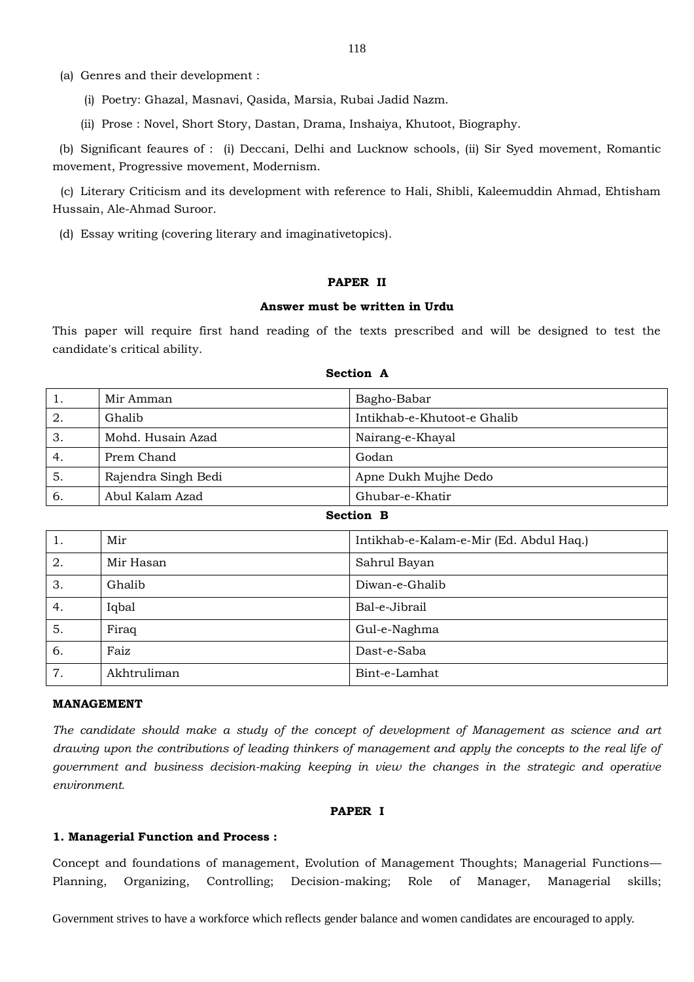(a) Genres and their development :

(i) Poetry: Ghazal, Masnavi, Qasida, Marsia, Rubai Jadid Nazm.

(ii) Prose : Novel, Short Story, Dastan, Drama, Inshaiya, Khutoot, Biography.

(b) Significant feaures of : (i) Deccani, Delhi and Lucknow schools, (ii) Sir Syed movement, Romantic movement, Progressive movement, Modernism.

(c) Literary Criticism and its development with reference to Hali, Shibli, Kaleemuddin Ahmad, Ehtisham Hussain, Ale-Ahmad Suroor.

(d) Essay writing (covering literary and imaginativetopics).

#### **PAPER II**

#### **Answer must be written in Urdu**

This paper will require first hand reading of the texts prescribed and will be designed to test the candidate's critical ability.

| 1.               | Bagho-Babar<br>Mir Amman                    |                                         |  |
|------------------|---------------------------------------------|-----------------------------------------|--|
| 2.               | Ghalib                                      | Intikhab-e-Khutoot-e Ghalib             |  |
| 3.               | Mohd. Husain Azad                           | Nairang-e-Khayal                        |  |
| 4.               | Prem Chand                                  | Godan                                   |  |
| 5.               | Rajendra Singh Bedi<br>Apne Dukh Mujhe Dedo |                                         |  |
| 6.               | Abul Kalam Azad                             | Ghubar-e-Khatir                         |  |
| <b>Section B</b> |                                             |                                         |  |
| 1.               | Mir                                         | Intikhab-e-Kalam-e-Mir (Ed. Abdul Haq.) |  |
| 2.               | Mir Hasan                                   | Sahrul Bayan                            |  |
| 3.               | Ghalib                                      | Diwan-e-Ghalib                          |  |
| 4.               | Iqbal                                       | Bal-e-Jibrail                           |  |
| 5.               | Firaq                                       | Gul-e-Naghma                            |  |
| 6.               | Faiz                                        | Dast-e-Saba                             |  |
| 7.               | Akhtruliman                                 | Bint-e-Lamhat                           |  |

#### **Section A**

#### **MANAGEMENT**

*The candidate should make a study of the concept of development of Management as science and art drawing upon the contributions of leading thinkers of management and apply the concepts to the real life of government and business decision-making keeping in view the changes in the strategic and operative environment.* 

#### **PAPER I**

# **1. Managerial Function and Process :**

Concept and foundations of management, Evolution of Management Thoughts; Managerial Functions— Planning, Organizing, Controlling; Decision-making; Role of Manager, Managerial skills;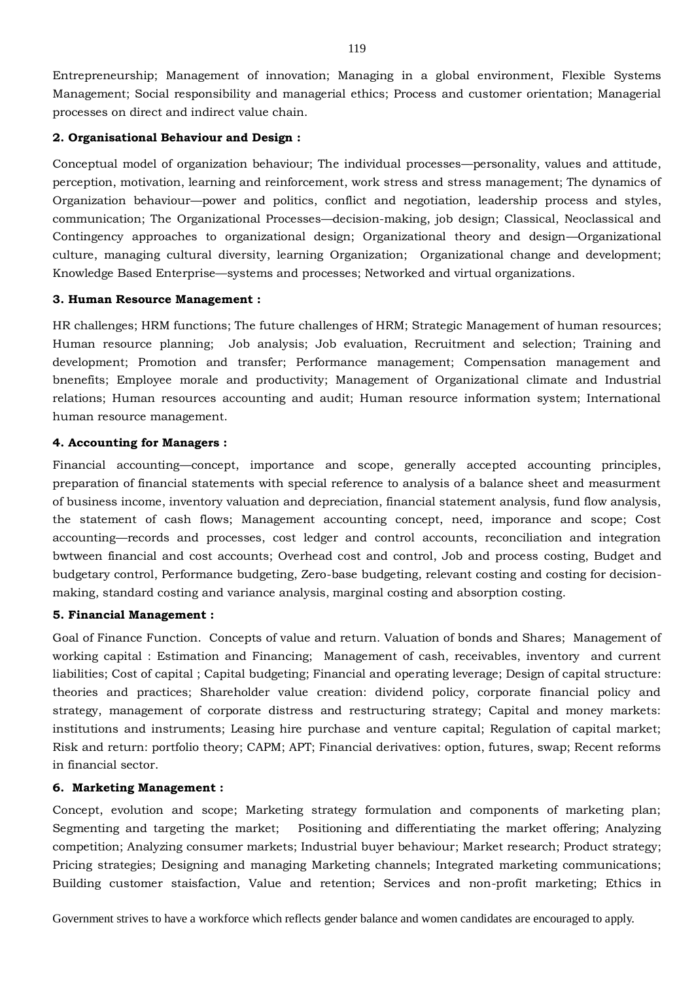Entrepreneurship; Management of innovation; Managing in a global environment, Flexible Systems Management; Social responsibility and managerial ethics; Process and customer orientation; Managerial processes on direct and indirect value chain.

# **2. Organisational Behaviour and Design :**

Conceptual model of organization behaviour; The individual processes—personality, values and attitude, perception, motivation, learning and reinforcement, work stress and stress management; The dynamics of Organization behaviour—power and politics, conflict and negotiation, leadership process and styles, communication; The Organizational Processes—decision-making, job design; Classical, Neoclassical and Contingency approaches to organizational design; Organizational theory and design—Organizational culture, managing cultural diversity, learning Organization; Organizational change and development; Knowledge Based Enterprise—systems and processes; Networked and virtual organizations.

# **3. Human Resource Management :**

HR challenges; HRM functions; The future challenges of HRM; Strategic Management of human resources; Human resource planning; Job analysis; Job evaluation, Recruitment and selection; Training and development; Promotion and transfer; Performance management; Compensation management and bnenefits; Employee morale and productivity; Management of Organizational climate and Industrial relations; Human resources accounting and audit; Human resource information system; International human resource management.

# **4. Accounting for Managers :**

Financial accounting—concept, importance and scope, generally accepted accounting principles, preparation of financial statements with special reference to analysis of a balance sheet and measurment of business income, inventory valuation and depreciation, financial statement analysis, fund flow analysis, the statement of cash flows; Management accounting concept, need, imporance and scope; Cost accounting—records and processes, cost ledger and control accounts, reconciliation and integration bwtween financial and cost accounts; Overhead cost and control, Job and process costing, Budget and budgetary control, Performance budgeting, Zero-base budgeting, relevant costing and costing for decisionmaking, standard costing and variance analysis, marginal costing and absorption costing.

## **5. Financial Management :**

Goal of Finance Function. Concepts of value and return. Valuation of bonds and Shares; Management of working capital : Estimation and Financing; Management of cash, receivables, inventory and current liabilities; Cost of capital ; Capital budgeting; Financial and operating leverage; Design of capital structure: theories and practices; Shareholder value creation: dividend policy, corporate financial policy and strategy, management of corporate distress and restructuring strategy; Capital and money markets: institutions and instruments; Leasing hire purchase and venture capital; Regulation of capital market; Risk and return: portfolio theory; CAPM; APT; Financial derivatives: option, futures, swap; Recent reforms in financial sector.

# **6. Marketing Management :**

Concept, evolution and scope; Marketing strategy formulation and components of marketing plan; Segmenting and targeting the market; Positioning and differentiating the market offering; Analyzing competition; Analyzing consumer markets; Industrial buyer behaviour; Market research; Product strategy; Pricing strategies; Designing and managing Marketing channels; Integrated marketing communications; Building customer staisfaction, Value and retention; Services and non-profit marketing; Ethics in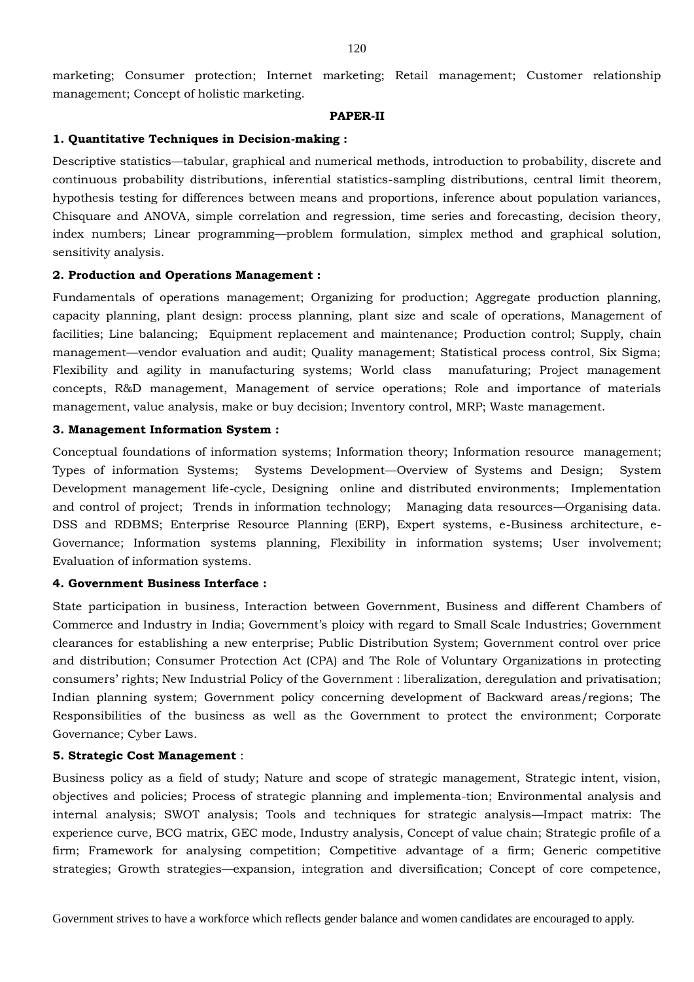marketing; Consumer protection; Internet marketing; Retail management; Customer relationship management; Concept of holistic marketing.

#### **PAPER-II**

#### **1. Quantitative Techniques in Decision-making :**

Descriptive statistics—tabular, graphical and numerical methods, introduction to probability, discrete and continuous probability distributions, inferential statistics-sampling distributions, central limit theorem, hypothesis testing for differences between means and proportions, inference about population variances, Chisquare and ANOVA, simple correlation and regression, time series and forecasting, decision theory, index numbers; Linear programming—problem formulation, simplex method and graphical solution, sensitivity analysis.

### **2. Production and Operations Management :**

Fundamentals of operations management; Organizing for production; Aggregate production planning, capacity planning, plant design: process planning, plant size and scale of operations, Management of facilities; Line balancing; Equipment replacement and maintenance; Production control; Supply, chain management—vendor evaluation and audit; Quality management; Statistical process control, Six Sigma; Flexibility and agility in manufacturing systems; World class manufaturing; Project management concepts, R&D management, Management of service operations; Role and importance of materials management, value analysis, make or buy decision; Inventory control, MRP; Waste management.

# **3. Management Information System :**

Conceptual foundations of information systems; Information theory; Information resource management; Types of information Systems; Systems Development—Overview of Systems and Design; System Development management life-cycle, Designing online and distributed environments; Implementation and control of project; Trends in information technology; Managing data resources—Organising data. DSS and RDBMS; Enterprise Resource Planning (ERP), Expert systems, e-Business architecture, e-Governance; Information systems planning, Flexibility in information systems; User involvement; Evaluation of information systems.

### **4. Government Business Interface :**

State participation in business, Interaction between Government, Business and different Chambers of Commerce and Industry in India; Government's ploicy with regard to Small Scale Industries; Government clearances for establishing a new enterprise; Public Distribution System; Government control over price and distribution; Consumer Protection Act (CPA) and The Role of Voluntary Organizations in protecting consumers' rights; New Industrial Policy of the Government : liberalization, deregulation and privatisation; Indian planning system; Government policy concerning development of Backward areas/regions; The Responsibilities of the business as well as the Government to protect the environment; Corporate Governance; Cyber Laws.

#### **5. Strategic Cost Management** :

Business policy as a field of study; Nature and scope of strategic management, Strategic intent, vision, objectives and policies; Process of strategic planning and implementa-tion; Environmental analysis and internal analysis; SWOT analysis; Tools and techniques for strategic analysis—Impact matrix: The experience curve, BCG matrix, GEC mode, Industry analysis, Concept of value chain; Strategic profile of a firm; Framework for analysing competition; Competitive advantage of a firm; Generic competitive strategies; Growth strategies—expansion, integration and diversification; Concept of core competence,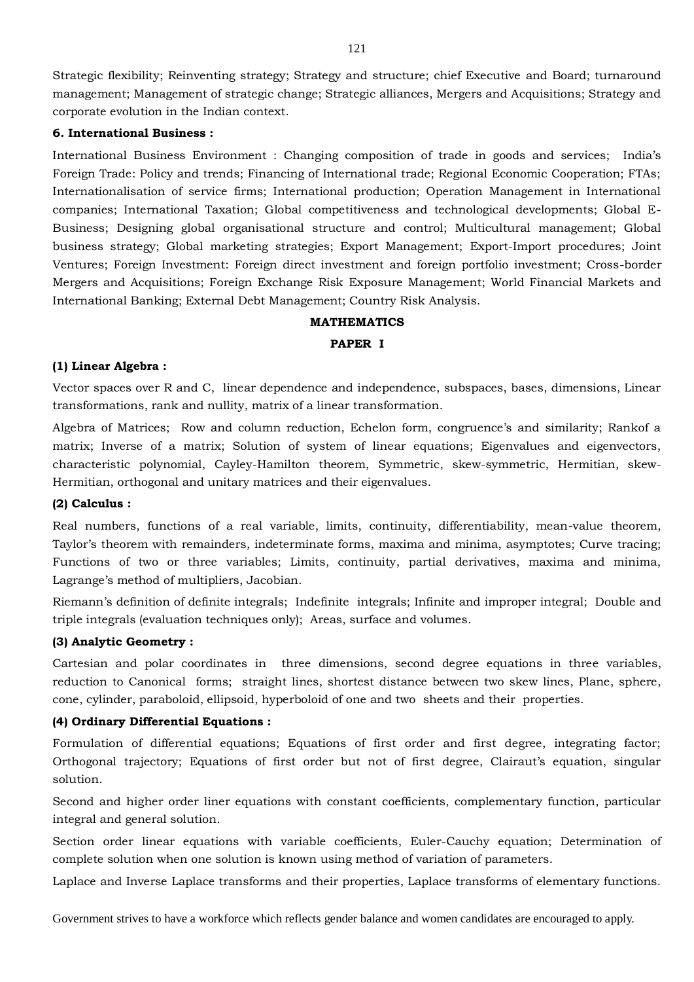Strategic flexibility; Reinventing strategy; Strategy and structure; chief Executive and Board; turnaround management; Management of strategic change; Strategic alliances, Mergers and Acquisitions; Strategy and corporate evolution in the Indian context.

### **6. International Business :**

International Business Environment : Changing composition of trade in goods and services; India's Foreign Trade: Policy and trends; Financing of International trade; Regional Economic Cooperation; FTAs; Internationalisation of service firms; International production; Operation Management in International companies; International Taxation; Global competitiveness and technological developments; Global E-Business; Designing global organisational structure and control; Multicultural management; Global business strategy; Global marketing strategies; Export Management; Export-Import procedures; Joint Ventures; Foreign Investment: Foreign direct investment and foreign portfolio investment; Cross-border Mergers and Acquisitions; Foreign Exchange Risk Exposure Management; World Financial Markets and International Banking; External Debt Management; Country Risk Analysis.

#### **MATHEMATICS**

## **PAPER I**

# **(1) Linear Algebra :**

Vector spaces over R and C, linear dependence and independence, subspaces, bases, dimensions, Linear transformations, rank and nullity, matrix of a linear transformation.

Algebra of Matrices; Row and column reduction, Echelon form, congruence's and similarity; Rankof a matrix; Inverse of a matrix; Solution of system of linear equations; Eigenvalues and eigenvectors, characteristic polynomial, Cayley-Hamilton theorem, Symmetric, skew-symmetric, Hermitian, skew-Hermitian, orthogonal and unitary matrices and their eigenvalues.

#### **(2) Calculus :**

Real numbers, functions of a real variable, limits, continuity, differentiability, mean-value theorem, Taylor's theorem with remainders, indeterminate forms, maxima and minima, asymptotes; Curve tracing; Functions of two or three variables; Limits, continuity, partial derivatives, maxima and minima, Lagrange's method of multipliers, Jacobian.

Riemann's definition of definite integrals; Indefinite integrals; Infinite and improper integral; Double and triple integrals (evaluation techniques only); Areas, surface and volumes.

#### **(3) Analytic Geometry :**

Cartesian and polar coordinates in three dimensions, second degree equations in three variables, reduction to Canonical forms; straight lines, shortest distance between two skew lines, Plane, sphere, cone, cylinder, paraboloid, ellipsoid, hyperboloid of one and two sheets and their properties.

# **(4) Ordinary Differential Equations :**

Formulation of differential equations; Equations of first order and first degree, integrating factor; Orthogonal trajectory; Equations of first order but not of first degree, Clairaut's equation, singular solution.

Second and higher order liner equations with constant coefficients, complementary function, particular integral and general solution.

Section order linear equations with variable coefficients, Euler-Cauchy equation; Determination of complete solution when one solution is known using method of variation of parameters.

Laplace and Inverse Laplace transforms and their properties, Laplace transforms of elementary functions.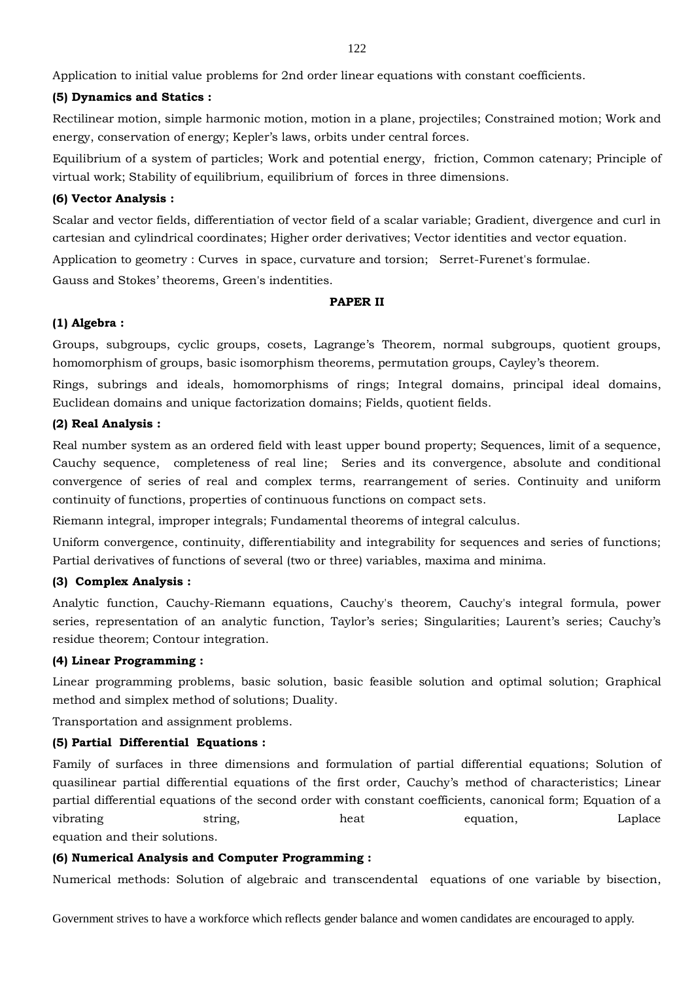Application to initial value problems for 2nd order linear equations with constant coefficients.

# **(5) Dynamics and Statics :**

Rectilinear motion, simple harmonic motion, motion in a plane, projectiles; Constrained motion; Work and energy, conservation of energy; Kepler's laws, orbits under central forces.

Equilibrium of a system of particles; Work and potential energy, friction, Common catenary; Principle of virtual work; Stability of equilibrium, equilibrium of forces in three dimensions.

# **(6) Vector Analysis :**

Scalar and vector fields, differentiation of vector field of a scalar variable; Gradient, divergence and curl in cartesian and cylindrical coordinates; Higher order derivatives; Vector identities and vector equation.

Application to geometry : Curves in space, curvature and torsion; Serret-Furenet's formulae.

Gauss and Stokes' theorems, Green's indentities.

## **PAPER II**

# **(1) Algebra :**

Groups, subgroups, cyclic groups, cosets, Lagrange's Theorem, normal subgroups, quotient groups, homomorphism of groups, basic isomorphism theorems, permutation groups, Cayley's theorem.

Rings, subrings and ideals, homomorphisms of rings; Integral domains, principal ideal domains, Euclidean domains and unique factorization domains; Fields, quotient fields.

# **(2) Real Analysis :**

Real number system as an ordered field with least upper bound property; Sequences, limit of a sequence, Cauchy sequence, completeness of real line; Series and its convergence, absolute and conditional convergence of series of real and complex terms, rearrangement of series. Continuity and uniform continuity of functions, properties of continuous functions on compact sets.

Riemann integral, improper integrals; Fundamental theorems of integral calculus.

Uniform convergence, continuity, differentiability and integrability for sequences and series of functions; Partial derivatives of functions of several (two or three) variables, maxima and minima.

## **(3) Complex Analysis :**

Analytic function, Cauchy-Riemann equations, Cauchy's theorem, Cauchy's integral formula, power series, representation of an analytic function, Taylor's series; Singularities; Laurent's series; Cauchy's residue theorem; Contour integration.

## **(4) Linear Programming :**

Linear programming problems, basic solution, basic feasible solution and optimal solution; Graphical method and simplex method of solutions; Duality.

Transportation and assignment problems.

## **(5) Partial Differential Equations :**

Family of surfaces in three dimensions and formulation of partial differential equations; Solution of quasilinear partial differential equations of the first order, Cauchy's method of characteristics; Linear partial differential equations of the second order with constant coefficients, canonical form; Equation of a vibrating string, heat equation, Laplace equation, Laplace equation and their solutions.

# **(6) Numerical Analysis and Computer Programming :**

Numerical methods: Solution of algebraic and transcendental equations of one variable by bisection,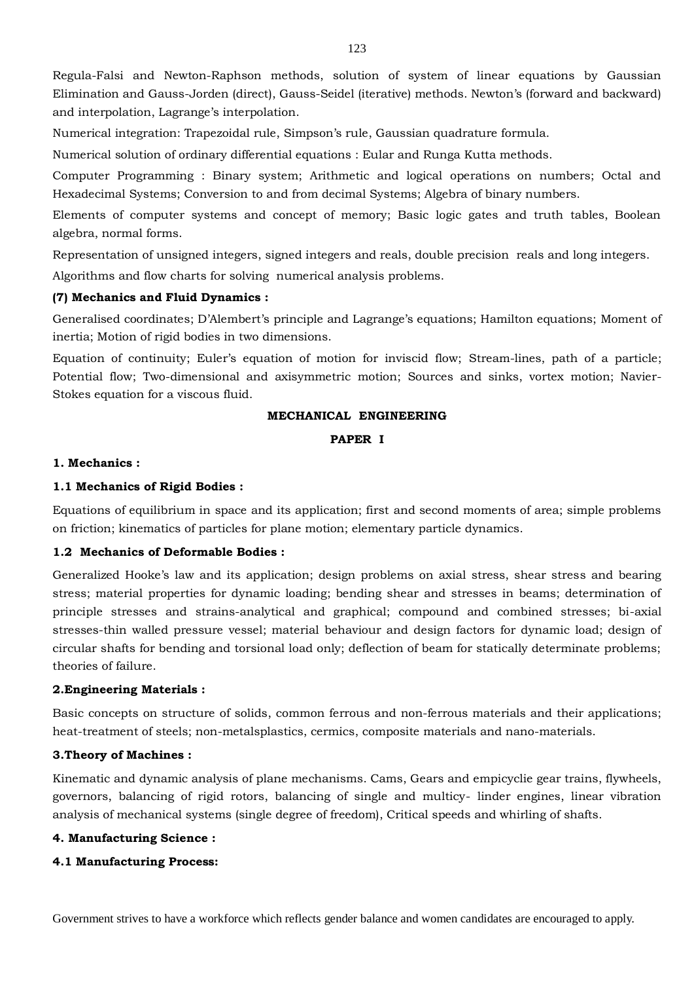Regula-Falsi and Newton-Raphson methods, solution of system of linear equations by Gaussian Elimination and Gauss-Jorden (direct), Gauss-Seidel (iterative) methods. Newton's (forward and backward) and interpolation, Lagrange's interpolation.

Numerical integration: Trapezoidal rule, Simpson's rule, Gaussian quadrature formula.

Numerical solution of ordinary differential equations : Eular and Runga Kutta methods.

Computer Programming : Binary system; Arithmetic and logical operations on numbers; Octal and Hexadecimal Systems; Conversion to and from decimal Systems; Algebra of binary numbers.

Elements of computer systems and concept of memory; Basic logic gates and truth tables, Boolean algebra, normal forms.

Representation of unsigned integers, signed integers and reals, double precision reals and long integers.

Algorithms and flow charts for solving numerical analysis problems.

# **(7) Mechanics and Fluid Dynamics :**

Generalised coordinates; D'Alembert's principle and Lagrange's equations; Hamilton equations; Moment of inertia; Motion of rigid bodies in two dimensions.

Equation of continuity; Euler's equation of motion for inviscid flow; Stream-lines, path of a particle; Potential flow; Two-dimensional and axisymmetric motion; Sources and sinks, vortex motion; Navier-Stokes equation for a viscous fluid.

# **MECHANICAL ENGINEERING**

# **PAPER I**

### **1. Mechanics :**

# **1.1 Mechanics of Rigid Bodies :**

Equations of equilibrium in space and its application; first and second moments of area; simple problems on friction; kinematics of particles for plane motion; elementary particle dynamics.

# **1.2 Mechanics of Deformable Bodies :**

Generalized Hooke's law and its application; design problems on axial stress, shear stress and bearing stress; material properties for dynamic loading; bending shear and stresses in beams; determination of principle stresses and strains-analytical and graphical; compound and combined stresses; bi-axial stresses-thin walled pressure vessel; material behaviour and design factors for dynamic load; design of circular shafts for bending and torsional load only; deflection of beam for statically determinate problems; theories of failure.

## **2.Engineering Materials :**

Basic concepts on structure of solids, common ferrous and non-ferrous materials and their applications; heat-treatment of steels; non-metalsplastics, cermics, composite materials and nano-materials.

## **3.Theory of Machines :**

Kinematic and dynamic analysis of plane mechanisms. Cams, Gears and empicyclie gear trains, flywheels, governors, balancing of rigid rotors, balancing of single and multicy- linder engines, linear vibration analysis of mechanical systems (single degree of freedom), Critical speeds and whirling of shafts.

## **4. Manufacturing Science :**

## **4.1 Manufacturing Process:**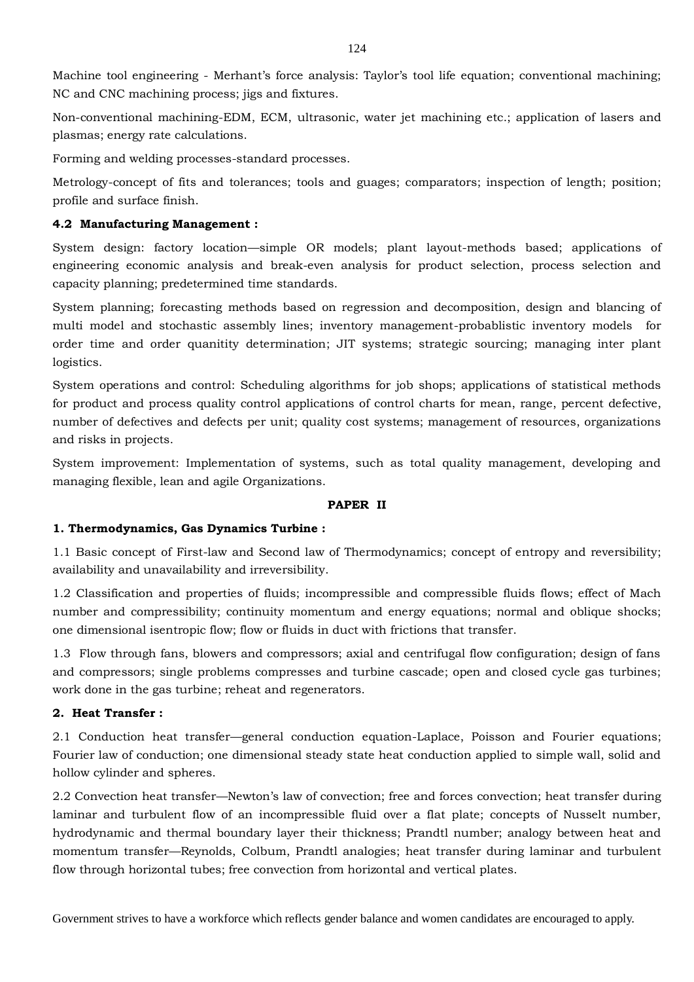Machine tool engineering - Merhant's force analysis: Taylor's tool life equation; conventional machining; NC and CNC machining process; jigs and fixtures.

Non-conventional machining-EDM, ECM, ultrasonic, water jet machining etc.; application of lasers and plasmas; energy rate calculations.

Forming and welding processes-standard processes.

Metrology-concept of fits and tolerances; tools and guages; comparators; inspection of length; position; profile and surface finish.

# **4.2 Manufacturing Management :**

System design: factory location—simple OR models; plant layout-methods based; applications of engineering economic analysis and break-even analysis for product selection, process selection and capacity planning; predetermined time standards.

System planning; forecasting methods based on regression and decomposition, design and blancing of multi model and stochastic assembly lines; inventory management-probablistic inventory models for order time and order quanitity determination; JIT systems; strategic sourcing; managing inter plant logistics.

System operations and control: Scheduling algorithms for job shops; applications of statistical methods for product and process quality control applications of control charts for mean, range, percent defective, number of defectives and defects per unit; quality cost systems; management of resources, organizations and risks in projects.

System improvement: Implementation of systems, such as total quality management, developing and managing flexible, lean and agile Organizations.

# **PAPER II**

# **1. Thermodynamics, Gas Dynamics Turbine :**

1.1 Basic concept of First-law and Second law of Thermodynamics; concept of entropy and reversibility; availability and unavailability and irreversibility.

1.2 Classification and properties of fluids; incompressible and compressible fluids flows; effect of Mach number and compressibility; continuity momentum and energy equations; normal and oblique shocks; one dimensional isentropic flow; flow or fluids in duct with frictions that transfer.

1.3 Flow through fans, blowers and compressors; axial and centrifugal flow configuration; design of fans and compressors; single problems compresses and turbine cascade; open and closed cycle gas turbines; work done in the gas turbine; reheat and regenerators.

# **2. Heat Transfer :**

2.1 Conduction heat transfer—general conduction equation-Laplace, Poisson and Fourier equations; Fourier law of conduction; one dimensional steady state heat conduction applied to simple wall, solid and hollow cylinder and spheres.

2.2 Convection heat transfer—Newton's law of convection; free and forces convection; heat transfer during laminar and turbulent flow of an incompressible fluid over a flat plate; concepts of Nusselt number, hydrodynamic and thermal boundary layer their thickness; Prandtl number; analogy between heat and momentum transfer—Reynolds, Colbum, Prandtl analogies; heat transfer during laminar and turbulent flow through horizontal tubes; free convection from horizontal and vertical plates.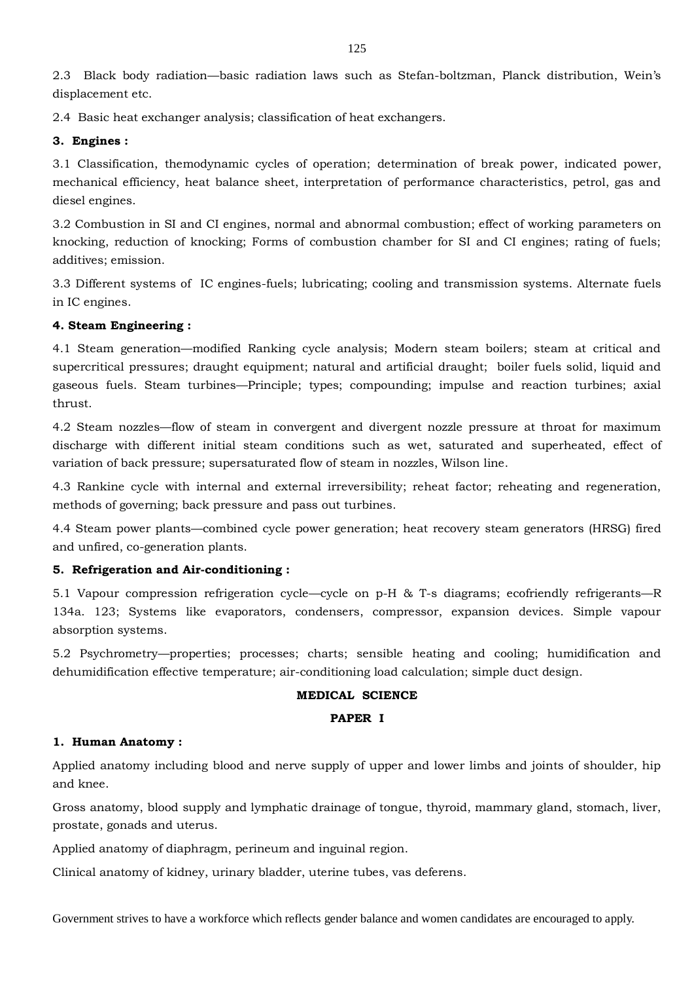2.3 Black body radiation—basic radiation laws such as Stefan-boltzman, Planck distribution, Wein's displacement etc.

2.4 Basic heat exchanger analysis; classification of heat exchangers.

# **3. Engines :**

3.1 Classification, themodynamic cycles of operation; determination of break power, indicated power, mechanical efficiency, heat balance sheet, interpretation of performance characteristics, petrol, gas and diesel engines.

3.2 Combustion in SI and CI engines, normal and abnormal combustion; effect of working parameters on knocking, reduction of knocking; Forms of combustion chamber for SI and CI engines; rating of fuels; additives; emission.

3.3 Different systems of IC engines-fuels; lubricating; cooling and transmission systems. Alternate fuels in IC engines.

# **4. Steam Engineering :**

4.1 Steam generation—modified Ranking cycle analysis; Modern steam boilers; steam at critical and supercritical pressures; draught equipment; natural and artificial draught; boiler fuels solid, liquid and gaseous fuels. Steam turbines—Principle; types; compounding; impulse and reaction turbines; axial thrust.

4.2 Steam nozzles—flow of steam in convergent and divergent nozzle pressure at throat for maximum discharge with different initial steam conditions such as wet, saturated and superheated, effect of variation of back pressure; supersaturated flow of steam in nozzles, Wilson line.

4.3 Rankine cycle with internal and external irreversibility; reheat factor; reheating and regeneration, methods of governing; back pressure and pass out turbines.

4.4 Steam power plants—combined cycle power generation; heat recovery steam generators (HRSG) fired and unfired, co-generation plants.

# **5. Refrigeration and Air-conditioning :**

5.1 Vapour compression refrigeration cycle—cycle on p-H & T-s diagrams; ecofriendly refrigerants—R 134a. 123; Systems like evaporators, condensers, compressor, expansion devices. Simple vapour absorption systems.

5.2 Psychrometry—properties; processes; charts; sensible heating and cooling; humidification and dehumidification effective temperature; air-conditioning load calculation; simple duct design.

# **MEDICAL SCIENCE**

## **PAPER I**

## **1. Human Anatomy :**

Applied anatomy including blood and nerve supply of upper and lower limbs and joints of shoulder, hip and knee.

Gross anatomy, blood supply and lymphatic drainage of tongue, thyroid, mammary gland, stomach, liver, prostate, gonads and uterus.

Applied anatomy of diaphragm, perineum and inguinal region.

Clinical anatomy of kidney, urinary bladder, uterine tubes, vas deferens.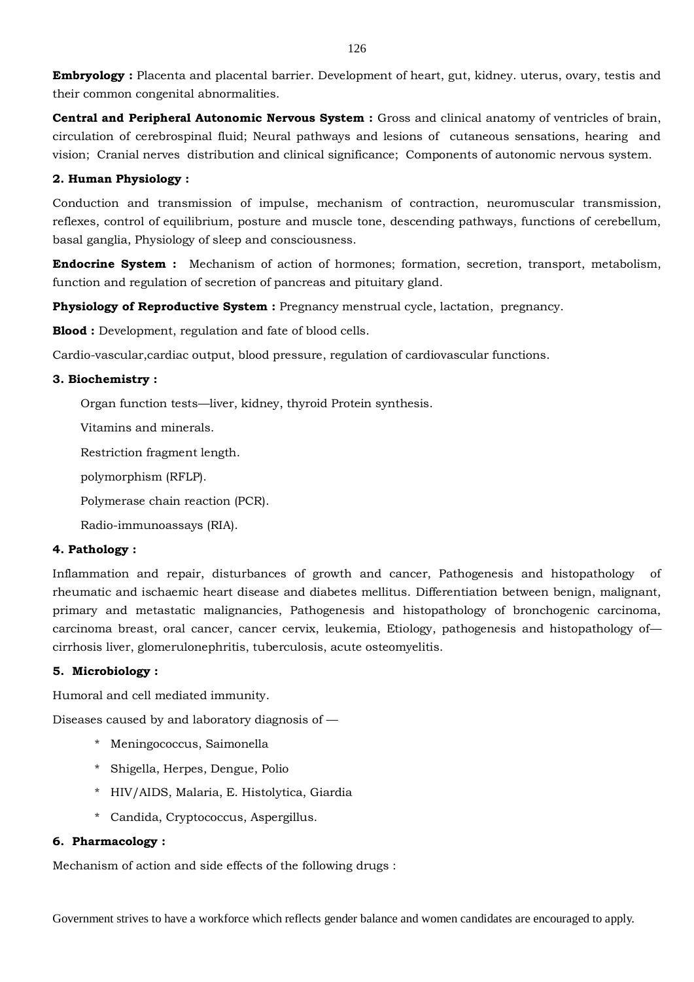**Embryology :** Placenta and placental barrier. Development of heart, gut, kidney. uterus, ovary, testis and their common congenital abnormalities.

**Central and Peripheral Autonomic Nervous System :** Gross and clinical anatomy of ventricles of brain, circulation of cerebrospinal fluid; Neural pathways and lesions of cutaneous sensations, hearing and vision; Cranial nerves distribution and clinical significance; Components of autonomic nervous system.

# **2. Human Physiology :**

Conduction and transmission of impulse, mechanism of contraction, neuromuscular transmission, reflexes, control of equilibrium, posture and muscle tone, descending pathways, functions of cerebellum, basal ganglia, Physiology of sleep and consciousness.

**Endocrine System :** Mechanism of action of hormones; formation, secretion, transport, metabolism, function and regulation of secretion of pancreas and pituitary gland.

**Physiology of Reproductive System :** Pregnancy menstrual cycle, lactation, pregnancy.

**Blood :** Development, regulation and fate of blood cells.

Cardio-vascular,cardiac output, blood pressure, regulation of cardiovascular functions.

# **3. Biochemistry :**

Organ function tests—liver, kidney, thyroid Protein synthesis.

Vitamins and minerals.

Restriction fragment length.

polymorphism (RFLP).

Polymerase chain reaction (PCR).

Radio-immunoassays (RIA).

## **4. Pathology :**

Inflammation and repair, disturbances of growth and cancer, Pathogenesis and histopathology of rheumatic and ischaemic heart disease and diabetes mellitus. Differentiation between benign, malignant, primary and metastatic malignancies, Pathogenesis and histopathology of bronchogenic carcinoma, carcinoma breast, oral cancer, cancer cervix, leukemia, Etiology, pathogenesis and histopathology of cirrhosis liver, glomerulonephritis, tuberculosis, acute osteomyelitis.

# **5. Microbiology :**

Humoral and cell mediated immunity.

Diseases caused by and laboratory diagnosis of —

- \* Meningococcus, Saimonella
- \* Shigella, Herpes, Dengue, Polio
- \* HIV/AIDS, Malaria, E. Histolytica, Giardia
- \* Candida, Cryptococcus, Aspergillus.

# **6. Pharmacology :**

Mechanism of action and side effects of the following drugs :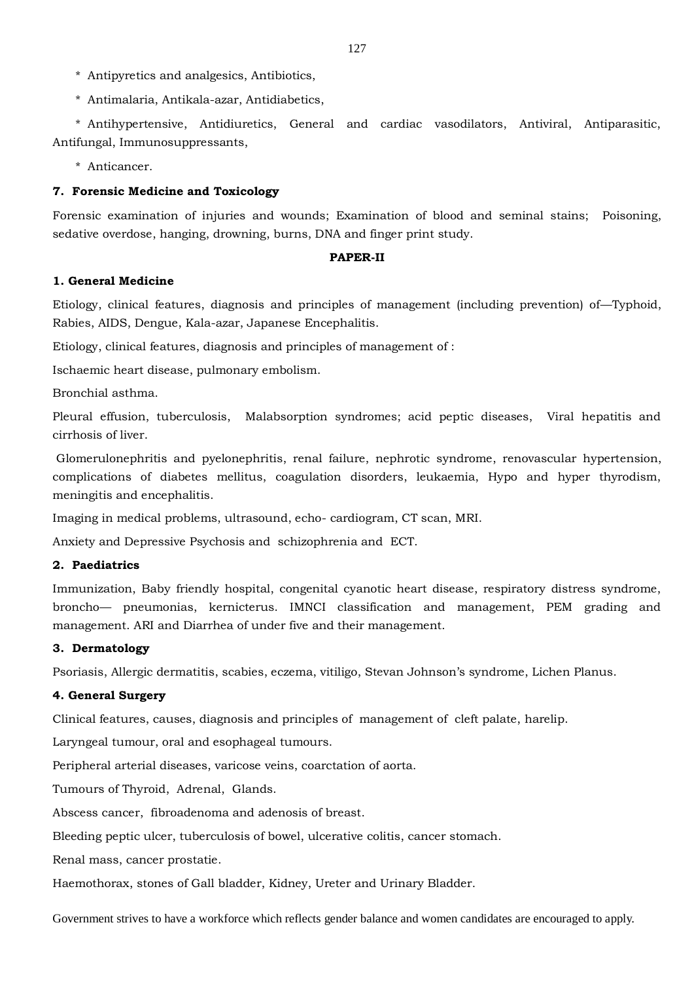- \* Antipyretics and analgesics, Antibiotics,
- \* Antimalaria, Antikala-azar, Antidiabetics,

\* Antihypertensive, Antidiuretics, General and cardiac vasodilators, Antiviral, Antiparasitic, Antifungal, Immunosuppressants,

\* Anticancer.

# **7. Forensic Medicine and Toxicology**

Forensic examination of injuries and wounds; Examination of blood and seminal stains; Poisoning, sedative overdose, hanging, drowning, burns, DNA and finger print study.

## **PAPER-II**

# **1. General Medicine**

Etiology, clinical features, diagnosis and principles of management (including prevention) of—Typhoid, Rabies, AIDS, Dengue, Kala-azar, Japanese Encephalitis.

Etiology, clinical features, diagnosis and principles of management of :

Ischaemic heart disease, pulmonary embolism.

Bronchial asthma.

Pleural effusion, tuberculosis, Malabsorption syndromes; acid peptic diseases, Viral hepatitis and cirrhosis of liver.

Glomerulonephritis and pyelonephritis, renal failure, nephrotic syndrome, renovascular hypertension, complications of diabetes mellitus, coagulation disorders, leukaemia, Hypo and hyper thyrodism, meningitis and encephalitis.

Imaging in medical problems, ultrasound, echo- cardiogram, CT scan, MRI.

Anxiety and Depressive Psychosis and schizophrenia and ECT.

## **2. Paediatrics**

Immunization, Baby friendly hospital, congenital cyanotic heart disease, respiratory distress syndrome, broncho— pneumonias, kernicterus. IMNCI classification and management, PEM grading and management. ARI and Diarrhea of under five and their management.

# **3. Dermatology**

Psoriasis, Allergic dermatitis, scabies, eczema, vitiligo, Stevan Johnson's syndrome, Lichen Planus.

# **4. General Surgery**

Clinical features, causes, diagnosis and principles of management of cleft palate, harelip.

Laryngeal tumour, oral and esophageal tumours.

Peripheral arterial diseases, varicose veins, coarctation of aorta.

Tumours of Thyroid, Adrenal, Glands.

Abscess cancer, fibroadenoma and adenosis of breast.

Bleeding peptic ulcer, tuberculosis of bowel, ulcerative colitis, cancer stomach.

Renal mass, cancer prostatie.

Haemothorax, stones of Gall bladder, Kidney, Ureter and Urinary Bladder.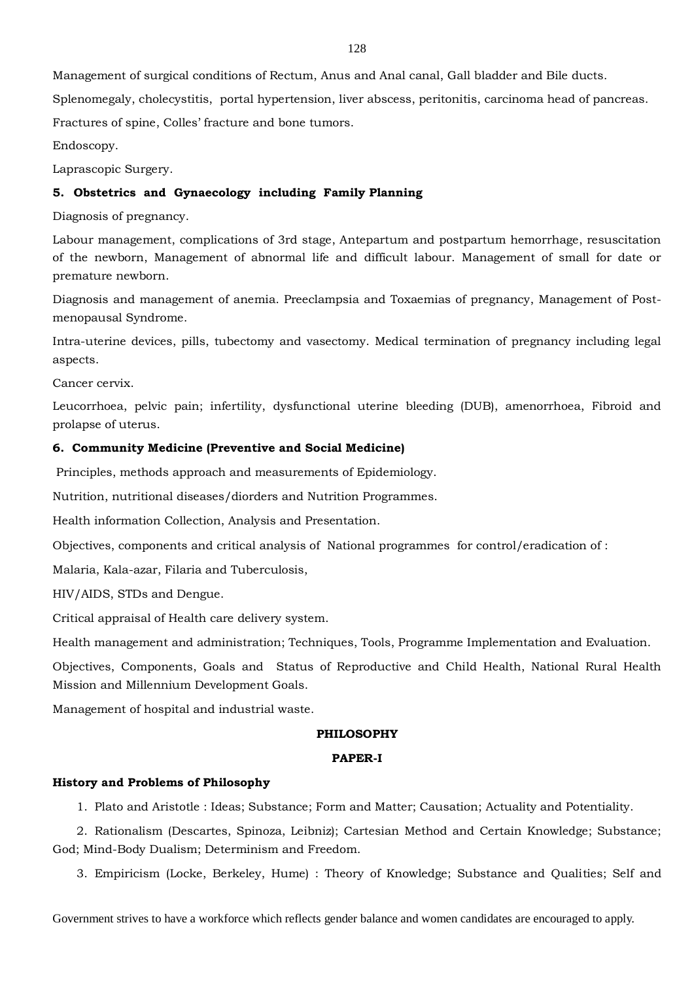Management of surgical conditions of Rectum, Anus and Anal canal, Gall bladder and Bile ducts.

Splenomegaly, cholecystitis, portal hypertension, liver abscess, peritonitis, carcinoma head of pancreas.

Fractures of spine, Colles' fracture and bone tumors.

Endoscopy.

Laprascopic Surgery.

# **5. Obstetrics and Gynaecology including Family Planning**

Diagnosis of pregnancy.

Labour management, complications of 3rd stage, Antepartum and postpartum hemorrhage, resuscitation of the newborn, Management of abnormal life and difficult labour. Management of small for date or premature newborn.

Diagnosis and management of anemia. Preeclampsia and Toxaemias of pregnancy, Management of Postmenopausal Syndrome.

Intra-uterine devices, pills, tubectomy and vasectomy. Medical termination of pregnancy including legal aspects.

Cancer cervix.

Leucorrhoea, pelvic pain; infertility, dysfunctional uterine bleeding (DUB), amenorrhoea, Fibroid and prolapse of uterus.

# **6. Community Medicine (Preventive and Social Medicine)**

Principles, methods approach and measurements of Epidemiology.

Nutrition, nutritional diseases/diorders and Nutrition Programmes.

Health information Collection, Analysis and Presentation.

Objectives, components and critical analysis of National programmes for control/eradication of :

Malaria, Kala-azar, Filaria and Tuberculosis,

HIV/AIDS, STDs and Dengue.

Critical appraisal of Health care delivery system.

Health management and administration; Techniques, Tools, Programme Implementation and Evaluation.

Objectives, Components, Goals and Status of Reproductive and Child Health, National Rural Health Mission and Millennium Development Goals.

Management of hospital and industrial waste.

# **PHILOSOPHY**

### **PAPER-I**

## **History and Problems of Philosophy**

1. Plato and Aristotle : Ideas; Substance; Form and Matter; Causation; Actuality and Potentiality.

2. Rationalism (Descartes, Spinoza, Leibniz); Cartesian Method and Certain Knowledge; Substance; God; Mind-Body Dualism; Determinism and Freedom.

3. Empiricism (Locke, Berkeley, Hume) : Theory of Knowledge; Substance and Qualities; Self and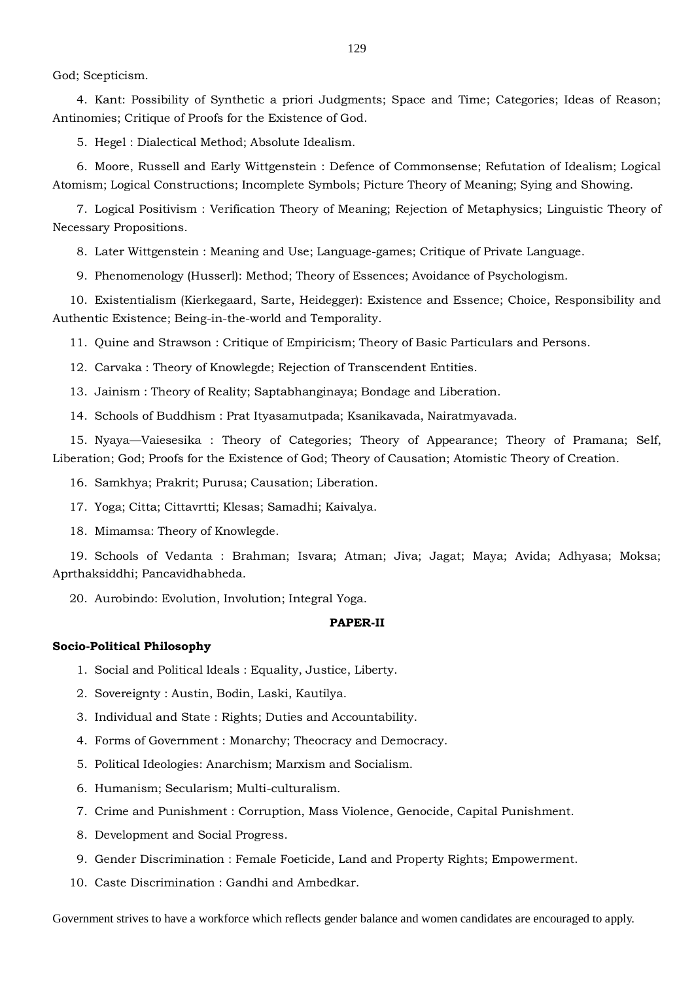God; Scepticism.

4. Kant: Possibility of Synthetic a priori Judgments; Space and Time; Categories; Ideas of Reason; Antinomies; Critique of Proofs for the Existence of God.

5. Hegel : Dialectical Method; Absolute Idealism.

6. Moore, Russell and Early Wittgenstein : Defence of Commonsense; Refutation of Idealism; Logical Atomism; Logical Constructions; Incomplete Symbols; Picture Theory of Meaning; Sying and Showing.

7. Logical Positivism : Verification Theory of Meaning; Rejection of Metaphysics; Linguistic Theory of Necessary Propositions.

8. Later Wittgenstein : Meaning and Use; Language-games; Critique of Private Language.

9. Phenomenology (Husserl): Method; Theory of Essences; Avoidance of Psychologism.

10. Existentialism (Kierkegaard, Sarte, Heidegger): Existence and Essence; Choice, Responsibility and Authentic Existence; Being-in-the-world and Temporality.

11. Quine and Strawson : Critique of Empiricism; Theory of Basic Particulars and Persons.

12. Carvaka : Theory of Knowlegde; Rejection of Transcendent Entities.

13. Jainism : Theory of Reality; Saptabhanginaya; Bondage and Liberation.

14. Schools of Buddhism : Prat Ityasamutpada; Ksanikavada, Nairatmyavada.

15. Nyaya—Vaiesesika : Theory of Categories; Theory of Appearance; Theory of Pramana; Self, Liberation; God; Proofs for the Existence of God; Theory of Causation; Atomistic Theory of Creation.

16. Samkhya; Prakrit; Purusa; Causation; Liberation.

17. Yoga; Citta; Cittavrtti; Klesas; Samadhi; Kaivalya.

18. Mimamsa: Theory of Knowlegde.

19. Schools of Vedanta : Brahman; Isvara; Atman; Jiva; Jagat; Maya; Avida; Adhyasa; Moksa; Aprthaksiddhi; Pancavidhabheda.

20. Aurobindo: Evolution, Involution; Integral Yoga.

#### **PAPER-II**

#### **Socio-Political Philosophy**

1. Social and Political ldeals : Equality, Justice, Liberty.

2. Sovereignty : Austin, Bodin, Laski, Kautilya.

3. Individual and State : Rights; Duties and Accountability.

4. Forms of Government : Monarchy; Theocracy and Democracy.

5. Political Ideologies: Anarchism; Marxism and Socialism.

6. Humanism; Secularism; Multi-culturalism.

7. Crime and Punishment : Corruption, Mass Violence, Genocide, Capital Punishment.

8. Development and Social Progress.

9. Gender Discrimination : Female Foeticide, Land and Property Rights; Empowerment.

10. Caste Discrimination : Gandhi and Ambedkar.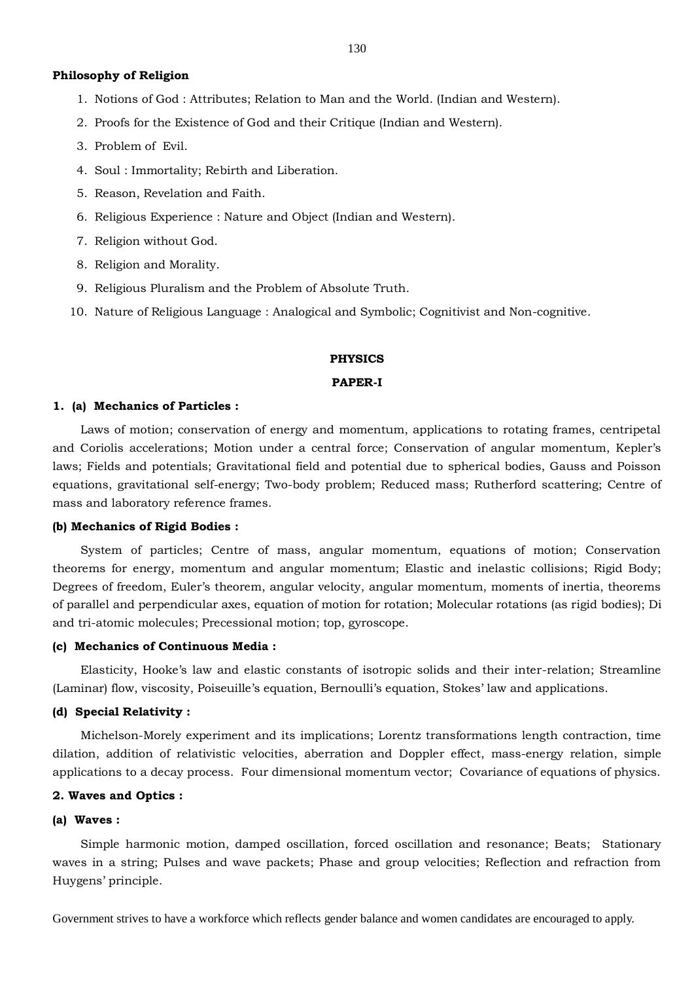#### **Philosophy of Religion**

- 1. Notions of God : Attributes; Relation to Man and the World. (Indian and Western).
- 2. Proofs for the Existence of God and their Critique (Indian and Western).
- 3. Problem of Evil.
- 4. Soul : Immortality; Rebirth and Liberation.
- 5. Reason, Revelation and Faith.
- 6. Religious Experience : Nature and Object (Indian and Western).
- 7. Religion without God.
- 8. Religion and Morality.
- 9. Religious Pluralism and the Problem of Absolute Truth.
- 10. Nature of Religious Language : Analogical and Symbolic; Cognitivist and Non-cognitive.

#### **PHYSICS**

#### **PAPER-I**

#### **1. (a) Mechanics of Particles :**

Laws of motion; conservation of energy and momentum, applications to rotating frames, centripetal and Coriolis accelerations; Motion under a central force; Conservation of angular momentum, Kepler's laws; Fields and potentials; Gravitational field and potential due to spherical bodies, Gauss and Poisson equations, gravitational self-energy; Two-body problem; Reduced mass; Rutherford scattering; Centre of mass and laboratory reference frames.

#### **(b) Mechanics of Rigid Bodies :**

System of particles; Centre of mass, angular momentum, equations of motion; Conservation theorems for energy, momentum and angular momentum; Elastic and inelastic collisions; Rigid Body; Degrees of freedom, Euler's theorem, angular velocity, angular momentum, moments of inertia, theorems of parallel and perpendicular axes, equation of motion for rotation; Molecular rotations (as rigid bodies); Di and tri-atomic molecules; Precessional motion; top, gyroscope.

#### **(c) Mechanics of Continuous Media :**

Elasticity, Hooke's law and elastic constants of isotropic solids and their inter-relation; Streamline (Laminar) flow, viscosity, Poiseuille's equation, Bernoulli's equation, Stokes' law and applications.

#### **(d) Special Relativity :**

Michelson-Morely experiment and its implications; Lorentz transformations length contraction, time dilation, addition of relativistic velocities, aberration and Doppler effect, mass-energy relation, simple applications to a decay process. Four dimensional momentum vector; Covariance of equations of physics.

#### **2. Waves and Optics :**

#### **(a) Waves :**

Simple harmonic motion, damped oscillation, forced oscillation and resonance; Beats; Stationary waves in a string; Pulses and wave packets; Phase and group velocities; Reflection and refraction from Huygens' principle.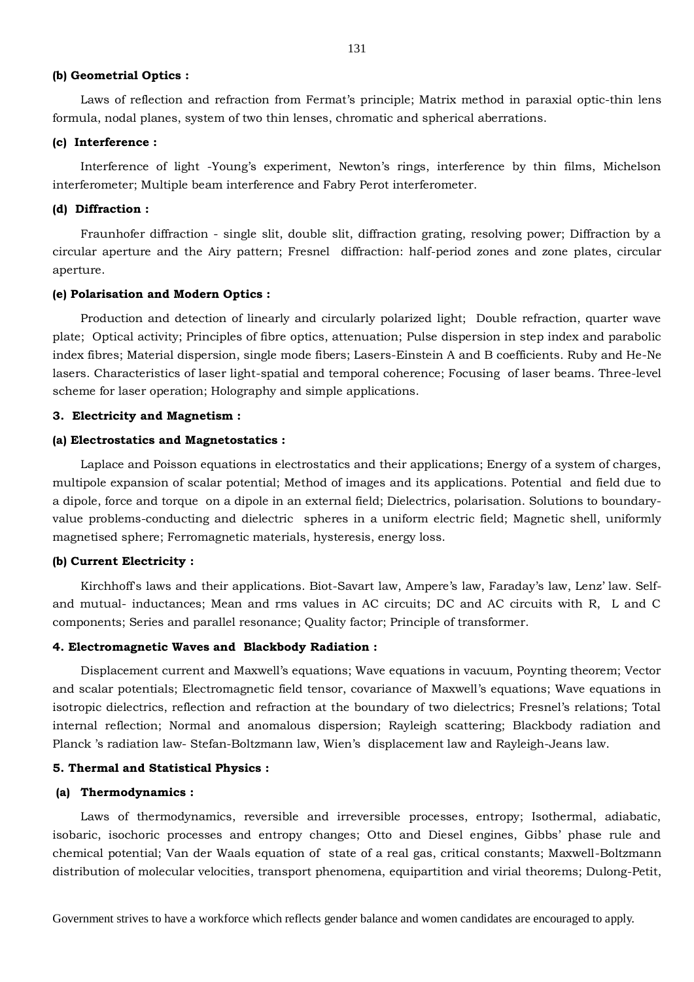#### **(b) Geometrial Optics :**

Laws of reflection and refraction from Fermat's principle; Matrix method in paraxial optic-thin lens formula, nodal planes, system of two thin lenses, chromatic and spherical aberrations.

#### **(c) Interference :**

Interference of light -Young's experiment, Newton's rings, interference by thin films, Michelson interferometer; Multiple beam interference and Fabry Perot interferometer.

## **(d) Diffraction :**

Fraunhofer diffraction - single slit, double slit, diffraction grating, resolving power; Diffraction by a circular aperture and the Airy pattern; Fresnel diffraction: half-period zones and zone plates, circular aperture.

#### **(e) Polarisation and Modern Optics :**

Production and detection of linearly and circularly polarized light; Double refraction, quarter wave plate; Optical activity; Principles of fibre optics, attenuation; Pulse dispersion in step index and parabolic index fibres; Material dispersion, single mode fibers; Lasers-Einstein A and B coefficients. Ruby and He-Ne lasers. Characteristics of laser light-spatial and temporal coherence; Focusing of laser beams. Three-level scheme for laser operation; Holography and simple applications.

## **3. Electricity and Magnetism :**

#### **(a) Electrostatics and Magnetostatics :**

Laplace and Poisson equations in electrostatics and their applications; Energy of a system of charges, multipole expansion of scalar potential; Method of images and its applications. Potential and field due to a dipole, force and torque on a dipole in an external field; Dielectrics, polarisation. Solutions to boundaryvalue problems-conducting and dielectric spheres in a uniform electric field; Magnetic shell, uniformly magnetised sphere; Ferromagnetic materials, hysteresis, energy loss.

#### **(b) Current Electricity :**

Kirchhoff's laws and their applications. Biot-Savart law, Ampere's law, Faraday's law, Lenz' law. Selfand mutual- inductances; Mean and rms values in AC circuits; DC and AC circuits with R, L and C components; Series and parallel resonance; Quality factor; Principle of transformer.

#### **4. Electromagnetic Waves and Blackbody Radiation :**

Displacement current and Maxwell's equations; Wave equations in vacuum, Poynting theorem; Vector and scalar potentials; Electromagnetic field tensor, covariance of Maxwell's equations; Wave equations in isotropic dielectrics, reflection and refraction at the boundary of two dielectrics; Fresnel's relations; Total internal reflection; Normal and anomalous dispersion; Rayleigh scattering; Blackbody radiation and Planck 's radiation law- Stefan-Boltzmann law, Wien's displacement law and Rayleigh-Jeans law.

#### **5. Thermal and Statistical Physics :**

#### **(a) Thermodynamics :**

Laws of thermodynamics, reversible and irreversible processes, entropy; Isothermal, adiabatic, isobaric, isochoric processes and entropy changes; Otto and Diesel engines, Gibbs' phase rule and chemical potential; Van der Waals equation of state of a real gas, critical constants; Maxwell-Boltzmann distribution of molecular velocities, transport phenomena, equipartition and virial theorems; Dulong-Petit,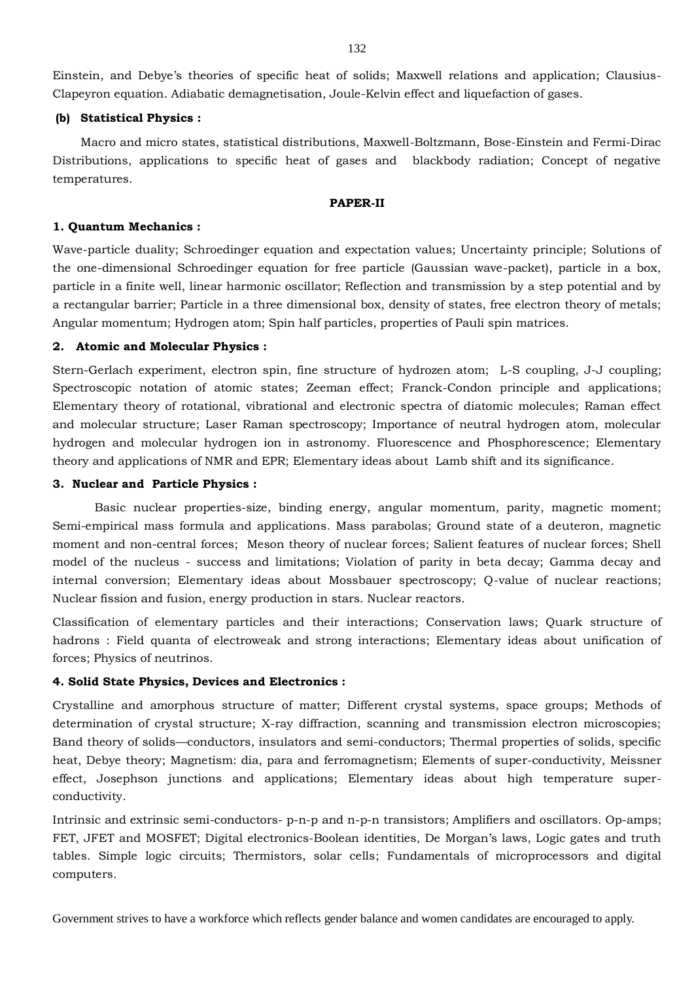Einstein, and Debye's theories of specific heat of solids; Maxwell relations and application; Clausius-Clapeyron equation. Adiabatic demagnetisation, Joule-Kelvin effect and liquefaction of gases.

# **(b) Statistical Physics :**

Macro and micro states, statistical distributions, Maxwell-Boltzmann, Bose-Einstein and Fermi-Dirac Distributions, applications to specific heat of gases and blackbody radiation; Concept of negative temperatures.

## **PAPER-II**

# **1. Quantum Mechanics :**

Wave-particle duality; Schroedinger equation and expectation values; Uncertainty principle; Solutions of the one-dimensional Schroedinger equation for free particle (Gaussian wave-packet), particle in a box, particle in a finite well, linear harmonic oscillator; Reflection and transmission by a step potential and by a rectangular barrier; Particle in a three dimensional box, density of states, free electron theory of metals; Angular momentum; Hydrogen atom; Spin half particles, properties of Pauli spin matrices.

## **2. Atomic and Molecular Physics :**

Stern-Gerlach experiment, electron spin, fine structure of hydrozen atom; L-S coupling, J-J coupling; Spectroscopic notation of atomic states; Zeeman effect; Franck-Condon principle and applications; Elementary theory of rotational, vibrational and electronic spectra of diatomic molecules; Raman effect and molecular structure; Laser Raman spectroscopy; Importance of neutral hydrogen atom, molecular hydrogen and molecular hydrogen ion in astronomy. Fluorescence and Phosphorescence; Elementary theory and applications of NMR and EPR; Elementary ideas about Lamb shift and its significance.

## **3. Nuclear and Particle Physics :**

Basic nuclear properties-size, binding energy, angular momentum, parity, magnetic moment; Semi-empirical mass formula and applications. Mass parabolas; Ground state of a deuteron, magnetic moment and non-central forces; Meson theory of nuclear forces; Salient features of nuclear forces; Shell model of the nucleus - success and limitations; Violation of parity in beta decay; Gamma decay and internal conversion; Elementary ideas about Mossbauer spectroscopy; Q-value of nuclear reactions; Nuclear fission and fusion, energy production in stars. Nuclear reactors.

Classification of elementary particles and their interactions; Conservation laws; Quark structure of hadrons : Field quanta of electroweak and strong interactions; Elementary ideas about unification of forces; Physics of neutrinos.

# **4. Solid State Physics, Devices and Electronics :**

Crystalline and amorphous structure of matter; Different crystal systems, space groups; Methods of determination of crystal structure; X-ray diffraction, scanning and transmission electron microscopies; Band theory of solids—conductors, insulators and semi-conductors; Thermal properties of solids, specific heat, Debye theory; Magnetism: dia, para and ferromagnetism; Elements of super-conductivity, Meissner effect, Josephson junctions and applications; Elementary ideas about high temperature superconductivity.

Intrinsic and extrinsic semi-conductors- p-n-p and n-p-n transistors; Amplifiers and oscillators. Op-amps; FET, JFET and MOSFET; Digital electronics-Boolean identities, De Morgan's laws, Logic gates and truth tables. Simple logic circuits; Thermistors, solar cells; Fundamentals of microprocessors and digital computers.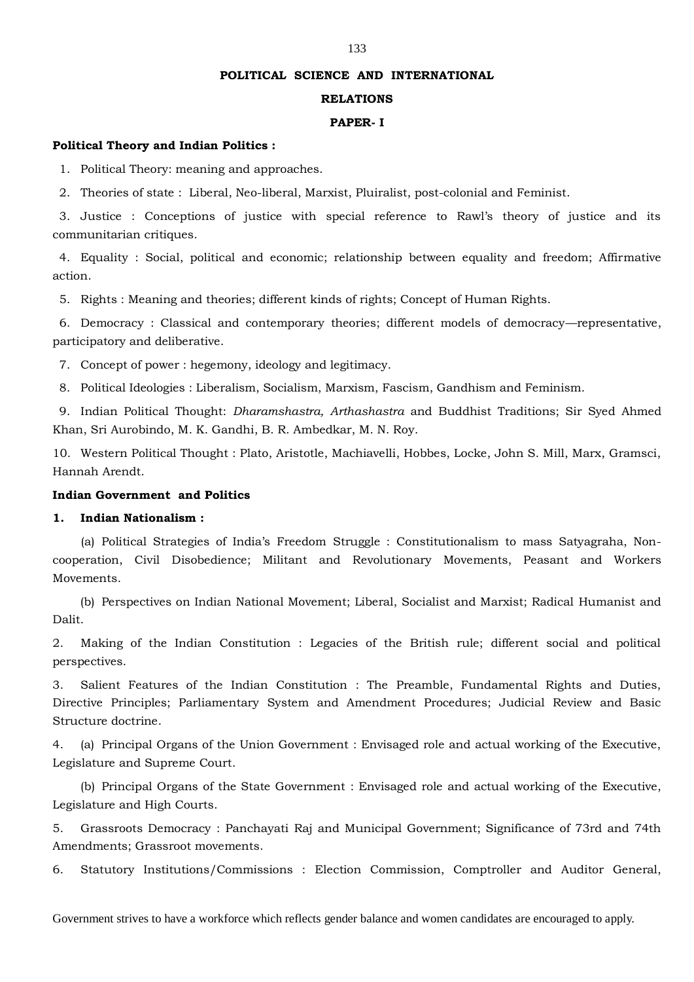#### **POLITICAL SCIENCE AND INTERNATIONAL**

#### **RELATIONS**

#### **PAPER- I**

#### **Political Theory and Indian Politics :**

1. Political Theory: meaning and approaches.

2. Theories of state : Liberal, Neo-liberal, Marxist, Pluiralist, post-colonial and Feminist.

3. Justice : Conceptions of justice with special reference to Rawl's theory of justice and its communitarian critiques.

4. Equality : Social, political and economic; relationship between equality and freedom; Affirmative action.

5. Rights : Meaning and theories; different kinds of rights; Concept of Human Rights.

6. Democracy : Classical and contemporary theories; different models of democracy—representative, participatory and deliberative.

7. Concept of power : hegemony, ideology and legitimacy.

8. Political Ideologies : Liberalism, Socialism, Marxism, Fascism, Gandhism and Feminism.

9. Indian Political Thought: *Dharamshastra, Arthashastra* and Buddhist Traditions; Sir Syed Ahmed Khan, Sri Aurobindo, M. K. Gandhi, B. R. Ambedkar, M. N. Roy.

10. Western Political Thought : Plato, Aristotle, Machiavelli, Hobbes, Locke, John S. Mill, Marx, Gramsci, Hannah Arendt.

# **Indian Government and Politics**

# **1. Indian Nationalism :**

(a) Political Strategies of India's Freedom Struggle : Constitutionalism to mass Satyagraha, Noncooperation, Civil Disobedience; Militant and Revolutionary Movements, Peasant and Workers Movements.

(b) Perspectives on Indian National Movement; Liberal, Socialist and Marxist; Radical Humanist and Dalit.

2. Making of the Indian Constitution : Legacies of the British rule; different social and political perspectives.

3. Salient Features of the Indian Constitution : The Preamble, Fundamental Rights and Duties, Directive Principles; Parliamentary System and Amendment Procedures; Judicial Review and Basic Structure doctrine.

4. (a) Principal Organs of the Union Government : Envisaged role and actual working of the Executive, Legislature and Supreme Court.

(b) Principal Organs of the State Government : Envisaged role and actual working of the Executive, Legislature and High Courts.

5. Grassroots Democracy : Panchayati Raj and Municipal Government; Significance of 73rd and 74th Amendments; Grassroot movements.

6. Statutory Institutions/Commissions : Election Commission, Comptroller and Auditor General,

Government strives to have a workforce which reflects gender balance and women candidates are encouraged to apply.

#### 133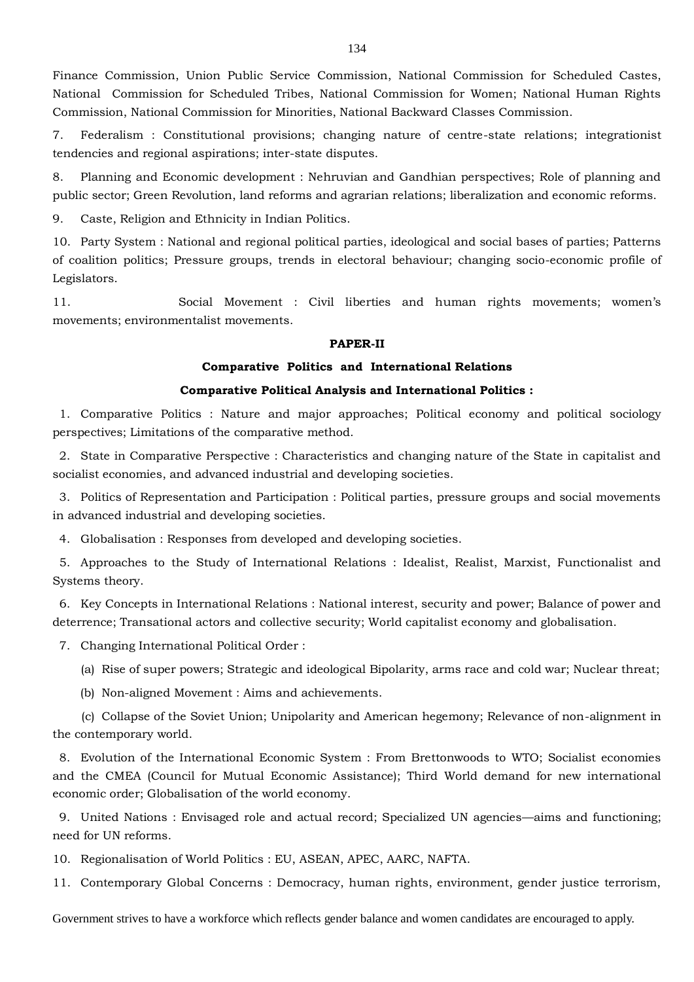Finance Commission, Union Public Service Commission, National Commission for Scheduled Castes, National Commission for Scheduled Tribes, National Commission for Women; National Human Rights Commission, National Commission for Minorities, National Backward Classes Commission.

7. Federalism : Constitutional provisions; changing nature of centre-state relations; integrationist tendencies and regional aspirations; inter-state disputes.

8. Planning and Economic development : Nehruvian and Gandhian perspectives; Role of planning and public sector; Green Revolution, land reforms and agrarian relations; liberalization and economic reforms.

9. Caste, Religion and Ethnicity in Indian Politics.

10. Party System : National and regional political parties, ideological and social bases of parties; Patterns of coalition politics; Pressure groups, trends in electoral behaviour; changing socio-economic profile of Legislators.

11. Social Movement : Civil liberties and human rights movements; women's movements; environmentalist movements.

## **PAPER-II**

## **Comparative Politics and International Relations**

# **Comparative Political Analysis and International Politics :**

1. Comparative Politics : Nature and major approaches; Political economy and political sociology perspectives; Limitations of the comparative method.

2. State in Comparative Perspective : Characteristics and changing nature of the State in capitalist and socialist economies, and advanced industrial and developing societies.

3. Politics of Representation and Participation : Political parties, pressure groups and social movements in advanced industrial and developing societies.

4. Globalisation : Responses from developed and developing societies.

5. Approaches to the Study of International Relations : Idealist, Realist, Marxist, Functionalist and Systems theory.

6. Key Concepts in International Relations : National interest, security and power; Balance of power and deterrence; Transational actors and collective security; World capitalist economy and globalisation.

7. Changing International Political Order :

(a) Rise of super powers; Strategic and ideological Bipolarity, arms race and cold war; Nuclear threat;

(b) Non-aligned Movement : Aims and achievements.

(c) Collapse of the Soviet Union; Unipolarity and American hegemony; Relevance of non-alignment in the contemporary world.

8. Evolution of the International Economic System : From Brettonwoods to WTO; Socialist economies and the CMEA (Council for Mutual Economic Assistance); Third World demand for new international economic order; Globalisation of the world economy.

9. United Nations : Envisaged role and actual record; Specialized UN agencies—aims and functioning; need for UN reforms.

10. Regionalisation of World Politics : EU, ASEAN, APEC, AARC, NAFTA.

11. Contemporary Global Concerns : Democracy, human rights, environment, gender justice terrorism,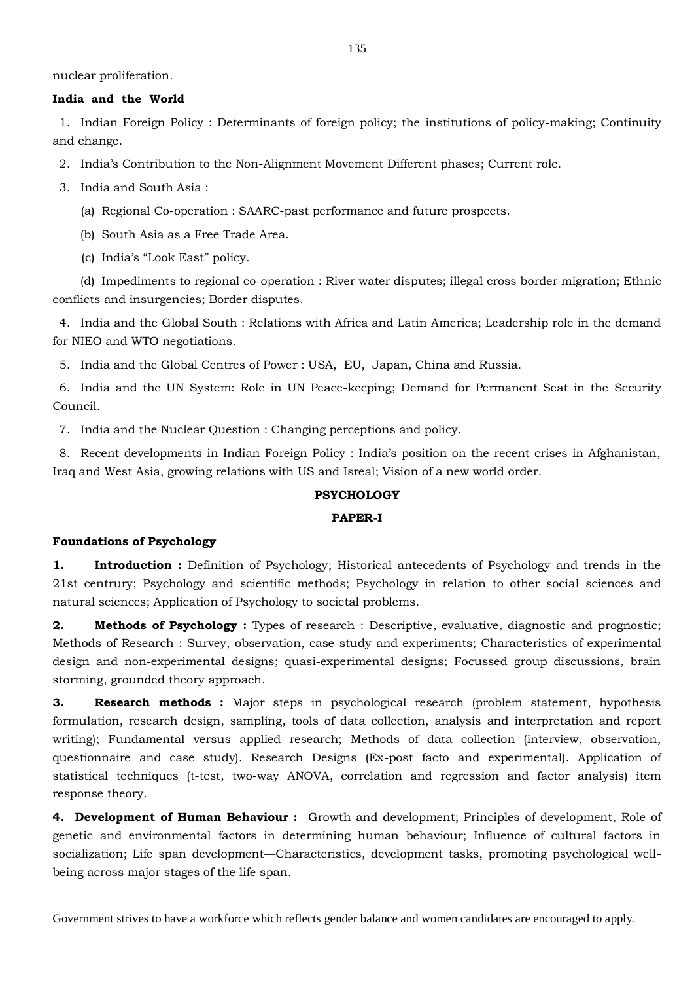nuclear proliferation.

### **India and the World**

1. Indian Foreign Policy : Determinants of foreign policy; the institutions of policy-making; Continuity and change.

2. India's Contribution to the Non-Alignment Movement Different phases; Current role.

3. India and South Asia :

(a) Regional Co-operation : SAARC-past performance and future prospects.

(b) South Asia as a Free Trade Area.

(c) India's "Look East" policy.

(d) Impediments to regional co-operation : River water disputes; illegal cross border migration; Ethnic conflicts and insurgencies; Border disputes.

4. India and the Global South : Relations with Africa and Latin America; Leadership role in the demand for NIEO and WTO negotiations.

5. India and the Global Centres of Power : USA, EU, Japan, China and Russia.

6. India and the UN System: Role in UN Peace-keeping; Demand for Permanent Seat in the Security Council.

7. India and the Nuclear Question : Changing perceptions and policy.

8. Recent developments in Indian Foreign Policy : India's position on the recent crises in Afghanistan, Iraq and West Asia, growing relations with US and Isreal; Vision of a new world order.

# **PSYCHOLOGY**

# **PAPER-I**

## **Foundations of Psychology**

**1. Introduction**: Definition of Psychology; Historical antecedents of Psychology and trends in the 21st centrury; Psychology and scientific methods; Psychology in relation to other social sciences and natural sciences; Application of Psychology to societal problems.

**2. Methods of Psychology :** Types of research : Descriptive, evaluative, diagnostic and prognostic; Methods of Research : Survey, observation, case-study and experiments; Characteristics of experimental design and non-experimental designs; quasi-experimental designs; Focussed group discussions, brain storming, grounded theory approach.

**3. Research methods :** Major steps in psychological research (problem statement, hypothesis formulation, research design, sampling, tools of data collection, analysis and interpretation and report writing); Fundamental versus applied research; Methods of data collection (interview, observation, questionnaire and case study). Research Designs (Ex-post facto and experimental). Application of statistical techniques (t-test, two-way ANOVA, correlation and regression and factor analysis) item response theory.

**4. Development of Human Behaviour :** Growth and development; Principles of development, Role of genetic and environmental factors in determining human behaviour; Influence of cultural factors in socialization; Life span development—Characteristics, development tasks, promoting psychological wellbeing across major stages of the life span.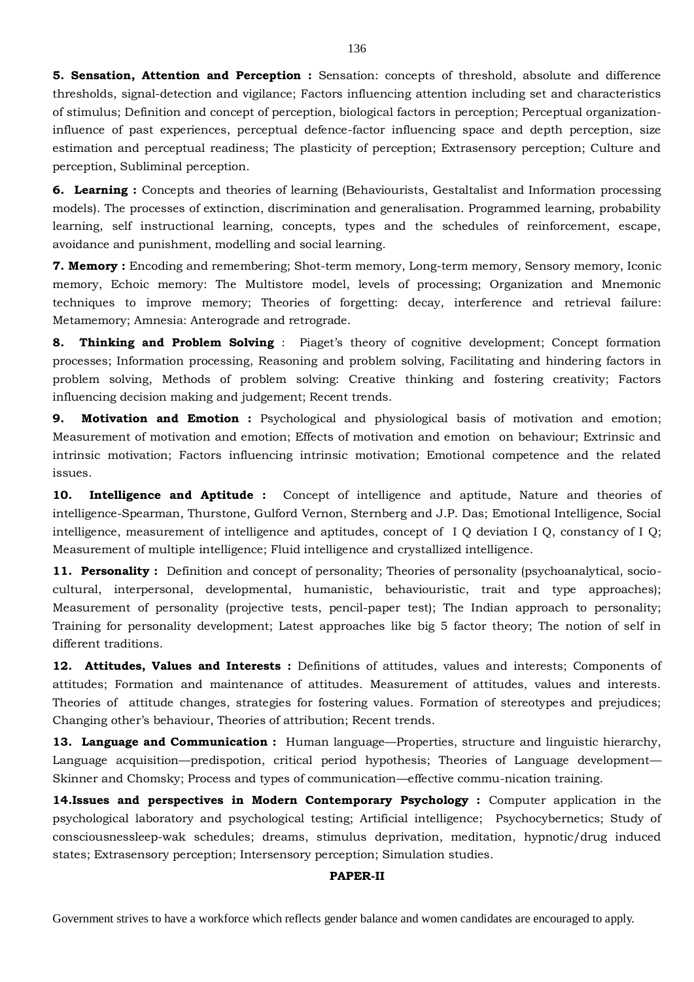**5. Sensation, Attention and Perception :** Sensation: concepts of threshold, absolute and difference thresholds, signal-detection and vigilance; Factors influencing attention including set and characteristics of stimulus; Definition and concept of perception, biological factors in perception; Perceptual organizationinfluence of past experiences, perceptual defence-factor influencing space and depth perception, size estimation and perceptual readiness; The plasticity of perception; Extrasensory perception; Culture and perception, Subliminal perception.

**6. Learning :** Concepts and theories of learning (Behaviourists, Gestaltalist and Information processing models). The processes of extinction, discrimination and generalisation. Programmed learning, probability learning, self instructional learning, concepts, types and the schedules of reinforcement, escape, avoidance and punishment, modelling and social learning.

**7. Memory :** Encoding and remembering; Shot-term memory, Long-term memory, Sensory memory, Iconic memory, Echoic memory: The Multistore model, levels of processing; Organization and Mnemonic techniques to improve memory; Theories of forgetting: decay, interference and retrieval failure: Metamemory; Amnesia: Anterograde and retrograde.

**8. Thinking and Problem Solving**: Piaget's theory of cognitive development; Concept formation processes; Information processing, Reasoning and problem solving, Facilitating and hindering factors in problem solving, Methods of problem solving: Creative thinking and fostering creativity; Factors influencing decision making and judgement; Recent trends.

**9. Motivation and Emotion :** Psychological and physiological basis of motivation and emotion; Measurement of motivation and emotion; Effects of motivation and emotion on behaviour; Extrinsic and intrinsic motivation; Factors influencing intrinsic motivation; Emotional competence and the related issues.

**10. Intelligence and Aptitude :** Concept of intelligence and aptitude, Nature and theories of intelligence-Spearman, Thurstone, Gulford Vernon, Sternberg and J.P. Das; Emotional Intelligence, Social intelligence, measurement of intelligence and aptitudes, concept of I Q deviation I Q, constancy of I Q; Measurement of multiple intelligence; Fluid intelligence and crystallized intelligence.

**11. Personality :** Definition and concept of personality; Theories of personality (psychoanalytical, sociocultural, interpersonal, developmental, humanistic, behaviouristic, trait and type approaches); Measurement of personality (projective tests, pencil-paper test); The Indian approach to personality; Training for personality development; Latest approaches like big 5 factor theory; The notion of self in different traditions.

**12. Attitudes, Values and Interests :** Definitions of attitudes, values and interests; Components of attitudes; Formation and maintenance of attitudes. Measurement of attitudes, values and interests. Theories of attitude changes, strategies for fostering values. Formation of stereotypes and prejudices; Changing other's behaviour, Theories of attribution; Recent trends.

**13. Language and Communication :** Human language—Properties, structure and linguistic hierarchy, Language acquisition—predispotion, critical period hypothesis; Theories of Language development— Skinner and Chomsky; Process and types of communication—effective commu-nication training.

**14.Issues and perspectives in Modern Contemporary Psychology :** Computer application in the psychological laboratory and psychological testing; Artificial intelligence; Psychocybernetics; Study of consciousnessleep-wak schedules; dreams, stimulus deprivation, meditation, hypnotic/drug induced states; Extrasensory perception; Intersensory perception; Simulation studies.

## **PAPER-II**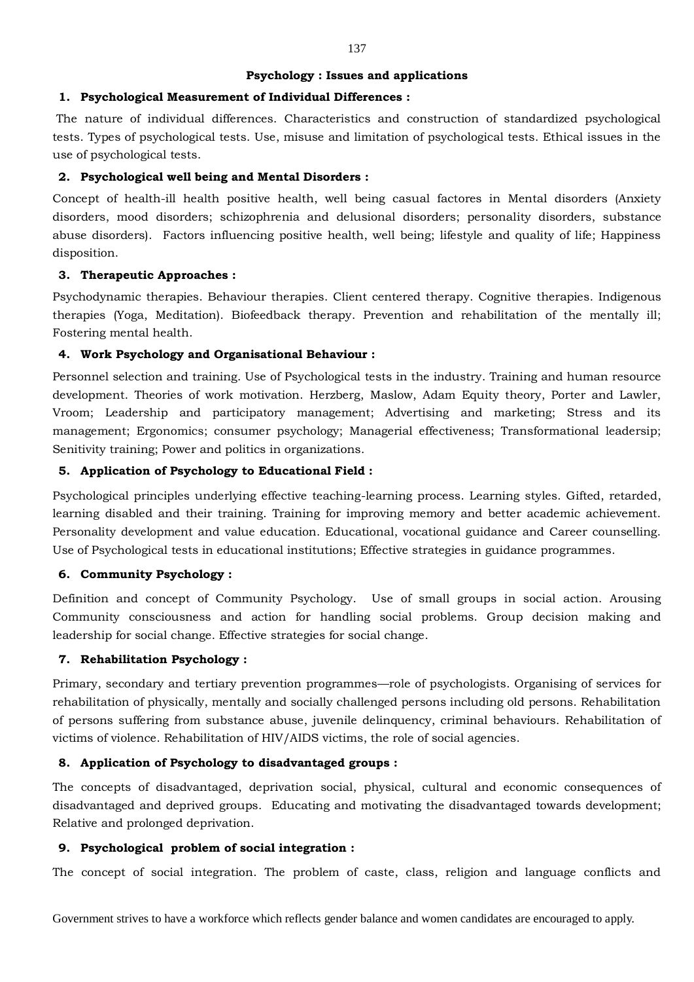### **Psychology : Issues and applications**

## **1. Psychological Measurement of Individual Differences :**

The nature of individual differences. Characteristics and construction of standardized psychological tests. Types of psychological tests. Use, misuse and limitation of psychological tests. Ethical issues in the use of psychological tests.

# **2. Psychological well being and Mental Disorders :**

Concept of health-ill health positive health, well being casual factores in Mental disorders (Anxiety disorders, mood disorders; schizophrenia and delusional disorders; personality disorders, substance abuse disorders). Factors influencing positive health, well being; lifestyle and quality of life; Happiness disposition.

### **3. Therapeutic Approaches :**

Psychodynamic therapies. Behaviour therapies. Client centered therapy. Cognitive therapies. Indigenous therapies (Yoga, Meditation). Biofeedback therapy. Prevention and rehabilitation of the mentally ill; Fostering mental health.

### **4. Work Psychology and Organisational Behaviour :**

Personnel selection and training. Use of Psychological tests in the industry. Training and human resource development. Theories of work motivation. Herzberg, Maslow, Adam Equity theory, Porter and Lawler, Vroom; Leadership and participatory management; Advertising and marketing; Stress and its management; Ergonomics; consumer psychology; Managerial effectiveness; Transformational leadersip; Senitivity training; Power and politics in organizations.

### **5. Application of Psychology to Educational Field :**

Psychological principles underlying effective teaching-learning process. Learning styles. Gifted, retarded, learning disabled and their training. Training for improving memory and better academic achievement. Personality development and value education. Educational, vocational guidance and Career counselling. Use of Psychological tests in educational institutions; Effective strategies in guidance programmes.

# **6. Community Psychology :**

Definition and concept of Community Psychology. Use of small groups in social action. Arousing Community consciousness and action for handling social problems. Group decision making and leadership for social change. Effective strategies for social change.

## **7. Rehabilitation Psychology :**

Primary, secondary and tertiary prevention programmes—role of psychologists. Organising of services for rehabilitation of physically, mentally and socially challenged persons including old persons. Rehabilitation of persons suffering from substance abuse, juvenile delinquency, criminal behaviours. Rehabilitation of victims of violence. Rehabilitation of HIV/AIDS victims, the role of social agencies.

## **8. Application of Psychology to disadvantaged groups :**

The concepts of disadvantaged, deprivation social, physical, cultural and economic consequences of disadvantaged and deprived groups. Educating and motivating the disadvantaged towards development; Relative and prolonged deprivation.

## **9. Psychological problem of social integration :**

The concept of social integration. The problem of caste, class, religion and language conflicts and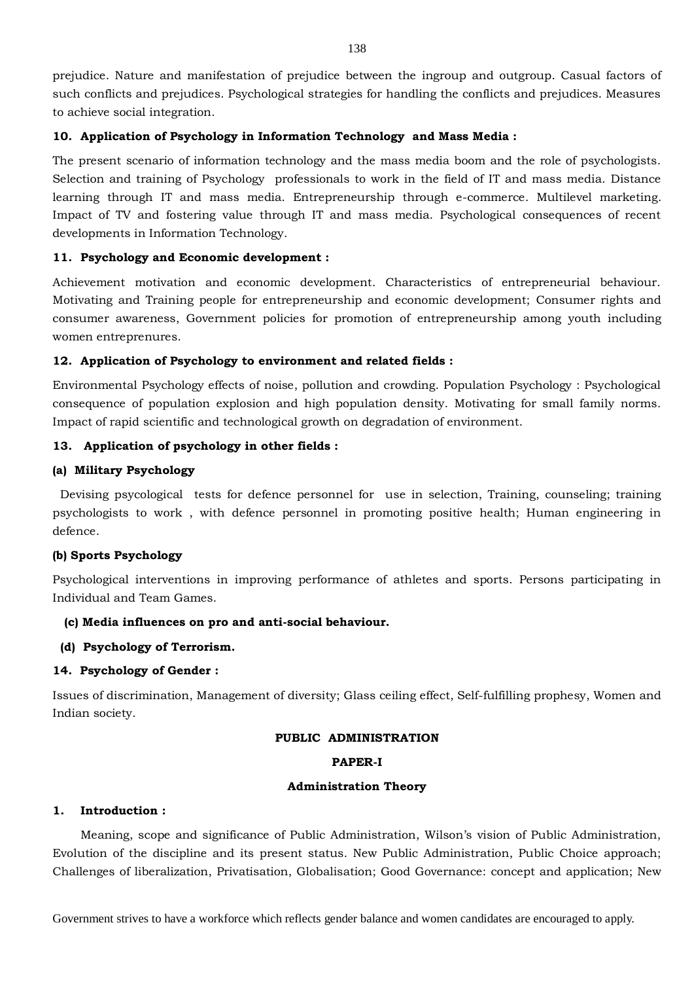prejudice. Nature and manifestation of prejudice between the ingroup and outgroup. Casual factors of such conflicts and prejudices. Psychological strategies for handling the conflicts and prejudices. Measures to achieve social integration.

### **10. Application of Psychology in Information Technology and Mass Media :**

The present scenario of information technology and the mass media boom and the role of psychologists. Selection and training of Psychology professionals to work in the field of IT and mass media. Distance learning through IT and mass media. Entrepreneurship through e-commerce. Multilevel marketing. Impact of TV and fostering value through IT and mass media. Psychological consequences of recent developments in Information Technology.

### **11. Psychology and Economic development :**

Achievement motivation and economic development. Characteristics of entrepreneurial behaviour. Motivating and Training people for entrepreneurship and economic development; Consumer rights and consumer awareness, Government policies for promotion of entrepreneurship among youth including women entreprenures.

### **12. Application of Psychology to environment and related fields :**

Environmental Psychology effects of noise, pollution and crowding. Population Psychology : Psychological consequence of population explosion and high population density. Motivating for small family norms. Impact of rapid scientific and technological growth on degradation of environment.

### **13. Application of psychology in other fields :**

### **(a) Military Psychology**

Devising psycological tests for defence personnel for use in selection, Training, counseling; training psychologists to work , with defence personnel in promoting positive health; Human engineering in defence.

### **(b) Sports Psychology**

Psychological interventions in improving performance of athletes and sports. Persons participating in Individual and Team Games.

### **(c) Media influences on pro and anti-social behaviour.**

### **(d) Psychology of Terrorism.**

### **14. Psychology of Gender :**

Issues of discrimination, Management of diversity; Glass ceiling effect, Self-fulfilling prophesy, Women and Indian society.

# **PUBLIC ADMINISTRATION**

### **PAPER-I**

### **Administration Theory**

## **1. Introduction :**

Meaning, scope and significance of Public Administration, Wilson's vision of Public Administration, Evolution of the discipline and its present status. New Public Administration, Public Choice approach; Challenges of liberalization, Privatisation, Globalisation; Good Governance: concept and application; New

Government strives to have a workforce which reflects gender balance and women candidates are encouraged to apply.

138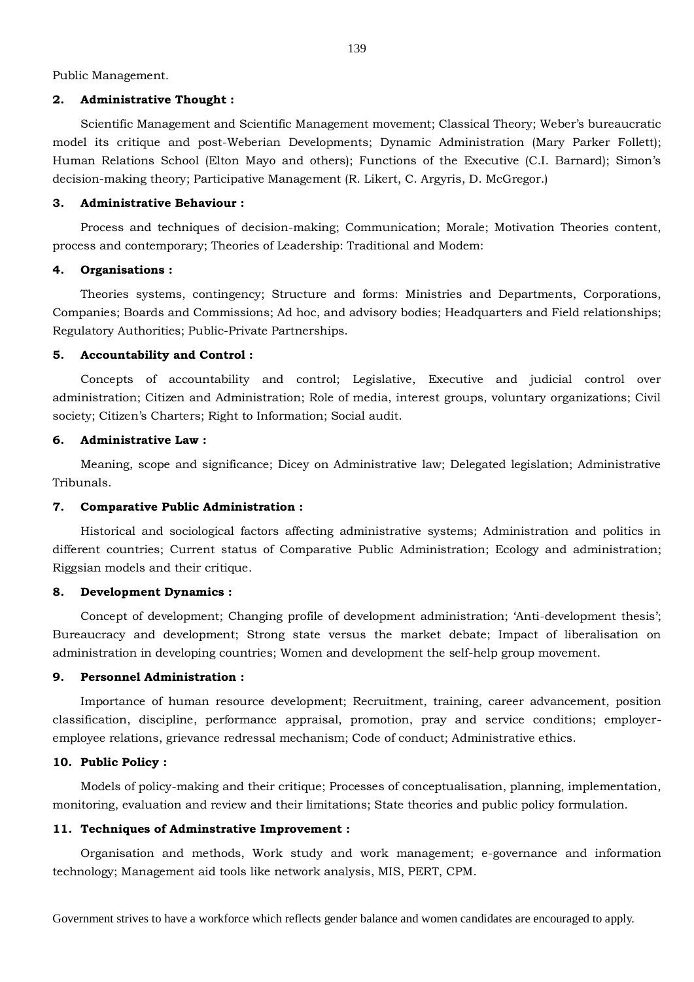Public Management.

#### **2. Administrative Thought :**

Scientific Management and Scientific Management movement; Classical Theory; Weber's bureaucratic model its critique and post-Weberian Developments; Dynamic Administration (Mary Parker Follett); Human Relations School (Elton Mayo and others); Functions of the Executive (C.I. Barnard); Simon's decision-making theory; Participative Management (R. Likert, C. Argyris, D. McGregor.)

#### **3. Administrative Behaviour :**

Process and techniques of decision-making; Communication; Morale; Motivation Theories content, process and contemporary; Theories of Leadership: Traditional and Modem:

#### **4. Organisations :**

Theories systems, contingency; Structure and forms: Ministries and Departments, Corporations, Companies; Boards and Commissions; Ad hoc, and advisory bodies; Headquarters and Field relationships; Regulatory Authorities; Public-Private Partnerships.

#### **5. Accountability and Control :**

Concepts of accountability and control; Legislative, Executive and judicial control over administration; Citizen and Administration; Role of media, interest groups, voluntary organizations; Civil society; Citizen's Charters; Right to Information; Social audit.

#### **6. Administrative Law :**

Meaning, scope and significance; Dicey on Administrative law; Delegated legislation; Administrative Tribunals.

### **7. Comparative Public Administration :**

Historical and sociological factors affecting administrative systems; Administration and politics in different countries; Current status of Comparative Public Administration; Ecology and administration; Riggsian models and their critique.

### **8. Development Dynamics :**

Concept of development; Changing profile of development administration; 'Anti-development thesis'; Bureaucracy and development; Strong state versus the market debate; Impact of liberalisation on administration in developing countries; Women and development the self-help group movement.

#### **9. Personnel Administration :**

Importance of human resource development; Recruitment, training, career advancement, position classification, discipline, performance appraisal, promotion, pray and service conditions; employeremployee relations, grievance redressal mechanism; Code of conduct; Administrative ethics.

#### **10. Public Policy :**

Models of policy-making and their critique; Processes of conceptualisation, planning, implementation, monitoring, evaluation and review and their limitations; State theories and public policy formulation.

#### **11. Techniques of Adminstrative Improvement :**

Organisation and methods, Work study and work management; e-governance and information technology; Management aid tools like network analysis, MIS, PERT, CPM.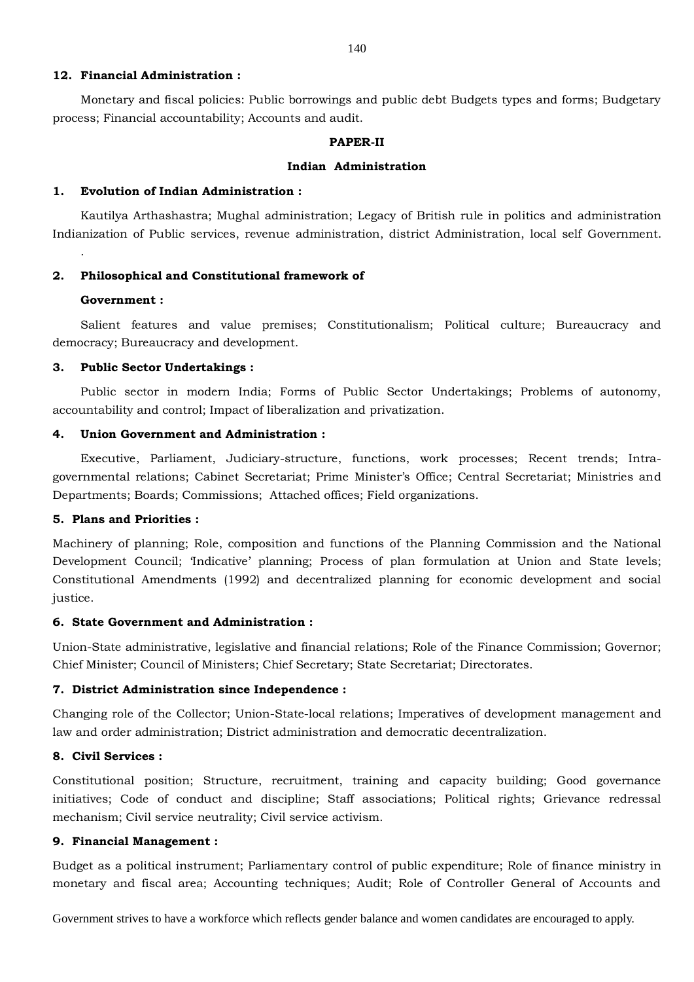### **12. Financial Administration :**

Monetary and fiscal policies: Public borrowings and public debt Budgets types and forms; Budgetary process; Financial accountability; Accounts and audit.

#### **PAPER-II**

#### **Indian Administration**

#### **1. Evolution of Indian Administration :**

Kautilya Arthashastra; Mughal administration; Legacy of British rule in politics and administration Indianization of Public services, revenue administration, district Administration, local self Government.

#### **2. Philosophical and Constitutional framework of**

### **Government :**

.

Salient features and value premises; Constitutionalism; Political culture; Bureaucracy and democracy; Bureaucracy and development.

### **3. Public Sector Undertakings :**

Public sector in modern India; Forms of Public Sector Undertakings; Problems of autonomy, accountability and control; Impact of liberalization and privatization.

#### **4. Union Government and Administration :**

Executive, Parliament, Judiciary-structure, functions, work processes; Recent trends; Intragovernmental relations; Cabinet Secretariat; Prime Minister's Office; Central Secretariat; Ministries and Departments; Boards; Commissions; Attached offices; Field organizations.

### **5. Plans and Priorities :**

Machinery of planning; Role, composition and functions of the Planning Commission and the National Development Council; 'Indicative' planning; Process of plan formulation at Union and State levels; Constitutional Amendments (1992) and decentralized planning for economic development and social justice.

### **6. State Government and Administration :**

Union-State administrative, legislative and financial relations; Role of the Finance Commission; Governor; Chief Minister; Council of Ministers; Chief Secretary; State Secretariat; Directorates.

#### **7. District Administration since Independence :**

Changing role of the Collector; Union-State-local relations; Imperatives of development management and law and order administration; District administration and democratic decentralization.

#### **8. Civil Services :**

Constitutional position; Structure, recruitment, training and capacity building; Good governance initiatives; Code of conduct and discipline; Staff associations; Political rights; Grievance redressal mechanism; Civil service neutrality; Civil service activism.

# **9. Financial Management :**

Budget as a political instrument; Parliamentary control of public expenditure; Role of finance ministry in monetary and fiscal area; Accounting techniques; Audit; Role of Controller General of Accounts and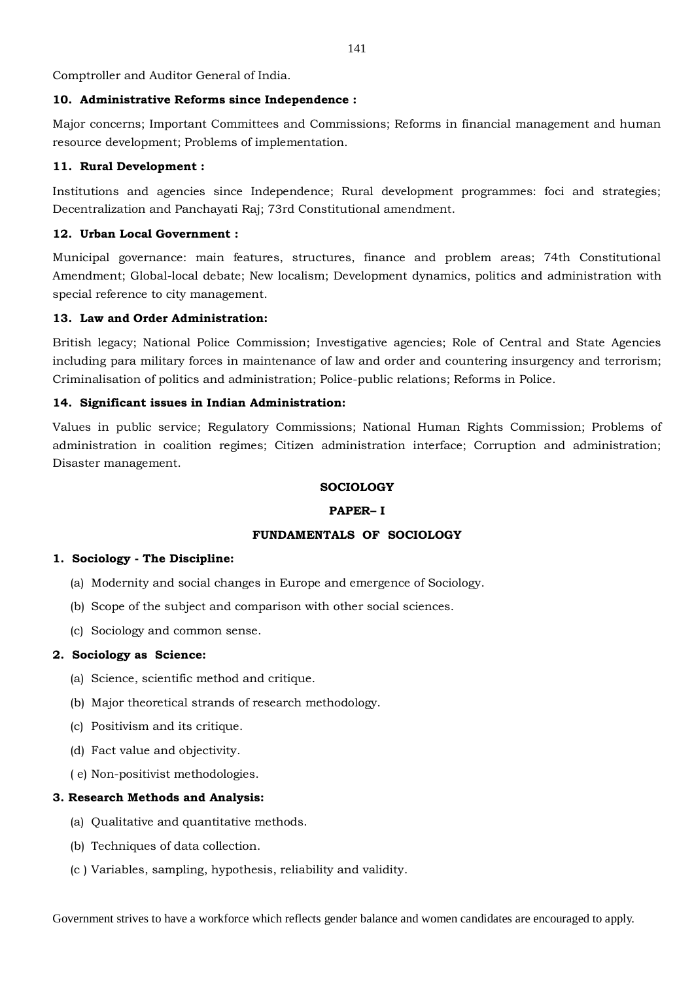Comptroller and Auditor General of India.

## **10. Administrative Reforms since Independence :**

Major concerns; Important Committees and Commissions; Reforms in financial management and human resource development; Problems of implementation.

## **11. Rural Development :**

Institutions and agencies since Independence; Rural development programmes: foci and strategies; Decentralization and Panchayati Raj; 73rd Constitutional amendment.

# **12. Urban Local Government :**

Municipal governance: main features, structures, finance and problem areas; 74th Constitutional Amendment; Global-local debate; New localism; Development dynamics, politics and administration with special reference to city management.

# **13. Law and Order Administration:**

British legacy; National Police Commission; Investigative agencies; Role of Central and State Agencies including para military forces in maintenance of law and order and countering insurgency and terrorism; Criminalisation of politics and administration; Police-public relations; Reforms in Police.

# **14. Significant issues in Indian Administration:**

Values in public service; Regulatory Commissions; National Human Rights Commission; Problems of administration in coalition regimes; Citizen administration interface; Corruption and administration; Disaster management.

## **SOCIOLOGY**

## **PAPER– I**

# **FUNDAMENTALS OF SOCIOLOGY**

## **1. Sociology - The Discipline:**

- (a) Modernity and social changes in Europe and emergence of Sociology.
- (b) Scope of the subject and comparison with other social sciences.
- (c) Sociology and common sense.

## **2. Sociology as Science:**

- (a) Science, scientific method and critique.
- (b) Major theoretical strands of research methodology.
- (c) Positivism and its critique.
- (d) Fact value and objectivity.
- ( e) Non-positivist methodologies.

## **3. Research Methods and Analysis:**

- (a) Qualitative and quantitative methods.
- (b) Techniques of data collection.
- (c ) Variables, sampling, hypothesis, reliability and validity.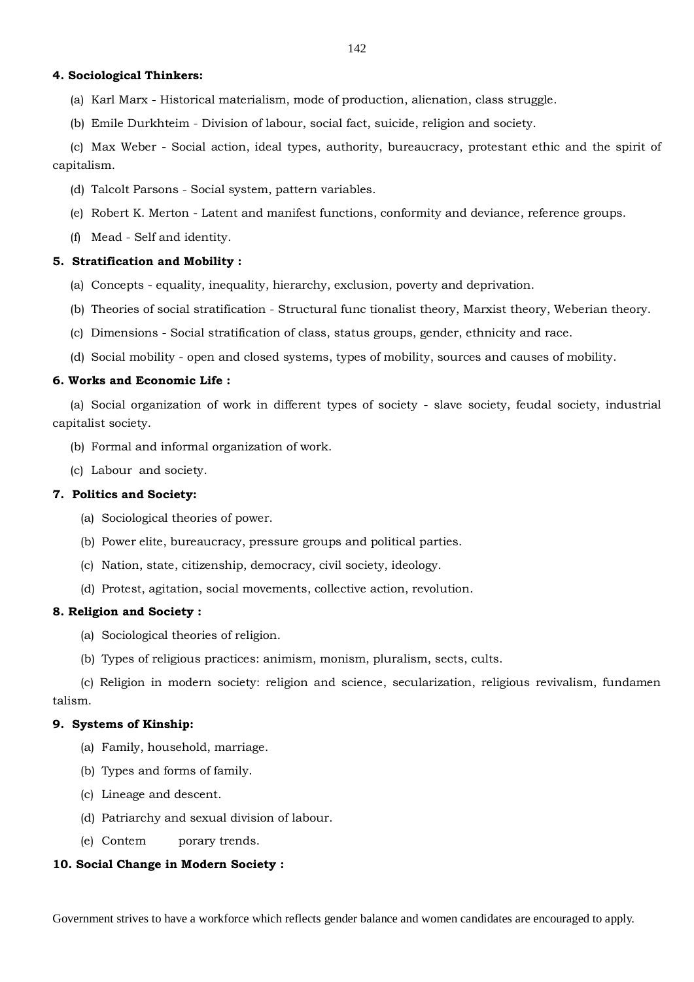### **4. Sociological Thinkers:**

- (a) Karl Marx Historical materialism, mode of production, alienation, class struggle.
- (b) Emile Durkhteim Division of labour, social fact, suicide, religion and society.

(c) Max Weber - Social action, ideal types, authority, bureaucracy, protestant ethic and the spirit of capitalism.

- (d) Talcolt Parsons Social system, pattern variables.
- (e) Robert K. Merton Latent and manifest functions, conformity and deviance, reference groups.
- (f) Mead Self and identity.

### **5. Stratification and Mobility :**

- (a) Concepts equality, inequality, hierarchy, exclusion, poverty and deprivation.
- (b) Theories of social stratification Structural func tionalist theory, Marxist theory, Weberian theory.
- (c) Dimensions Social stratification of class, status groups, gender, ethnicity and race.
- (d) Social mobility open and closed systems, types of mobility, sources and causes of mobility.

## **6. Works and Economic Life :**

(a) Social organization of work in different types of society - slave society, feudal society, industrial capitalist society.

- (b) Formal and informal organization of work.
- (c) Labour and society.

## **7. Politics and Society:**

- (a) Sociological theories of power.
- (b) Power elite, bureaucracy, pressure groups and political parties.
- (c) Nation, state, citizenship, democracy, civil society, ideology.
- (d) Protest, agitation, social movements, collective action, revolution.

### **8. Religion and Society :**

- (a) Sociological theories of religion.
- (b) Types of religious practices: animism, monism, pluralism, sects, cults.

(c) Religion in modern society: religion and science, secularization, religious revivalism, fundamen talism.

### **9. Systems of Kinship:**

- (a) Family, household, marriage.
- (b) Types and forms of family.
- (c) Lineage and descent.
- (d) Patriarchy and sexual division of labour.
- (e) Contem porary trends.

## **10. Social Change in Modern Society :**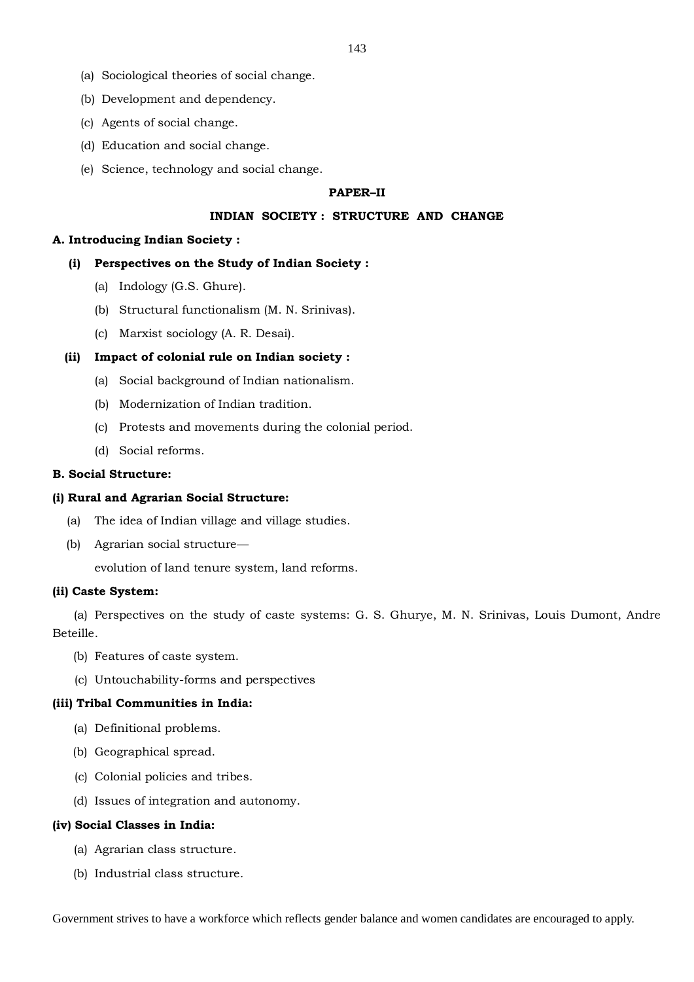- (a) Sociological theories of social change.
- (b) Development and dependency.
- (c) Agents of social change.
- (d) Education and social change.
- (e) Science, technology and social change.

#### **PAPER–II**

### **INDIAN SOCIETY : STRUCTURE AND CHANGE**

#### **A. Introducing Indian Society :**

## **(i) Perspectives on the Study of Indian Society :**

- (a) Indology (G.S. Ghure).
- (b) Structural functionalism (M. N. Srinivas).
- (c) Marxist sociology (A. R. Desai).

#### **(ii) Impact of colonial rule on Indian society :**

- (a) Social background of Indian nationalism.
- (b) Modernization of Indian tradition.
- (c) Protests and movements during the colonial period.
- (d) Social reforms.

#### **B. Social Structure:**

#### **(i) Rural and Agrarian Social Structure:**

- (a) The idea of Indian village and village studies.
- (b) Agrarian social structure—

evolution of land tenure system, land reforms.

### **(ii) Caste System:**

(a) Perspectives on the study of caste systems: G. S. Ghurye, M. N. Srinivas, Louis Dumont, Andre Beteille.

- (b) Features of caste system.
- (c) Untouchability-forms and perspectives

#### **(iii) Tribal Communities in India:**

- (a) Definitional problems.
- (b) Geographical spread.
- (c) Colonial policies and tribes.
- (d) Issues of integration and autonomy.

### **(iv) Social Classes in India:**

- (a) Agrarian class structure.
- (b) Industrial class structure.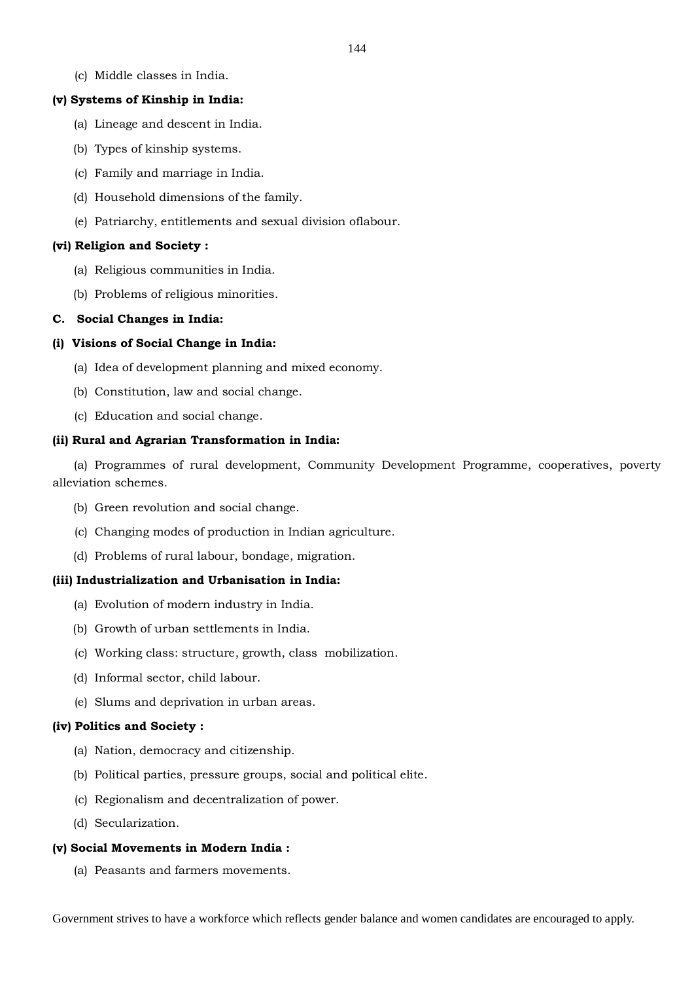(c) Middle classes in India.

#### **(v) Systems of Kinship in India:**

- (a) Lineage and descent in India.
- (b) Types of kinship systems.
- (c) Family and marriage in India.
- (d) Household dimensions of the family.
- (e) Patriarchy, entitlements and sexual division oflabour.

### **(vi) Religion and Society :**

- (a) Religious communities in India.
- (b) Problems of religious minorities.

#### **C. Social Changes in India:**

### **(i) Visions of Social Change in India:**

- (a) Idea of development planning and mixed economy.
- (b) Constitution, law and social change.
- (c) Education and social change.

### **(ii) Rural and Agrarian Transformation in India:**

(a) Programmes of rural development, Community Development Programme, cooperatives, poverty alleviation schemes.

- (b) Green revolution and social change.
- (c) Changing modes of production in Indian agriculture.
- (d) Problems of rural labour, bondage, migration.

## **(iii) Industrialization and Urbanisation in India:**

- (a) Evolution of modern industry in India.
- (b) Growth of urban settlements in India.
- (c) Working class: structure, growth, class mobilization.
- (d) Informal sector, child labour.
- (e) Slums and deprivation in urban areas.

## **(iv) Politics and Society :**

- (a) Nation, democracy and citizenship.
- (b) Political parties, pressure groups, social and political elite.
- (c) Regionalism and decentralization of power.
- (d) Secularization.

### **(v) Social Movements in Modern India :**

(a) Peasants and farmers movements.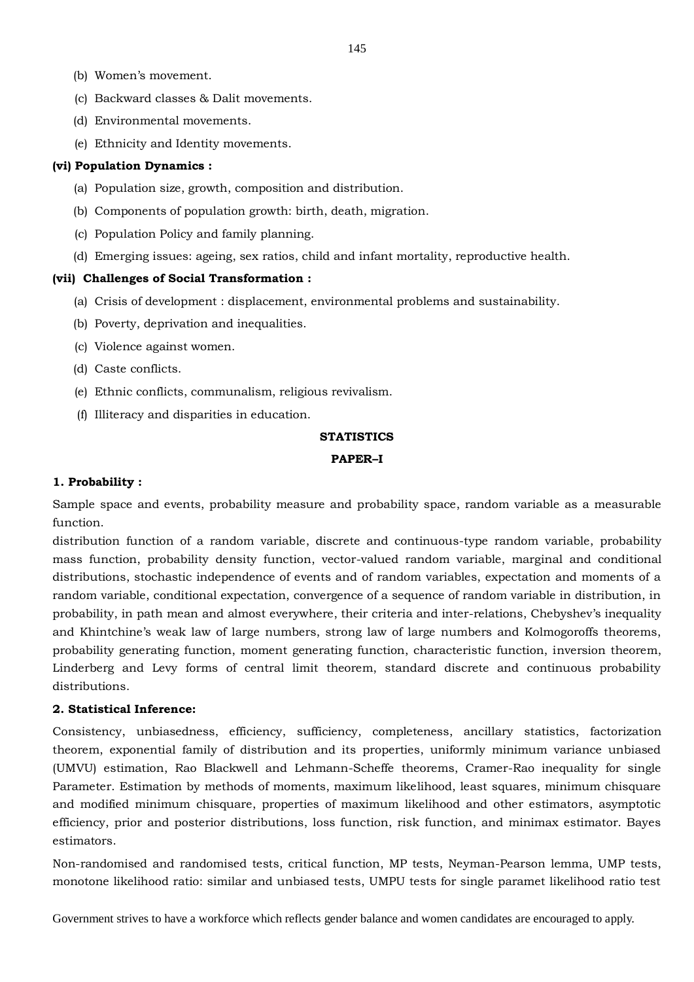- (b) Women's movement.
- (c) Backward classes & Dalit movements.
- (d) Environmental movements.
- (e) Ethnicity and Identity movements.

#### **(vi) Population Dynamics :**

- (a) Population size, growth, composition and distribution.
- (b) Components of population growth: birth, death, migration.
- (c) Population Policy and family planning.
- (d) Emerging issues: ageing, sex ratios, child and infant mortality, reproductive health.

#### **(vii) Challenges of Social Transformation :**

- (a) Crisis of development : displacement, environmental problems and sustainability.
- (b) Poverty, deprivation and inequalities.
- (c) Violence against women.
- (d) Caste conflicts.
- (e) Ethnic conflicts, communalism, religious revivalism.
- (f) Illiteracy and disparities in education.

## **STATISTICS**

#### **PAPER–I**

### **1. Probability :**

Sample space and events, probability measure and probability space, random variable as a measurable function.

distribution function of a random variable, discrete and continuous-type random variable, probability mass function, probability density function, vector-valued random variable, marginal and conditional distributions, stochastic independence of events and of random variables, expectation and moments of a random variable, conditional expectation, convergence of a sequence of random variable in distribution, in probability, in path mean and almost everywhere, their criteria and inter-relations, Chebyshev's inequality and Khintchine's weak law of large numbers, strong law of large numbers and Kolmogoroffs theorems, probability generating function, moment generating function, characteristic function, inversion theorem, Linderberg and Levy forms of central limit theorem, standard discrete and continuous probability distributions.

### **2. Statistical Inference:**

Consistency, unbiasedness, efficiency, sufficiency, completeness, ancillary statistics, factorization theorem, exponential family of distribution and its properties, uniformly minimum variance unbiased (UMVU) estimation, Rao Blackwell and Lehmann-Scheffe theorems, Cramer-Rao inequality for single Parameter. Estimation by methods of moments, maximum likelihood, least squares, minimum chisquare and modified minimum chisquare, properties of maximum likelihood and other estimators, asymptotic efficiency, prior and posterior distributions, loss function, risk function, and minimax estimator. Bayes estimators.

Non-randomised and randomised tests, critical function, MP tests, Neyman-Pearson lemma, UMP tests, monotone likelihood ratio: similar and unbiased tests, UMPU tests for single paramet likelihood ratio test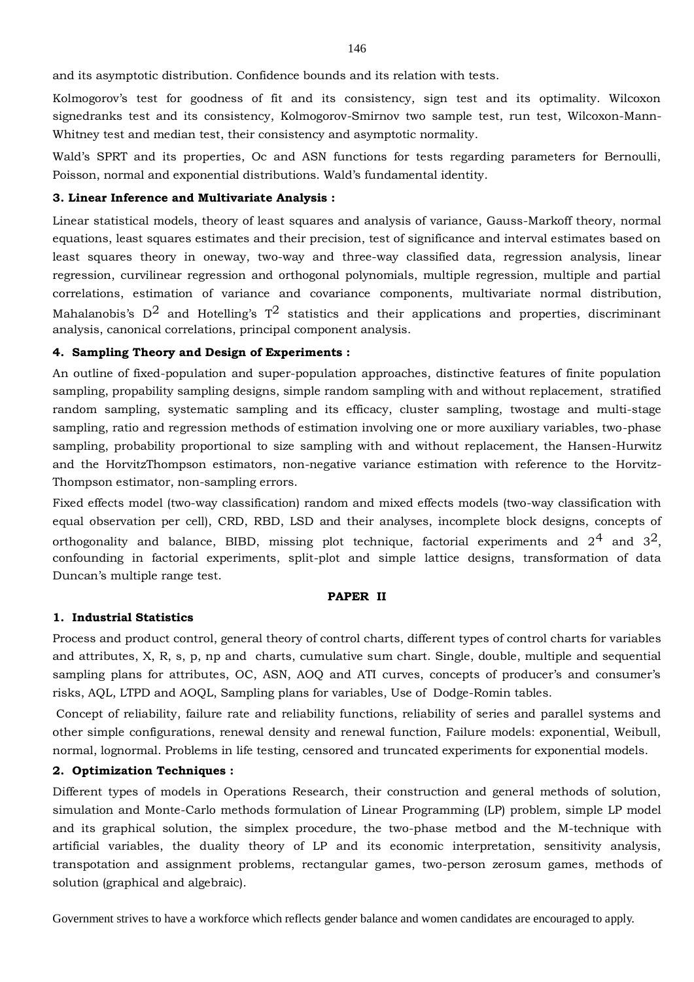and its asymptotic distribution. Confidence bounds and its relation with tests.

Kolmogorov's test for goodness of fit and its consistency, sign test and its optimality. Wilcoxon signedranks test and its consistency, Kolmogorov-Smirnov two sample test, run test, Wilcoxon-Mann-Whitney test and median test, their consistency and asymptotic normality.

Wald's SPRT and its properties, Oc and ASN functions for tests regarding parameters for Bernoulli, Poisson, normal and exponential distributions. Wald's fundamental identity.

### **3. Linear Inference and Multivariate Analysis :**

Linear statistical models, theory of least squares and analysis of variance, Gauss-Markoff theory, normal equations, least squares estimates and their precision, test of significance and interval estimates based on least squares theory in oneway, two-way and three-way classified data, regression analysis, linear regression, curvilinear regression and orthogonal polynomials, multiple regression, multiple and partial correlations, estimation of variance and covariance components, multivariate normal distribution, Mahalanobis's  $D^2$  and Hotelling's  $T^2$  statistics and their applications and properties, discriminant analysis, canonical correlations, principal component analysis.

#### **4. Sampling Theory and Design of Experiments :**

An outline of fixed-population and super-population approaches, distinctive features of finite population sampling, propability sampling designs, simple random sampling with and without replacement, stratified random sampling, systematic sampling and its efficacy, cluster sampling, twostage and multi-stage sampling, ratio and regression methods of estimation involving one or more auxiliary variables, two-phase sampling, probability proportional to size sampling with and without replacement, the Hansen-Hurwitz and the HorvitzThompson estimators, non-negative variance estimation with reference to the Horvitz-Thompson estimator, non-sampling errors.

Fixed effects model (two-way classification) random and mixed effects models (two-way classification with equal observation per cell), CRD, RBD, LSD and their analyses, incomplete block designs, concepts of orthogonality and balance, BIBD, missing plot technique, factorial experiments and  $2^4$  and  $3^2$ , confounding in factorial experiments, split-plot and simple lattice designs, transformation of data Duncan's multiple range test.

### **PAPER II**

## **1. Industrial Statistics**

Process and product control, general theory of control charts, different types of control charts for variables and attributes, X, R, s, p, np and charts, cumulative sum chart. Single, double, multiple and sequential sampling plans for attributes, OC, ASN, AOQ and ATI curves, concepts of producer's and consumer's risks, AQL, LTPD and AOQL, Sampling plans for variables, Use of Dodge-Romin tables.

Concept of reliability, failure rate and reliability functions, reliability of series and parallel systems and other simple configurations, renewal density and renewal function, Failure models: exponential, Weibull, normal, lognormal. Problems in life testing, censored and truncated experiments for exponential models.

### **2. Optimization Techniques :**

Different types of models in Operations Research, their construction and general methods of solution, simulation and Monte-Carlo methods formulation of Linear Programming (LP) problem, simple LP model and its graphical solution, the simplex procedure, the two-phase metbod and the M-technique with artificial variables, the duality theory of LP and its economic interpretation, sensitivity analysis, transpotation and assignment problems, rectangular games, two-person zerosum games, methods of solution (graphical and algebraic).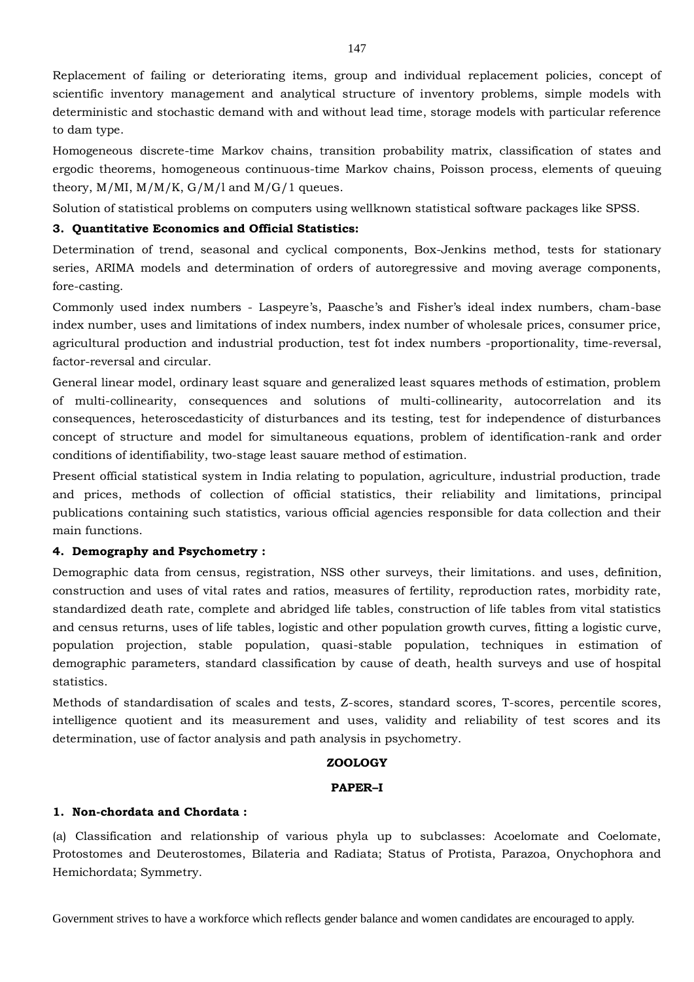Replacement of failing or deteriorating items, group and individual replacement policies, concept of scientific inventory management and analytical structure of inventory problems, simple models with deterministic and stochastic demand with and without lead time, storage models with particular reference to dam type.

Homogeneous discrete-time Markov chains, transition probability matrix, classification of states and ergodic theorems, homogeneous continuous-time Markov chains, Poisson process, elements of queuing theory,  $M/MI$ ,  $M/M/K$ ,  $G/M/l$  and  $M/G/l$  queues.

Solution of statistical problems on computers using wellknown statistical software packages like SPSS.

# **3. Quantitative Economics and Official Statistics:**

Determination of trend, seasonal and cyclical components, Box-Jenkins method, tests for stationary series, ARIMA models and determination of orders of autoregressive and moving average components, fore-casting.

Commonly used index numbers - Laspeyre's, Paasche's and Fisher's ideal index numbers, cham-base index number, uses and limitations of index numbers, index number of wholesale prices, consumer price, agricultural production and industrial production, test fot index numbers -proportionality, time-reversal, factor-reversal and circular.

General linear model, ordinary least square and generalized least squares methods of estimation, problem of multi-collinearity, consequences and solutions of multi-collinearity, autocorrelation and its consequences, heteroscedasticity of disturbances and its testing, test for independence of disturbances concept of structure and model for simultaneous equations, problem of identification-rank and order conditions of identifiability, two-stage least sauare method of estimation.

Present official statistical system in India relating to population, agriculture, industrial production, trade and prices, methods of collection of official statistics, their reliability and limitations, principal publications containing such statistics, various official agencies responsible for data collection and their main functions.

## **4. Demography and Psychometry :**

Demographic data from census, registration, NSS other surveys, their limitations. and uses, definition, construction and uses of vital rates and ratios, measures of fertility, reproduction rates, morbidity rate, standardized death rate, complete and abridged life tables, construction of life tables from vital statistics and census returns, uses of life tables, logistic and other population growth curves, fitting a logistic curve, population projection, stable population, quasi-stable population, techniques in estimation of demographic parameters, standard classification by cause of death, health surveys and use of hospital statistics.

Methods of standardisation of scales and tests, Z-scores, standard scores, T-scores, percentile scores, intelligence quotient and its measurement and uses, validity and reliability of test scores and its determination, use of factor analysis and path analysis in psychometry.

## **ZOOLOGY**

## **PAPER–I**

## **1. Non-chordata and Chordata :**

(a) Classification and relationship of various phyla up to subclasses: Acoelomate and Coelomate, Protostomes and Deuterostomes, Bilateria and Radiata; Status of Protista, Parazoa, Onychophora and Hemichordata; Symmetry.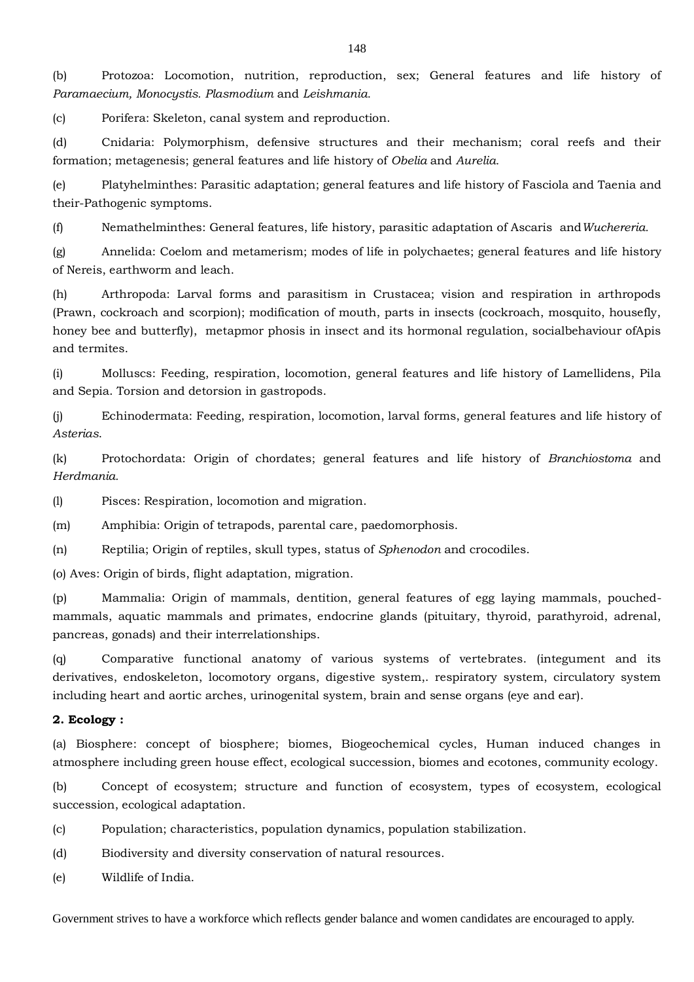(b) Protozoa: Locomotion, nutrition, reproduction, sex; General features and life history of *Paramaecium, Monocystis. Plasmodium* and *Leishmania.*

(c) Porifera: Skeleton, canal system and reproduction.

(d) Cnidaria: Polymorphism, defensive structures and their mechanism; coral reefs and their formation; metagenesis; general features and life history of *Obelia* and *Aurelia.*

(e) Platyhelminthes: Parasitic adaptation; general features and life history of Fasciola and Taenia and their-Pathogenic symptoms.

(f) Nemathelminthes: General features, life history, parasitic adaptation of Ascaris and*Wuchereria.*

(g) Annelida: Coelom and metamerism; modes of life in polychaetes; general features and life history of Nereis, earthworm and leach.

(h) Arthropoda: Larval forms and parasitism in Crustacea; vision and respiration in arthropods (Prawn, cockroach and scorpion); modification of mouth, parts in insects (cockroach, mosquito, housefly, honey bee and butterfly), metapmor phosis in insect and its hormonal regulation, socialbehaviour ofApis and termites.

(i) Molluscs: Feeding, respiration, locomotion, general features and life history of Lamellidens, Pila and Sepia. Torsion and detorsion in gastropods.

(j) Echinodermata: Feeding, respiration, locomotion, larval forms, general features and life history of *Asterias*.

(k) Protochordata: Origin of chordates; general features and life history of *Branchiostoma* and *Herdmania.*

(l) Pisces: Respiration, locomotion and migration.

(m) Amphibia: Origin of tetrapods, parental care, paedomorphosis.

(n) Reptilia; Origin of reptiles, skull types, status of *Sphenodon* and crocodiles.

(o) Aves: Origin of birds, flight adaptation, migration.

(p) Mammalia: Origin of mammals, dentition, general features of egg laying mammals, pouchedmammals, aquatic mammals and primates, endocrine glands (pituitary, thyroid, parathyroid, adrenal, pancreas, gonads) and their interrelationships.

(q) Comparative functional anatomy of various systems of vertebrates. (integument and its derivatives, endoskeleton, locomotory organs, digestive system,. respiratory system, circulatory system including heart and aortic arches, urinogenital system, brain and sense organs (eye and ear).

## **2. Ecology :**

(a) Biosphere: concept of biosphere; biomes, Biogeochemical cycles, Human induced changes in atmosphere including green house effect, ecological succession, biomes and ecotones, community ecology.

(b) Concept of ecosystem; structure and function of ecosystem, types of ecosystem, ecological succession, ecological adaptation.

- (c) Population; characteristics, population dynamics, population stabilization.
- (d) Biodiversity and diversity conservation of natural resources.
- (e) Wildlife of India.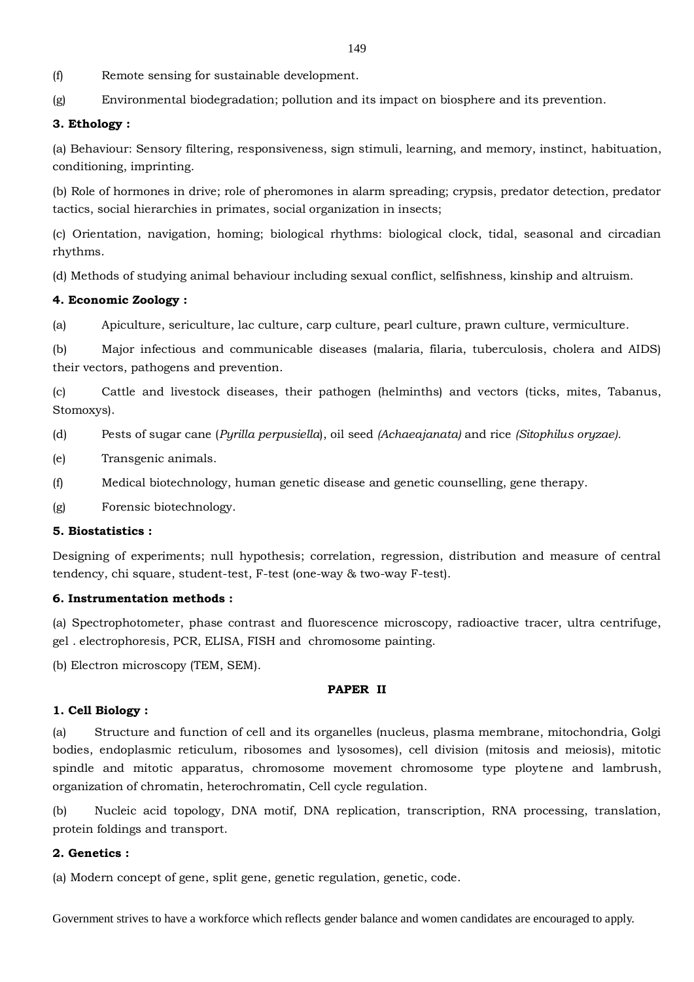(f) Remote sensing for sustainable development.

(g) Environmental biodegradation; pollution and its impact on biosphere and its prevention.

### **3. Ethology :**

(a) Behaviour: Sensory filtering, responsiveness, sign stimuli, learning, and memory, instinct, habituation, conditioning, imprinting.

(b) Role of hormones in drive; role of pheromones in alarm spreading; crypsis, predator detection, predator tactics, social hierarchies in primates, social organization in insects;

(c) Orientation, navigation, homing; biological rhythms: biological clock, tidal, seasonal and circadian rhythms.

(d) Methods of studying animal behaviour including sexual conflict, selfishness, kinship and altruism.

### **4. Economic Zoology :**

(a) Apiculture, sericulture, lac culture, carp culture, pearl culture, prawn culture, vermiculture.

(b) Major infectious and communicable diseases (malaria, filaria, tuberculosis, cholera and AIDS) their vectors, pathogens and prevention.

(c) Cattle and livestock diseases, their pathogen (helminths) and vectors (ticks, mites, Tabanus, Stomoxys).

(d) Pests of sugar cane (*Pyrilla perpusiella*), oil seed *(Achaeajanata)* and rice *(Sitophilus oryzae).*

- (e) Transgenic animals.
- (f) Medical biotechnology, human genetic disease and genetic counselling, gene therapy.

(g) Forensic biotechnology.

# **5. Biostatistics :**

Designing of experiments; null hypothesis; correlation, regression, distribution and measure of central tendency, chi square, student-test, F-test (one-way & two-way F-test).

### **6. Instrumentation methods :**

(a) Spectrophotometer, phase contrast and fluorescence microscopy, radioactive tracer, ultra centrifuge, gel . electrophoresis, PCR, ELISA, FISH and chromosome painting.

(b) Electron microscopy (TEM, SEM).

#### **PAPER II**

### **1. Cell Biology :**

(a) Structure and function of cell and its organelles (nucleus, plasma membrane, mitochondria, Golgi bodies, endoplasmic reticulum, ribosomes and lysosomes), cell division (mitosis and meiosis), mitotic spindle and mitotic apparatus, chromosome movement chromosome type ploytene and lambrush, organization of chromatin, heterochromatin, Cell cycle regulation.

(b) Nucleic acid topology, DNA motif, DNA replication, transcription, RNA processing, translation, protein foldings and transport.

#### **2. Genetics :**

(a) Modern concept of gene, split gene, genetic regulation, genetic, code.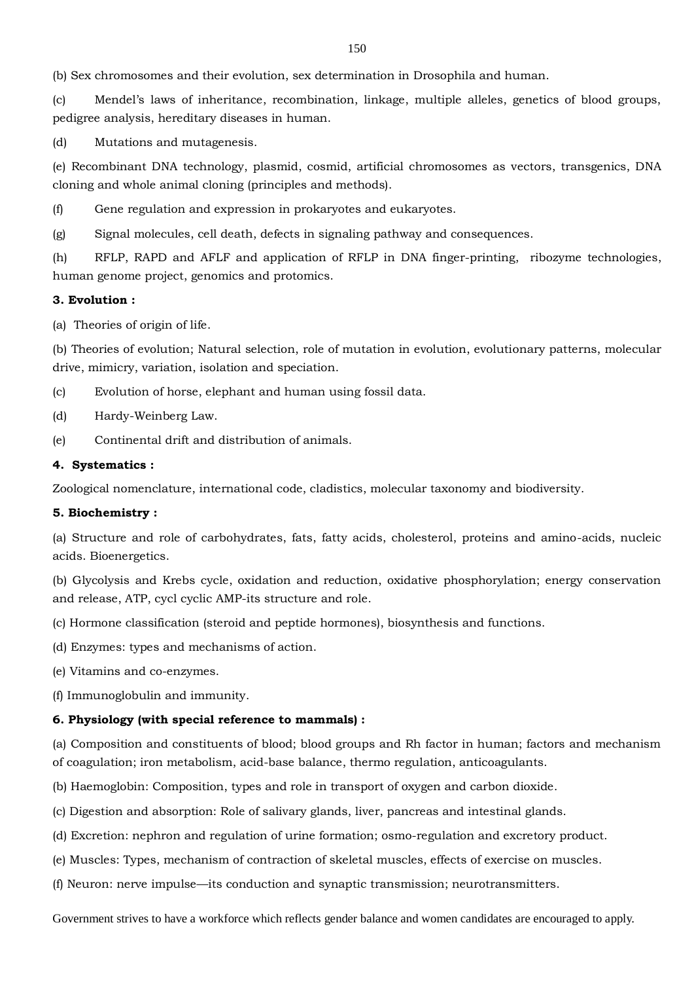(b) Sex chromosomes and their evolution, sex determination in Drosophila and human.

(c) Mendel's laws of inheritance, recombination, linkage, multiple alleles, genetics of blood groups, pedigree analysis, hereditary diseases in human.

(d) Mutations and mutagenesis.

(e) Recombinant DNA technology, plasmid, cosmid, artificial chromosomes as vectors, transgenics, DNA cloning and whole animal cloning (principles and methods).

(f) Gene regulation and expression in prokaryotes and eukaryotes.

(g) Signal molecules, cell death, defects in signaling pathway and consequences.

(h) RFLP, RAPD and AFLF and application of RFLP in DNA finger-printing, ribozyme technologies, human genome project, genomics and protomics.

### **3. Evolution :**

(a) Theories of origin of life.

(b) Theories of evolution; Natural selection, role of mutation in evolution, evolutionary patterns, molecular drive, mimicry, variation, isolation and speciation.

- (c) Evolution of horse, elephant and human using fossil data.
- (d) Hardy-Weinberg Law.
- (e) Continental drift and distribution of animals.

### **4. Systematics :**

Zoological nomenclature, international code, cladistics, molecular taxonomy and biodiversity.

### **5. Biochemistry :**

(a) Structure and role of carbohydrates, fats, fatty acids, cholesterol, proteins and amino-acids, nucleic acids. Bioenergetics.

(b) Glycolysis and Krebs cycle, oxidation and reduction, oxidative phosphorylation; energy conservation and release, ATP, cycl cyclic AMP-its structure and role.

(c) Hormone classification (steroid and peptide hormones), biosynthesis and functions.

(d) Enzymes: types and mechanisms of action.

(e) Vitamins and co-enzymes.

(f) Immunoglobulin and immunity.

### **6. Physiology (with special reference to mammals) :**

(a) Composition and constituents of blood; blood groups and Rh factor in human; factors and mechanism of coagulation; iron metabolism, acid-base balance, thermo regulation, anticoagulants.

(b) Haemoglobin: Composition, types and role in transport of oxygen and carbon dioxide.

- (c) Digestion and absorption: Role of salivary glands, liver, pancreas and intestinal glands.
- (d) Excretion: nephron and regulation of urine formation; osmo-regulation and excretory product.
- (e) Muscles: Types, mechanism of contraction of skeletal muscles, effects of exercise on muscles.
- (f) Neuron: nerve impulse—its conduction and synaptic transmission; neurotransmitters.